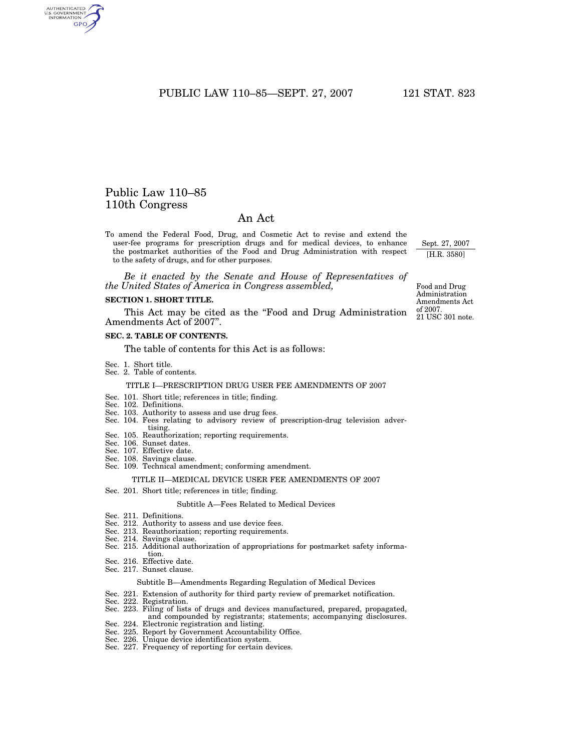PUBLIC LAW 110–85—SEPT. 27, 2007 121 STAT. 823

# Public Law 110–85 110th Congress

# An Act

To amend the Federal Food, Drug, and Cosmetic Act to revise and extend the user-fee programs for prescription drugs and for medical devices, to enhance the postmarket authorities of the Food and Drug Administration with respect to the safety of drugs, and for other purposes.

*Be it enacted by the Senate and House of Representatives of the United States of America in Congress assembled,* 

#### **SECTION 1. SHORT TITLE.**

This Act may be cited as the "Food and Drug Administration Amendments Act of 2007''.

#### **SEC. 2. TABLE OF CONTENTS.**

The table of contents for this Act is as follows:

- Sec. 1. Short title.
- Sec. 2. Table of contents.

## TITLE I—PRESCRIPTION DRUG USER FEE AMENDMENTS OF 2007

- Sec. 101. Short title; references in title; finding.
- Sec. 102. Definitions.
- Sec. 103. Authority to assess and use drug fees.
- Sec. 104. Fees relating to advisory review of prescription-drug television advertising.
- Sec. 105. Reauthorization; reporting requirements.
- Sec. 106. Sunset dates.
- Sec. 107. Effective date.
- Sec. 108. Savings clause.
- Sec. 109. Technical amendment; conforming amendment.

#### TITLE II—MEDICAL DEVICE USER FEE AMENDMENTS OF 2007

Sec. 201. Short title; references in title; finding.

#### Subtitle A—Fees Related to Medical Devices

- Sec. 211. Definitions.
- Sec. 212. Authority to assess and use device fees.
- Sec. 213. Reauthorization; reporting requirements.
- Sec. 214. Savings clause.
- Sec. 215. Additional authorization of appropriations for postmarket safety informa-
- tion.
- Sec. 216. Effective date.
- Sec. 217. Sunset clause.

# Subtitle B—Amendments Regarding Regulation of Medical Devices

- Sec. 221. Extension of authority for third party review of premarket notification.
- Sec. 222. Registration.
- Sec. 223. Filing of lists of drugs and devices manufactured, prepared, propagated, and compounded by registrants; statements; accompanying disclosures.
- Sec. 224. Electronic registration and listing. Sec. 225. Report by Government Accountability Office.
- Sec. 226. Unique device identification system.
- 
- Sec. 227. Frequency of reporting for certain devices.

21 USC 301 note. Food and Drug Administration Amendments Act of 2007.

Sept. 27, 2007 [H.R. 3580]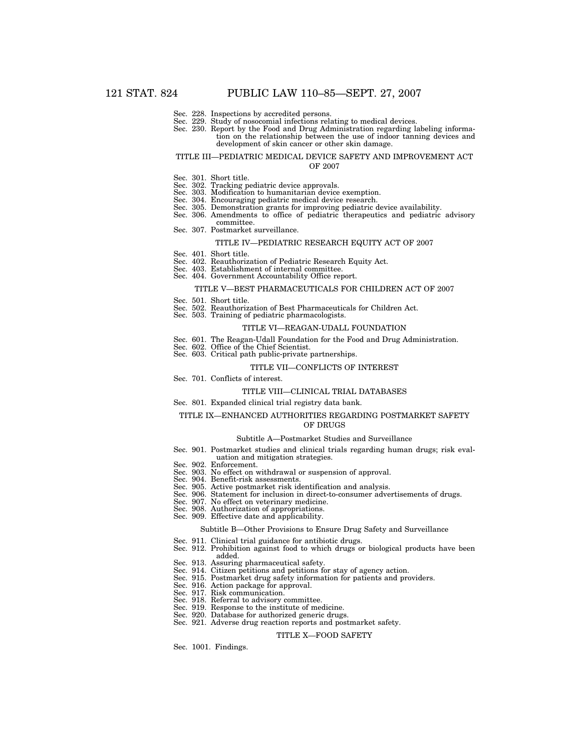- Sec. 228. Inspections by accredited persons.
- Sec. 229. Study of nosocomial infections relating to medical devices.
- Sec. 230. Report by the Food and Drug Administration regarding labeling information on the relationship between the use of indoor tanning devices and development of skin cancer or other skin damage.

#### TITLE III—PEDIATRIC MEDICAL DEVICE SAFETY AND IMPROVEMENT ACT OF 2007

- Sec. 301. Short title.
- Sec. 302. Tracking pediatric device approvals. Sec. 303. Modification to humanitarian device exemption.
- 
- Sec. 304. Encouraging pediatric medical device research.
- Sec. 305. Demonstration grants for improving pediatric device availability.
- Sec. 306. Amendments to office of pediatric therapeutics and pediatric advisory committee.
- Sec. 307. Postmarket surveillance.

#### TITLE IV—PEDIATRIC RESEARCH EQUITY ACT OF 2007

- Sec. 401. Short title.
- Sec. 402. Reauthorization of Pediatric Research Equity Act.
- Sec. 403. Establishment of internal committee.
- Sec. 404. Government Accountability Office report.

# TITLE V—BEST PHARMACEUTICALS FOR CHILDREN ACT OF 2007

- Sec. 501. Short title.
- Sec. 502. Reauthorization of Best Pharmaceuticals for Children Act. Sec. 503. Training of pediatric pharmacologists.
- 

#### TITLE VI—REAGAN-UDALL FOUNDATION

- Sec. 601. The Reagan-Udall Foundation for the Food and Drug Administration.
- Sec. 602. Office of the Chief Scientist.
- Sec. 603. Critical path public-private partnerships.

#### TITLE VII—CONFLICTS OF INTEREST

Sec. 701. Conflicts of interest.

#### TITLE VIII—CLINICAL TRIAL DATABASES

Sec. 801. Expanded clinical trial registry data bank.

## TITLE IX—ENHANCED AUTHORITIES REGARDING POSTMARKET SAFETY OF DRUGS

#### Subtitle A—Postmarket Studies and Surveillance

- Sec. 901. Postmarket studies and clinical trials regarding human drugs; risk evaluation and mitigation strategies.
	- Sec. 902. Enforcement.
- Sec. 903. No effect on withdrawal or suspension of approval.
- Sec. 904. Benefit-risk assessments.
- Sec. 905. Active postmarket risk identification and analysis.
- Sec. 906. Statement for inclusion in direct-to-consumer advertisements of drugs.
	-
- Sec. 907. No effect on veterinary medicine. Sec. 908. Authorization of appropriations.
- Sec. 909. Effective date and applicability.

#### Subtitle B—Other Provisions to Ensure Drug Safety and Surveillance

- Sec. 911. Clinical trial guidance for antibiotic drugs.
- Sec. 912. Prohibition against food to which drugs or biological products have been added.
- Sec. 913. Assuring pharmaceutical safety.
- Sec. 914. Citizen petitions and petitions for stay of agency action.
- Sec. 915. Postmarket drug safety information for patients and providers.
- Sec. 916. Action package for approval.
- Sec. 917. Risk communication.
- Sec. 918. Referral to advisory committee.
- Sec. 919. Response to the institute of medicine.
- Sec. 920. Database for authorized generic drugs.
- Sec. 921. Adverse drug reaction reports and postmarket safety.

#### TITLE X—FOOD SAFETY

Sec. 1001. Findings.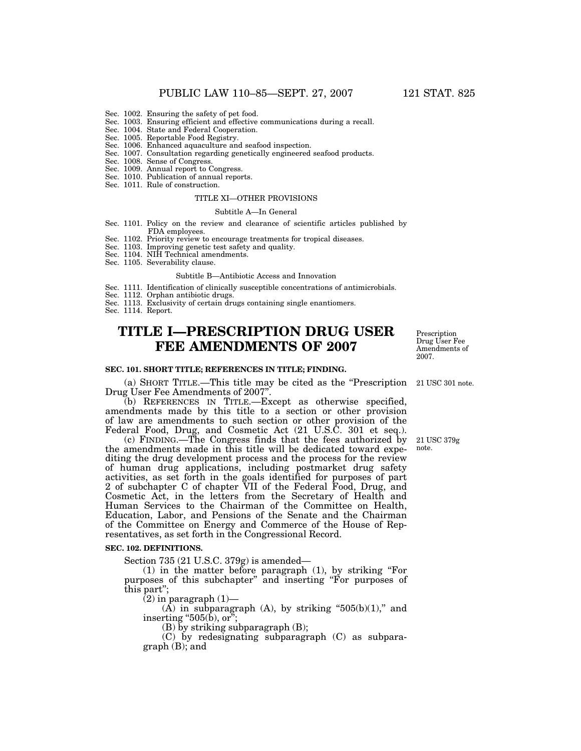- Sec. 1002. Ensuring the safety of pet food.
- Sec. 1003. Ensuring efficient and effective communications during a recall.
- Sec. 1004. State and Federal Cooperation.
- Sec. 1005. Reportable Food Registry.
- Sec. 1006. Enhanced aquaculture and seafood inspection.
- Sec. 1007. Consultation regarding genetically engineered seafood products.
- Sec. 1008. Sense of Congress.
- Sec. 1009. Annual report to Congress.
- Sec. 1010. Publication of annual reports.
- Sec. 1011. Rule of construction.

### TITLE XI—OTHER PROVISIONS

#### Subtitle A—In General

- Sec. 1101. Policy on the review and clearance of scientific articles published by FDA employees.
- Sec. 1102. Priority review to encourage treatments for tropical diseases.
- Sec. 1103. Improving genetic test safety and quality.
- Sec. 1104. NIH Technical amendments.
- Sec. 1105. Severability clause.

#### Subtitle B—Antibiotic Access and Innovation

- Sec. 1111. Identification of clinically susceptible concentrations of antimicrobials.
- Sec. 1112. Orphan antibiotic drugs.
- Sec. 1113. Exclusivity of certain drugs containing single enantiomers.

Sec. 1114. Report.

# **TITLE I—PRESCRIPTION DRUG USER FEE AMENDMENTS OF 2007**

### **SEC. 101. SHORT TITLE; REFERENCES IN TITLE; FINDING.**

(a) SHORT TITLE.—This title may be cited as the ''Prescription 21 USC 301 note. Drug User Fee Amendments of 2007''.

(b) REFERENCES IN TITLE.—Except as otherwise specified, amendments made by this title to a section or other provision of law are amendments to such section or other provision of the Federal Food, Drug, and Cosmetic Act (21 U.S.C. 301 et seq.).

(c) FINDING.—The Congress finds that the fees authorized by the amendments made in this title will be dedicated toward expediting the drug development process and the process for the review of human drug applications, including postmarket drug safety activities, as set forth in the goals identified for purposes of part 2 of subchapter C of chapter VII of the Federal Food, Drug, and Cosmetic Act, in the letters from the Secretary of Health and Human Services to the Chairman of the Committee on Health, Education, Labor, and Pensions of the Senate and the Chairman of the Committee on Energy and Commerce of the House of Representatives, as set forth in the Congressional Record.

#### **SEC. 102. DEFINITIONS.**

Section 735 (21 U.S.C. 379g) is amended—

(1) in the matter before paragraph (1), by striking ''For purposes of this subchapter'' and inserting ''For purposes of this part'';

 $(2)$  in paragraph  $(1)$ —

 $(A)$  in subparagraph  $(A)$ , by striking "505(b)(1)," and inserting " $505(\overline{b})$ , or";

(B) by striking subparagraph (B);

(C) by redesignating subparagraph (C) as subparagraph (B); and

Prescription Drug User Fee Amendments of 2007.

21 USC 379g note.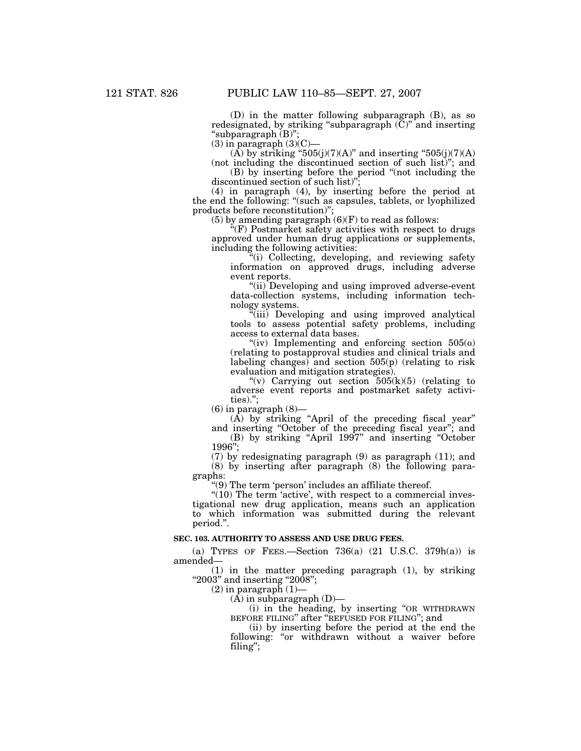(D) in the matter following subparagraph (B), as so redesignated, by striking "subparagraph  $(C)$ " and inserting ''subparagraph (B)'';

 $(3)$  in paragraph  $(3)(C)$ -

 $(A)$  by striking "505(j)(7)(A)" and inserting "505(j)(7)(A)

(not including the discontinued section of such list)''; and (B) by inserting before the period ''(not including the discontinued section of such list)"

(4) in paragraph (4), by inserting before the period at the end the following: ''(such as capsules, tablets, or lyophilized products before reconstitution)'';

 $(5)$  by amending paragraph  $(6)(F)$  to read as follows:

 $E(F)$  Postmarket safety activities with respect to drugs approved under human drug applications or supplements, including the following activities:

''(i) Collecting, developing, and reviewing safety information on approved drugs, including adverse event reports.

"(ii) Developing and using improved adverse-event data-collection systems, including information technology systems.

''(iii) Developing and using improved analytical tools to assess potential safety problems, including access to external data bases.

"(iv) Implementing and enforcing section 505(o) (relating to postapproval studies and clinical trials and labeling changes) and section 505(p) (relating to risk evaluation and mitigation strategies).

"(v) Carrying out section  $505(k)(5)$  (relating to adverse event reports and postmarket safety activities).'';

 $(6)$  in paragraph  $(8)$ —

 $(A)$  by striking "April of the preceding fiscal year" and inserting "October of the preceding fiscal year"; and

(B) by striking ''April 1997'' and inserting ''October 1996'';

(7) by redesignating paragraph (9) as paragraph (11); and

(8) by inserting after paragraph (8) the following paragraphs:

''(9) The term 'person' includes an affiliate thereof.

"(10) The term 'active', with respect to a commercial investigational new drug application, means such an application to which information was submitted during the relevant period.''.

# **SEC. 103. AUTHORITY TO ASSESS AND USE DRUG FEES.**

(a) TYPES OF FEES.—Section  $736(a)$  (21 U.S.C.  $379h(a)$ ) is amended—

(1) in the matter preceding paragraph (1), by striking " $2003$ " and inserting " $2008$ ";

 $(2)$  in paragraph  $(1)$ —

 $(A)$  in subparagraph  $(D)$ —

(i) in the heading, by inserting ''OR WITHDRAWN BEFORE FILING'' after ''REFUSED FOR FILING''; and

(ii) by inserting before the period at the end the following: "or withdrawn without a waiver before filing'';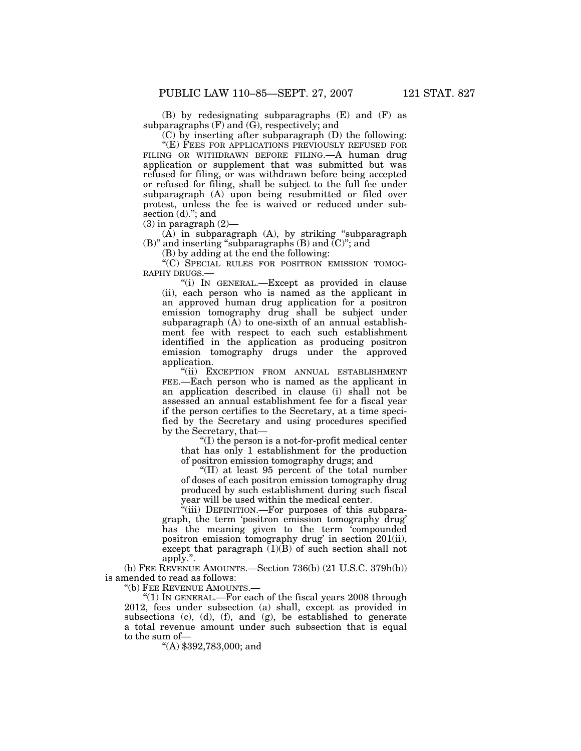(B) by redesignating subparagraphs (E) and (F) as subparagraphs (F) and (G), respectively; and

(C) by inserting after subparagraph (D) the following:

"(E) FEES FOR APPLICATIONS PREVIOUSLY REFUSED FOR FILING OR WITHDRAWN BEFORE FILING.—A human drug application or supplement that was submitted but was refused for filing, or was withdrawn before being accepted or refused for filing, shall be subject to the full fee under subparagraph (A) upon being resubmitted or filed over protest, unless the fee is waived or reduced under sub $section(d)$ ."; and

 $(3)$  in paragraph  $(2)$ —

 $(A)$  in subparagraph  $(A)$ , by striking "subparagraph (B)'' and inserting ''subparagraphs (B) and (C)''; and

(B) by adding at the end the following:

''(C) SPECIAL RULES FOR POSITRON EMISSION TOMOG-RAPHY DRUGS.—

''(i) IN GENERAL.—Except as provided in clause (ii), each person who is named as the applicant in an approved human drug application for a positron emission tomography drug shall be subject under subparagraph (A) to one-sixth of an annual establishment fee with respect to each such establishment identified in the application as producing positron emission tomography drugs under the approved application.

"(ii) EXCEPTION FROM ANNUAL ESTABLISHMENT FEE.—Each person who is named as the applicant in an application described in clause (i) shall not be assessed an annual establishment fee for a fiscal year if the person certifies to the Secretary, at a time specified by the Secretary and using procedures specified by the Secretary, that—

''(I) the person is a not-for-profit medical center that has only 1 establishment for the production of positron emission tomography drugs; and

''(II) at least 95 percent of the total number of doses of each positron emission tomography drug produced by such establishment during such fiscal year will be used within the medical center.

''(iii) DEFINITION.—For purposes of this subparagraph, the term 'positron emission tomography drug' has the meaning given to the term 'compounded positron emission tomography drug' in section 201(ii), except that paragraph  $(1)(B)$  of such section shall not apply.''.

(b) FEE REVENUE AMOUNTS.—Section 736(b) (21 U.S.C. 379h(b)) is amended to read as follows:

''(b) FEE REVENUE AMOUNTS.—

"(1) In GENERAL.—For each of the fiscal years  $2008$  through 2012, fees under subsection (a) shall, except as provided in subsections  $(c)$ ,  $(d)$ ,  $(f)$ , and  $(g)$ , be established to generate a total revenue amount under such subsection that is equal to the sum of—

''(A) \$392,783,000; and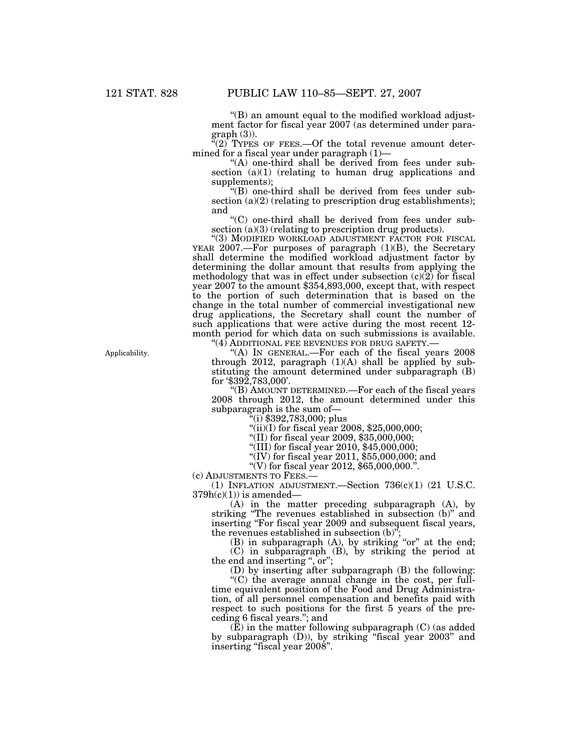''(B) an amount equal to the modified workload adjustment factor for fiscal year 2007 (as determined under para $graph (3)$ ).

 $E(2)$  TYPES OF FEES.—Of the total revenue amount determined for a fiscal year under paragraph (1)—

''(A) one-third shall be derived from fees under subsection  $(a)(1)$  (relating to human drug applications and supplements);

''(B) one-third shall be derived from fees under subsection (a)(2) (relating to prescription drug establishments); and

''(C) one-third shall be derived from fees under subsection (a)(3) (relating to prescription drug products).

"(3) MODIFIED WORKLOAD ADJUSTMENT FACTOR FOR FISCAL YEAR 2007.—For purposes of paragraph (1)(B), the Secretary shall determine the modified workload adjustment factor by determining the dollar amount that results from applying the methodology that was in effect under subsection  $(c)(2)$  for fiscal year 2007 to the amount \$354,893,000, except that, with respect to the portion of such determination that is based on the change in the total number of commercial investigational new drug applications, the Secretary shall count the number of such applications that were active during the most recent 12month period for which data on such submissions is available.

''(4) ADDITIONAL FEE REVENUES FOR DRUG SAFETY.—

"(A) In GENERAL.—For each of the fiscal years 2008 through 2012, paragraph  $(1)(A)$  shall be applied by substituting the amount determined under subparagraph (B) for '\$392,783,000'.

''(B) AMOUNT DETERMINED.—For each of the fiscal years 2008 through 2012, the amount determined under this subparagraph is the sum of—

 $\left( \text{``(i)}\right)$ \$392,783,000; plus

 $(ii)(I)$  for fiscal year 2008, \$25,000,000;

''(II) for fiscal year 2009, \$35,000,000;

''(III) for fiscal year 2010, \$45,000,000;

''(IV) for fiscal year 2011, \$55,000,000; and

"(V) for fiscal year 2012,  $$65,000,000."$ .

(c) ADJUSTMENTS TO FEES.—

(1) INFLATION ADJUSTMENT.—Section 736(c)(1) (21 U.S.C.  $379h(c)(1)$ ) is amended—

(A) in the matter preceding subparagraph (A), by striking "The revenues established in subsection (b)" and inserting "For fiscal year 2009 and subsequent fiscal years, the revenues established in subsection (b)'';

(B) in subparagraph (A), by striking "or" at the end; (C) in subparagraph (B), by striking the period at the end and inserting ", or";

(D) by inserting after subparagraph (B) the following:

 $\cdot$ <sup>"(C)</sup> the average annual change in the cost, per fulltime equivalent position of the Food and Drug Administration, of all personnel compensation and benefits paid with respect to such positions for the first 5 years of the preceding 6 fiscal years.''; and

(E) in the matter following subparagraph (C) (as added by subparagraph (D)), by striking ''fiscal year 2003'' and inserting "fiscal year 2008".

Applicability.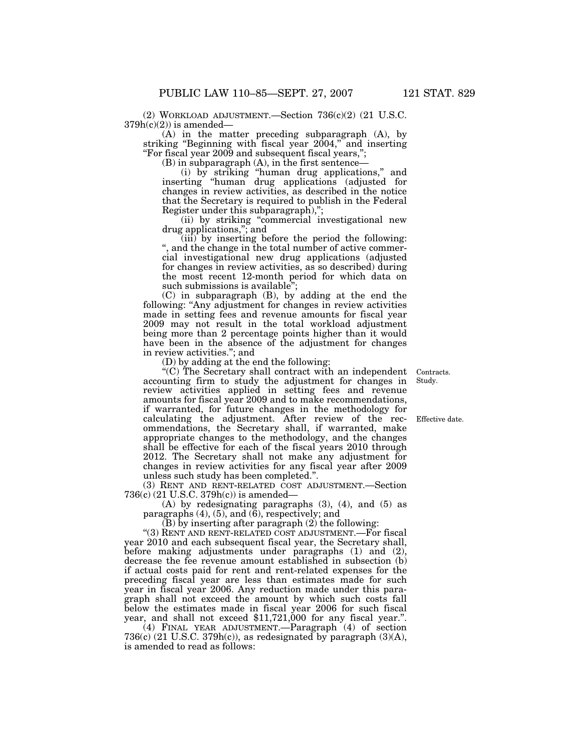(2) WORKLOAD ADJUSTMENT.—Section 736(c)(2) (21 U.S.C.  $379h(c)(2)$  is amended-

(A) in the matter preceding subparagraph (A), by striking "Beginning with fiscal year 2004," and inserting ''For fiscal year 2009 and subsequent fiscal years,'';

 $(B)$  in subparagraph  $(A)$ , in the first sentence—

(i) by striking ''human drug applications,'' and inserting ''human drug applications (adjusted for changes in review activities, as described in the notice that the Secretary is required to publish in the Federal Register under this subparagraph),'';

(ii) by striking ''commercial investigational new drug applications,''; and

(iii) by inserting before the period the following: '', and the change in the total number of active commercial investigational new drug applications (adjusted for changes in review activities, as so described) during the most recent 12-month period for which data on such submissions is available'';

(C) in subparagraph (B), by adding at the end the following: ''Any adjustment for changes in review activities made in setting fees and revenue amounts for fiscal year 2009 may not result in the total workload adjustment being more than 2 percentage points higher than it would have been in the absence of the adjustment for changes in review activities.''; and

(D) by adding at the end the following:

''(C) The Secretary shall contract with an independent accounting firm to study the adjustment for changes in review activities applied in setting fees and revenue amounts for fiscal year 2009 and to make recommendations, if warranted, for future changes in the methodology for calculating the adjustment. After review of the recommendations, the Secretary shall, if warranted, make appropriate changes to the methodology, and the changes shall be effective for each of the fiscal years 2010 through 2012. The Secretary shall not make any adjustment for changes in review activities for any fiscal year after 2009 unless such study has been completed.''.

(3) RENT AND RENT-RELATED COST ADJUSTMENT.—Section 736(c) (21 U.S.C. 379h(c)) is amended—

(A) by redesignating paragraphs (3), (4), and (5) as paragraphs  $(4)$ ,  $(5)$ , and  $(6)$ , respectively; and

(B) by inserting after paragraph (2) the following:

''(3) RENT AND RENT-RELATED COST ADJUSTMENT.—For fiscal year 2010 and each subsequent fiscal year, the Secretary shall, before making adjustments under paragraphs (1) and (2), decrease the fee revenue amount established in subsection (b) if actual costs paid for rent and rent-related expenses for the preceding fiscal year are less than estimates made for such year in fiscal year 2006. Any reduction made under this paragraph shall not exceed the amount by which such costs fall below the estimates made in fiscal year 2006 for such fiscal year, and shall not exceed \$11,721,000 for any fiscal year.''.

(4) FINAL YEAR ADJUSTMENT.—Paragraph (4) of section 736(c) (21 U.S.C. 379h(c)), as redesignated by paragraph  $(3)(A)$ , is amended to read as follows:

Contracts. Study.

Effective date.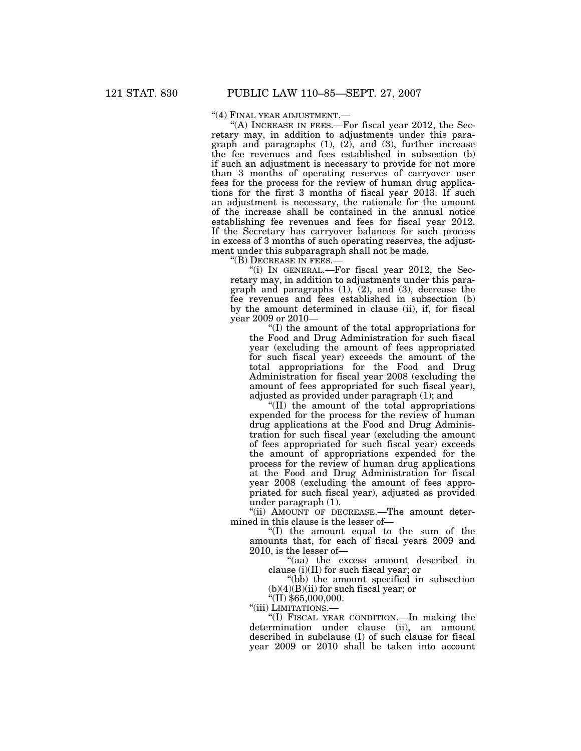#### ''(4) FINAL YEAR ADJUSTMENT.—

''(A) INCREASE IN FEES.—For fiscal year 2012, the Secretary may, in addition to adjustments under this paragraph and paragraphs  $(1)$ ,  $(2)$ , and  $(3)$ , further increase the fee revenues and fees established in subsection (b) if such an adjustment is necessary to provide for not more than 3 months of operating reserves of carryover user fees for the process for the review of human drug applications for the first 3 months of fiscal year 2013. If such an adjustment is necessary, the rationale for the amount of the increase shall be contained in the annual notice establishing fee revenues and fees for fiscal year 2012. If the Secretary has carryover balances for such process in excess of 3 months of such operating reserves, the adjustment under this subparagraph shall not be made.

''(B) DECREASE IN FEES.—

''(i) IN GENERAL.—For fiscal year 2012, the Secretary may, in addition to adjustments under this paragraph and paragraphs (1), (2), and (3), decrease the fee revenues and fees established in subsection (b) by the amount determined in clause (ii), if, for fiscal year 2009 or 2010—

''(I) the amount of the total appropriations for the Food and Drug Administration for such fiscal year (excluding the amount of fees appropriated for such fiscal year) exceeds the amount of the total appropriations for the Food and Drug Administration for fiscal year 2008 (excluding the amount of fees appropriated for such fiscal year), adjusted as provided under paragraph (1); and

''(II) the amount of the total appropriations expended for the process for the review of human drug applications at the Food and Drug Administration for such fiscal year (excluding the amount of fees appropriated for such fiscal year) exceeds the amount of appropriations expended for the process for the review of human drug applications at the Food and Drug Administration for fiscal year 2008 (excluding the amount of fees appropriated for such fiscal year), adjusted as provided under paragraph (1).

"(ii) AMOUNT OF DECREASE.—The amount determined in this clause is the lesser of—

''(I) the amount equal to the sum of the amounts that, for each of fiscal years 2009 and 2010, is the lesser of—

''(aa) the excess amount described in clause (i)(II) for such fiscal year; or

''(bb) the amount specified in subsection  $(b)(4)(B)(ii)$  for such fiscal year; or

''(II) \$65,000,000.

"(iii) LIMITATIONS.-

''(I) FISCAL YEAR CONDITION.—In making the determination under clause (ii), an amount described in subclause (I) of such clause for fiscal year 2009 or 2010 shall be taken into account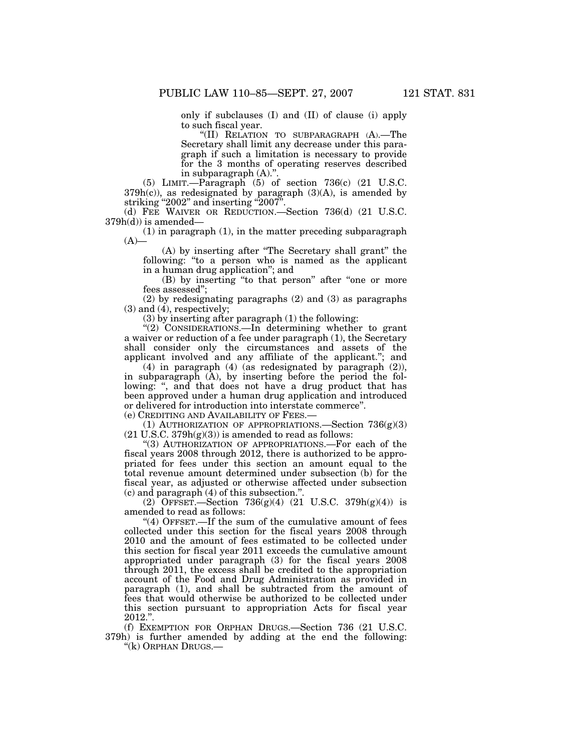only if subclauses (I) and (II) of clause (i) apply to such fiscal year.

''(II) RELATION TO SUBPARAGRAPH (A).—The Secretary shall limit any decrease under this paragraph if such a limitation is necessary to provide for the 3 months of operating reserves described in subparagraph (A)."

(5) LIMIT.—Paragraph (5) of section 736(c) (21 U.S.C.  $379h(c)$ , as redesignated by paragraph  $(3)(A)$ , is amended by striking "2002" and inserting " $2007$ ".

(d) FEE WAIVER OR REDUCTION.—Section 736(d) (21 U.S.C.  $379h(d)$ ) is amended—

(1) in paragraph (1), in the matter preceding subparagraph  $(A)$ —

(A) by inserting after ''The Secretary shall grant'' the following: "to a person who is named as the applicant in a human drug application''; and

(B) by inserting ''to that person'' after ''one or more fees assessed'';

(2) by redesignating paragraphs (2) and (3) as paragraphs  $(3)$  and  $(4)$ , respectively;

(3) by inserting after paragraph (1) the following:

"(2) CONSIDERATIONS.—In determining whether to grant a waiver or reduction of a fee under paragraph (1), the Secretary shall consider only the circumstances and assets of the applicant involved and any affiliate of the applicant.''; and

(4) in paragraph (4) (as redesignated by paragraph (2)), in subparagraph (A), by inserting before the period the following: ", and that does not have a drug product that has been approved under a human drug application and introduced or delivered for introduction into interstate commerce''. (e) CREDITING AND AVAILABILITY OF FEES.—

(1) AUTHORIZATION OF APPROPRIATIONS.—Section  $736(g)(3)$  $(21 \text{ U.S.C. } 379 \text{h(g)}(3))$  is amended to read as follows:

"(3) AUTHORIZATION OF APPROPRIATIONS.—For each of the fiscal years 2008 through 2012, there is authorized to be appropriated for fees under this section an amount equal to the total revenue amount determined under subsection (b) for the fiscal year, as adjusted or otherwise affected under subsection (c) and paragraph (4) of this subsection.''.

(2) OFFSET.—Section  $736(g)(4)$  (21 U.S.C.  $379h(g)(4)$ ) is amended to read as follows:

"(4) OFFSET.—If the sum of the cumulative amount of fees collected under this section for the fiscal years 2008 through 2010 and the amount of fees estimated to be collected under this section for fiscal year 2011 exceeds the cumulative amount appropriated under paragraph (3) for the fiscal years 2008 through 2011, the excess shall be credited to the appropriation account of the Food and Drug Administration as provided in paragraph (1), and shall be subtracted from the amount of fees that would otherwise be authorized to be collected under this section pursuant to appropriation Acts for fiscal year 2012.''.

(f) EXEMPTION FOR ORPHAN DRUGS.—Section 736 (21 U.S.C. 379h) is further amended by adding at the end the following:

''(k) ORPHAN DRUGS.—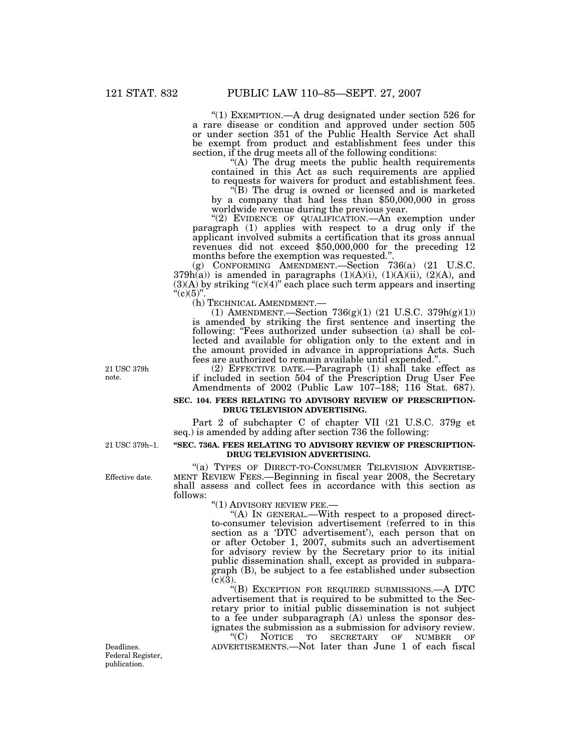''(1) EXEMPTION.—A drug designated under section 526 for a rare disease or condition and approved under section 505 or under section 351 of the Public Health Service Act shall be exempt from product and establishment fees under this section, if the drug meets all of the following conditions:

"(A) The drug meets the public health requirements" contained in this Act as such requirements are applied to requests for waivers for product and establishment fees.

''(B) The drug is owned or licensed and is marketed by a company that had less than \$50,000,000 in gross worldwide revenue during the previous year.

"(2) EVIDENCE OF QUALIFICATION.—An exemption under paragraph (1) applies with respect to a drug only if the applicant involved submits a certification that its gross annual revenues did not exceed \$50,000,000 for the preceding 12 months before the exemption was requested."

(g) CONFORMING AMENDMENT.—Section 736(a) (21 U.S.C.  $379h(a)$ ) is amended in paragraphs  $(1)(A)(i)$ ,  $(1)(A)(ii)$ ,  $(2)(A)$ , and  $(3)(A)$  by striking " $(c)(4)$ " each place such term appears and inserting " $(c)(5)$ ".<br>(h) TECHNICAL AMENDMENT.—

(1) AMENDMENT.—Section  $736(g)(1)$  (21 U.S.C. 379h(g)(1)) is amended by striking the first sentence and inserting the following: "Fees authorized under subsection (a) shall be collected and available for obligation only to the extent and in the amount provided in advance in appropriations Acts. Such fees are authorized to remain available until expended."

(2) EFFECTIVE DATE.—Paragraph (1) shall take effect as if included in section 504 of the Prescription Drug User Fee Amendments of 2002 (Public Law 107–188; 116 Stat. 687).

## **SEC. 104. FEES RELATING TO ADVISORY REVIEW OF PRESCRIPTION-DRUG TELEVISION ADVERTISING.**

Part 2 of subchapter C of chapter VII (21 U.S.C. 379g et seq.) is amended by adding after section 736 the following:

## **''SEC. 736A. FEES RELATING TO ADVISORY REVIEW OF PRESCRIPTION-DRUG TELEVISION ADVERTISING.**

"(a) TYPES OF DIRECT-TO-CONSUMER TELEVISION ADVERTISE-MENT REVIEW FEES.—Beginning in fiscal year 2008, the Secretary shall assess and collect fees in accordance with this section as follows:

"(1) ADVISORY REVIEW FEE.—<br>"(A) IN GENERAL.—With respect to a proposed directto-consumer television advertisement (referred to in this section as a 'DTC advertisement'), each person that on or after October 1, 2007, submits such an advertisement for advisory review by the Secretary prior to its initial public dissemination shall, except as provided in subparagraph (B), be subject to a fee established under subsection  $(c)(3)$ .

''(B) EXCEPTION FOR REQUIRED SUBMISSIONS.—A DTC advertisement that is required to be submitted to the Secretary prior to initial public dissemination is not subject to a fee under subparagraph (A) unless the sponsor designates the submission as a submission for advisory review.

''(C) NOTICE TO SECRETARY OF NUMBER OF Deadlines. ADVERTISEMENTS.—Not later than June 1 of each fiscal

21 USC 379h note.

Effective date.

21 USC 379h–1.

Federal Register, publication.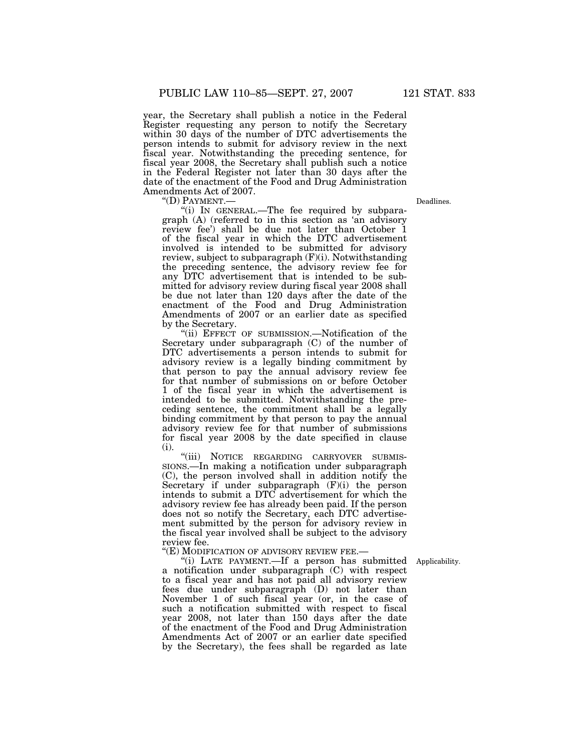year, the Secretary shall publish a notice in the Federal Register requesting any person to notify the Secretary within 30 days of the number of DTC advertisements the person intends to submit for advisory review in the next fiscal year. Notwithstanding the preceding sentence, for fiscal year 2008, the Secretary shall publish such a notice in the Federal Register not later than 30 days after the date of the enactment of the Food and Drug Administration Amendments Act of 2007.<br>
"(D) PAYMENT.—

"(i) IN GENERAL.—The fee required by subparagraph (A) (referred to in this section as 'an advisory review fee') shall be due not later than October 1 of the fiscal year in which the DTC advertisement involved is intended to be submitted for advisory review, subject to subparagraph  $(F)(i)$ . Notwithstanding the preceding sentence, the advisory review fee for any DTC advertisement that is intended to be submitted for advisory review during fiscal year 2008 shall be due not later than 120 days after the date of the enactment of the Food and Drug Administration Amendments of 2007 or an earlier date as specified by the Secretary.

"(ii) EFFECT OF SUBMISSION.—Notification of the Secretary under subparagraph (C) of the number of DTC advertisements a person intends to submit for advisory review is a legally binding commitment by that person to pay the annual advisory review fee for that number of submissions on or before October 1 of the fiscal year in which the advertisement is intended to be submitted. Notwithstanding the preceding sentence, the commitment shall be a legally binding commitment by that person to pay the annual advisory review fee for that number of submissions for fiscal year 2008 by the date specified in clause (i).

''(iii) NOTICE REGARDING CARRYOVER SUBMIS-SIONS.—In making a notification under subparagraph (C), the person involved shall in addition notify the Secretary if under subparagraph (F)(i) the person intends to submit a DTC advertisement for which the advisory review fee has already been paid. If the person does not so notify the Secretary, each DTC advertisement submitted by the person for advisory review in the fiscal year involved shall be subject to the advisory review fee.

''(E) MODIFICATION OF ADVISORY REVIEW FEE.—

"(i) LATE PAYMENT. If a person has submitted Applicability. a notification under subparagraph (C) with respect to a fiscal year and has not paid all advisory review fees due under subparagraph (D) not later than November 1 of such fiscal year (or, in the case of such a notification submitted with respect to fiscal year 2008, not later than 150 days after the date of the enactment of the Food and Drug Administration Amendments Act of 2007 or an earlier date specified by the Secretary), the fees shall be regarded as late

Deadlines.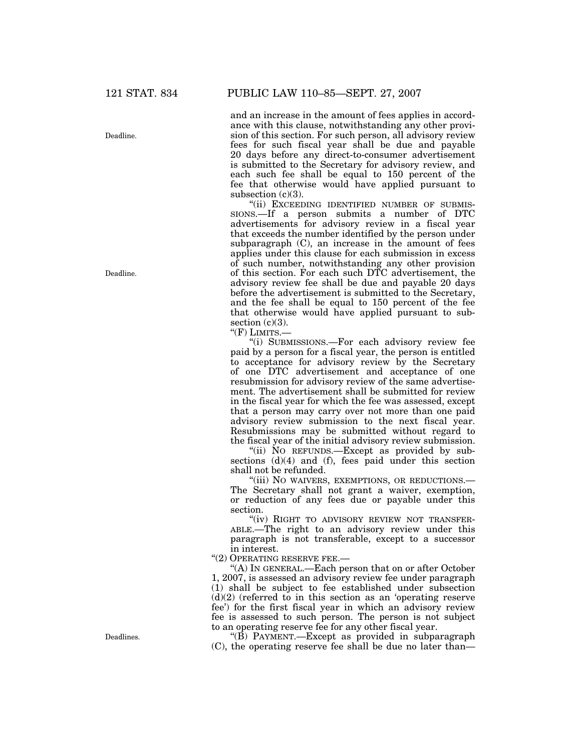Deadline.

Deadline.

Deadlines.

and an increase in the amount of fees applies in accordance with this clause, notwithstanding any other provision of this section. For such person, all advisory review fees for such fiscal year shall be due and payable 20 days before any direct-to-consumer advertisement is submitted to the Secretary for advisory review, and each such fee shall be equal to 150 percent of the fee that otherwise would have applied pursuant to subsection (c)(3).

"(ii) EXCEEDING IDENTIFIED NUMBER OF SUBMIS-SIONS.—If a person submits a number of DTC advertisements for advisory review in a fiscal year that exceeds the number identified by the person under subparagraph (C), an increase in the amount of fees applies under this clause for each submission in excess of such number, notwithstanding any other provision of this section. For each such DTC advertisement, the advisory review fee shall be due and payable 20 days before the advertisement is submitted to the Secretary, and the fee shall be equal to 150 percent of the fee that otherwise would have applied pursuant to subsection  $(c)(3)$ .

"(F) LIMITS.-

''(i) SUBMISSIONS.—For each advisory review fee paid by a person for a fiscal year, the person is entitled to acceptance for advisory review by the Secretary of one DTC advertisement and acceptance of one resubmission for advisory review of the same advertisement. The advertisement shall be submitted for review in the fiscal year for which the fee was assessed, except that a person may carry over not more than one paid advisory review submission to the next fiscal year. Resubmissions may be submitted without regard to the fiscal year of the initial advisory review submission.

''(ii) NO REFUNDS.—Except as provided by subsections  $(d)(4)$  and  $(f)$ , fees paid under this section shall not be refunded.

''(iii) NO WAIVERS, EXEMPTIONS, OR REDUCTIONS.— The Secretary shall not grant a waiver, exemption, or reduction of any fees due or payable under this section.

"(iv) RIGHT TO ADVISORY REVIEW NOT TRANSFER-ABLE.—The right to an advisory review under this paragraph is not transferable, except to a successor in interest.

''(2) OPERATING RESERVE FEE.—

''(A) IN GENERAL.—Each person that on or after October 1, 2007, is assessed an advisory review fee under paragraph (1) shall be subject to fee established under subsection  $(d)(2)$  (referred to in this section as an 'operating reserve fee') for the first fiscal year in which an advisory review fee is assessed to such person. The person is not subject to an operating reserve fee for any other fiscal year.

''(B) PAYMENT.—Except as provided in subparagraph (C), the operating reserve fee shall be due no later than—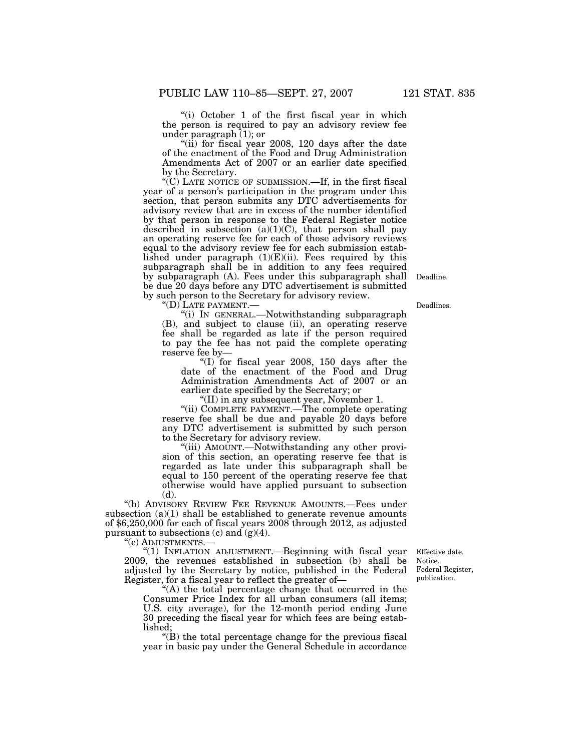"(i) October 1 of the first fiscal year in which the person is required to pay an advisory review fee under paragraph (1); or

"(ii) for fiscal year 2008, 120 days after the date of the enactment of the Food and Drug Administration Amendments Act of 2007 or an earlier date specified by the Secretary.

''(C) LATE NOTICE OF SUBMISSION.—If, in the first fiscal year of a person's participation in the program under this section, that person submits any DTC advertisements for advisory review that are in excess of the number identified by that person in response to the Federal Register notice described in subsection  $(a)(1)(C)$ , that person shall pay an operating reserve fee for each of those advisory reviews equal to the advisory review fee for each submission established under paragraph  $(1)(E)(ii)$ . Fees required by this subparagraph shall be in addition to any fees required by subparagraph (A). Fees under this subparagraph shall be due 20 days before any DTC advertisement is submitted by such person to the Secretary for advisory review.

''(D) LATE PAYMENT.—

''(i) IN GENERAL.—Notwithstanding subparagraph (B), and subject to clause (ii), an operating reserve fee shall be regarded as late if the person required to pay the fee has not paid the complete operating reserve fee by—

"(I) for fiscal year 2008, 150 days after the date of the enactment of the Food and Drug Administration Amendments Act of 2007 or an earlier date specified by the Secretary; or

''(II) in any subsequent year, November 1.

''(ii) COMPLETE PAYMENT.—The complete operating reserve fee shall be due and payable 20 days before any DTC advertisement is submitted by such person to the Secretary for advisory review.

"(iii) AMOUNT.—Notwithstanding any other provision of this section, an operating reserve fee that is regarded as late under this subparagraph shall be equal to 150 percent of the operating reserve fee that otherwise would have applied pursuant to subsection (d).

''(b) ADVISORY REVIEW FEE REVENUE AMOUNTS.—Fees under subsection  $(a)(1)$  shall be established to generate revenue amounts of \$6,250,000 for each of fiscal years 2008 through 2012, as adjusted pursuant to subsections (c) and  $(g)(4)$ .

''(c) ADJUSTMENTS.—

''(1) INFLATION ADJUSTMENT.—Beginning with fiscal year 2009, the revenues established in subsection (b) shall be adjusted by the Secretary by notice, published in the Federal Register, for a fiscal year to reflect the greater of—

''(A) the total percentage change that occurred in the Consumer Price Index for all urban consumers (all items; U.S. city average), for the 12-month period ending June 30 preceding the fiscal year for which fees are being established;

''(B) the total percentage change for the previous fiscal year in basic pay under the General Schedule in accordance

Effective date. Notice. Federal Register, publication.

Deadlines.

Deadline.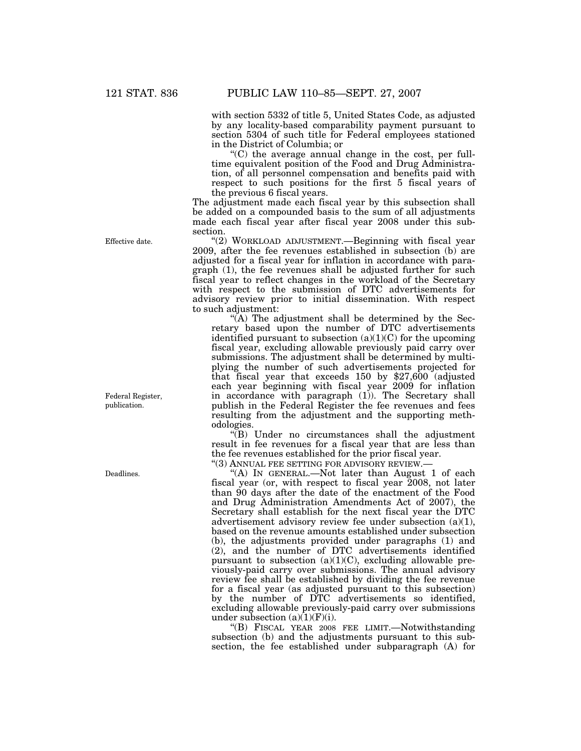with section 5332 of title 5, United States Code, as adjusted by any locality-based comparability payment pursuant to section 5304 of such title for Federal employees stationed in the District of Columbia; or

''(C) the average annual change in the cost, per fulltime equivalent position of the Food and Drug Administration, of all personnel compensation and benefits paid with respect to such positions for the first 5 fiscal years of the previous 6 fiscal years.

The adjustment made each fiscal year by this subsection shall be added on a compounded basis to the sum of all adjustments made each fiscal year after fiscal year 2008 under this subsection.

''(2) WORKLOAD ADJUSTMENT.—Beginning with fiscal year 2009, after the fee revenues established in subsection (b) are adjusted for a fiscal year for inflation in accordance with paragraph (1), the fee revenues shall be adjusted further for such fiscal year to reflect changes in the workload of the Secretary with respect to the submission of DTC advertisements for advisory review prior to initial dissemination. With respect to such adjustment:

"(A) The adjustment shall be determined by the Secretary based upon the number of DTC advertisements identified pursuant to subsection  $(a)(1)(C)$  for the upcoming fiscal year, excluding allowable previously paid carry over submissions. The adjustment shall be determined by multiplying the number of such advertisements projected for that fiscal year that exceeds 150 by \$27,600 (adjusted each year beginning with fiscal year 2009 for inflation in accordance with paragraph (1). The Secretary shall publish in the Federal Register the fee revenues and fees resulting from the adjustment and the supporting methodologies.

''(B) Under no circumstances shall the adjustment result in fee revenues for a fiscal year that are less than the fee revenues established for the prior fiscal year. "(3) ANNUAL FEE SETTING FOR ADVISORY REVIEW.-

''(A) IN GENERAL.—Not later than August 1 of each fiscal year (or, with respect to fiscal year 2008, not later than 90 days after the date of the enactment of the Food and Drug Administration Amendments Act of 2007), the Secretary shall establish for the next fiscal year the DTC advertisement advisory review fee under subsection (a)(1), based on the revenue amounts established under subsection (b), the adjustments provided under paragraphs (1) and (2), and the number of DTC advertisements identified pursuant to subsection (a)(1)(C), excluding allowable previously-paid carry over submissions. The annual advisory review fee shall be established by dividing the fee revenue for a fiscal year (as adjusted pursuant to this subsection) by the number of DTC advertisements so identified, excluding allowable previously-paid carry over submissions under subsection  $(a)(1)(F)(i)$ .

''(B) FISCAL YEAR 2008 FEE LIMIT.—Notwithstanding subsection (b) and the adjustments pursuant to this subsection, the fee established under subparagraph (A) for

Effective date.

Federal Register, publication.

Deadlines.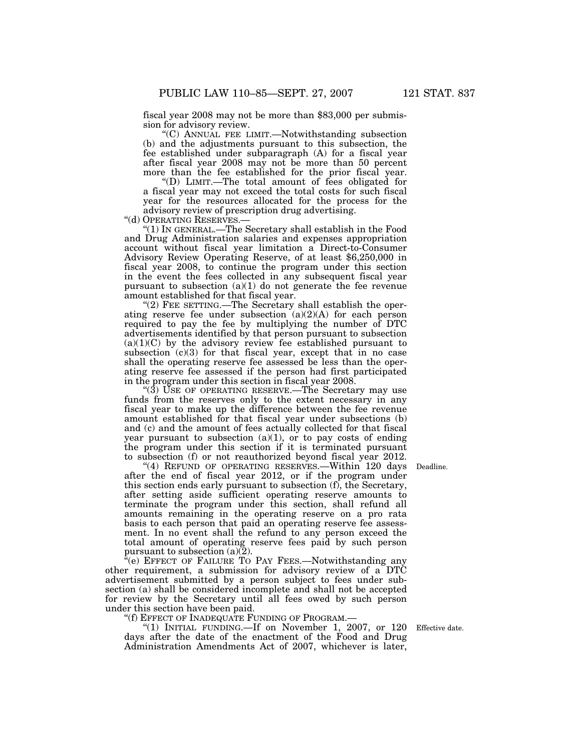fiscal year 2008 may not be more than \$83,000 per submission for advisory review.

''(C) ANNUAL FEE LIMIT.—Notwithstanding subsection (b) and the adjustments pursuant to this subsection, the fee established under subparagraph (A) for a fiscal year after fiscal year 2008 may not be more than 50 percent more than the fee established for the prior fiscal year.

''(D) LIMIT.—The total amount of fees obligated for a fiscal year may not exceed the total costs for such fiscal year for the resources allocated for the process for the advisory review of prescription drug advertising.<br>"(d) OPERATING RESERVES.—

" $(1)$  In GENERAL.—The Secretary shall establish in the Food and Drug Administration salaries and expenses appropriation account without fiscal year limitation a Direct-to-Consumer Advisory Review Operating Reserve, of at least \$6,250,000 in fiscal year 2008, to continue the program under this section in the event the fees collected in any subsequent fiscal year pursuant to subsection  $(a)(1)$  do not generate the fee revenue amount established for that fiscal year.

"(2) FEE SETTING.—The Secretary shall establish the operating reserve fee under subsection  $(a)(2)(A)$  for each person required to pay the fee by multiplying the number of DTC advertisements identified by that person pursuant to subsection  $(a)(1)(C)$  by the advisory review fee established pursuant to subsection (c)(3) for that fiscal year, except that in no case shall the operating reserve fee assessed be less than the operating reserve fee assessed if the person had first participated in the program under this section in fiscal year 2008.

" $(3)$  USE OF OPERATING RESERVE.—The Secretary may use funds from the reserves only to the extent necessary in any fiscal year to make up the difference between the fee revenue amount established for that fiscal year under subsections (b) and (c) and the amount of fees actually collected for that fiscal year pursuant to subsection  $(a)(1)$ , or to pay costs of ending the program under this section if it is terminated pursuant to subsection (f) or not reauthorized beyond fiscal year 2012.

Deadline.

"(4) REFUND OF OPERATING RESERVES.—Within 120 days after the end of fiscal year 2012, or if the program under this section ends early pursuant to subsection (f), the Secretary, after setting aside sufficient operating reserve amounts to terminate the program under this section, shall refund all amounts remaining in the operating reserve on a pro rata basis to each person that paid an operating reserve fee assessment. In no event shall the refund to any person exceed the total amount of operating reserve fees paid by such person pursuant to subsection  $(a)$ <sup>[2]</sup>.

 $\mathcal{F}(e)$  EFFECT OF FAILURE TO PAY FEES.—Notwithstanding any other requirement, a submission for advisory review of a DTC advertisement submitted by a person subject to fees under subsection (a) shall be considered incomplete and shall not be accepted for review by the Secretary until all fees owed by such person under this section have been paid.

''(f) EFFECT OF INADEQUATE FUNDING OF PROGRAM.—

"(1) INITIAL FUNDING.—If on November 1, 2007, or  $120$ days after the date of the enactment of the Food and Drug Administration Amendments Act of 2007, whichever is later,

Effective date.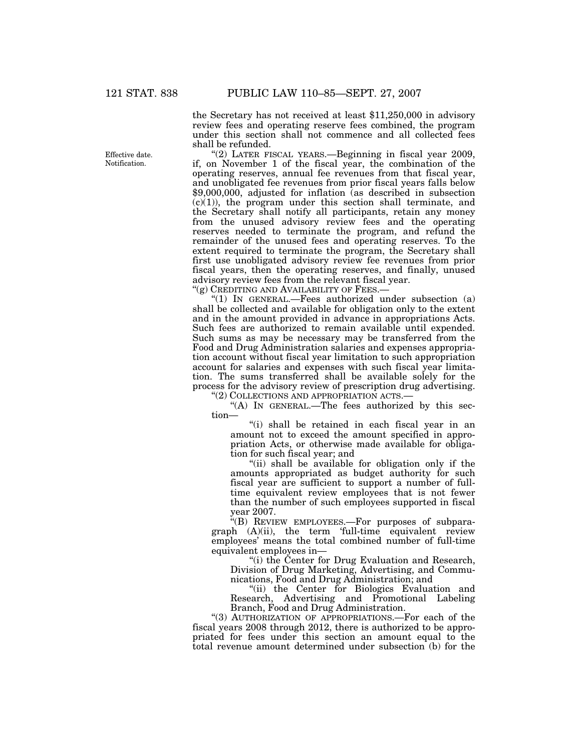the Secretary has not received at least \$11,250,000 in advisory review fees and operating reserve fees combined, the program under this section shall not commence and all collected fees shall be refunded.

''(2) LATER FISCAL YEARS.—Beginning in fiscal year 2009, if, on November 1 of the fiscal year, the combination of the operating reserves, annual fee revenues from that fiscal year, and unobligated fee revenues from prior fiscal years falls below \$9,000,000, adjusted for inflation (as described in subsection  $(c)(1)$ , the program under this section shall terminate, and the Secretary shall notify all participants, retain any money from the unused advisory review fees and the operating reserves needed to terminate the program, and refund the remainder of the unused fees and operating reserves. To the extent required to terminate the program, the Secretary shall first use unobligated advisory review fee revenues from prior fiscal years, then the operating reserves, and finally, unused advisory review fees from the relevant fiscal year.

"(g) CREDITING AND AVAILABILITY OF FEES.

" $(1)$  IN GENERAL.—Fees authorized under subsection  $(a)$ shall be collected and available for obligation only to the extent and in the amount provided in advance in appropriations Acts. Such fees are authorized to remain available until expended. Such sums as may be necessary may be transferred from the Food and Drug Administration salaries and expenses appropriation account without fiscal year limitation to such appropriation account for salaries and expenses with such fiscal year limitation. The sums transferred shall be available solely for the process for the advisory review of prescription drug advertising.

''(2) COLLECTIONS AND APPROPRIATION ACTS.—

"(A) IN GENERAL.—The fees authorized by this section—

''(i) shall be retained in each fiscal year in an amount not to exceed the amount specified in appropriation Acts, or otherwise made available for obligation for such fiscal year; and

"(ii) shall be available for obligation only if the amounts appropriated as budget authority for such fiscal year are sufficient to support a number of fulltime equivalent review employees that is not fewer than the number of such employees supported in fiscal year 2007.

''(B) REVIEW EMPLOYEES.—For purposes of subparagraph (A)(ii), the term 'full-time equivalent review employees' means the total combined number of full-time equivalent employees in—

''(i) the Center for Drug Evaluation and Research, Division of Drug Marketing, Advertising, and Communications, Food and Drug Administration; and

"(ii) the Center for Biologics Evaluation and Research, Advertising and Promotional Labeling Branch, Food and Drug Administration.

"(3) AUTHORIZATION OF APPROPRIATIONS.—For each of the fiscal years 2008 through 2012, there is authorized to be appropriated for fees under this section an amount equal to the total revenue amount determined under subsection (b) for the

Effective date. Notification.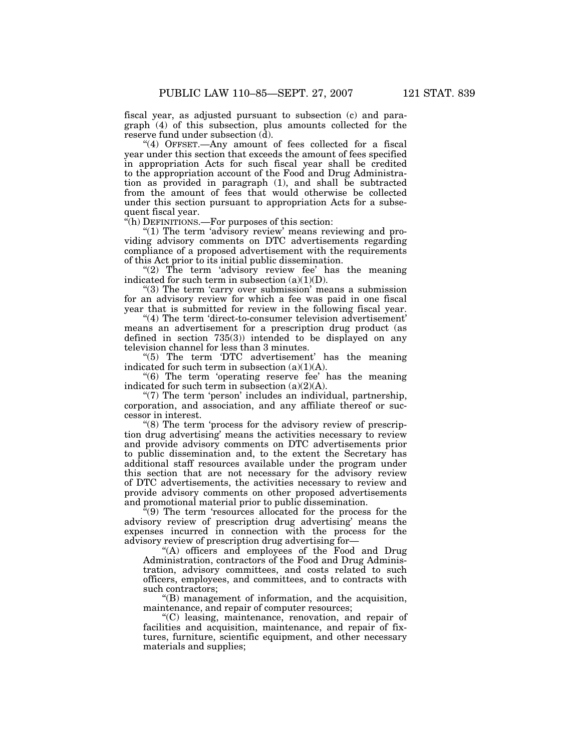fiscal year, as adjusted pursuant to subsection (c) and paragraph (4) of this subsection, plus amounts collected for the reserve fund under subsection (d).

"(4) OFFSET.—Any amount of fees collected for a fiscal year under this section that exceeds the amount of fees specified in appropriation Acts for such fiscal year shall be credited to the appropriation account of the Food and Drug Administration as provided in paragraph (1), and shall be subtracted from the amount of fees that would otherwise be collected under this section pursuant to appropriation Acts for a subsequent fiscal year.

''(h) DEFINITIONS.—For purposes of this section:

" $(1)$  The term 'advisory review' means reviewing and providing advisory comments on DTC advertisements regarding compliance of a proposed advertisement with the requirements of this Act prior to its initial public dissemination.

" $(2)$  The term 'advisory review fee' has the meaning indicated for such term in subsection  $(a)(1)(D)$ .

"(3) The term 'carry over submission' means a submission for an advisory review for which a fee was paid in one fiscal year that is submitted for review in the following fiscal year.

''(4) The term 'direct-to-consumer television advertisement' means an advertisement for a prescription drug product (as defined in section 735(3)) intended to be displayed on any television channel for less than 3 minutes.

" $(5)$  The term 'DTC advertisement' has the meaning indicated for such term in subsection  $(a)(1)(A)$ .

''(6) The term 'operating reserve fee' has the meaning indicated for such term in subsection  $(a)(2)(A)$ .

"(7) The term 'person' includes an individual, partnership, corporation, and association, and any affiliate thereof or successor in interest.

"(8) The term 'process for the advisory review of prescription drug advertising' means the activities necessary to review and provide advisory comments on DTC advertisements prior to public dissemination and, to the extent the Secretary has additional staff resources available under the program under this section that are not necessary for the advisory review of DTC advertisements, the activities necessary to review and provide advisory comments on other proposed advertisements and promotional material prior to public dissemination.

''(9) The term 'resources allocated for the process for the advisory review of prescription drug advertising' means the expenses incurred in connection with the process for the advisory review of prescription drug advertising for—

''(A) officers and employees of the Food and Drug Administration, contractors of the Food and Drug Administration, advisory committees, and costs related to such officers, employees, and committees, and to contracts with such contractors;

''(B) management of information, and the acquisition, maintenance, and repair of computer resources;

''(C) leasing, maintenance, renovation, and repair of facilities and acquisition, maintenance, and repair of fixtures, furniture, scientific equipment, and other necessary materials and supplies;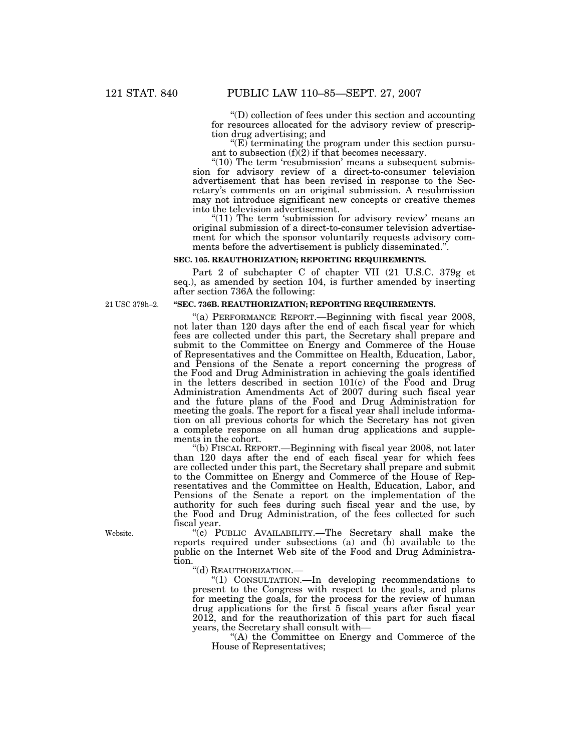''(D) collection of fees under this section and accounting for resources allocated for the advisory review of prescription drug advertising; and

 $E$ ) terminating the program under this section pursuant to subsection  $(f)(2)$  if that becomes necessary.

" $(10)$  The term 'resubmission' means a subsequent submission for advisory review of a direct-to-consumer television advertisement that has been revised in response to the Secretary's comments on an original submission. A resubmission may not introduce significant new concepts or creative themes into the television advertisement.

"(11) The term 'submission for advisory review' means an original submission of a direct-to-consumer television advertisement for which the sponsor voluntarily requests advisory comments before the advertisement is publicly disseminated.''.

## **SEC. 105. REAUTHORIZATION; REPORTING REQUIREMENTS**

Part 2 of subchapter C of chapter VII (21 U.S.C. 379g et seq.), as amended by section 104, is further amended by inserting after section 736A the following:

21 USC 379h–2.

#### **''SEC. 736B. REAUTHORIZATION; REPORTING REQUIREMENTS.**

''(a) PERFORMANCE REPORT.—Beginning with fiscal year 2008, not later than 120 days after the end of each fiscal year for which fees are collected under this part, the Secretary shall prepare and submit to the Committee on Energy and Commerce of the House of Representatives and the Committee on Health, Education, Labor, and Pensions of the Senate a report concerning the progress of the Food and Drug Administration in achieving the goals identified in the letters described in section 101(c) of the Food and Drug Administration Amendments Act of 2007 during such fiscal year and the future plans of the Food and Drug Administration for meeting the goals. The report for a fiscal year shall include information on all previous cohorts for which the Secretary has not given a complete response on all human drug applications and supplements in the cohort.

''(b) FISCAL REPORT.—Beginning with fiscal year 2008, not later than 120 days after the end of each fiscal year for which fees are collected under this part, the Secretary shall prepare and submit to the Committee on Energy and Commerce of the House of Representatives and the Committee on Health, Education, Labor, and Pensions of the Senate a report on the implementation of the authority for such fees during such fiscal year and the use, by the Food and Drug Administration, of the fees collected for such fiscal year.

''(c) PUBLIC AVAILABILITY.—The Secretary shall make the reports required under subsections (a) and (b) available to the public on the Internet Web site of the Food and Drug Administration.

''(d) REAUTHORIZATION.—

''(1) CONSULTATION.—In developing recommendations to present to the Congress with respect to the goals, and plans for meeting the goals, for the process for the review of human drug applications for the first 5 fiscal years after fiscal year 2012, and for the reauthorization of this part for such fiscal years, the Secretary shall consult with—

''(A) the Committee on Energy and Commerce of the House of Representatives;

Website.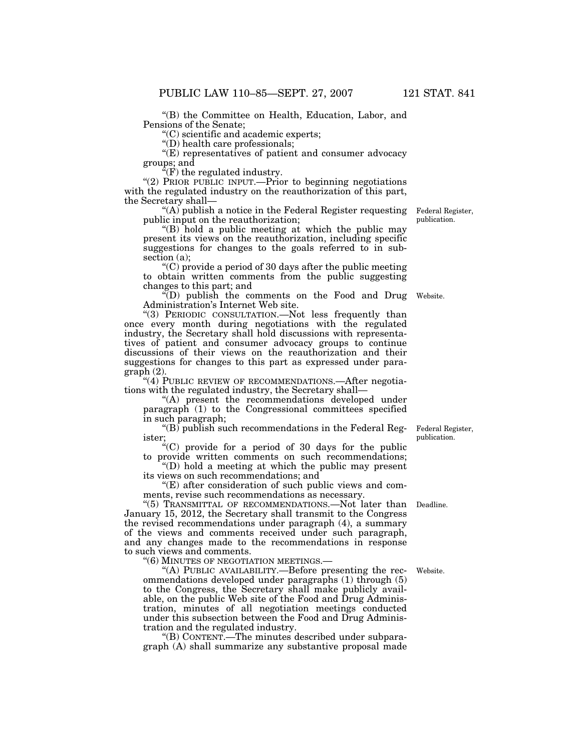''(B) the Committee on Health, Education, Labor, and Pensions of the Senate;

''(C) scientific and academic experts;

''(D) health care professionals;

"(E) representatives of patient and consumer advocacy groups; and

 ${}^{\alpha}$ (F) the regulated industry.

"(2) PRIOR PUBLIC INPUT.—Prior to beginning negotiations with the regulated industry on the reauthorization of this part, the Secretary shall—

"(A) publish a notice in the Federal Register requesting" public input on the reauthorization;

''(B) hold a public meeting at which the public may present its views on the reauthorization, including specific suggestions for changes to the goals referred to in subsection (a);

 $C$ ) provide a period of 30 days after the public meeting to obtain written comments from the public suggesting changes to this part; and

''(D) publish the comments on the Food and Drug Website. Administration's Internet Web site.

''(3) PERIODIC CONSULTATION.—Not less frequently than once every month during negotiations with the regulated industry, the Secretary shall hold discussions with representatives of patient and consumer advocacy groups to continue discussions of their views on the reauthorization and their suggestions for changes to this part as expressed under paragraph (2).

"(4) PUBLIC REVIEW OF RECOMMENDATIONS.—After negotiations with the regulated industry, the Secretary shall—

"(A) present the recommendations developed under paragraph (1) to the Congressional committees specified in such paragraph;

 $\mathrm{``(B)}$  publish such recommendations in the Federal Register;

''(C) provide for a period of 30 days for the public to provide written comments on such recommendations;

''(D) hold a meeting at which the public may present its views on such recommendations; and

 $E$ ) after consideration of such public views and comments, revise such recommendations as necessary.

"(5) TRANSMITTAL OF RECOMMENDATIONS.—Not later than Deadline. January 15, 2012, the Secretary shall transmit to the Congress the revised recommendations under paragraph (4), a summary of the views and comments received under such paragraph, and any changes made to the recommendations in response to such views and comments.

''(6) MINUTES OF NEGOTIATION MEETINGS.—

''(A) PUBLIC AVAILABILITY.—Before presenting the recommendations developed under paragraphs (1) through (5) to the Congress, the Secretary shall make publicly available, on the public Web site of the Food and Drug Administration, minutes of all negotiation meetings conducted under this subsection between the Food and Drug Administration and the regulated industry.

''(B) CONTENT.—The minutes described under subparagraph (A) shall summarize any substantive proposal made

Federal Register, publication.

Website.

Federal Register, publication.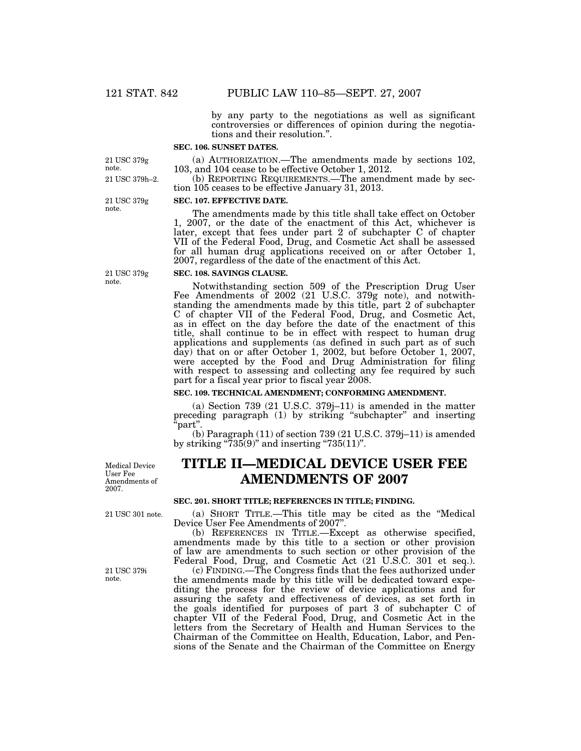by any party to the negotiations as well as significant controversies or differences of opinion during the negotiations and their resolution.''.

### **SEC. 106. SUNSET DATES.**

(a) AUTHORIZATION.—The amendments made by sections 102, 103, and 104 cease to be effective October 1, 2012.

(b) REPORTING REQUIREMENTS.—The amendment made by section 105 ceases to be effective January 31, 2013.

#### **SEC. 107. EFFECTIVE DATE.**

The amendments made by this title shall take effect on October 1, 2007, or the date of the enactment of this Act, whichever is later, except that fees under part 2 of subchapter C of chapter VII of the Federal Food, Drug, and Cosmetic Act shall be assessed for all human drug applications received on or after October 1, 2007, regardless of the date of the enactment of this Act.

# **SEC. 108. SAVINGS CLAUSE.**

Notwithstanding section 509 of the Prescription Drug User Fee Amendments of 2002 (21 U.S.C. 379g note), and notwithstanding the amendments made by this title, part 2 of subchapter C of chapter VII of the Federal Food, Drug, and Cosmetic Act, as in effect on the day before the date of the enactment of this title, shall continue to be in effect with respect to human drug applications and supplements (as defined in such part as of such day) that on or after October 1, 2002, but before October 1, 2007, were accepted by the Food and Drug Administration for filing with respect to assessing and collecting any fee required by such part for a fiscal year prior to fiscal year 2008.

### **SEC. 109. TECHNICAL AMENDMENT; CONFORMING AMENDMENT.**

(a) Section 739 (21 U.S.C. 379j–11) is amended in the matter preceding paragraph (1) by striking ''subchapter'' and inserting ''part''.

(b) Paragraph  $(11)$  of section 739  $(21$  U.S.C. 379 $j-11$ ) is amended by striking " $735(9)$ " and inserting " $735(11)$ ".

Medical Device User Fee Amendments of 2007.

# **TITLE II—MEDICAL DEVICE USER FEE AMENDMENTS OF 2007**

#### **SEC. 201. SHORT TITLE; REFERENCES IN TITLE; FINDING.**

(a) SHORT TITLE.—This title may be cited as the ''Medical Device User Fee Amendments of 2007''.

(b) REFERENCES IN TITLE.—Except as otherwise specified, amendments made by this title to a section or other provision of law are amendments to such section or other provision of the Federal Food, Drug, and Cosmetic Act (21 U.S.C. 301 et seq.).

(c) FINDING.—The Congress finds that the fees authorized under the amendments made by this title will be dedicated toward expediting the process for the review of device applications and for assuring the safety and effectiveness of devices, as set forth in the goals identified for purposes of part 3 of subchapter C of chapter VII of the Federal Food, Drug, and Cosmetic Act in the letters from the Secretary of Health and Human Services to the Chairman of the Committee on Health, Education, Labor, and Pensions of the Senate and the Chairman of the Committee on Energy

21 USC 301 note.

21 USC 379i note.

21 USC 379g note.

21 USC 379g note.

21 USC 379g note.

21 USC 379h–2.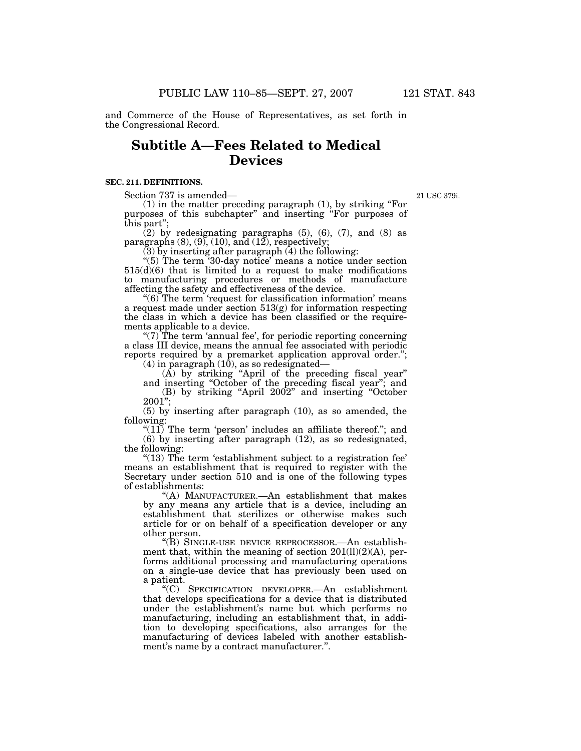and Commerce of the House of Representatives, as set forth in the Congressional Record.

# **Subtitle A—Fees Related to Medical Devices**

## **SEC. 211. DEFINITIONS.**

Section 737 is amended—

21 USC 379i.

 $(1)$  in the matter preceding paragraph  $(1)$ , by striking "For purposes of this subchapter'' and inserting ''For purposes of this part'';

 $(2)$  by redesignating paragraphs  $(5)$ ,  $(6)$ ,  $(7)$ , and  $(8)$  as paragraphs  $(8)$ ,  $(9)$ ,  $(10)$ , and  $(12)$ , respectively;

(3) by inserting after paragraph (4) the following:

" $(5)$  The term 30-day notice' means a notice under section 515(d)(6) that is limited to a request to make modifications to manufacturing procedures or methods of manufacture affecting the safety and effectiveness of the device.

"(6) The term 'request for classification information' means a request made under section 513(g) for information respecting the class in which a device has been classified or the requirements applicable to a device.

" $(7)$  The term 'annual fee', for periodic reporting concerning a class III device, means the annual fee associated with periodic reports required by a premarket application approval order.'';

 $(4)$  in paragraph  $(10)$ , as so redesignated—

 $(A)$  by striking "April of the preceding fiscal year" and inserting "October of the preceding fiscal year"; and (B) by striking ''April 2002'' and inserting ''October

2001'';

(5) by inserting after paragraph (10), as so amended, the following:

" $(11)$  The term 'person' includes an affiliate thereof."; and (6) by inserting after paragraph (12), as so redesignated, the following:

" $(13)$  The term 'establishment subject to a registration fee' means an establishment that is required to register with the Secretary under section 510 and is one of the following types of establishments:

''(A) MANUFACTURER.—An establishment that makes by any means any article that is a device, including an establishment that sterilizes or otherwise makes such article for or on behalf of a specification developer or any other person.

''(B) SINGLE-USE DEVICE REPROCESSOR.—An establishment that, within the meaning of section  $201(11)(2)(A)$ , performs additional processing and manufacturing operations on a single-use device that has previously been used on a patient.

''(C) SPECIFICATION DEVELOPER.—An establishment that develops specifications for a device that is distributed under the establishment's name but which performs no manufacturing, including an establishment that, in addition to developing specifications, also arranges for the manufacturing of devices labeled with another establishment's name by a contract manufacturer.''.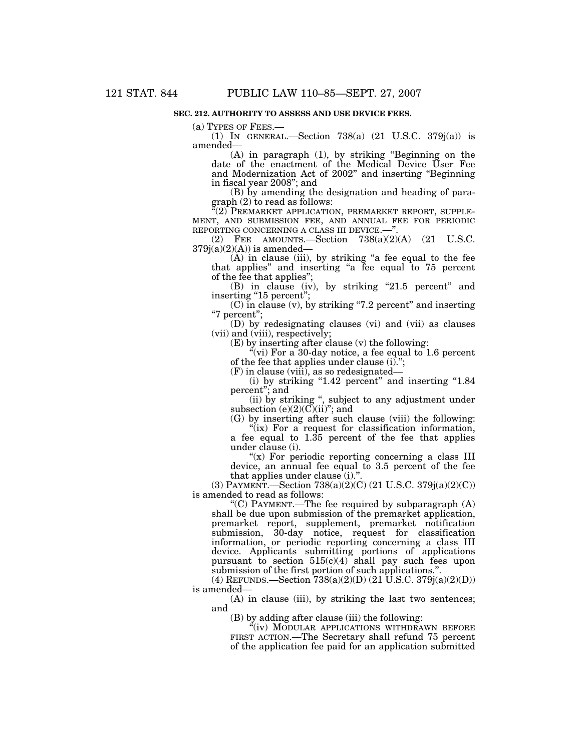## **SEC. 212. AUTHORITY TO ASSESS AND USE DEVICE FEES.**

(a) TYPES OF FEES.—<br>(1) IN GENERAL.—Section 738(a) (21 U.S.C. 379j(a)) is amended—

(A) in paragraph (1), by striking ''Beginning on the date of the enactment of the Medical Device User Fee and Modernization Act of 2002'' and inserting ''Beginning in fiscal year 2008''; and

(B) by amending the designation and heading of paragraph (2) to read as follows:

 $(2)$  PREMARKET APPLICATION, PREMARKET REPORT, SUPPLE-MENT, AND SUBMISSION FEE, AND ANNUAL FEE FOR PERIODIC REPORTING CONCERNING A CLASS III DEVICE.

(2) FEE AMOUNTS.—Section 738(a)(2)(A) (21 U.S.C.  $379j(a)(2)(A)$ ) is amended—

(A) in clause (iii), by striking "a fee equal to the fee that applies'' and inserting ''a fee equal to 75 percent of the fee that applies'';

(B) in clause (iv), by striking "21.5 percent" and inserting "15 percent";

 $(C)$  in clause  $(v)$ , by striking "7.2 percent" and inserting ''7 percent'';

(D) by redesignating clauses (vi) and (vii) as clauses (vii) and (viii), respectively;

(E) by inserting after clause (v) the following:

 $\sqrt{\gamma}$ <sup>"</sup>(vi) For a 30-day notice, a fee equal to 1.6 percent of the fee that applies under clause (i).'';

 $(F)$  in clause (viii), as so redesignated—  $(i)$  by striking "1.42 percent" and inserting "1.84

percent''; and

(ii) by striking '', subject to any adjustment under subsection  $(e)(2)(C)(ii)$ "; and

(G) by inserting after such clause (viii) the following:

"(ix) For a request for classification information, a fee equal to 1.35 percent of the fee that applies under clause (i).

"(x) For periodic reporting concerning a class III device, an annual fee equal to 3.5 percent of the fee that applies under clause (i)."

(3) PAYMENT.—Section 738(a)(2)(C) (21 U.S.C. 379j(a)(2)(C)) is amended to read as follows:

"(C) PAYMENT.—The fee required by subparagraph  $(A)$ shall be due upon submission of the premarket application, premarket report, supplement, premarket notification submission, 30-day notice, request for classification information, or periodic reporting concerning a class III device. Applicants submitting portions of applications pursuant to section 515(c)(4) shall pay such fees upon submission of the first portion of such applications.''.

(4) REFUNDS.—Section  $738(a)(2)(D)$  (21 U.S.C. 379j(a)(2)(D)) is amended—

(A) in clause (iii), by striking the last two sentences; and

(B) by adding after clause (iii) the following:

"(iv) MODULAR APPLICATIONS WITHDRAWN BEFORE FIRST ACTION.—The Secretary shall refund 75 percent of the application fee paid for an application submitted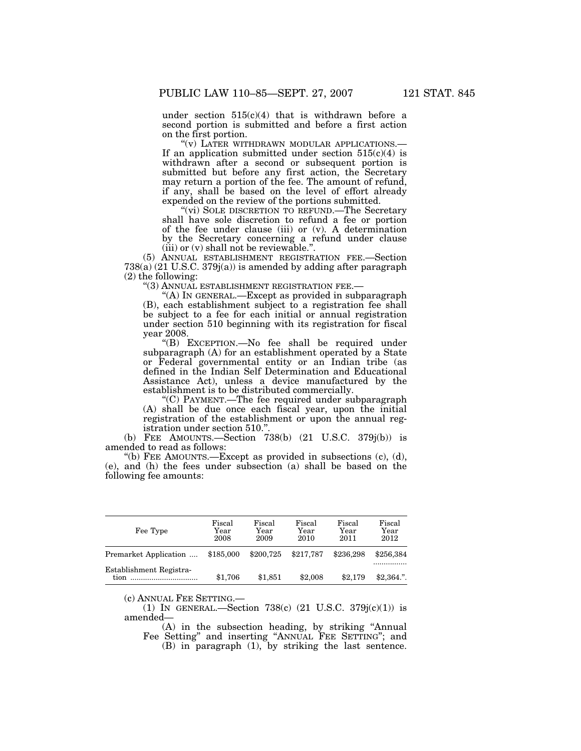under section  $515(c)(4)$  that is withdrawn before a second portion is submitted and before a first action on the first portion.

 $''(v)$  LATER WITHDRAWN MODULAR APPLICATIONS.—<br>If an application submitted under section 515(c)(4) is withdrawn after a second or subsequent portion is submitted but before any first action, the Secretary may return a portion of the fee. The amount of refund, if any, shall be based on the level of effort already expended on the review of the portions submitted.

'(vi) SOLE DISCRETION TO REFUND.—The Secretary shall have sole discretion to refund a fee or portion of the fee under clause (iii) or (v). A determination by the Secretary concerning a refund under clause (iii) or (v) shall not be reviewable.''.

(5) ANNUAL ESTABLISHMENT REGISTRATION FEE.—Section 738(a) (21 U.S.C. 379j(a)) is amended by adding after paragraph (2) the following:

''(3) ANNUAL ESTABLISHMENT REGISTRATION FEE.—

''(A) IN GENERAL.—Except as provided in subparagraph (B), each establishment subject to a registration fee shall be subject to a fee for each initial or annual registration under section 510 beginning with its registration for fiscal year 2008.

''(B) EXCEPTION.—No fee shall be required under subparagraph (A) for an establishment operated by a State or Federal governmental entity or an Indian tribe (as defined in the Indian Self Determination and Educational Assistance Act), unless a device manufactured by the establishment is to be distributed commercially.

''(C) PAYMENT.—The fee required under subparagraph (A) shall be due once each fiscal year, upon the initial registration of the establishment or upon the annual registration under section 510.''.

(b) FEE AMOUNTS.—Section 738(b) (21 U.S.C. 379j(b)) is amended to read as follows:

''(b) FEE AMOUNTS.—Except as provided in subsections (c), (d), (e), and (h) the fees under subsection (a) shall be based on the following fee amounts:

| Fee Type                        | Fiscal<br>Year<br>2008 | Fiscal<br>Year<br>2009 | Fiscal<br>Year<br>2010 | Fiscal<br>Year<br>2011 | Fiscal<br>Year<br>2012 |
|---------------------------------|------------------------|------------------------|------------------------|------------------------|------------------------|
| Premarket Application           | \$185,000              | \$200,725              | \$217.787              | \$236,298              | \$256.384              |
| Establishment Registra-<br>tion | \$1,706                | \$1,851                | \$2,008                | \$2,179                | .<br>\$2.364."         |

(c) ANNUAL FEE SETTING.—<br>(1) IN GENERAL.—Section 738(c) (21 U.S.C. 379 $j(c)(1)$ ) is amended—

(A) in the subsection heading, by striking ''Annual Fee Setting" and inserting "ANNUAL FEE SETTING"; and (B) in paragraph (1), by striking the last sentence.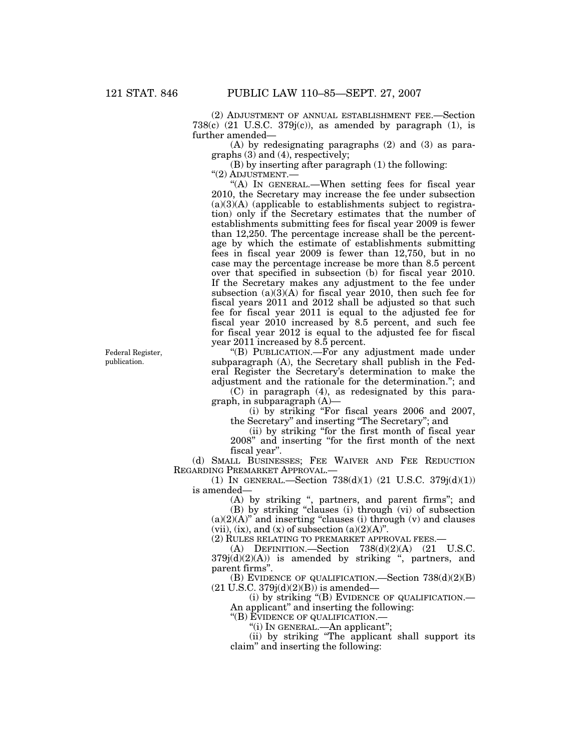(2) ADJUSTMENT OF ANNUAL ESTABLISHMENT FEE.—Section 738 $(c)$  (21 U.S.C. 379 $j(c)$ ), as amended by paragraph (1), is further amended—

(A) by redesignating paragraphs (2) and (3) as paragraphs (3) and (4), respectively;

(B) by inserting after paragraph (1) the following: "(2) ADJUSTMENT.-

''(A) IN GENERAL.—When setting fees for fiscal year 2010, the Secretary may increase the fee under subsection  $(a)(3)(A)$  (applicable to establishments subject to registration) only if the Secretary estimates that the number of establishments submitting fees for fiscal year 2009 is fewer than 12,250. The percentage increase shall be the percentage by which the estimate of establishments submitting fees in fiscal year 2009 is fewer than 12,750, but in no case may the percentage increase be more than 8.5 percent over that specified in subsection (b) for fiscal year 2010. If the Secretary makes any adjustment to the fee under subsection  $(a)(3)(A)$  for fiscal year 2010, then such fee for fiscal years 2011 and 2012 shall be adjusted so that such fee for fiscal year 2011 is equal to the adjusted fee for fiscal year 2010 increased by 8.5 percent, and such fee for fiscal year 2012 is equal to the adjusted fee for fiscal year 2011 increased by 8.5 percent.

''(B) PUBLICATION.—For any adjustment made under subparagraph (A), the Secretary shall publish in the Federal Register the Secretary's determination to make the adjustment and the rationale for the determination.''; and

(C) in paragraph (4), as redesignated by this paragraph, in subparagraph (A)—

(i) by striking ''For fiscal years 2006 and 2007, the Secretary'' and inserting ''The Secretary''; and

(ii) by striking ''for the first month of fiscal year 2008'' and inserting ''for the first month of the next fiscal year''.

(d) SMALL BUSINESSES; FEE WAIVER AND FEE REDUCTION REGARDING PREMARKET APPROVAL.—

(1) IN GENERAL.—Section 738(d)(1) (21 U.S.C. 379j(d)(1)) is amended—

(A) by striking ", partners, and parent firms"; and (B) by striking ''clauses (i) through (vi) of subsection  $(a)(2)(A)$ " and inserting "clauses (i) through (v) and clauses (vii), (ix), and (x) of subsection  $(a)(2)(A)$ ".

(2) RULES RELATING TO PREMARKET APPROVAL FEES.—

(A) DEFINITION. Section  $738(d)(2)(A)$  (21 U.S.C.  $379j(d)(2)(A)$ ) is amended by striking ", partners, and parent firms''.

(B) EVIDENCE OF QUALIFICATION.—Section 738(d)(2)(B)  $(21 \text{ U.S.C. } 379j(d)(2)(B))$  is amended—

(i) by striking ''(B) EVIDENCE OF QUALIFICATION.— An applicant'' and inserting the following:

''(B) EVIDENCE OF QUALIFICATION.—

''(i) IN GENERAL.—An applicant'';

(ii) by striking ''The applicant shall support its claim'' and inserting the following:

Federal Register, publication.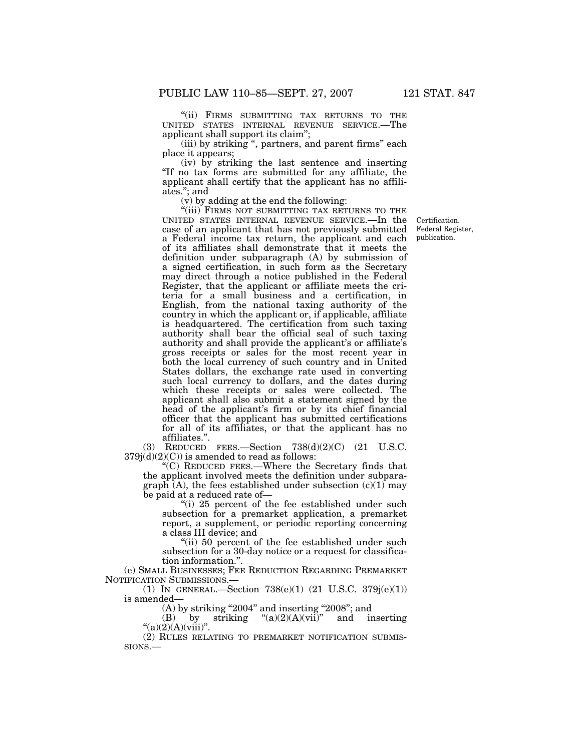''(ii) FIRMS SUBMITTING TAX RETURNS TO THE UNITED STATES INTERNAL REVENUE SERVICE.—The applicant shall support its claim'';

(iii) by striking '', partners, and parent firms'' each place it appears;

(iv) by striking the last sentence and inserting ''If no tax forms are submitted for any affiliate, the applicant shall certify that the applicant has no affiliates.''; and

(v) by adding at the end the following:

"(iii) FIRMS NOT SUBMITTING TAX RETURNS TO THE UNITED STATES INTERNAL REVENUE SERVICE.—In the case of an applicant that has not previously submitted a Federal income tax return, the applicant and each of its affiliates shall demonstrate that it meets the definition under subparagraph (A) by submission of a signed certification, in such form as the Secretary may direct through a notice published in the Federal Register, that the applicant or affiliate meets the criteria for a small business and a certification, in English, from the national taxing authority of the country in which the applicant or, if applicable, affiliate is headquartered. The certification from such taxing authority shall bear the official seal of such taxing authority and shall provide the applicant's or affiliate's gross receipts or sales for the most recent year in both the local currency of such country and in United States dollars, the exchange rate used in converting such local currency to dollars, and the dates during which these receipts or sales were collected. The applicant shall also submit a statement signed by the head of the applicant's firm or by its chief financial officer that the applicant has submitted certifications for all of its affiliates, or that the applicant has no affiliates.''.

(3) REDUCED FEES.—Section  $738(d)(2)(C)$  (21 U.S.C.  $379j(d)(2)(C)$  is amended to read as follows:

''(C) REDUCED FEES.—Where the Secretary finds that the applicant involved meets the definition under subparagraph  $(A)$ , the fees established under subsection  $(c)(1)$  may be paid at a reduced rate of—

"(i) 25 percent of the fee established under such subsection for a premarket application, a premarket report, a supplement, or periodic reporting concerning a class III device; and

"(ii) 50 percent of the fee established under such subsection for a 30-day notice or a request for classification information.''.

(e) SMALL BUSINESSES; FEE REDUCTION REGARDING PREMARKET NOTIFICATION SUBMISSIONS.—

(1) IN GENERAL.—Section 738(e)(1) (21 U.S.C. 379j(e)(1)) is amended—

 $(A)$  by striking "2004" and inserting "2008"; and

(B) by striking  $\text{``(a)(2)(A)(vii)}\text{''}$  and inserting " $(a)(2)(A)(viii)$ ".

 $(2)$  RULES RELATING TO PREMARKET NOTIFICATION SUBMISSIONS —

Certification. Federal Register, publication.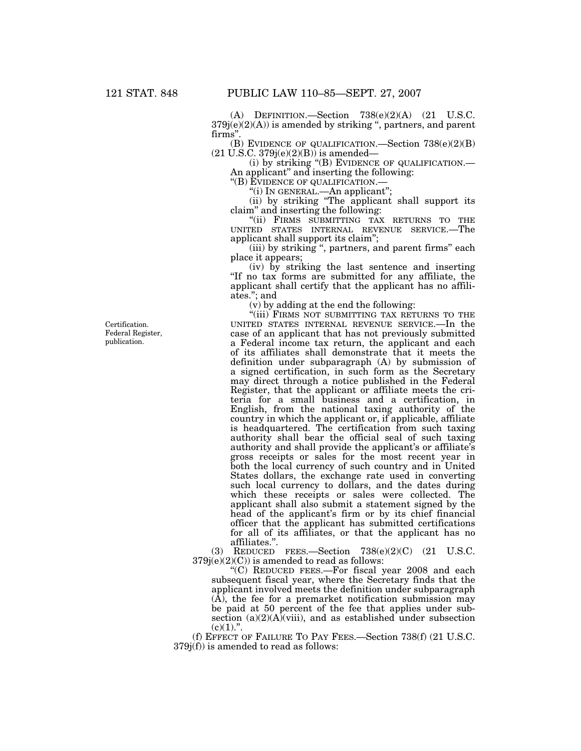(A) DEFINITION.—Section  $738(e)(2)(A)$  (21 U.S.C.  $379j(e)(2)(A)$  is amended by striking ", partners, and parent firms''.

(B) EVIDENCE OF QUALIFICATION.—Section 738(e)(2)(B)  $(21 \text{ U.S.C. } 379j(e)(2)(B))$  is amended—

(i) by striking ''(B) EVIDENCE OF QUALIFICATION.— An applicant'' and inserting the following:

''(B) EVIDENCE OF QUALIFICATION.— ''(i) IN GENERAL.—An applicant'';

(ii) by striking ''The applicant shall support its claim'' and inserting the following:

"(ii) FIRMS SUBMITTING TAX RETURNS TO THE UNITED STATES INTERNAL REVENUE SERVICE.—The applicant shall support its claim'';

(iii) by striking '', partners, and parent firms'' each place it appears;

(iv) by striking the last sentence and inserting ''If no tax forms are submitted for any affiliate, the applicant shall certify that the applicant has no affiliates.''; and

(v) by adding at the end the following:

"(iii) FIRMS NOT SUBMITTING TAX RETURNS TO THE UNITED STATES INTERNAL REVENUE SERVICE.—In the case of an applicant that has not previously submitted a Federal income tax return, the applicant and each of its affiliates shall demonstrate that it meets the definition under subparagraph (A) by submission of a signed certification, in such form as the Secretary may direct through a notice published in the Federal Register, that the applicant or affiliate meets the criteria for a small business and a certification, in English, from the national taxing authority of the country in which the applicant or, if applicable, affiliate is headquartered. The certification from such taxing authority shall bear the official seal of such taxing authority and shall provide the applicant's or affiliate's gross receipts or sales for the most recent year in both the local currency of such country and in United States dollars, the exchange rate used in converting such local currency to dollars, and the dates during which these receipts or sales were collected. The applicant shall also submit a statement signed by the head of the applicant's firm or by its chief financial officer that the applicant has submitted certifications for all of its affiliates, or that the applicant has no affiliates.''.

(3) REDUCED FEES.—Section 738(e)(2)(C) (21 U.S.C.  $379j(e)(2)(C)$ ) is amended to read as follows:

''(C) REDUCED FEES.—For fiscal year 2008 and each subsequent fiscal year, where the Secretary finds that the applicant involved meets the definition under subparagraph  $(\hat{A})$ , the fee for a premarket notification submission may be paid at 50 percent of the fee that applies under subsection  $(a)(2)(A)(viii)$ , and as established under subsection  $(c)(1)$ .".

(f) EFFECT OF FAILURE TO PAY FEES.—Section 738(f) (21 U.S.C. 379j(f)) is amended to read as follows:

Certification. Federal Register, publication.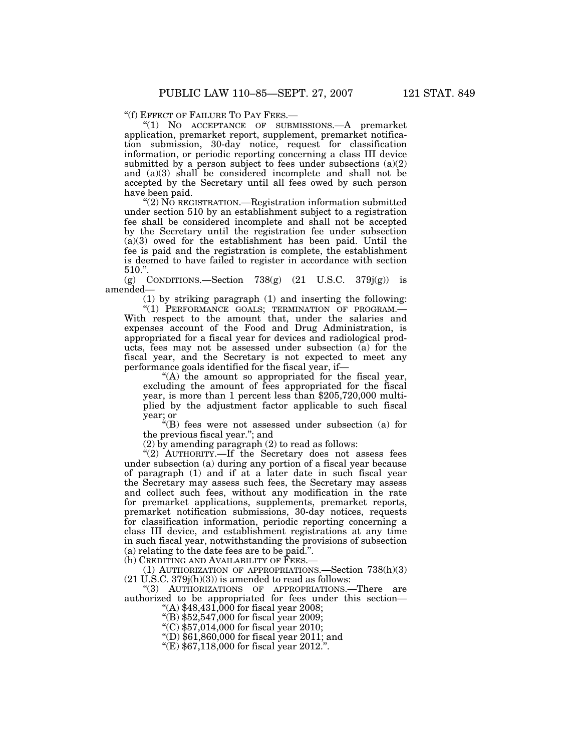''(f) EFFECT OF FAILURE TO PAY FEES.—

''(1) NO ACCEPTANCE OF SUBMISSIONS.—A premarket application, premarket report, supplement, premarket notification submission, 30-day notice, request for classification information, or periodic reporting concerning a class III device submitted by a person subject to fees under subsections  $(a)(2)$ and (a)(3) shall be considered incomplete and shall not be accepted by the Secretary until all fees owed by such person have been paid.

''(2) NO REGISTRATION.—Registration information submitted under section 510 by an establishment subject to a registration fee shall be considered incomplete and shall not be accepted by the Secretary until the registration fee under subsection (a)(3) owed for the establishment has been paid. Until the fee is paid and the registration is complete, the establishment is deemed to have failed to register in accordance with section  $510.$  ".

(g) CONDITIONS.—Section  $738(g)$  (21 U.S.C.  $379j(g)$ ) is amended—

(1) by striking paragraph (1) and inserting the following:

"(1) PERFORMANCE GOALS; TERMINATION OF PROGRAM.-With respect to the amount that, under the salaries and expenses account of the Food and Drug Administration, is appropriated for a fiscal year for devices and radiological products, fees may not be assessed under subsection (a) for the fiscal year, and the Secretary is not expected to meet any performance goals identified for the fiscal year, if—

"(A) the amount so appropriated for the fiscal year, excluding the amount of fees appropriated for the fiscal year, is more than 1 percent less than \$205,720,000 multiplied by the adjustment factor applicable to such fiscal year; or

''(B) fees were not assessed under subsection (a) for the previous fiscal year.''; and

(2) by amending paragraph (2) to read as follows:

"(2) AUTHORITY.—If the Secretary does not assess fees under subsection (a) during any portion of a fiscal year because of paragraph (1) and if at a later date in such fiscal year the Secretary may assess such fees, the Secretary may assess and collect such fees, without any modification in the rate for premarket applications, supplements, premarket reports, premarket notification submissions, 30-day notices, requests for classification information, periodic reporting concerning a class III device, and establishment registrations at any time in such fiscal year, notwithstanding the provisions of subsection (a) relating to the date fees are to be paid.''.

(h) CREDITING AND AVAILABILITY OF FEES.—

(1) AUTHORIZATION OF APPROPRIATIONS.—Section  $738(h)(3)$  $(21$  U.S.C.  $379j(h)(3)$ ) is amended to read as follows:

''(3) AUTHORIZATIONS OF APPROPRIATIONS.—There are authorized to be appropriated for fees under this section—

''(A) \$48,431,000 for fiscal year 2008;

''(B) \$52,547,000 for fiscal year 2009;

''(C) \$57,014,000 for fiscal year 2010;

 $!(D)$  \$61,860,000 for fiscal year 2011; and

''(E) \$67,118,000 for fiscal year 2012.''.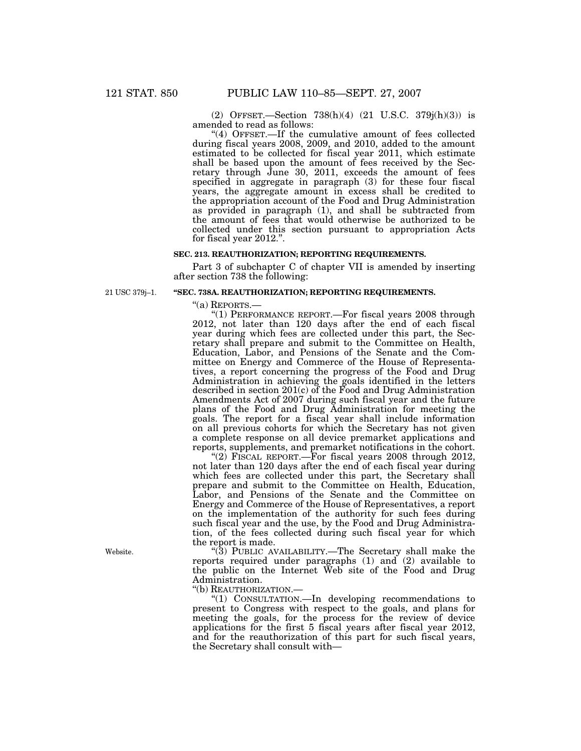(2) OFFSET.—Section 738(h)(4) (21 U.S.C. 379j(h)(3)) is amended to read as follows:

"(4) OFFSET.—If the cumulative amount of fees collected during fiscal years 2008, 2009, and 2010, added to the amount estimated to be collected for fiscal year 2011, which estimate shall be based upon the amount of fees received by the Secretary through June 30, 2011, exceeds the amount of fees specified in aggregate in paragraph (3) for these four fiscal years, the aggregate amount in excess shall be credited to the appropriation account of the Food and Drug Administration as provided in paragraph (1), and shall be subtracted from the amount of fees that would otherwise be authorized to be collected under this section pursuant to appropriation Acts for fiscal year 2012.''.

## **SEC. 213. REAUTHORIZATION; REPORTING REQUIREMENTS.**

Part 3 of subchapter C of chapter VII is amended by inserting after section 738 the following:

21 USC 379j–1.

# **''SEC. 738A. REAUTHORIZATION; REPORTING REQUIREMENTS.**

''(a) REPORTS.—

"(1) PERFORMANCE REPORT.—For fiscal years 2008 through 2012, not later than 120 days after the end of each fiscal year during which fees are collected under this part, the Secretary shall prepare and submit to the Committee on Health, Education, Labor, and Pensions of the Senate and the Committee on Energy and Commerce of the House of Representatives, a report concerning the progress of the Food and Drug Administration in achieving the goals identified in the letters described in section 201(c) of the Food and Drug Administration Amendments Act of 2007 during such fiscal year and the future plans of the Food and Drug Administration for meeting the goals. The report for a fiscal year shall include information on all previous cohorts for which the Secretary has not given a complete response on all device premarket applications and reports, supplements, and premarket notifications in the cohort.

"(2) FISCAL REPORT.—For fiscal years  $2008$  through  $2012$ , not later than 120 days after the end of each fiscal year during which fees are collected under this part, the Secretary shall prepare and submit to the Committee on Health, Education, Labor, and Pensions of the Senate and the Committee on Energy and Commerce of the House of Representatives, a report on the implementation of the authority for such fees during such fiscal year and the use, by the Food and Drug Administration, of the fees collected during such fiscal year for which the report is made.

''(3) PUBLIC AVAILABILITY.—The Secretary shall make the reports required under paragraphs (1) and (2) available to the public on the Internet Web site of the Food and Drug Administration.<br>"(b) REAUTHORIZATION.—

"(1) CONSULTATION.—In developing recommendations to present to Congress with respect to the goals, and plans for meeting the goals, for the process for the review of device applications for the first 5 fiscal years after fiscal year 2012, and for the reauthorization of this part for such fiscal years, the Secretary shall consult with—

Website.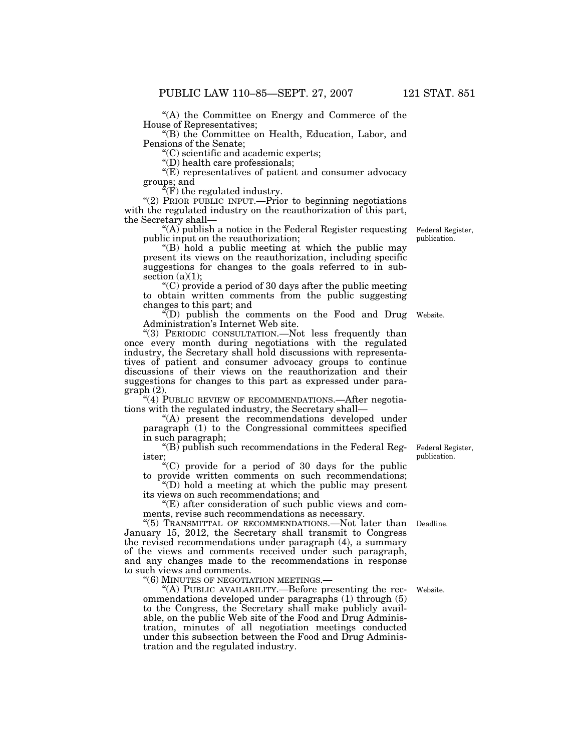''(A) the Committee on Energy and Commerce of the House of Representatives;

''(B) the Committee on Health, Education, Labor, and Pensions of the Senate;

''(C) scientific and academic experts;

''(D) health care professionals;

"(E) representatives of patient and consumer advocacy groups; and

 $\mathbf{F}(\mathbf{F})$  the regulated industry.

"(2) PRIOR PUBLIC INPUT.—Prior to beginning negotiations with the regulated industry on the reauthorization of this part, the Secretary shall—

"(A) publish a notice in the Federal Register requesting public input on the reauthorization;

''(B) hold a public meeting at which the public may present its views on the reauthorization, including specific suggestions for changes to the goals referred to in subsection  $(a)(1)$ ;

''(C) provide a period of 30 days after the public meeting to obtain written comments from the public suggesting changes to this part; and

''(D) publish the comments on the Food and Drug Website. Administration's Internet Web site.

''(3) PERIODIC CONSULTATION.—Not less frequently than once every month during negotiations with the regulated industry, the Secretary shall hold discussions with representatives of patient and consumer advocacy groups to continue discussions of their views on the reauthorization and their suggestions for changes to this part as expressed under paragraph (2).

"(4) PUBLIC REVIEW OF RECOMMENDATIONS.—After negotiations with the regulated industry, the Secretary shall—

"(A) present the recommendations developed under paragraph (1) to the Congressional committees specified in such paragraph;

" $(B)$  publish such recommendations in the Federal Register;

''(C) provide for a period of 30 days for the public to provide written comments on such recommendations;

''(D) hold a meeting at which the public may present its views on such recommendations; and

 $E$ ) after consideration of such public views and comments, revise such recommendations as necessary.

"(5) TRANSMITTAL OF RECOMMENDATIONS.—Not later than Deadline. January 15, 2012, the Secretary shall transmit to Congress the revised recommendations under paragraph (4), a summary of the views and comments received under such paragraph, and any changes made to the recommendations in response to such views and comments.

''(6) MINUTES OF NEGOTIATION MEETINGS.—

''(A) PUBLIC AVAILABILITY.—Before presenting the recommendations developed under paragraphs (1) through (5) to the Congress, the Secretary shall make publicly available, on the public Web site of the Food and Drug Administration, minutes of all negotiation meetings conducted under this subsection between the Food and Drug Administration and the regulated industry.

Federal Register, publication.

Website.

Federal Register, publication.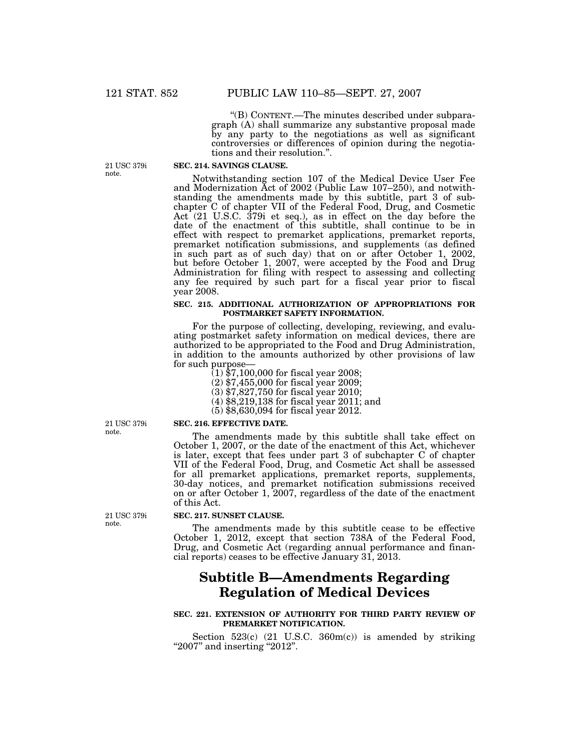''(B) CONTENT.—The minutes described under subparagraph (A) shall summarize any substantive proposal made by any party to the negotiations as well as significant controversies or differences of opinion during the negotiations and their resolution.''.

21 USC 379i note.

## **SEC. 214. SAVINGS CLAUSE.**

Notwithstanding section 107 of the Medical Device User Fee and Modernization Act of 2002 (Public Law 107–250), and notwithstanding the amendments made by this subtitle, part 3 of subchapter C of chapter VII of the Federal Food, Drug, and Cosmetic Act (21 U.S.C. 379i et seq.), as in effect on the day before the date of the enactment of this subtitle, shall continue to be in effect with respect to premarket applications, premarket reports, premarket notification submissions, and supplements (as defined in such part as of such day) that on or after October 1, 2002, but before October 1, 2007, were accepted by the Food and Drug Administration for filing with respect to assessing and collecting any fee required by such part for a fiscal year prior to fiscal year 2008.

# **SEC. 215. ADDITIONAL AUTHORIZATION OF APPROPRIATIONS FOR POSTMARKET SAFETY INFORMATION.**

For the purpose of collecting, developing, reviewing, and evaluating postmarket safety information on medical devices, there are authorized to be appropriated to the Food and Drug Administration, in addition to the amounts authorized by other provisions of law

- $(1)$  \$7,100,000 for fiscal year 2008;
- (2) \$7,455,000 for fiscal year 2009;
- (3) \$7,827,750 for fiscal year 2010;
- (4) \$8,219,138 for fiscal year 2011; and
- (5) \$8,630,094 for fiscal year 2012.

21 USC 379i note.

#### **SEC. 216. EFFECTIVE DATE.**

The amendments made by this subtitle shall take effect on October 1, 2007, or the date of the enactment of this Act, whichever is later, except that fees under part 3 of subchapter C of chapter VII of the Federal Food, Drug, and Cosmetic Act shall be assessed for all premarket applications, premarket reports, supplements, 30-day notices, and premarket notification submissions received on or after October 1, 2007, regardless of the date of the enactment of this Act.

## **SEC. 217. SUNSET CLAUSE.**

The amendments made by this subtitle cease to be effective October 1, 2012, except that section 738A of the Federal Food, Drug, and Cosmetic Act (regarding annual performance and financial reports) ceases to be effective January 31, 2013.

# **Subtitle B—Amendments Regarding Regulation of Medical Devices**

# **SEC. 221. EXTENSION OF AUTHORITY FOR THIRD PARTY REVIEW OF PREMARKET NOTIFICATION.**

Section  $523(c)$  (21 U.S.C.  $360m(c)$ ) is amended by striking "2007" and inserting "2012".

21 USC 379i note.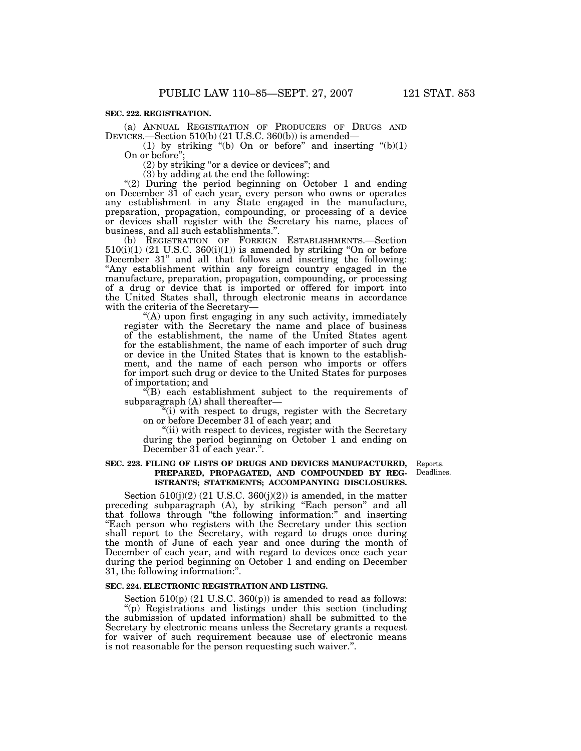## **SEC. 222. REGISTRATION.**

(a) ANNUAL REGISTRATION OF PRODUCERS OF DRUGS AND DEVICES.—Section 510(b) (21 U.S.C. 360(b)) is amended—

(1) by striking "(b) On or before" and inserting  $\text{``(b)(1)}$ On or before"

(2) by striking ''or a device or devices''; and

(3) by adding at the end the following:

"(2) During the period beginning on October 1 and ending on December 31 of each year, every person who owns or operates any establishment in any State engaged in the manufacture, preparation, propagation, compounding, or processing of a device or devices shall register with the Secretary his name, places of business, and all such establishments.''.

(b) REGISTRATION OF FOREIGN ESTABLISHMENTS.—Section  $510(i)(1)$  (21 U.S.C. 360(i)(1)) is amended by striking "On or before December 31'' and all that follows and inserting the following: "Any establishment within any foreign country engaged in the manufacture, preparation, propagation, compounding, or processing of a drug or device that is imported or offered for import into the United States shall, through electronic means in accordance with the criteria of the Secretary—

''(A) upon first engaging in any such activity, immediately register with the Secretary the name and place of business of the establishment, the name of the United States agent for the establishment, the name of each importer of such drug or device in the United States that is known to the establishment, and the name of each person who imports or offers for import such drug or device to the United States for purposes of importation; and

''(B) each establishment subject to the requirements of subparagraph (A) shall thereafter—

''(i) with respect to drugs, register with the Secretary on or before December 31 of each year; and

"(ii) with respect to devices, register with the Secretary during the period beginning on October 1 and ending on December 31 of each year.".

## **SEC. 223. FILING OF LISTS OF DRUGS AND DEVICES MANUFACTURED, PREPARED, PROPAGATED, AND COMPOUNDED BY REG-ISTRANTS; STATEMENTS; ACCOMPANYING DISCLOSURES.**

Reports. Deadlines.

Section  $510(j)(2)$  (21 U.S.C.  $360(j)(2)$ ) is amended, in the matter preceding subparagraph (A), by striking ''Each person'' and all that follows through ''the following information:'' and inserting ''Each person who registers with the Secretary under this section shall report to the Secretary, with regard to drugs once during the month of June of each year and once during the month of December of each year, and with regard to devices once each year during the period beginning on October 1 and ending on December 31, the following information:''.

# **SEC. 224. ELECTRONIC REGISTRATION AND LISTING.**

Section  $510(p)$  (21 U.S.C. 360(p)) is amended to read as follows: ''(p) Registrations and listings under this section (including the submission of updated information) shall be submitted to the Secretary by electronic means unless the Secretary grants a request for waiver of such requirement because use of electronic means is not reasonable for the person requesting such waiver.''.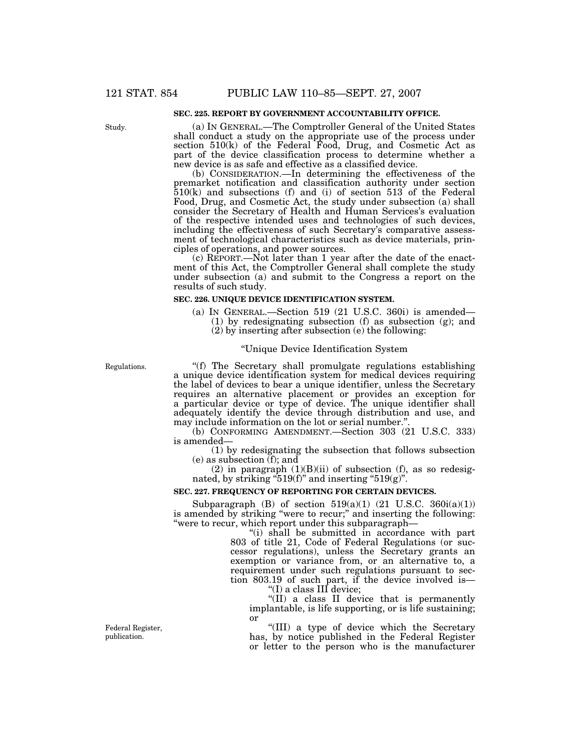## **SEC. 225. REPORT BY GOVERNMENT ACCOUNTABILITY OFFICE.**

(a) IN GENERAL.—The Comptroller General of the United States shall conduct a study on the appropriate use of the process under section 510(k) of the Federal Food, Drug, and Cosmetic Act as part of the device classification process to determine whether a new device is as safe and effective as a classified device.

(b) CONSIDERATION.—In determining the effectiveness of the premarket notification and classification authority under section 510(k) and subsections (f) and (i) of section 513 of the Federal Food, Drug, and Cosmetic Act, the study under subsection (a) shall consider the Secretary of Health and Human Services's evaluation of the respective intended uses and technologies of such devices, including the effectiveness of such Secretary's comparative assessment of technological characteristics such as device materials, principles of operations, and power sources.

(c) REPORT.—Not later than 1 year after the date of the enactment of this Act, the Comptroller General shall complete the study under subsection (a) and submit to the Congress a report on the results of such study.

#### **SEC. 226. UNIQUE DEVICE IDENTIFICATION SYSTEM.**

(a) IN GENERAL.—Section 519 (21 U.S.C. 360i) is amended— (1) by redesignating subsection (f) as subsection (g); and (2) by inserting after subsection (e) the following:

## ''Unique Device Identification System

''(f) The Secretary shall promulgate regulations establishing a unique device identification system for medical devices requiring the label of devices to bear a unique identifier, unless the Secretary requires an alternative placement or provides an exception for a particular device or type of device. The unique identifier shall adequately identify the device through distribution and use, and may include information on the lot or serial number."

(b) CONFORMING AMENDMENT.—Section 303 (21 U.S.C. 333) is amended—

(1) by redesignating the subsection that follows subsection (e) as subsection (f); and

(2) in paragraph  $(1)(B)(ii)$  of subsection (f), as so redesignated, by striking "519(f)" and inserting "519(g)".

# **SEC. 227. FREQUENCY OF REPORTING FOR CERTAIN DEVICES.**

Subparagraph (B) of section  $519(a)(1)$  (21 U.S.C.  $360i(a)(1)$ ) is amended by striking "were to recur;" and inserting the following: ''were to recur, which report under this subparagraph—

> ''(i) shall be submitted in accordance with part 803 of title 21, Code of Federal Regulations (or successor regulations), unless the Secretary grants an exemption or variance from, or an alternative to, a requirement under such regulations pursuant to section 803.19 of such part, if the device involved is—

''(I) a class III device;

''(II) a class II device that is permanently implantable, is life supporting, or is life sustaining; or

''(III) a type of device which the Secretary has, by notice published in the Federal Register or letter to the person who is the manufacturer

Regulations.

Federal Register, publication.

Study.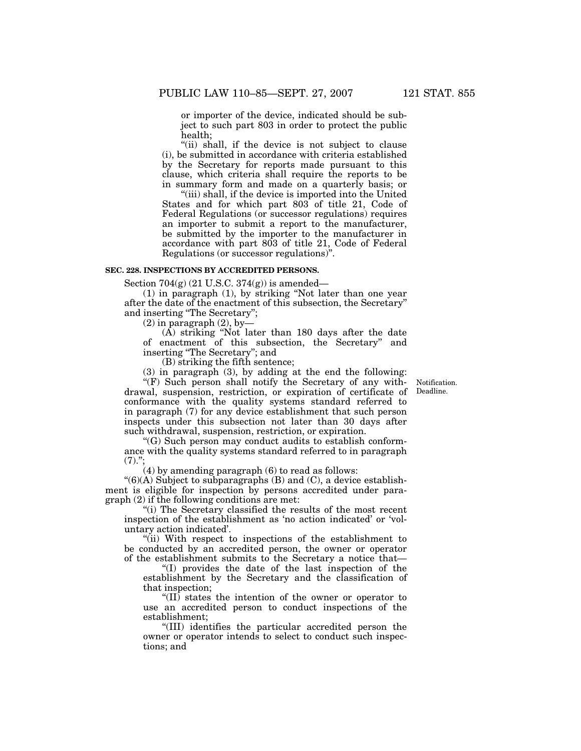or importer of the device, indicated should be subject to such part 803 in order to protect the public health;

"(ii) shall, if the device is not subject to clause (i), be submitted in accordance with criteria established by the Secretary for reports made pursuant to this clause, which criteria shall require the reports to be in summary form and made on a quarterly basis; or

"(iii) shall, if the device is imported into the United States and for which part 803 of title 21, Code of Federal Regulations (or successor regulations) requires an importer to submit a report to the manufacturer, be submitted by the importer to the manufacturer in accordance with part 803 of title 21, Code of Federal Regulations (or successor regulations)''.

#### **SEC. 228. INSPECTIONS BY ACCREDITED PERSONS.**

Section 704(g) (21 U.S.C. 374(g)) is amended—

(1) in paragraph (1), by striking ''Not later than one year after the date of the enactment of this subsection, the Secretary'' and inserting ''The Secretary'';

 $(2)$  in paragraph  $(2)$ , by-

(A) striking ''Not later than 180 days after the date of enactment of this subsection, the Secretary'' and inserting ''The Secretary''; and

(B) striking the fifth sentence;

(3) in paragraph (3), by adding at the end the following:

Notification.

 $(F)$  Such person shall notify the Secretary of any withdrawal, suspension, restriction, or expiration of certificate of Deadline. conformance with the quality systems standard referred to in paragraph (7) for any device establishment that such person inspects under this subsection not later than 30 days after such withdrawal, suspension, restriction, or expiration.

''(G) Such person may conduct audits to establish conformance with the quality systems standard referred to in paragraph  $(7).$ ";

(4) by amending paragraph (6) to read as follows:

 $"(6)(A)$  Subject to subparagraphs (B) and (C), a device establishment is eligible for inspection by persons accredited under paragraph (2) if the following conditions are met:

''(i) The Secretary classified the results of the most recent inspection of the establishment as 'no action indicated' or 'voluntary action indicated'.

"(ii) With respect to inspections of the establishment to be conducted by an accredited person, the owner or operator of the establishment submits to the Secretary a notice that—

''(I) provides the date of the last inspection of the establishment by the Secretary and the classification of that inspection;

''(II) states the intention of the owner or operator to use an accredited person to conduct inspections of the establishment;

''(III) identifies the particular accredited person the owner or operator intends to select to conduct such inspections; and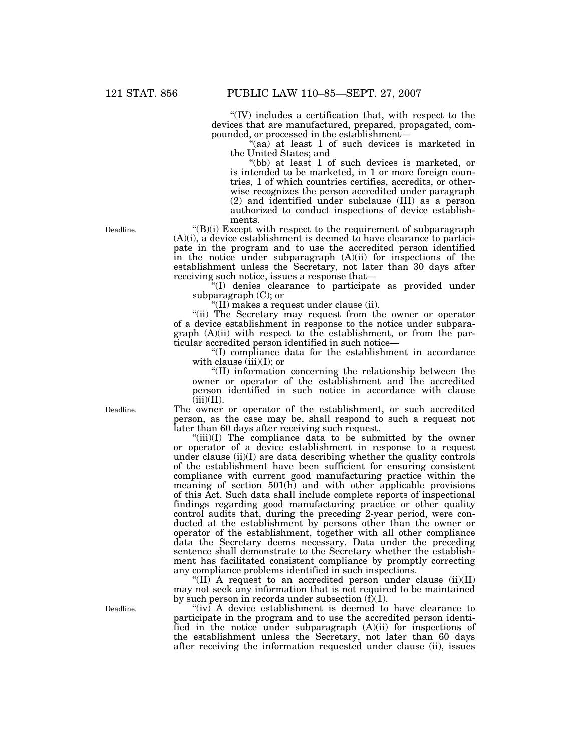"(IV) includes a certification that, with respect to the devices that are manufactured, prepared, propagated, compounded, or processed in the establishment—

''(aa) at least 1 of such devices is marketed in the United States; and

''(bb) at least 1 of such devices is marketed, or is intended to be marketed, in 1 or more foreign countries, 1 of which countries certifies, accredits, or otherwise recognizes the person accredited under paragraph (2) and identified under subclause (III) as a person authorized to conduct inspections of device establishments.

" $(B)(i)$  Except with respect to the requirement of subparagraph (A)(i), a device establishment is deemed to have clearance to participate in the program and to use the accredited person identified in the notice under subparagraph (A)(ii) for inspections of the establishment unless the Secretary, not later than 30 days after receiving such notice, issues a response that—

''(I) denies clearance to participate as provided under subparagraph (C); or

''(II) makes a request under clause (ii).

"(ii) The Secretary may request from the owner or operator of a device establishment in response to the notice under subparagraph (A)(ii) with respect to the establishment, or from the particular accredited person identified in such notice—

''(I) compliance data for the establishment in accordance with clause  $(iii)(I)$ ; or

''(II) information concerning the relationship between the owner or operator of the establishment and the accredited person identified in such notice in accordance with clause  $(iii)(II)$ .

The owner or operator of the establishment, or such accredited person, as the case may be, shall respond to such a request not later than 60 days after receiving such request.

" $(iii)(I)$  The compliance data to be submitted by the owner or operator of a device establishment in response to a request under clause (ii)(I) are data describing whether the quality controls of the establishment have been sufficient for ensuring consistent compliance with current good manufacturing practice within the meaning of section 501(h) and with other applicable provisions of this Act. Such data shall include complete reports of inspectional findings regarding good manufacturing practice or other quality control audits that, during the preceding 2-year period, were conducted at the establishment by persons other than the owner or operator of the establishment, together with all other compliance data the Secretary deems necessary. Data under the preceding sentence shall demonstrate to the Secretary whether the establishment has facilitated consistent compliance by promptly correcting any compliance problems identified in such inspections.

"(II) A request to an accredited person under clause  $(ii)(II)$ may not seek any information that is not required to be maintained by such person in records under subsection  $(f)(1)$ .

" $(iv)$  A device establishment is deemed to have clearance to participate in the program and to use the accredited person identified in the notice under subparagraph  $(A)(ii)$  for inspections of the establishment unless the Secretary, not later than 60 days after receiving the information requested under clause (ii), issues

Deadline.

Deadline.

Deadline.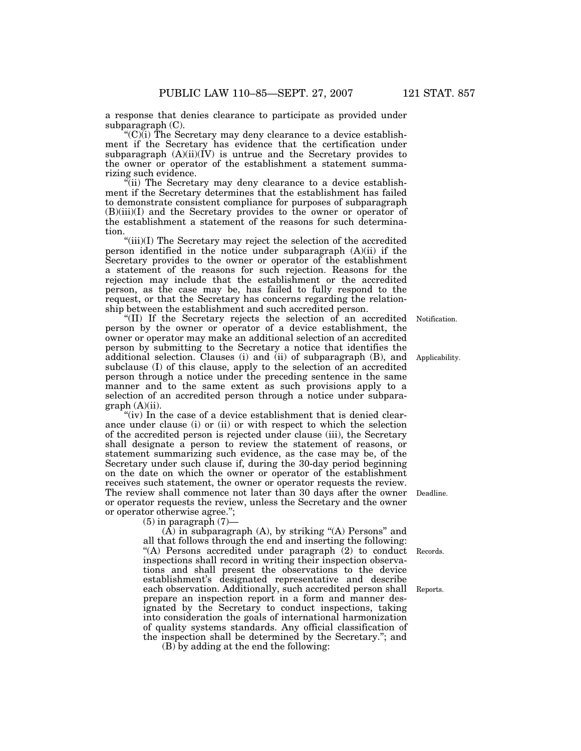a response that denies clearance to participate as provided under subparagraph (C).

" $(C)$ (i) The Secretary may deny clearance to a device establishment if the Secretary has evidence that the certification under subparagraph  $(A)(ii)(\dot{I}V)$  is untrue and the Secretary provides to the owner or operator of the establishment a statement summarizing such evidence.

"(ii) The Secretary may deny clearance to a device establishment if the Secretary determines that the establishment has failed to demonstrate consistent compliance for purposes of subparagraph (B)(iii)(I) and the Secretary provides to the owner or operator of the establishment a statement of the reasons for such determination.

"(iii)(I) The Secretary may reject the selection of the accredited person identified in the notice under subparagraph (A)(ii) if the Secretary provides to the owner or operator of the establishment a statement of the reasons for such rejection. Reasons for the rejection may include that the establishment or the accredited person, as the case may be, has failed to fully respond to the request, or that the Secretary has concerns regarding the relationship between the establishment and such accredited person.

"(II) If the Secretary rejects the selection of an accredited person by the owner or operator of a device establishment, the owner or operator may make an additional selection of an accredited person by submitting to the Secretary a notice that identifies the additional selection. Clauses (i) and (ii) of subparagraph (B), and subclause (I) of this clause, apply to the selection of an accredited person through a notice under the preceding sentence in the same manner and to the same extent as such provisions apply to a selection of an accredited person through a notice under subpara $graph (A)(ii)$ .

" $(iv)$  In the case of a device establishment that is denied clearance under clause (i) or (ii) or with respect to which the selection of the accredited person is rejected under clause (iii), the Secretary shall designate a person to review the statement of reasons, or statement summarizing such evidence, as the case may be, of the Secretary under such clause if, during the 30-day period beginning on the date on which the owner or operator of the establishment receives such statement, the owner or operator requests the review. The review shall commence not later than 30 days after the owner Deadline. or operator requests the review, unless the Secretary and the owner or operator otherwise agree.'';

 $(5)$  in paragraph  $(7)$ —

 $(A)$  in subparagraph  $(A)$ , by striking " $(A)$  Persons" and all that follows through the end and inserting the following: ''(A) Persons accredited under paragraph (2) to conduct inspections shall record in writing their inspection observations and shall present the observations to the device establishment's designated representative and describe each observation. Additionally, such accredited person shall prepare an inspection report in a form and manner designated by the Secretary to conduct inspections, taking into consideration the goals of international harmonization of quality systems standards. Any official classification of the inspection shall be determined by the Secretary.''; and

 $(B)$  by adding at the end the following:

Notification.

Applicability.

Records.

Reports.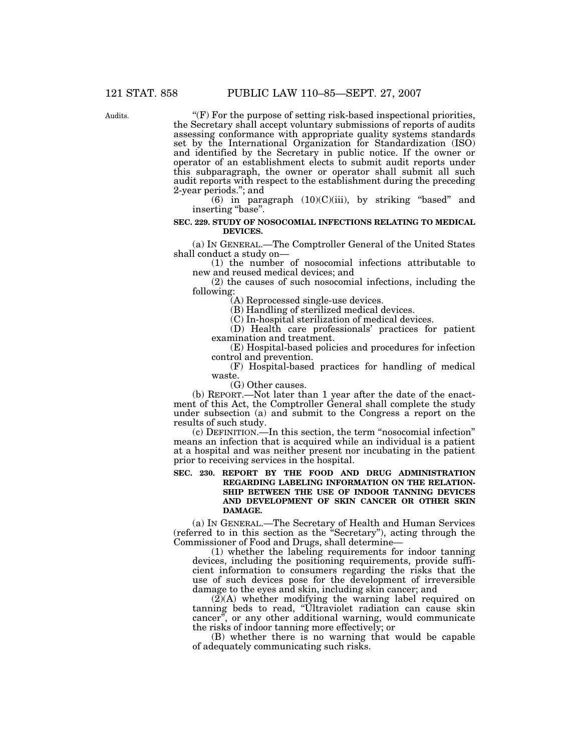Audits.

''(F) For the purpose of setting risk-based inspectional priorities, the Secretary shall accept voluntary submissions of reports of audits assessing conformance with appropriate quality systems standards set by the International Organization for Standardization (ISO) and identified by the Secretary in public notice. If the owner or operator of an establishment elects to submit audit reports under this subparagraph, the owner or operator shall submit all such audit reports with respect to the establishment during the preceding 2-year periods.''; and

(6) in paragraph  $(10)(C)(iii)$ , by striking "based" and inserting "base".

#### **SEC. 229. STUDY OF NOSOCOMIAL INFECTIONS RELATING TO MEDICAL DEVICES.**

(a) IN GENERAL.—The Comptroller General of the United States shall conduct a study on—

(1) the number of nosocomial infections attributable to new and reused medical devices; and

(2) the causes of such nosocomial infections, including the following:

(A) Reprocessed single-use devices.

(B) Handling of sterilized medical devices.

(C) In-hospital sterilization of medical devices.

(D) Health care professionals' practices for patient examination and treatment.

(E) Hospital-based policies and procedures for infection control and prevention.

(F) Hospital-based practices for handling of medical waste.

(G) Other causes.

(b) REPORT.—Not later than 1 year after the date of the enactment of this Act, the Comptroller General shall complete the study under subsection (a) and submit to the Congress a report on the results of such study.

(c) DEFINITION.—In this section, the term ''nosocomial infection'' means an infection that is acquired while an individual is a patient at a hospital and was neither present nor incubating in the patient prior to receiving services in the hospital.

**SEC. 230. REPORT BY THE FOOD AND DRUG ADMINISTRATION REGARDING LABELING INFORMATION ON THE RELATION-SHIP BETWEEN THE USE OF INDOOR TANNING DEVICES AND DEVELOPMENT OF SKIN CANCER OR OTHER SKIN DAMAGE.** 

(a) IN GENERAL.—The Secretary of Health and Human Services (referred to in this section as the ''Secretary''), acting through the Commissioner of Food and Drugs, shall determine—

(1) whether the labeling requirements for indoor tanning devices, including the positioning requirements, provide sufficient information to consumers regarding the risks that the use of such devices pose for the development of irreversible damage to the eyes and skin, including skin cancer; and

 $(2)(A)$  whether modifying the warning label required on tanning beds to read, ''Ultraviolet radiation can cause skin cancer<sup> $\bar{r}$ </sup>, or any other additional warning, would communicate the risks of indoor tanning more effectively; or

(B) whether there is no warning that would be capable of adequately communicating such risks.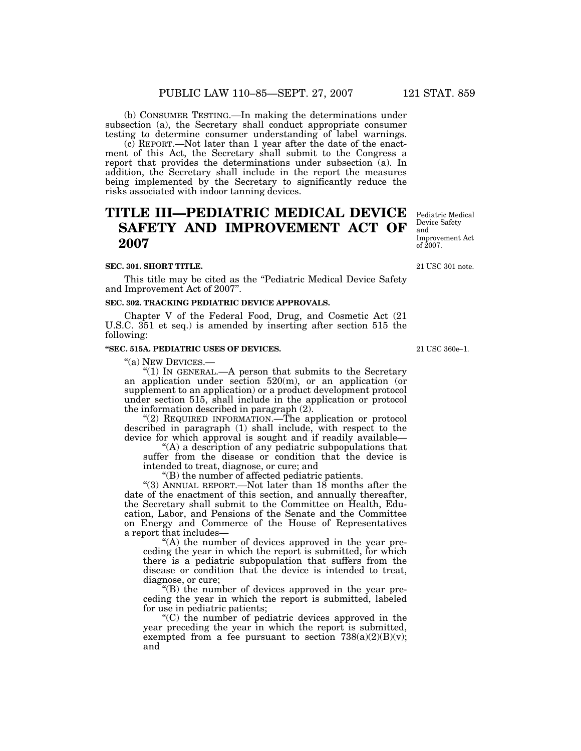(b) CONSUMER TESTING.—In making the determinations under subsection (a), the Secretary shall conduct appropriate consumer testing to determine consumer understanding of label warnings.

(c) REPORT.—Not later than 1 year after the date of the enactment of this Act, the Secretary shall submit to the Congress a report that provides the determinations under subsection (a). In addition, the Secretary shall include in the report the measures being implemented by the Secretary to significantly reduce the risks associated with indoor tanning devices.

## **TITLE III—PEDIATRIC MEDICAL DEVICE SAFETY AND IMPROVEMENT ACT OF 2007**

#### **SEC. 301. SHORT TITLE.**

This title may be cited as the "Pediatric Medical Device Safety" and Improvement Act of 2007''.

## **SEC. 302. TRACKING PEDIATRIC DEVICE APPROVALS.**

Chapter V of the Federal Food, Drug, and Cosmetic Act (21 U.S.C. 351 et seq.) is amended by inserting after section 515 the following:

## **''SEC. 515A. PEDIATRIC USES OF DEVICES.**

''(a) NEW DEVICES.—

" $(1)$  In GENERAL.—A person that submits to the Secretary an application under section 520(m), or an application (or supplement to an application) or a product development protocol under section 515, shall include in the application or protocol the information described in paragraph (2).

"(2) REQUIRED INFORMATION.—The application or protocol described in paragraph (1) shall include, with respect to the device for which approval is sought and if readily available—

''(A) a description of any pediatric subpopulations that suffer from the disease or condition that the device is intended to treat, diagnose, or cure; and

''(B) the number of affected pediatric patients.

''(3) ANNUAL REPORT.—Not later than 18 months after the date of the enactment of this section, and annually thereafter, the Secretary shall submit to the Committee on Health, Education, Labor, and Pensions of the Senate and the Committee on Energy and Commerce of the House of Representatives a report that includes—

"(A) the number of devices approved in the year preceding the year in which the report is submitted, for which there is a pediatric subpopulation that suffers from the disease or condition that the device is intended to treat, diagnose, or cure;

''(B) the number of devices approved in the year preceding the year in which the report is submitted, labeled for use in pediatric patients;

 $C$ ) the number of pediatric devices approved in the year preceding the year in which the report is submitted, exempted from a fee pursuant to section  $738(a)(2)(B)(v)$ ; and

21 USC 360e–1.

Pediatric Medical Device Safety and Improvement Act of 2007.

21 USC 301 note.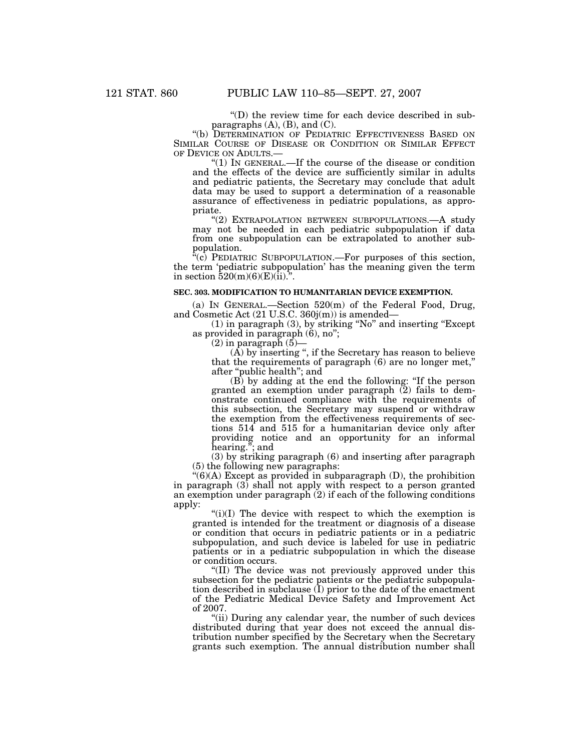''(D) the review time for each device described in subparagraphs  $(A)$ ,  $(B)$ , and  $(C)$ .

''(b) DETERMINATION OF PEDIATRIC EFFECTIVENESS BASED ON SIMILAR COURSE OF DISEASE OR CONDITION OR SIMILAR EFFECT OF DEVICE ON ADULTS.—

" $(1)$  In GENERAL.—If the course of the disease or condition and the effects of the device are sufficiently similar in adults and pediatric patients, the Secretary may conclude that adult data may be used to support a determination of a reasonable assurance of effectiveness in pediatric populations, as appropriate.

''(2) EXTRAPOLATION BETWEEN SUBPOPULATIONS.—A study may not be needed in each pediatric subpopulation if data from one subpopulation can be extrapolated to another subpopulation.

 $\mathbf{F}^{\mu}(\mathbf{c})$  PEDIATRIC SUBPOPULATION.—For purposes of this section, the term 'pediatric subpopulation' has the meaning given the term in section  $520(m)(6)(E)(ii)$ .".

#### **SEC. 303. MODIFICATION TO HUMANITARIAN DEVICE EXEMPTION.**

(a) IN GENERAL.—Section  $520(m)$  of the Federal Food, Drug, and Cosmetic Act (21 U.S.C. 360j(m)) is amended—

(1) in paragraph (3), by striking ''No'' and inserting ''Except as provided in paragraph (6), no'';

 $(2)$  in paragraph  $(5)$ —

 $(A)$  by inserting ", if the Secretary has reason to believe that the requirements of paragraph (6) are no longer met,'' after "public health"; and

(B) by adding at the end the following: ''If the person granted an exemption under paragraph (2) fails to demonstrate continued compliance with the requirements of this subsection, the Secretary may suspend or withdraw the exemption from the effectiveness requirements of sections 514 and 515 for a humanitarian device only after providing notice and an opportunity for an informal hearing.''; and

(3) by striking paragraph (6) and inserting after paragraph (5) the following new paragraphs:

 $\degree$ (6)(A) Except as provided in subparagraph (D), the prohibition in paragraph (3) shall not apply with respect to a person granted an exemption under paragraph (2) if each of the following conditions apply:

 $(ii)(I)$  The device with respect to which the exemption is granted is intended for the treatment or diagnosis of a disease or condition that occurs in pediatric patients or in a pediatric subpopulation, and such device is labeled for use in pediatric patients or in a pediatric subpopulation in which the disease or condition occurs.

"(II) The device was not previously approved under this subsection for the pediatric patients or the pediatric subpopulation described in subclause (I) prior to the date of the enactment of the Pediatric Medical Device Safety and Improvement Act of 2007.

''(ii) During any calendar year, the number of such devices distributed during that year does not exceed the annual distribution number specified by the Secretary when the Secretary grants such exemption. The annual distribution number shall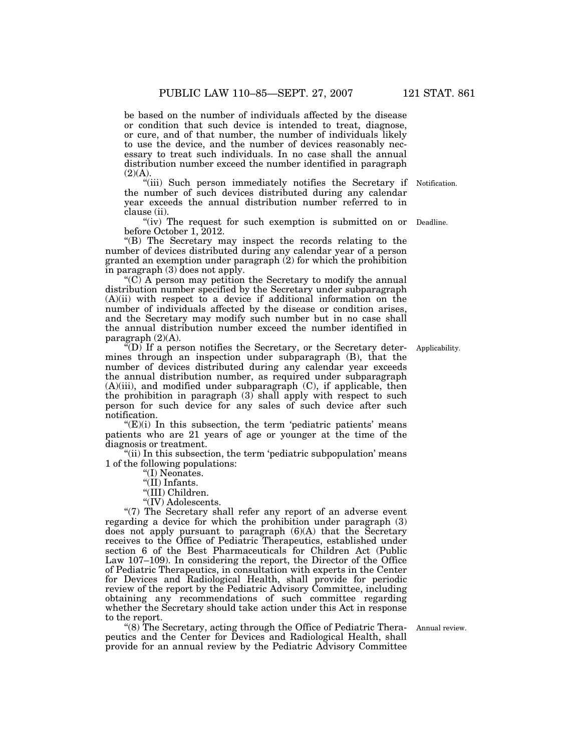be based on the number of individuals affected by the disease or condition that such device is intended to treat, diagnose, or cure, and of that number, the number of individuals likely to use the device, and the number of devices reasonably necessary to treat such individuals. In no case shall the annual distribution number exceed the number identified in paragraph  $(2)(A).$ 

"(iii) Such person immediately notifies the Secretary if Notification. the number of such devices distributed during any calendar year exceeds the annual distribution number referred to in clause (ii).

"(iv) The request for such exemption is submitted on or Deadline. before October 1, 2012.

''(B) The Secretary may inspect the records relating to the number of devices distributed during any calendar year of a person granted an exemption under paragraph (2) for which the prohibition in paragraph (3) does not apply.

" $(C)$  A person may petition the Secretary to modify the annual distribution number specified by the Secretary under subparagraph (A)(ii) with respect to a device if additional information on the number of individuals affected by the disease or condition arises, and the Secretary may modify such number but in no case shall the annual distribution number exceed the number identified in paragraph  $(2)(A)$ .

 $\sqrt[\mu]{D}$  If a person notifies the Secretary, or the Secretary determines through an inspection under subparagraph (B), that the number of devices distributed during any calendar year exceeds the annual distribution number, as required under subparagraph  $(A)(iii)$ , and modified under subparagraph  $(C)$ , if applicable, then the prohibition in paragraph (3) shall apply with respect to such person for such device for any sales of such device after such notification.

 $'(E)(i)$  In this subsection, the term 'pediatric patients' means patients who are 21 years of age or younger at the time of the diagnosis or treatment.

"(ii) In this subsection, the term 'pediatric subpopulation' means 1 of the following populations:

''(I) Neonates.

"(II) Infants.

''(III) Children.

"(IV) Adolescents.

"(7) The Secretary shall refer any report of an adverse event regarding a device for which the prohibition under paragraph (3) does not apply pursuant to paragraph (6)(A) that the Secretary receives to the Office of Pediatric Therapeutics, established under section 6 of the Best Pharmaceuticals for Children Act (Public Law 107–109). In considering the report, the Director of the Office of Pediatric Therapeutics, in consultation with experts in the Center for Devices and Radiological Health, shall provide for periodic review of the report by the Pediatric Advisory Committee, including obtaining any recommendations of such committee regarding whether the Secretary should take action under this Act in response to the report.

''(8) The Secretary, acting through the Office of Pediatric Therapeutics and the Center for Devices and Radiological Health, shall provide for an annual review by the Pediatric Advisory Committee

Annual review.

Applicability.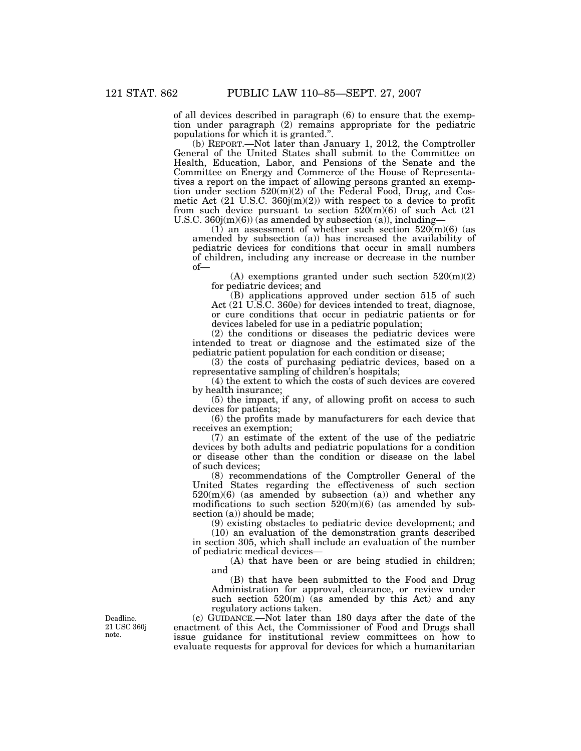of all devices described in paragraph (6) to ensure that the exemption under paragraph (2) remains appropriate for the pediatric populations for which it is granted.''.

(b) REPORT.—Not later than January 1, 2012, the Comptroller General of the United States shall submit to the Committee on Health, Education, Labor, and Pensions of the Senate and the Committee on Energy and Commerce of the House of Representatives a report on the impact of allowing persons granted an exemption under section  $520(m)(2)$  of the Federal Food, Drug, and Cosmetic Act  $(21 \text{ U.S.C. } 360j(m)(2))$  with respect to a device to profit from such device pursuant to section  $520(m)(6)$  of such Act (21) U.S.C.  $360j(m)(6)$  (as amended by subsection (a)), including-

(1) an assessment of whether such section  $520(m)(6)$  (as amended by subsection (a)) has increased the availability of pediatric devices for conditions that occur in small numbers of children, including any increase or decrease in the number of—

(A) exemptions granted under such section  $520(m)(2)$ for pediatric devices; and

(B) applications approved under section 515 of such Act (21 U.S.C. 360e) for devices intended to treat, diagnose, or cure conditions that occur in pediatric patients or for devices labeled for use in a pediatric population;

(2) the conditions or diseases the pediatric devices were intended to treat or diagnose and the estimated size of the pediatric patient population for each condition or disease;

(3) the costs of purchasing pediatric devices, based on a representative sampling of children's hospitals;

(4) the extent to which the costs of such devices are covered by health insurance;

(5) the impact, if any, of allowing profit on access to such devices for patients;

(6) the profits made by manufacturers for each device that receives an exemption;

(7) an estimate of the extent of the use of the pediatric devices by both adults and pediatric populations for a condition or disease other than the condition or disease on the label of such devices;

(8) recommendations of the Comptroller General of the United States regarding the effectiveness of such section  $520(m)(6)$  (as amended by subsection (a)) and whether any modifications to such section  $520(m)(6)$  (as amended by subsection (a)) should be made;

(9) existing obstacles to pediatric device development; and

(10) an evaluation of the demonstration grants described in section 305, which shall include an evaluation of the number of pediatric medical devices—

(A) that have been or are being studied in children; and

(B) that have been submitted to the Food and Drug Administration for approval, clearance, or review under such section  $520(m)$  (as amended by this Act) and any regulatory actions taken.

(c) GUIDANCE.—Not later than 180 days after the date of the enactment of this Act, the Commissioner of Food and Drugs shall issue guidance for institutional review committees on how to evaluate requests for approval for devices for which a humanitarian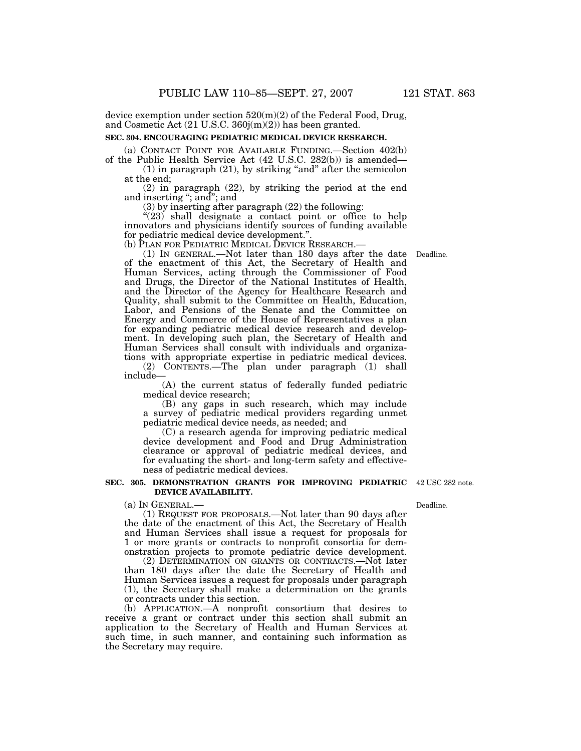device exemption under section 520(m)(2) of the Federal Food, Drug, and Cosmetic Act (21 U.S.C. 360j(m)(2)) has been granted.

### **SEC. 304. ENCOURAGING PEDIATRIC MEDICAL DEVICE RESEARCH.**

(a) CONTACT POINT FOR AVAILABLE FUNDING.—Section 402(b) of the Public Health Service Act (42 U.S.C. 282(b)) is amended—

 $(1)$  in paragraph  $(21)$ , by striking "and" after the semicolon at the end;

(2) in paragraph (22), by striking the period at the end and inserting ''; and''; and

(3) by inserting after paragraph (22) the following:

"(23) shall designate a contact point or office to help innovators and physicians identify sources of funding available for pediatric medical device development.".<br>
(b) PLAN FOR PEDIATRIC MEDICAL DEVICE RESEARCH.-

(b) PLAN FOR PEDIATRIC MEDICAL DEVICE RESEARCH.— (1) IN GENERAL.—Not later than 180 days after the date

of the enactment of this Act, the Secretary of Health and Deadline. Human Services, acting through the Commissioner of Food and Drugs, the Director of the National Institutes of Health, and the Director of the Agency for Healthcare Research and Quality, shall submit to the Committee on Health, Education, Labor, and Pensions of the Senate and the Committee on Energy and Commerce of the House of Representatives a plan for expanding pediatric medical device research and development. In developing such plan, the Secretary of Health and Human Services shall consult with individuals and organizations with appropriate expertise in pediatric medical devices.

(2) CONTENTS.—The plan under paragraph (1) shall include—

(A) the current status of federally funded pediatric medical device research;

(B) any gaps in such research, which may include a survey of pediatric medical providers regarding unmet pediatric medical device needs, as needed; and

(C) a research agenda for improving pediatric medical device development and Food and Drug Administration clearance or approval of pediatric medical devices, and for evaluating the short- and long-term safety and effectiveness of pediatric medical devices.

#### **SEC. 305. DEMONSTRATION GRANTS FOR IMPROVING PEDIATRIC**  42 USC 282 note. **DEVICE AVAILABILITY.**

(a) IN GENERAL.— (1) REQUEST FOR PROPOSALS.—Not later than 90 days after the date of the enactment of this Act, the Secretary of Health and Human Services shall issue a request for proposals for 1 or more grants or contracts to nonprofit consortia for demonstration projects to promote pediatric device development.

(2) DETERMINATION ON GRANTS OR CONTRACTS.—Not later than 180 days after the date the Secretary of Health and Human Services issues a request for proposals under paragraph (1), the Secretary shall make a determination on the grants or contracts under this section.

(b) APPLICATION.—A nonprofit consortium that desires to receive a grant or contract under this section shall submit an application to the Secretary of Health and Human Services at such time, in such manner, and containing such information as the Secretary may require.

Deadline.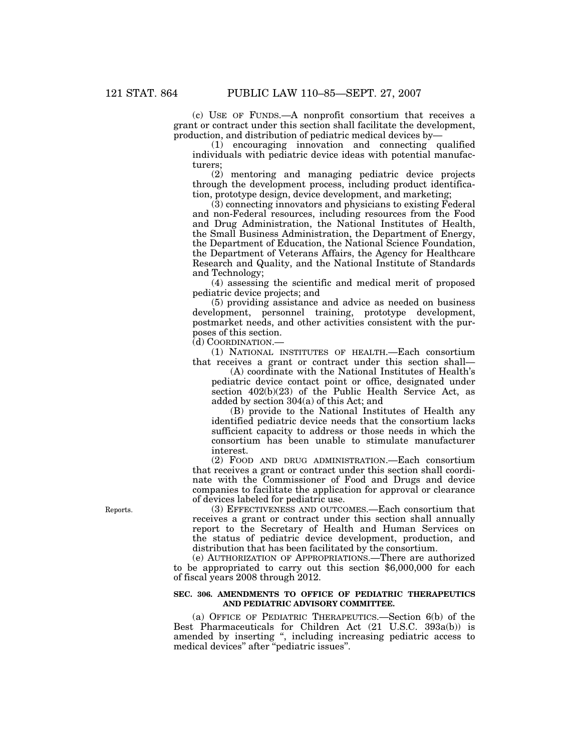(c) USE OF FUNDS.—A nonprofit consortium that receives a grant or contract under this section shall facilitate the development, production, and distribution of pediatric medical devices by—

(1) encouraging innovation and connecting qualified individuals with pediatric device ideas with potential manufacturers;

(2) mentoring and managing pediatric device projects through the development process, including product identification, prototype design, device development, and marketing;

 $(3)$  connecting innovators and physicians to existing Federal and non-Federal resources, including resources from the Food and Drug Administration, the National Institutes of Health, the Small Business Administration, the Department of Energy, the Department of Education, the National Science Foundation, the Department of Veterans Affairs, the Agency for Healthcare Research and Quality, and the National Institute of Standards and Technology;

(4) assessing the scientific and medical merit of proposed pediatric device projects; and

(5) providing assistance and advice as needed on business development, personnel training, prototype development, postmarket needs, and other activities consistent with the purposes of this section.

(d) COORDINATION.—

(1) NATIONAL INSTITUTES OF HEALTH.—Each consortium that receives a grant or contract under this section shall—

(A) coordinate with the National Institutes of Health's pediatric device contact point or office, designated under section 402(b)(23) of the Public Health Service Act, as added by section 304(a) of this Act; and

(B) provide to the National Institutes of Health any identified pediatric device needs that the consortium lacks sufficient capacity to address or those needs in which the consortium has been unable to stimulate manufacturer interest.

(2) FOOD AND DRUG ADMINISTRATION.—Each consortium that receives a grant or contract under this section shall coordinate with the Commissioner of Food and Drugs and device companies to facilitate the application for approval or clearance of devices labeled for pediatric use.

(3) EFFECTIVENESS AND OUTCOMES.—Each consortium that receives a grant or contract under this section shall annually report to the Secretary of Health and Human Services on the status of pediatric device development, production, and distribution that has been facilitated by the consortium.

(e) AUTHORIZATION OF APPROPRIATIONS.—There are authorized to be appropriated to carry out this section \$6,000,000 for each of fiscal years 2008 through 2012.

## **SEC. 306. AMENDMENTS TO OFFICE OF PEDIATRIC THERAPEUTICS AND PEDIATRIC ADVISORY COMMITTEE.**

(a) OFFICE OF PEDIATRIC THERAPEUTICS.—Section 6(b) of the Best Pharmaceuticals for Children Act (21 U.S.C. 393a(b)) is amended by inserting '', including increasing pediatric access to medical devices'' after ''pediatric issues''.

Reports.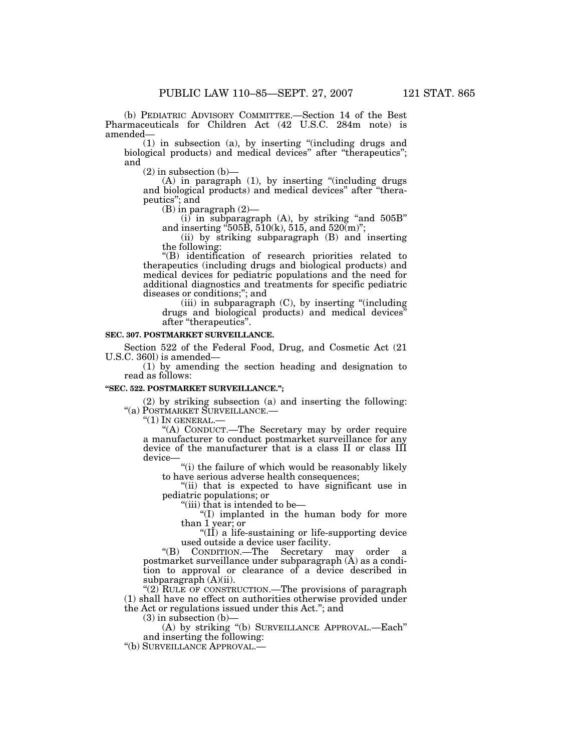(b) PEDIATRIC ADVISORY COMMITTEE.—Section 14 of the Best Pharmaceuticals for Children Act (42 U.S.C. 284m note) is amended—

(1) in subsection (a), by inserting ''(including drugs and biological products) and medical devices'' after ''therapeutics''; and

 $(2)$  in subsection  $(b)$ —

(A) in paragraph (1), by inserting ''(including drugs and biological products) and medical devices'' after ''therapeutics''; and

(B) in paragraph (2)—

 $(i)$  in subparagraph  $(A)$ , by striking "and  $505B$ " and inserting  ${}^{6}$ 505B, 510(k), 515, and 520(m)'';

(ii) by striking subparagraph (B) and inserting the following:

''(B) identification of research priorities related to therapeutics (including drugs and biological products) and medical devices for pediatric populations and the need for additional diagnostics and treatments for specific pediatric diseases or conditions;''; and

(iii) in subparagraph (C), by inserting ''(including drugs and biological products) and medical devices'' after ''therapeutics''.

## **SEC. 307. POSTMARKET SURVEILLANCE.**

Section 522 of the Federal Food, Drug, and Cosmetic Act (21 U.S.C. 360l) is amended—

(1) by amending the section heading and designation to read as follows:

## **''SEC. 522. POSTMARKET SURVEILLANCE.'';**

(2) by striking subsection (a) and inserting the following: "(a)  $POSIMARKET SURVEILLANCE$ .

"(1) IN GENERAL.—<br>"(A) CONDUCT.— The Secretary may by order require a manufacturer to conduct postmarket surveillance for any device of the manufacturer that is a class II or class III device—

"(i) the failure of which would be reasonably likely to have serious adverse health consequences;

''(ii) that is expected to have significant use in pediatric populations; or

''(iii) that is intended to be—

''(I) implanted in the human body for more than 1 year; or

''(II) a life-sustaining or life-supporting device used outside a device user facility.<br>
"(B) CONDITION — The Secretary

CONDITION.—The Secretary may order a postmarket surveillance under subparagraph (A) as a condition to approval or clearance of a device described in subparagraph (A)(ii).

"(2) RULE OF CONSTRUCTION.—The provisions of paragraph (1) shall have no effect on authorities otherwise provided under the Act or regulations issued under this Act.''; and

 $(3)$  in subsection  $(b)$ –

(A) by striking ''(b) SURVEILLANCE APPROVAL.—Each'' and inserting the following:

''(b) SURVEILLANCE APPROVAL.—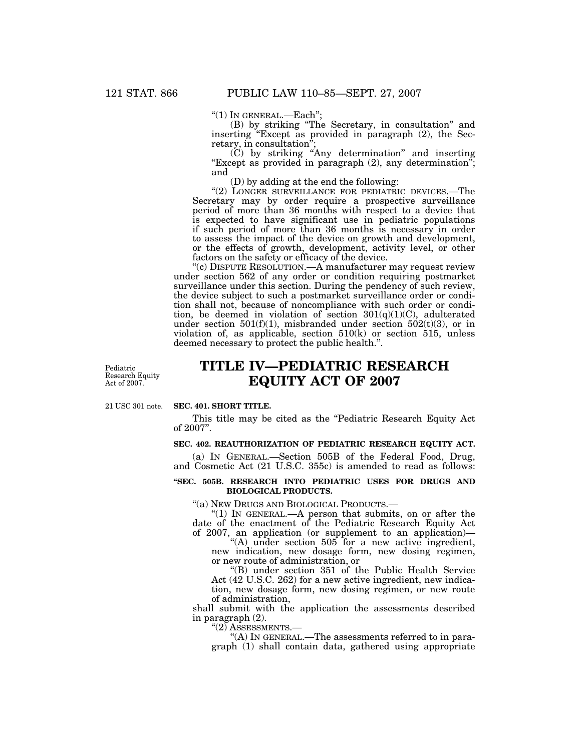" $(1)$  In GENERAL.—Each";

(B) by striking ''The Secretary, in consultation'' and inserting ''Except as provided in paragraph (2), the Secretary, in consultation'';

(C) by striking ''Any determination'' and inserting "Except as provided in paragraph (2), any determination"; and

(D) by adding at the end the following:

"(2) LONGER SURVEILLANCE FOR PEDIATRIC DEVICES.-The Secretary may by order require a prospective surveillance period of more than 36 months with respect to a device that is expected to have significant use in pediatric populations if such period of more than 36 months is necessary in order to assess the impact of the device on growth and development, or the effects of growth, development, activity level, or other factors on the safety or efficacy of the device.

''(c) DISPUTE RESOLUTION.—A manufacturer may request review under section 562 of any order or condition requiring postmarket surveillance under this section. During the pendency of such review, the device subject to such a postmarket surveillance order or condition shall not, because of noncompliance with such order or condition, be deemed in violation of section  $301(q)(1)(C)$ , adulterated under section  $501(f)(1)$ , misbranded under section  $502(t)(3)$ , or in violation of, as applicable, section 510(k) or section 515, unless deemed necessary to protect the public health.''.

Pediatric Research Equity Act of 2007.

# **TITLE IV—PEDIATRIC RESEARCH EQUITY ACT OF 2007**

21 USC 301 note.

### **SEC. 401. SHORT TITLE.**

This title may be cited as the ''Pediatric Research Equity Act of 2007''.

## **SEC. 402. REAUTHORIZATION OF PEDIATRIC RESEARCH EQUITY ACT.**

(a) IN GENERAL.—Section 505B of the Federal Food, Drug, and Cosmetic Act (21 U.S.C. 355c) is amended to read as follows:

## **''SEC. 505B. RESEARCH INTO PEDIATRIC USES FOR DRUGS AND BIOLOGICAL PRODUCTS.**

''(a) NEW DRUGS AND BIOLOGICAL PRODUCTS.—

"(1) In GENERAL.—A person that submits, on or after the date of the enactment of the Pediatric Research Equity Act of 2007, an application (or supplement to an application)—

"(A) under section  $505$  for a new active ingredient, new indication, new dosage form, new dosing regimen, or new route of administration, or

''(B) under section 351 of the Public Health Service Act (42 U.S.C. 262) for a new active ingredient, new indication, new dosage form, new dosing regimen, or new route of administration,

shall submit with the application the assessments described in paragraph  $(2)$ .<br>" $(2)$  ASSESSMENTS.—

" $(A)$  In GENERAL.—The assessments referred to in paragraph (1) shall contain data, gathered using appropriate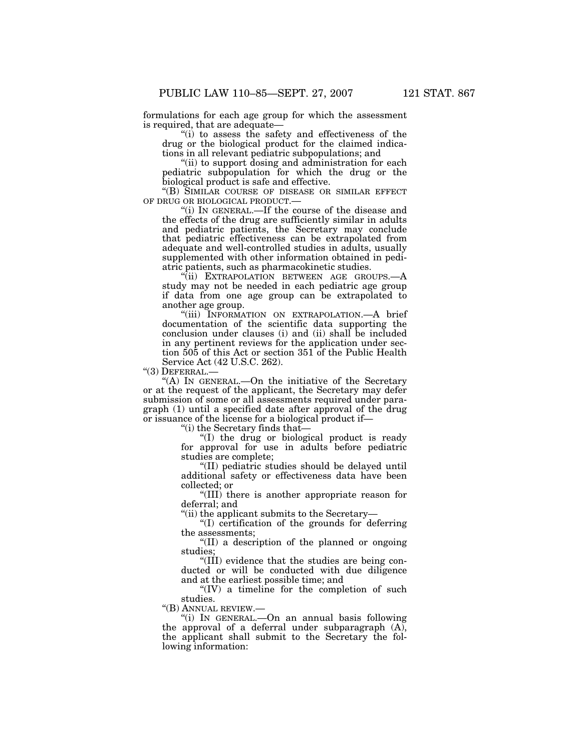formulations for each age group for which the assessment is required, that are adequate—

''(i) to assess the safety and effectiveness of the drug or the biological product for the claimed indications in all relevant pediatric subpopulations; and

''(ii) to support dosing and administration for each pediatric subpopulation for which the drug or the biological product is safe and effective.

"(B) SIMILAR COURSE OF DISEASE OR SIMILAR EFFECT OF DRUG OR BIOLOGICAL PRODUCT.—

(i) In GENERAL.—If the course of the disease and the effects of the drug are sufficiently similar in adults and pediatric patients, the Secretary may conclude that pediatric effectiveness can be extrapolated from adequate and well-controlled studies in adults, usually supplemented with other information obtained in pediatric patients, such as pharmacokinetic studies.

"(ii) EXTRAPOLATION BETWEEN AGE GROUPS.—A study may not be needed in each pediatric age group if data from one age group can be extrapolated to another age group.

''(iii) INFORMATION ON EXTRAPOLATION.—A brief documentation of the scientific data supporting the conclusion under clauses (i) and (ii) shall be included in any pertinent reviews for the application under section 505 of this Act or section 351 of the Public Health Service Act (42 U.S.C. 262).

"(3) DEFERRAL.-

''(A) IN GENERAL.—On the initiative of the Secretary or at the request of the applicant, the Secretary may defer submission of some or all assessments required under paragraph (1) until a specified date after approval of the drug or issuance of the license for a biological product if—

''(i) the Secretary finds that—

''(I) the drug or biological product is ready for approval for use in adults before pediatric studies are complete;

''(II) pediatric studies should be delayed until additional safety or effectiveness data have been collected; or

''(III) there is another appropriate reason for deferral; and

''(ii) the applicant submits to the Secretary—

''(I) certification of the grounds for deferring the assessments;

''(II) a description of the planned or ongoing studies;

''(III) evidence that the studies are being conducted or will be conducted with due diligence and at the earliest possible time; and

''(IV) a timeline for the completion of such studies.

''(B) ANNUAL REVIEW.—

''(i) IN GENERAL.—On an annual basis following the approval of a deferral under subparagraph (A), the applicant shall submit to the Secretary the following information: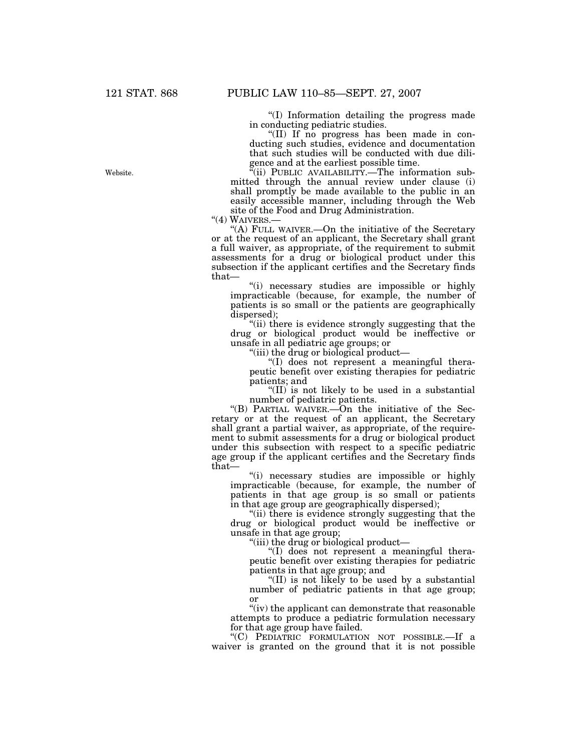''(I) Information detailing the progress made in conducting pediatric studies.

"(II) If no progress has been made in conducting such studies, evidence and documentation that such studies will be conducted with due diligence and at the earliest possible time.

"(ii) PUBLIC AVAILABILITY.—The information submitted through the annual review under clause (i) shall promptly be made available to the public in an easily accessible manner, including through the Web site of the Food and Drug Administration.<br>"(4) WAIVERS.—

"(A) FULL WAIVER.—On the initiative of the Secretary or at the request of an applicant, the Secretary shall grant a full waiver, as appropriate, of the requirement to submit assessments for a drug or biological product under this subsection if the applicant certifies and the Secretary finds that—

''(i) necessary studies are impossible or highly impracticable (because, for example, the number of patients is so small or the patients are geographically dispersed);

''(ii) there is evidence strongly suggesting that the drug or biological product would be ineffective or unsafe in all pediatric age groups; or

''(iii) the drug or biological product—

''(I) does not represent a meaningful therapeutic benefit over existing therapies for pediatric patients; and

''(II) is not likely to be used in a substantial number of pediatric patients.

''(B) PARTIAL WAIVER.—On the initiative of the Secretary or at the request of an applicant, the Secretary shall grant a partial waiver, as appropriate, of the requirement to submit assessments for a drug or biological product under this subsection with respect to a specific pediatric age group if the applicant certifies and the Secretary finds that—

''(i) necessary studies are impossible or highly impracticable (because, for example, the number of patients in that age group is so small or patients in that age group are geographically dispersed);

''(ii) there is evidence strongly suggesting that the drug or biological product would be ineffective or unsafe in that age group;

''(iii) the drug or biological product—

''(I) does not represent a meaningful therapeutic benefit over existing therapies for pediatric patients in that age group; and

"(II) is not likely to be used by a substantial number of pediatric patients in that age group; or

''(iv) the applicant can demonstrate that reasonable attempts to produce a pediatric formulation necessary for that age group have failed.

''(C) PEDIATRIC FORMULATION NOT POSSIBLE.—If a waiver is granted on the ground that it is not possible

Website.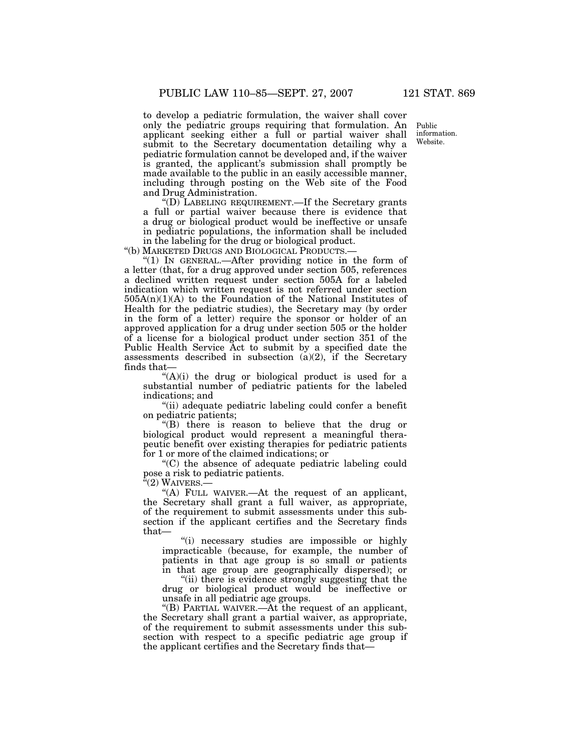to develop a pediatric formulation, the waiver shall cover only the pediatric groups requiring that formulation. An applicant seeking either a full or partial waiver shall submit to the Secretary documentation detailing why a pediatric formulation cannot be developed and, if the waiver is granted, the applicant's submission shall promptly be made available to the public in an easily accessible manner, including through posting on the Web site of the Food and Drug Administration.

''(D) LABELING REQUIREMENT.—If the Secretary grants a full or partial waiver because there is evidence that a drug or biological product would be ineffective or unsafe in pediatric populations, the information shall be included in the labeling for the drug or biological product.

''(b) MARKETED DRUGS AND BIOLOGICAL PRODUCTS.—

"(1) IN GENERAL.—After providing notice in the form of a letter (that, for a drug approved under section 505, references a declined written request under section 505A for a labeled indication which written request is not referred under section  $505A(n)(1)(A)$  to the Foundation of the National Institutes of Health for the pediatric studies), the Secretary may (by order in the form of a letter) require the sponsor or holder of an approved application for a drug under section 505 or the holder of a license for a biological product under section 351 of the Public Health Service Act to submit by a specified date the assessments described in subsection  $(a)(2)$ , if the Secretary finds that—

"(A)(i) the drug or biological product is used for a substantial number of pediatric patients for the labeled indications; and

''(ii) adequate pediatric labeling could confer a benefit on pediatric patients;

''(B) there is reason to believe that the drug or biological product would represent a meaningful therapeutic benefit over existing therapies for pediatric patients for 1 or more of the claimed indications; or

''(C) the absence of adequate pediatric labeling could pose a risk to pediatric patients.

''(2) WAIVERS.—

"(A) FULL WAIVER.—At the request of an applicant, the Secretary shall grant a full waiver, as appropriate, of the requirement to submit assessments under this subsection if the applicant certifies and the Secretary finds that—

''(i) necessary studies are impossible or highly impracticable (because, for example, the number of patients in that age group is so small or patients in that age group are geographically dispersed); or

"(ii) there is evidence strongly suggesting that the drug or biological product would be ineffective or unsafe in all pediatric age groups.

''(B) PARTIAL WAIVER.—At the request of an applicant, the Secretary shall grant a partial waiver, as appropriate, of the requirement to submit assessments under this subsection with respect to a specific pediatric age group if the applicant certifies and the Secretary finds that—

Public information. Website.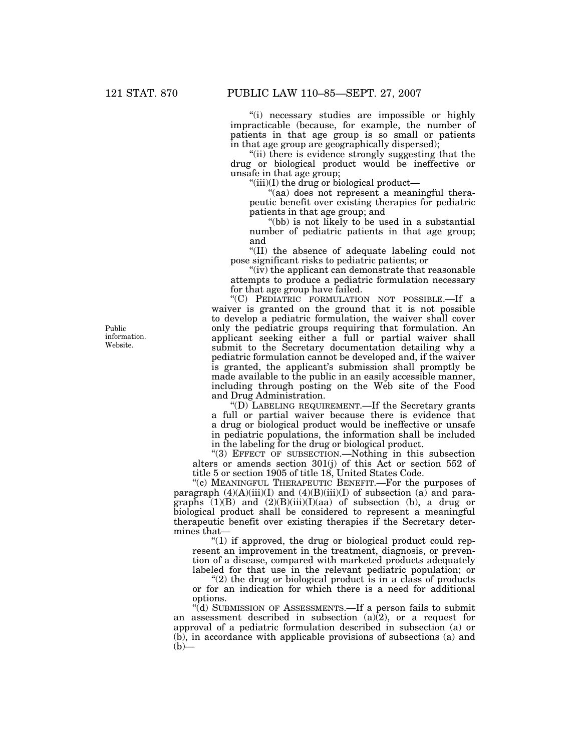''(i) necessary studies are impossible or highly impracticable (because, for example, the number of patients in that age group is so small or patients in that age group are geographically dispersed);

''(ii) there is evidence strongly suggesting that the drug or biological product would be ineffective or unsafe in that age group;

"(iii)(I) the drug or biological product—

"(aa) does not represent a meaningful therapeutic benefit over existing therapies for pediatric patients in that age group; and

"(bb) is not likely to be used in a substantial number of pediatric patients in that age group; and

''(II) the absence of adequate labeling could not pose significant risks to pediatric patients; or

"(iv) the applicant can demonstrate that reasonable attempts to produce a pediatric formulation necessary for that age group have failed.

''(C) PEDIATRIC FORMULATION NOT POSSIBLE.—If a waiver is granted on the ground that it is not possible to develop a pediatric formulation, the waiver shall cover only the pediatric groups requiring that formulation. An applicant seeking either a full or partial waiver shall submit to the Secretary documentation detailing why a pediatric formulation cannot be developed and, if the waiver is granted, the applicant's submission shall promptly be made available to the public in an easily accessible manner, including through posting on the Web site of the Food and Drug Administration.

''(D) LABELING REQUIREMENT.—If the Secretary grants a full or partial waiver because there is evidence that a drug or biological product would be ineffective or unsafe in pediatric populations, the information shall be included in the labeling for the drug or biological product.

"(3) EFFECT OF SUBSECTION.—Nothing in this subsection alters or amends section 301(j) of this Act or section 552 of title 5 or section 1905 of title 18, United States Code.

''(c) MEANINGFUL THERAPEUTIC BENEFIT.—For the purposes of paragraph  $(4)(A)(iii)(I)$  and  $(4)(B)(iii)(I)$  of subsection (a) and paragraphs  $(1)(B)$  and  $(2)(B)(iii)(I)(aa)$  of subsection (b), a drug or biological product shall be considered to represent a meaningful therapeutic benefit over existing therapies if the Secretary determines that—

" $(1)$  if approved, the drug or biological product could represent an improvement in the treatment, diagnosis, or prevention of a disease, compared with marketed products adequately labeled for that use in the relevant pediatric population; or

" $(2)$  the drug or biological product is in a class of products or for an indication for which there is a need for additional options.

''(d) SUBMISSION OF ASSESSMENTS.—If a person fails to submit an assessment described in subsection  $(a)(2)$ , or a request for approval of a pediatric formulation described in subsection (a) or (b), in accordance with applicable provisions of subsections (a) and  $(b)$ —

Public information. Website.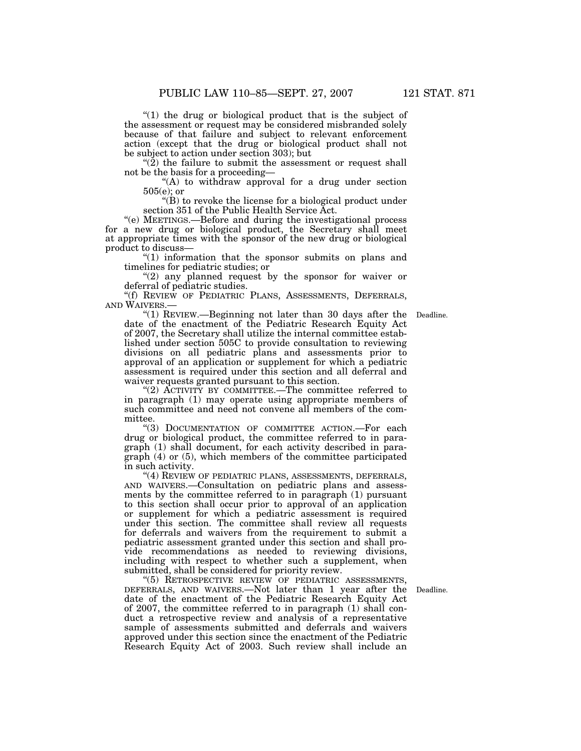"(1) the drug or biological product that is the subject of the assessment or request may be considered misbranded solely because of that failure and subject to relevant enforcement action (except that the drug or biological product shall not be subject to action under section 303); but

 $\tilde{P}(2)$  the failure to submit the assessment or request shall not be the basis for a proceeding—

" $(A)$  to withdraw approval for a drug under section 505(e); or

''(B) to revoke the license for a biological product under section 351 of the Public Health Service Act.

''(e) MEETINGS.—Before and during the investigational process for a new drug or biological product, the Secretary shall meet at appropriate times with the sponsor of the new drug or biological product to discuss—

"(1) information that the sponsor submits on plans and timelines for pediatric studies; or

"(2) any planned request by the sponsor for waiver or deferral of pediatric studies.

''(f) REVIEW OF PEDIATRIC PLANS, ASSESSMENTS, DEFERRALS, AND WAIVERS.—

Deadline.

''(1) REVIEW.—Beginning not later than 30 days after the date of the enactment of the Pediatric Research Equity Act of 2007, the Secretary shall utilize the internal committee established under section 505C to provide consultation to reviewing divisions on all pediatric plans and assessments prior to approval of an application or supplement for which a pediatric assessment is required under this section and all deferral and waiver requests granted pursuant to this section.

"(2)  $\overline{A}$ CTIVITY BY COMMITTEE.—The committee referred to in paragraph (1) may operate using appropriate members of such committee and need not convene all members of the committee.

"(3) DOCUMENTATION OF COMMITTEE ACTION.—For each drug or biological product, the committee referred to in paragraph (1) shall document, for each activity described in paragraph (4) or (5), which members of the committee participated in such activity.

"(4) REVIEW OF PEDIATRIC PLANS, ASSESSMENTS, DEFERRALS, AND WAIVERS.—Consultation on pediatric plans and assessments by the committee referred to in paragraph (1) pursuant to this section shall occur prior to approval of an application or supplement for which a pediatric assessment is required under this section. The committee shall review all requests for deferrals and waivers from the requirement to submit a pediatric assessment granted under this section and shall provide recommendations as needed to reviewing divisions, including with respect to whether such a supplement, when submitted, shall be considered for priority review.

Deadline.

''(5) RETROSPECTIVE REVIEW OF PEDIATRIC ASSESSMENTS, DEFERRALS, AND WAIVERS.—Not later than 1 year after the date of the enactment of the Pediatric Research Equity Act of 2007, the committee referred to in paragraph (1) shall conduct a retrospective review and analysis of a representative sample of assessments submitted and deferrals and waivers approved under this section since the enactment of the Pediatric Research Equity Act of 2003. Such review shall include an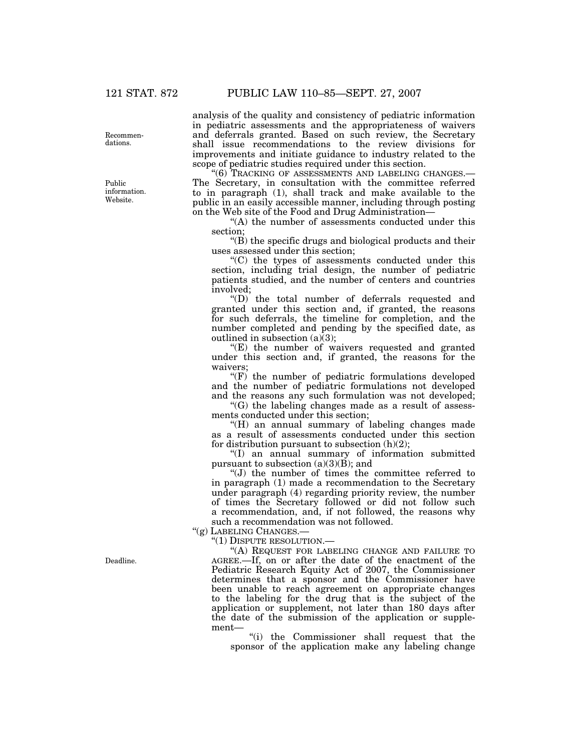Recommendations.

Public information. Website.

analysis of the quality and consistency of pediatric information in pediatric assessments and the appropriateness of waivers and deferrals granted. Based on such review, the Secretary shall issue recommendations to the review divisions for improvements and initiate guidance to industry related to the scope of pediatric studies required under this section.

"(6) TRACKING OF ASSESSMENTS AND LABELING CHANGES.-The Secretary, in consultation with the committee referred to in paragraph (1), shall track and make available to the public in an easily accessible manner, including through posting on the Web site of the Food and Drug Administration—

"(A) the number of assessments conducted under this section;

 $\mathrm{``(B)}$  the specific drugs and biological products and their uses assessed under this section;

''(C) the types of assessments conducted under this section, including trial design, the number of pediatric patients studied, and the number of centers and countries involved;

''(D) the total number of deferrals requested and granted under this section and, if granted, the reasons for such deferrals, the timeline for completion, and the number completed and pending by the specified date, as outlined in subsection  $(a)$  $(3)$ ;

 $E(E)$  the number of waivers requested and granted under this section and, if granted, the reasons for the waivers;

 $(F)$  the number of pediatric formulations developed and the number of pediatric formulations not developed and the reasons any such formulation was not developed;

''(G) the labeling changes made as a result of assessments conducted under this section;

''(H) an annual summary of labeling changes made as a result of assessments conducted under this section for distribution pursuant to subsection  $(h)(2)$ ;

''(I) an annual summary of information submitted pursuant to subsection  $(a)(3)(\overrightarrow{B})$ ; and

''(J) the number of times the committee referred to in paragraph (1) made a recommendation to the Secretary under paragraph (4) regarding priority review, the number of times the Secretary followed or did not follow such a recommendation, and, if not followed, the reasons why such a recommendation was not followed.

''(g) LABELING CHANGES.—

''(1) DISPUTE RESOLUTION.—

''(A) REQUEST FOR LABELING CHANGE AND FAILURE TO AGREE.—If, on or after the date of the enactment of the Pediatric Research Equity Act of 2007, the Commissioner determines that a sponsor and the Commissioner have been unable to reach agreement on appropriate changes to the labeling for the drug that is the subject of the application or supplement, not later than 180 days after the date of the submission of the application or supplement—

''(i) the Commissioner shall request that the sponsor of the application make any labeling change

Deadline.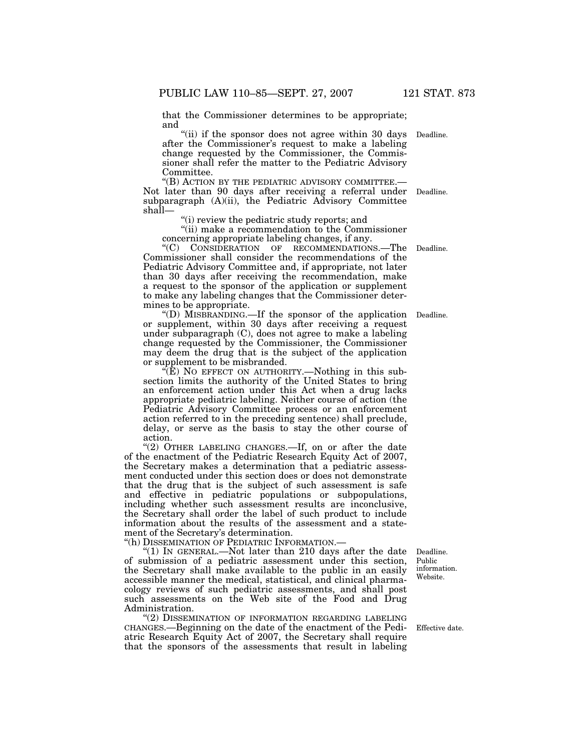that the Commissioner determines to be appropriate; and

"(ii) if the sponsor does not agree within 30 days Deadline. after the Commissioner's request to make a labeling change requested by the Commissioner, the Commissioner shall refer the matter to the Pediatric Advisory Committee.<br>"(B) ACTION BY THE PEDIATRIC ADVISORY COMMITTEE.—

''(B) ACTION BY THE PEDIATRIC ADVISORY COMMITTEE.— Not later than 90 days after receiving a referral under Deadline. subparagraph (A)(ii), the Pediatric Advisory Committee shall—

''(i) review the pediatric study reports; and

''(ii) make a recommendation to the Commissioner concerning appropriate labeling changes, if any.

''(C) CONSIDERATION OF RECOMMENDATIONS.—The Commissioner shall consider the recommendations of the Pediatric Advisory Committee and, if appropriate, not later than 30 days after receiving the recommendation, make a request to the sponsor of the application or supplement to make any labeling changes that the Commissioner determines to be appropriate.

''(D) MISBRANDING.—If the sponsor of the application Deadline. or supplement, within 30 days after receiving a request under subparagraph (C), does not agree to make a labeling change requested by the Commissioner, the Commissioner may deem the drug that is the subject of the application or supplement to be misbranded.

 $\mathcal{F}(\hat{E})$  No EFFECT ON AUTHORITY.—Nothing in this subsection limits the authority of the United States to bring an enforcement action under this Act when a drug lacks appropriate pediatric labeling. Neither course of action (the Pediatric Advisory Committee process or an enforcement action referred to in the preceding sentence) shall preclude, delay, or serve as the basis to stay the other course of action.

"(2) OTHER LABELING CHANGES.—If, on or after the date of the enactment of the Pediatric Research Equity Act of 2007, the Secretary makes a determination that a pediatric assessment conducted under this section does or does not demonstrate that the drug that is the subject of such assessment is safe and effective in pediatric populations or subpopulations, including whether such assessment results are inconclusive, the Secretary shall order the label of such product to include information about the results of the assessment and a statement of the Secretary's determination.

''(h) DISSEMINATION OF PEDIATRIC INFORMATION.—

" $(1)$  In GENERAL.—Not later than 210 days after the date of submission of a pediatric assessment under this section, the Secretary shall make available to the public in an easily accessible manner the medical, statistical, and clinical pharmacology reviews of such pediatric assessments, and shall post such assessments on the Web site of the Food and Drug Administration.

''(2) DISSEMINATION OF INFORMATION REGARDING LABELING CHANGES.—Beginning on the date of the enactment of the Pediatric Research Equity Act of 2007, the Secretary shall require that the sponsors of the assessments that result in labeling

Deadline. Public information. Website.

Deadline.

Effective date.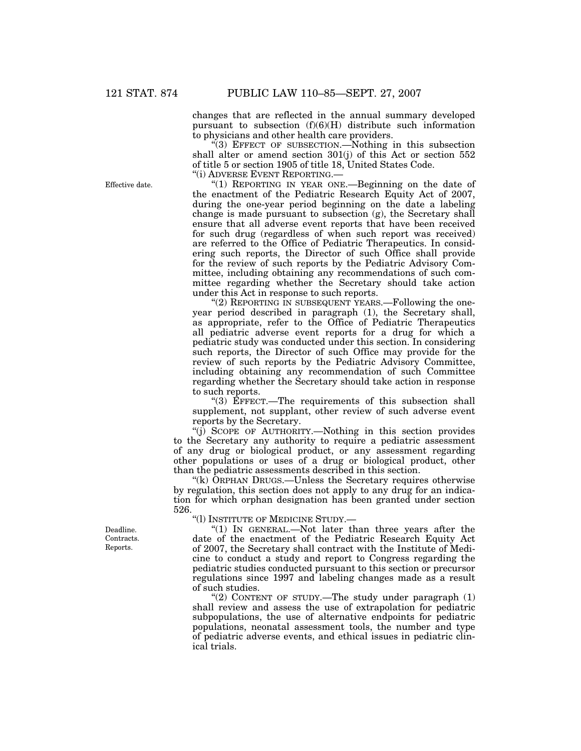changes that are reflected in the annual summary developed pursuant to subsection (f)(6)(H) distribute such information to physicians and other health care providers.

"(3) EFFECT OF SUBSECTION.—Nothing in this subsection shall alter or amend section 301(j) of this Act or section 552 of title 5 or section 1905 of title 18, United States Code. ''(i) ADVERSE EVENT REPORTING.—

''(1) REPORTING IN YEAR ONE.—Beginning on the date of the enactment of the Pediatric Research Equity Act of 2007, during the one-year period beginning on the date a labeling change is made pursuant to subsection (g), the Secretary shall ensure that all adverse event reports that have been received for such drug (regardless of when such report was received) are referred to the Office of Pediatric Therapeutics. In considering such reports, the Director of such Office shall provide for the review of such reports by the Pediatric Advisory Committee, including obtaining any recommendations of such committee regarding whether the Secretary should take action under this Act in response to such reports.

"(2) REPORTING IN SUBSEQUENT YEARS.—Following the oneyear period described in paragraph (1), the Secretary shall, as appropriate, refer to the Office of Pediatric Therapeutics all pediatric adverse event reports for a drug for which a pediatric study was conducted under this section. In considering such reports, the Director of such Office may provide for the review of such reports by the Pediatric Advisory Committee, including obtaining any recommendation of such Committee regarding whether the Secretary should take action in response to such reports.

"(3) EFFECT.—The requirements of this subsection shall supplement, not supplant, other review of such adverse event reports by the Secretary.

''(j) SCOPE OF AUTHORITY.—Nothing in this section provides to the Secretary any authority to require a pediatric assessment of any drug or biological product, or any assessment regarding other populations or uses of a drug or biological product, other than the pediatric assessments described in this section.

"(k) ORPHAN DRUGS.—Unless the Secretary requires otherwise by regulation, this section does not apply to any drug for an indication for which orphan designation has been granted under section 526.

''(l) INSTITUTE OF MEDICINE STUDY.—

"(1) IN GENERAL.—Not later than three years after the date of the enactment of the Pediatric Research Equity Act of 2007, the Secretary shall contract with the Institute of Medicine to conduct a study and report to Congress regarding the pediatric studies conducted pursuant to this section or precursor regulations since 1997 and labeling changes made as a result of such studies.

"(2) CONTENT OF STUDY.—The study under paragraph  $(1)$ shall review and assess the use of extrapolation for pediatric subpopulations, the use of alternative endpoints for pediatric populations, neonatal assessment tools, the number and type of pediatric adverse events, and ethical issues in pediatric clinical trials.

Deadline. Contracts. Reports.

Effective date.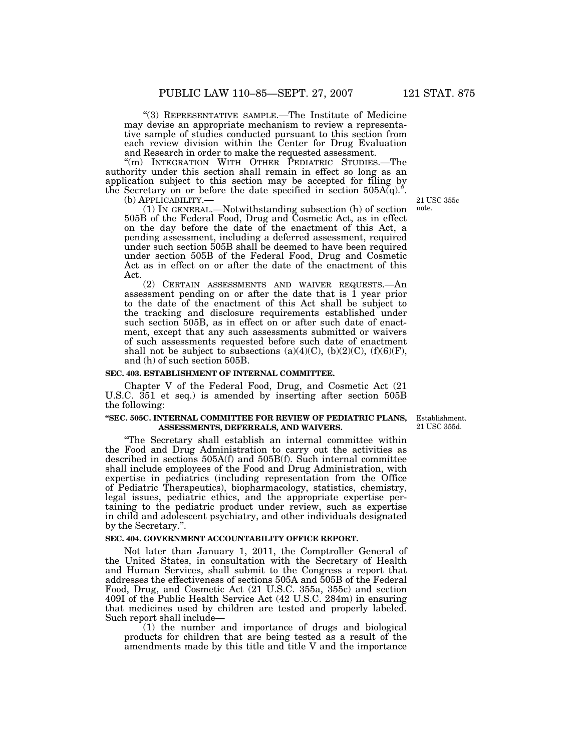''(3) REPRESENTATIVE SAMPLE.—The Institute of Medicine may devise an appropriate mechanism to review a representative sample of studies conducted pursuant to this section from each review division within the Center for Drug Evaluation and Research in order to make the requested assessment.

''(m) INTEGRATION WITH OTHER PEDIATRIC STUDIES.—The authority under this section shall remain in effect so long as an application subject to this section may be accepted for filing by the Secretary on or before the date specified in section  $505A(q)$ .".<br>(b) APPLICABILITY.—

(b) APPLICABILITY.—<br>(1) IN GENERAL.—Notwithstanding subsection (h) of section 505B of the Federal Food, Drug and Cosmetic Act, as in effect on the day before the date of the enactment of this Act, a pending assessment, including a deferred assessment, required under such section 505B shall be deemed to have been required under section 505B of the Federal Food, Drug and Cosmetic Act as in effect on or after the date of the enactment of this Act.

(2) CERTAIN ASSESSMENTS AND WAIVER REQUESTS.—An assessment pending on or after the date that is 1 year prior to the date of the enactment of this Act shall be subject to the tracking and disclosure requirements established under such section 505B, as in effect on or after such date of enactment, except that any such assessments submitted or waivers of such assessments requested before such date of enactment shall not be subject to subsections (a)(4)(C), (b)(2)(C), (f)(6)(F), and (h) of such section 505B.

#### **SEC. 403. ESTABLISHMENT OF INTERNAL COMMITTEE.**

Chapter V of the Federal Food, Drug, and Cosmetic Act (21 U.S.C. 351 et seq.) is amended by inserting after section 505B the following:

### **''SEC. 505C. INTERNAL COMMITTEE FOR REVIEW OF PEDIATRIC PLANS, ASSESSMENTS, DEFERRALS, AND WAIVERS.**

''The Secretary shall establish an internal committee within the Food and Drug Administration to carry out the activities as described in sections 505A(f) and 505B(f). Such internal committee shall include employees of the Food and Drug Administration, with expertise in pediatrics (including representation from the Office of Pediatric Therapeutics), biopharmacology, statistics, chemistry, legal issues, pediatric ethics, and the appropriate expertise pertaining to the pediatric product under review, such as expertise in child and adolescent psychiatry, and other individuals designated by the Secretary.''.

#### **SEC. 404. GOVERNMENT ACCOUNTABILITY OFFICE REPORT.**

Not later than January 1, 2011, the Comptroller General of the United States, in consultation with the Secretary of Health and Human Services, shall submit to the Congress a report that addresses the effectiveness of sections 505A and 505B of the Federal Food, Drug, and Cosmetic Act (21 U.S.C. 355a, 355c) and section 409I of the Public Health Service Act (42 U.S.C. 284m) in ensuring that medicines used by children are tested and properly labeled. Such report shall include—

(1) the number and importance of drugs and biological products for children that are being tested as a result of the amendments made by this title and title V and the importance

Establishment. 21 USC 355d.

21 USC 355c note.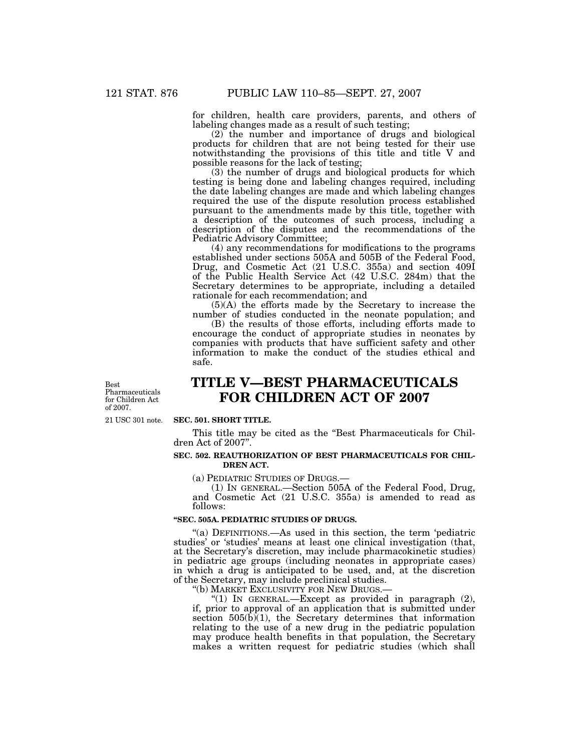for children, health care providers, parents, and others of labeling changes made as a result of such testing;

(2) the number and importance of drugs and biological products for children that are not being tested for their use notwithstanding the provisions of this title and title V and possible reasons for the lack of testing;

(3) the number of drugs and biological products for which testing is being done and labeling changes required, including the date labeling changes are made and which labeling changes required the use of the dispute resolution process established pursuant to the amendments made by this title, together with a description of the outcomes of such process, including a description of the disputes and the recommendations of the Pediatric Advisory Committee;

(4) any recommendations for modifications to the programs established under sections 505A and 505B of the Federal Food, Drug, and Cosmetic Act (21 U.S.C. 355a) and section 409I of the Public Health Service Act (42 U.S.C. 284m) that the Secretary determines to be appropriate, including a detailed rationale for each recommendation; and

(5)(A) the efforts made by the Secretary to increase the number of studies conducted in the neonate population; and

(B) the results of those efforts, including efforts made to encourage the conduct of appropriate studies in neonates by companies with products that have sufficient safety and other information to make the conduct of the studies ethical and safe.

Best Pharmaceuticals for Children Act of 2007.

# **TITLE V—BEST PHARMACEUTICALS FOR CHILDREN ACT OF 2007**

21 USC 301 note.

#### **SEC. 501. SHORT TITLE.**

This title may be cited as the ''Best Pharmaceuticals for Children Act of 2007''.

## **SEC. 502. REAUTHORIZATION OF BEST PHARMACEUTICALS FOR CHIL-DREN ACT.**

(a) PEDIATRIC STUDIES OF DRUGS.—

(1) IN GENERAL.—Section 505A of the Federal Food, Drug, and Cosmetic Act (21 U.S.C. 355a) is amended to read as follows:

### **''SEC. 505A. PEDIATRIC STUDIES OF DRUGS.**

''(a) DEFINITIONS.—As used in this section, the term 'pediatric studies' or 'studies' means at least one clinical investigation (that, at the Secretary's discretion, may include pharmacokinetic studies) in pediatric age groups (including neonates in appropriate cases) in which a drug is anticipated to be used, and, at the discretion of the Secretary, may include preclinical studies.

"(1) IN GENERAL.—Except as provided in paragraph  $(2)$ , if, prior to approval of an application that is submitted under section  $505(b)(1)$ , the Secretary determines that information relating to the use of a new drug in the pediatric population may produce health benefits in that population, the Secretary makes a written request for pediatric studies (which shall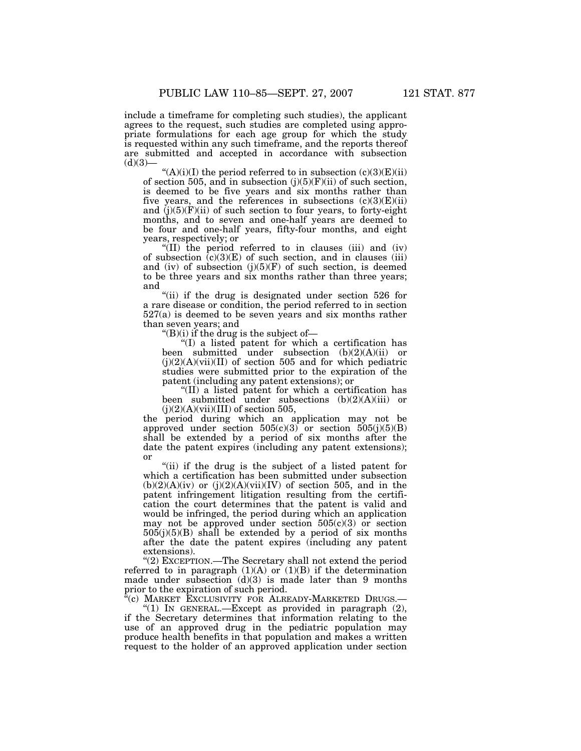include a timeframe for completing such studies), the applicant agrees to the request, such studies are completed using appropriate formulations for each age group for which the study is requested within any such timeframe, and the reports thereof are submitted and accepted in accordance with subsection  $(d)(3)$ 

"(A)(i)(I) the period referred to in subsection  $(c)(3)(E)(ii)$ of section 505, and in subsection  $(j)(5)(F)(ii)$  of such section, is deemed to be five years and six months rather than five years, and the references in subsections  $(c)(3)(E)(ii)$ and  $(i)(5)(F)(ii)$  of such section to four years, to forty-eight months, and to seven and one-half years are deemed to be four and one-half years, fifty-four months, and eight years, respectively; or

"(II) the period referred to in clauses (iii) and (iv) of subsection  $(c)(3)(E)$  of such section, and in clauses (iii) and (iv) of subsection  $(j)(5)(F)$  of such section, is deemed to be three years and six months rather than three years; and

"(ii) if the drug is designated under section 526 for a rare disease or condition, the period referred to in section 527(a) is deemed to be seven years and six months rather than seven years; and

 $\mathrm{H}(\mathrm{B})$ (i) if the drug is the subject of-

''(I) a listed patent for which a certification has been submitted under subsection (b)(2)(A)(ii) or  $(i)(2)(A)(vi)(II)$  of section 505 and for which pediatric studies were submitted prior to the expiration of the patent (including any patent extensions); or

''(II) a listed patent for which a certification has been submitted under subsections (b)(2)(A)(iii) or  $(j)(2)(A)(vii)(III)$  of section 505,

the period during which an application may not be approved under section  $505(c)(3)$  or section  $505(j)(5)(B)$ shall be extended by a period of six months after the date the patent expires (including any patent extensions); or

"(ii) if the drug is the subject of a listed patent for which a certification has been submitted under subsection  $(b)(2)(A)(iv)$  or  $(j)(2)(A)(vii)(IV)$  of section 505, and in the patent infringement litigation resulting from the certification the court determines that the patent is valid and would be infringed, the period during which an application may not be approved under section 505(c)(3) or section  $505(j)(5)(B)$  shall be extended by a period of six months after the date the patent expires (including any patent extensions).

''(2) EXCEPTION.—The Secretary shall not extend the period referred to in paragraph  $(1)(A)$  or  $(1)(B)$  if the determination made under subsection  $(d)(3)$  is made later than 9 months prior to the expiration of such period.

<sup>\*</sup>(c) MARKET EXCLUSIVITY FOR ALREADY-MARKETED DRUGS.-

"(1) IN GENERAL.—Except as provided in paragraph (2), if the Secretary determines that information relating to the use of an approved drug in the pediatric population may produce health benefits in that population and makes a written request to the holder of an approved application under section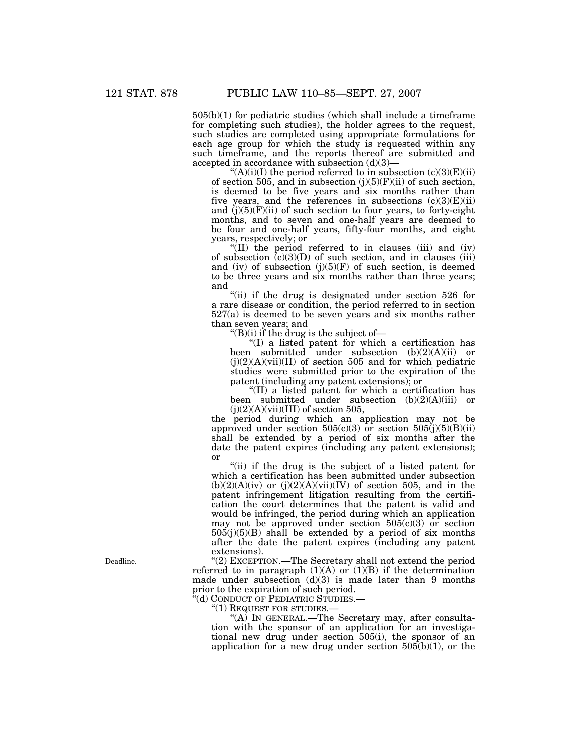505(b)(1) for pediatric studies (which shall include a timeframe for completing such studies), the holder agrees to the request, such studies are completed using appropriate formulations for each age group for which the study is requested within any such timeframe, and the reports thereof are submitted and accepted in accordance with subsection  $(d)(3)$ —

"(A)(i)(I) the period referred to in subsection  $(c)(3)(E)(ii)$ of section 505, and in subsection  $(j)(5)(F)(ii)$  of such section, is deemed to be five years and six months rather than five years, and the references in subsections  $(c)(3)(E)(ii)$ and  $(j)(5)(F)(ii)$  of such section to four years, to forty-eight months, and to seven and one-half years are deemed to be four and one-half years, fifty-four months, and eight years, respectively; or

 $\sqrt[4]{(II)}$  the period referred to in clauses (iii) and (iv) of subsection  $(c)(3)(D)$  of such section, and in clauses (iii) and (iv) of subsection  $(j)(5)(F)$  of such section, is deemed to be three years and six months rather than three years; and

"(ii) if the drug is designated under section 526 for a rare disease or condition, the period referred to in section 527(a) is deemed to be seven years and six months rather than seven years; and

 $\mathrm{H}(B)(i)$  if the drug is the subject of-

''(I) a listed patent for which a certification has been submitted under subsection (b)(2)(A)(ii) or  $(j)(2)(A)(vi)(II)$  of section 505 and for which pediatric studies were submitted prior to the expiration of the patent (including any patent extensions); or

''(II) a listed patent for which a certification has been submitted under subsection (b)(2)(A)(iii) or  $(j)(2)(A)(vii)(III)$  of section 505,

the period during which an application may not be approved under section  $505(c)(3)$  or section  $505(j)(5)(B)(ii)$ shall be extended by a period of six months after the date the patent expires (including any patent extensions); or

"(ii) if the drug is the subject of a listed patent for which a certification has been submitted under subsection  $(b)(2)(A)(iv)$  or  $(j)(2)(A)(vii)(IV)$  of section 505, and in the patent infringement litigation resulting from the certification the court determines that the patent is valid and would be infringed, the period during which an application may not be approved under section 505(c)(3) or section  $505(j)(5)(B)$  shall be extended by a period of six months after the date the patent expires (including any patent extensions).

''(2) EXCEPTION.—The Secretary shall not extend the period referred to in paragraph  $(1)(A)$  or  $(1)(B)$  if the determination made under subsection  $(d)(3)$  is made later than 9 months prior to the expiration of such period.

<sup>t</sup><sup>(d)</sup> CONDUCT OF PEDIATRIC STUDIES.—

''(1) REQUEST FOR STUDIES.—

''(A) IN GENERAL.—The Secretary may, after consultation with the sponsor of an application for an investigational new drug under section 505(i), the sponsor of an application for a new drug under section  $505(b)(1)$ , or the

Deadline.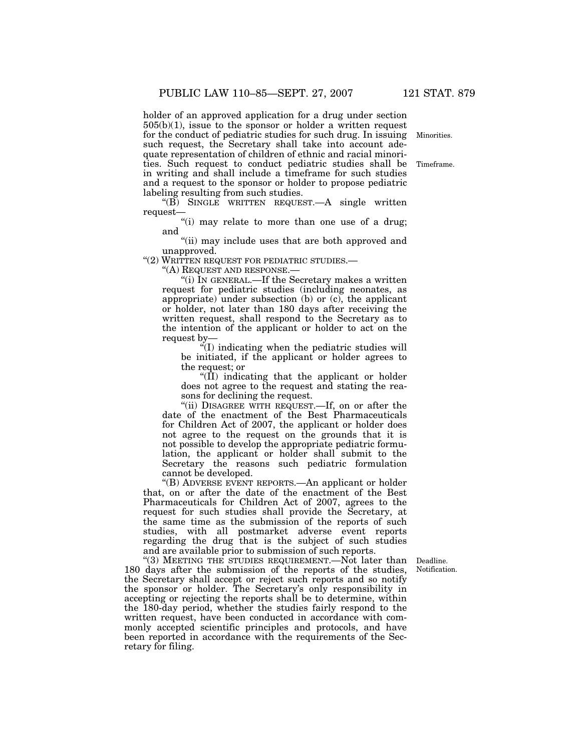holder of an approved application for a drug under section  $505(b)(1)$ , issue to the sponsor or holder a written request for the conduct of pediatric studies for such drug. In issuing such request, the Secretary shall take into account adequate representation of children of ethnic and racial minorities. Such request to conduct pediatric studies shall be in writing and shall include a timeframe for such studies and a request to the sponsor or holder to propose pediatric labeling resulting from such studies.

''(B) SINGLE WRITTEN REQUEST.—A single written request—

"(i) may relate to more than one use of a drug; and

"(ii) may include uses that are both approved and unapproved.

''(2) WRITTEN REQUEST FOR PEDIATRIC STUDIES.—

''(A) REQUEST AND RESPONSE.—

''(i) IN GENERAL.—If the Secretary makes a written request for pediatric studies (including neonates, as appropriate) under subsection (b) or (c), the applicant or holder, not later than 180 days after receiving the written request, shall respond to the Secretary as to the intention of the applicant or holder to act on the request by—

''(I) indicating when the pediatric studies will be initiated, if the applicant or holder agrees to the request; or

" $(\overline{II})$  indicating that the applicant or holder does not agree to the request and stating the reasons for declining the request.

"(ii) DISAGREE WITH REQUEST.—If, on or after the date of the enactment of the Best Pharmaceuticals for Children Act of 2007, the applicant or holder does not agree to the request on the grounds that it is not possible to develop the appropriate pediatric formulation, the applicant or holder shall submit to the Secretary the reasons such pediatric formulation cannot be developed.

''(B) ADVERSE EVENT REPORTS.—An applicant or holder that, on or after the date of the enactment of the Best Pharmaceuticals for Children Act of 2007, agrees to the request for such studies shall provide the Secretary, at the same time as the submission of the reports of such studies, with all postmarket adverse event reports regarding the drug that is the subject of such studies and are available prior to submission of such reports.

> Deadline. Notification.

"(3) MEETING THE STUDIES REQUIREMENT.—Not later than 180 days after the submission of the reports of the studies, the Secretary shall accept or reject such reports and so notify the sponsor or holder. The Secretary's only responsibility in accepting or rejecting the reports shall be to determine, within the 180-day period, whether the studies fairly respond to the written request, have been conducted in accordance with commonly accepted scientific principles and protocols, and have been reported in accordance with the requirements of the Secretary for filing.

Minorities.

Timeframe.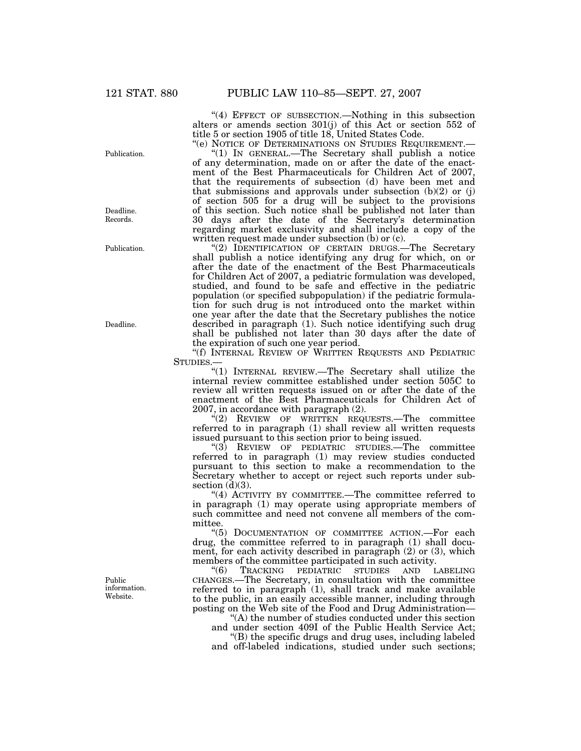"(4) EFFECT OF SUBSECTION.—Nothing in this subsection alters or amends section 301(j) of this Act or section 552 of title 5 or section 1905 of title 18, United States Code.

''(e) NOTICE OF DETERMINATIONS ON STUDIES REQUIREMENT.— ''(1) IN GENERAL.—The Secretary shall publish a notice of any determination, made on or after the date of the enactment of the Best Pharmaceuticals for Children Act of 2007, that the requirements of subsection (d) have been met and that submissions and approvals under subsection (b)(2) or (j) of section 505 for a drug will be subject to the provisions of this section. Such notice shall be published not later than 30 days after the date of the Secretary's determination regarding market exclusivity and shall include a copy of the written request made under subsection (b) or (c).

''(2) IDENTIFICATION OF CERTAIN DRUGS.—The Secretary shall publish a notice identifying any drug for which, on or after the date of the enactment of the Best Pharmaceuticals for Children Act of 2007, a pediatric formulation was developed, studied, and found to be safe and effective in the pediatric population (or specified subpopulation) if the pediatric formulation for such drug is not introduced onto the market within one year after the date that the Secretary publishes the notice described in paragraph (1). Such notice identifying such drug shall be published not later than 30 days after the date of the expiration of such one year period.

''(f) INTERNAL REVIEW OF WRITTEN REQUESTS AND PEDIATRIC STUDIES.—

"(1) INTERNAL REVIEW.—The Secretary shall utilize the internal review committee established under section 505C to review all written requests issued on or after the date of the enactment of the Best Pharmaceuticals for Children Act of 2007, in accordance with paragraph (2).

''(2) REVIEW OF WRITTEN REQUESTS.—The committee referred to in paragraph (1) shall review all written requests issued pursuant to this section prior to being issued.

''(3) REVIEW OF PEDIATRIC STUDIES.—The committee referred to in paragraph (1) may review studies conducted pursuant to this section to make a recommendation to the Secretary whether to accept or reject such reports under subsection  $(d)(3)$ .

"(4) ACTIVITY BY COMMITTEE.—The committee referred to in paragraph (1) may operate using appropriate members of such committee and need not convene all members of the committee.

"(5) DOCUMENTATION OF COMMITTEE ACTION.—For each drug, the committee referred to in paragraph (1) shall document, for each activity described in paragraph (2) or (3), which members of the committee participated in such activity.

''(6) TRACKING PEDIATRIC STUDIES AND LABELING CHANGES.—The Secretary, in consultation with the committee referred to in paragraph (1), shall track and make available to the public, in an easily accessible manner, including through posting on the Web site of the Food and Drug Administration—

''(A) the number of studies conducted under this section and under section 409I of the Public Health Service Act; ''(B) the specific drugs and drug uses, including labeled and off-labeled indications, studied under such sections;

Publication.

Deadline. Records.

Publication.

Deadline.

Public information. Website.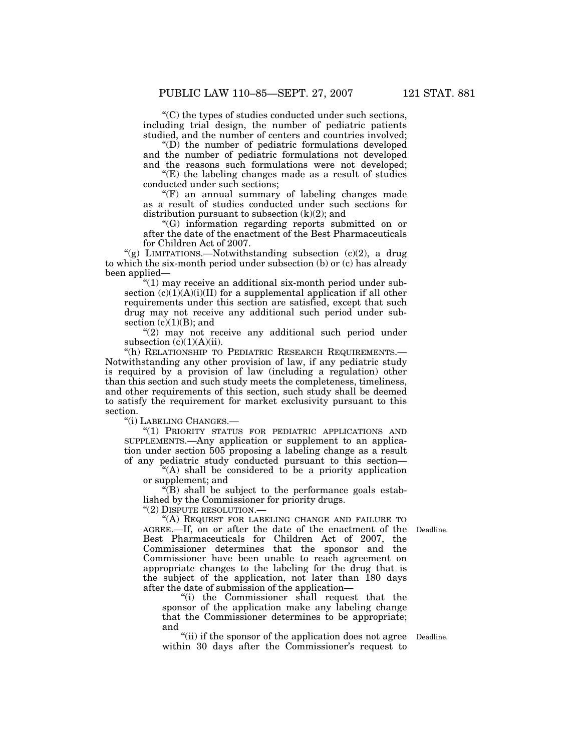''(C) the types of studies conducted under such sections, including trial design, the number of pediatric patients studied, and the number of centers and countries involved;

''(D) the number of pediatric formulations developed and the number of pediatric formulations not developed and the reasons such formulations were not developed;

 $E(E)$  the labeling changes made as a result of studies conducted under such sections;

''(F) an annual summary of labeling changes made as a result of studies conducted under such sections for distribution pursuant to subsection  $(k)(2)$ ; and

''(G) information regarding reports submitted on or after the date of the enactment of the Best Pharmaceuticals for Children Act of 2007.

"(g) LIMITATIONS.—Notwithstanding subsection  $(c)(2)$ , a drug to which the six-month period under subsection (b) or (c) has already been applied—

 $\degree$ (1) may receive an additional six-month period under subsection  $(c)(1)(A)(i)(II)$  for a supplemental application if all other requirements under this section are satisfied, except that such drug may not receive any additional such period under subsection  $(c)(1)(B)$ ; and

"(2) may not receive any additional such period under subsection  $(c)(1)(A)(ii)$ .

''(h) RELATIONSHIP TO PEDIATRIC RESEARCH REQUIREMENTS.— Notwithstanding any other provision of law, if any pediatric study is required by a provision of law (including a regulation) other than this section and such study meets the completeness, timeliness, and other requirements of this section, such study shall be deemed to satisfy the requirement for market exclusivity pursuant to this section.

''(i) LABELING CHANGES.—

''(1) PRIORITY STATUS FOR PEDIATRIC APPLICATIONS AND SUPPLEMENTS.—Any application or supplement to an application under section 505 proposing a labeling change as a result of any pediatric study conducted pursuant to this section—

''(A) shall be considered to be a priority application or supplement; and

 $\sqrt{\text{B}}$ ) shall be subject to the performance goals established by the Commissioner for priority drugs.

''(2) DISPUTE RESOLUTION.—

Deadline.

''(A) REQUEST FOR LABELING CHANGE AND FAILURE TO AGREE.—If, on or after the date of the enactment of the Best Pharmaceuticals for Children Act of 2007, the Commissioner determines that the sponsor and the Commissioner have been unable to reach agreement on appropriate changes to the labeling for the drug that is the subject of the application, not later than 180 days after the date of submission of the application—

''(i) the Commissioner shall request that the sponsor of the application make any labeling change that the Commissioner determines to be appropriate; and

"(ii) if the sponsor of the application does not agree Deadline. within 30 days after the Commissioner's request to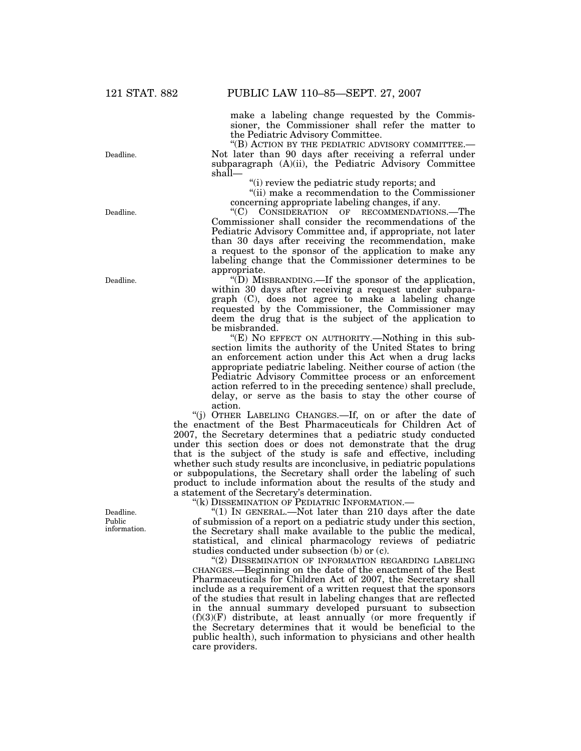make a labeling change requested by the Commissioner, the Commissioner shall refer the matter to the Pediatric Advisory Committee.

''(B) ACTION BY THE PEDIATRIC ADVISORY COMMITTEE.— Not later than 90 days after receiving a referral under subparagraph (A)(ii), the Pediatric Advisory Committee shall—

''(i) review the pediatric study reports; and

''(ii) make a recommendation to the Commissioner concerning appropriate labeling changes, if any.

''(C) CONSIDERATION OF RECOMMENDATIONS.—The Commissioner shall consider the recommendations of the Pediatric Advisory Committee and, if appropriate, not later than 30 days after receiving the recommendation, make a request to the sponsor of the application to make any labeling change that the Commissioner determines to be appropriate.

''(D) MISBRANDING.—If the sponsor of the application, within 30 days after receiving a request under subparagraph (C), does not agree to make a labeling change requested by the Commissioner, the Commissioner may deem the drug that is the subject of the application to be misbranded.

" $(E)$  NO EFFECT ON AUTHORITY.—Nothing in this subsection limits the authority of the United States to bring an enforcement action under this Act when a drug lacks appropriate pediatric labeling. Neither course of action (the Pediatric Advisory Committee process or an enforcement action referred to in the preceding sentence) shall preclude, delay, or serve as the basis to stay the other course of action.

''(j) OTHER LABELING CHANGES.—If, on or after the date of the enactment of the Best Pharmaceuticals for Children Act of 2007, the Secretary determines that a pediatric study conducted under this section does or does not demonstrate that the drug that is the subject of the study is safe and effective, including whether such study results are inconclusive, in pediatric populations or subpopulations, the Secretary shall order the labeling of such product to include information about the results of the study and a statement of the Secretary's determination.

''(k) DISSEMINATION OF PEDIATRIC INFORMATION.—

"(1) IN GENERAL.—Not later than 210 days after the date of submission of a report on a pediatric study under this section, the Secretary shall make available to the public the medical, statistical, and clinical pharmacology reviews of pediatric studies conducted under subsection (b) or (c).

''(2) DISSEMINATION OF INFORMATION REGARDING LABELING CHANGES.—Beginning on the date of the enactment of the Best Pharmaceuticals for Children Act of 2007, the Secretary shall include as a requirement of a written request that the sponsors of the studies that result in labeling changes that are reflected in the annual summary developed pursuant to subsection  $(f)(3)(F)$  distribute, at least annually (or more frequently if the Secretary determines that it would be beneficial to the public health), such information to physicians and other health care providers.

Deadline.

Deadline.

Deadline.

Deadline. Public information.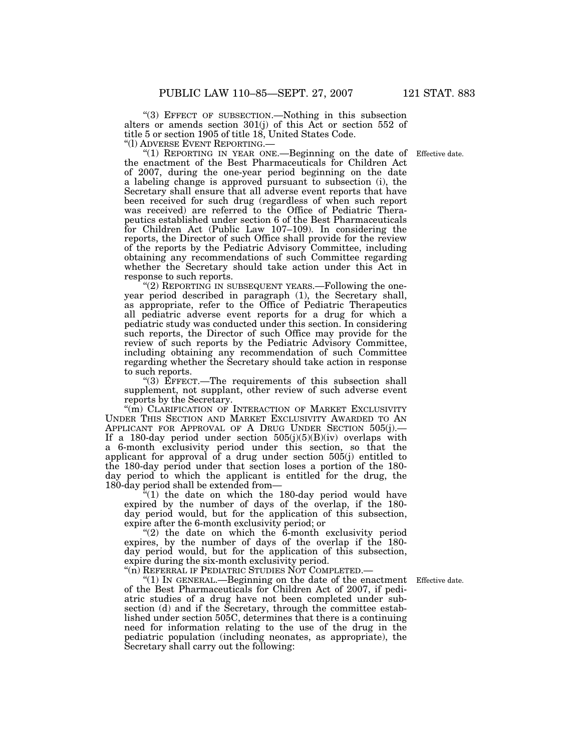''(3) EFFECT OF SUBSECTION.—Nothing in this subsection alters or amends section 301(j) of this Act or section 552 of title 5 or section 1905 of title 18, United States Code.

''(l) ADVERSE EVENT REPORTING.— ''(1) REPORTING IN YEAR ONE.—Beginning on the date of Effective date. the enactment of the Best Pharmaceuticals for Children Act of 2007, during the one-year period beginning on the date a labeling change is approved pursuant to subsection (i), the Secretary shall ensure that all adverse event reports that have been received for such drug (regardless of when such report was received) are referred to the Office of Pediatric Therapeutics established under section 6 of the Best Pharmaceuticals for Children Act (Public Law 107–109). In considering the reports, the Director of such Office shall provide for the review of the reports by the Pediatric Advisory Committee, including obtaining any recommendations of such Committee regarding whether the Secretary should take action under this Act in response to such reports.

"(2) REPORTING IN SUBSEQUENT YEARS.—Following the oneyear period described in paragraph (1), the Secretary shall, as appropriate, refer to the Office of Pediatric Therapeutics all pediatric adverse event reports for a drug for which a pediatric study was conducted under this section. In considering such reports, the Director of such Office may provide for the review of such reports by the Pediatric Advisory Committee, including obtaining any recommendation of such Committee regarding whether the Secretary should take action in response to such reports.

"(3) EFFECT.—The requirements of this subsection shall supplement, not supplant, other review of such adverse event reports by the Secretary.

''(m) CLARIFICATION OF INTERACTION OF MARKET EXCLUSIVITY UNDER THIS SECTION AND MARKET EXCLUSIVITY AWARDED TO AN APPLICANT FOR APPROVAL OF A DRUG UNDER SECTION 505(j).— If a 180-day period under section  $505(j)(5)(B)(iv)$  overlaps with a 6-month exclusivity period under this section, so that the applicant for approval of a drug under section 505(j) entitled to the 180-day period under that section loses a portion of the 180 day period to which the applicant is entitled for the drug, the 180-day period shall be extended from—

"(1) the date on which the 180-day period would have expired by the number of days of the overlap, if the 180 day period would, but for the application of this subsection, expire after the 6-month exclusivity period; or

" $(2)$  the date on which the  $\ddot{6}$ -month exclusivity period expires, by the number of days of the overlap if the 180 day period would, but for the application of this subsection, expire during the six-month exclusivity period.

''(n) REFERRAL IF PEDIATRIC STUDIES NOT COMPLETED.—

" $(1)$  In GENERAL.—Beginning on the date of the enactment Effective date. of the Best Pharmaceuticals for Children Act of 2007, if pediatric studies of a drug have not been completed under subsection (d) and if the Secretary, through the committee established under section 505C, determines that there is a continuing need for information relating to the use of the drug in the pediatric population (including neonates, as appropriate), the Secretary shall carry out the following: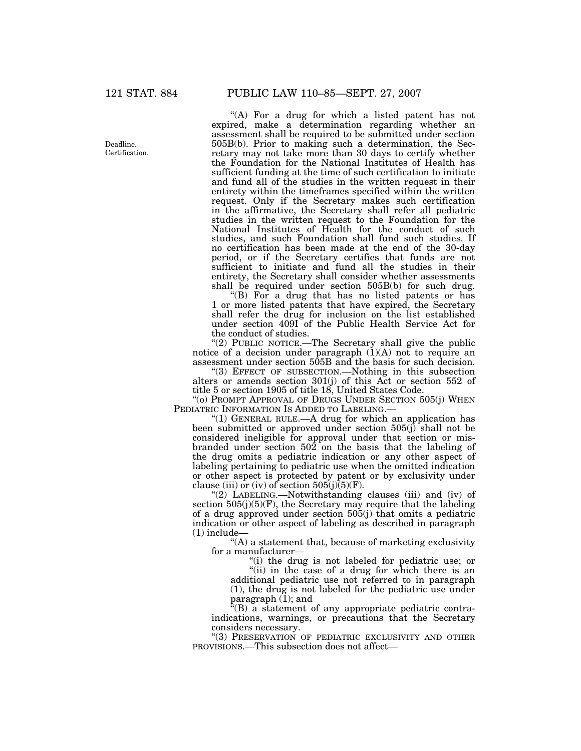"(A) For a drug for which a listed patent has not expired, make a determination regarding whether an assessment shall be required to be submitted under section 505B(b). Prior to making such a determination, the Secretary may not take more than 30 days to certify whether the Foundation for the National Institutes of Health has sufficient funding at the time of such certification to initiate and fund all of the studies in the written request in their entirety within the timeframes specified within the written request. Only if the Secretary makes such certification in the affirmative, the Secretary shall refer all pediatric studies in the written request to the Foundation for the National Institutes of Health for the conduct of such studies, and such Foundation shall fund such studies. If no certification has been made at the end of the 30-day period, or if the Secretary certifies that funds are not sufficient to initiate and fund all the studies in their entirety, the Secretary shall consider whether assessments shall be required under section 505B(b) for such drug.

''(B) For a drug that has no listed patents or has 1 or more listed patents that have expired, the Secretary shall refer the drug for inclusion on the list established under section 409I of the Public Health Service Act for the conduct of studies.

"(2) PUBLIC NOTICE.—The Secretary shall give the public notice of a decision under paragraph  $(1)(A)$  not to require an assessment under section 505B and the basis for such decision.

''(3) EFFECT OF SUBSECTION.—Nothing in this subsection alters or amends section 301(j) of this Act or section 552 of title 5 or section 1905 of title 18, United States Code.

"(o) PROMPT APPROVAL OF DRUGS UNDER SECTION 505(j) WHEN PEDIATRIC INFORMATION IS ADDED TO LABELING.

"(1) GENERAL RULE.—A drug for which an application has been submitted or approved under section 505(j) shall not be considered ineligible for approval under that section or misbranded under section  $502$  on the basis that the labeling of the drug omits a pediatric indication or any other aspect of labeling pertaining to pediatric use when the omitted indication or other aspect is protected by patent or by exclusivity under clause (iii) or (iv) of section  $505(j)(5)(F)$ .

''(2) LABELING.—Notwithstanding clauses (iii) and (iv) of section  $505(j)(5)(F)$ , the Secretary may require that the labeling of a drug approved under section 505(j) that omits a pediatric indication or other aspect of labeling as described in paragraph (1) include—

''(A) a statement that, because of marketing exclusivity for a manufacturer—

''(i) the drug is not labeled for pediatric use; or

"(ii) in the case of a drug for which there is an additional pediatric use not referred to in paragraph (1), the drug is not labeled for the pediatric use under

paragraph (1); and ''(B) a statement of any appropriate pediatric contraindications, warnings, or precautions that the Secretary

considers necessary. "(3) PRESERVATION OF PEDIATRIC EXCLUSIVITY AND OTHER

PROVISIONS.—This subsection does not affect—

Deadline. Certification.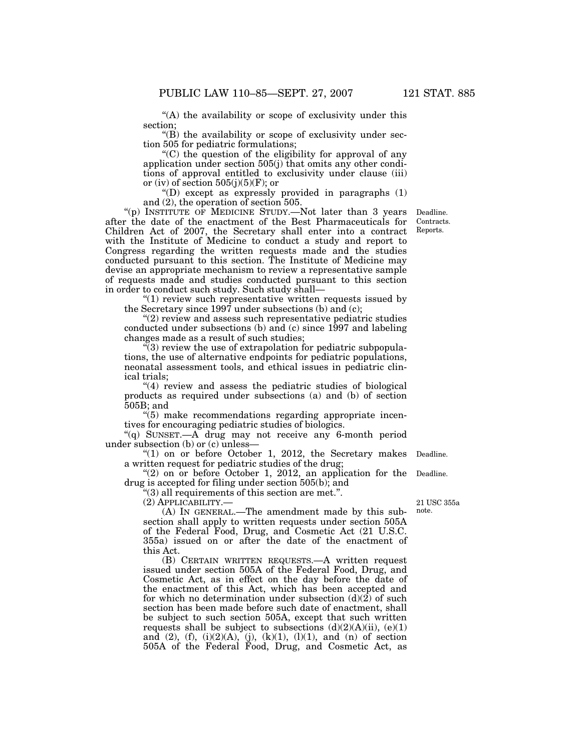"(A) the availability or scope of exclusivity under this section;

 $\mathrm{``(B)}$  the availability or scope of exclusivity under section 505 for pediatric formulations;

 $(C)$  the question of the eligibility for approval of any application under section 505(j) that omits any other conditions of approval entitled to exclusivity under clause (iii) or (iv) of section  $505(j)(5)(F)$ ; or

 $'(D)$  except as expressly provided in paragraphs  $(1)$ and (2), the operation of section 505.

''(p) INSTITUTE OF MEDICINE STUDY.—Not later than 3 years after the date of the enactment of the Best Pharmaceuticals for Children Act of 2007, the Secretary shall enter into a contract with the Institute of Medicine to conduct a study and report to Congress regarding the written requests made and the studies conducted pursuant to this section. The Institute of Medicine may devise an appropriate mechanism to review a representative sample of requests made and studies conducted pursuant to this section in order to conduct such study. Such study shall—

" $(1)$  review such representative written requests issued by the Secretary since 1997 under subsections (b) and (c);

''(2) review and assess such representative pediatric studies conducted under subsections (b) and (c) since  $1\overline{9}97$  and labeling changes made as a result of such studies;

''(3) review the use of extrapolation for pediatric subpopulations, the use of alternative endpoints for pediatric populations, neonatal assessment tools, and ethical issues in pediatric clinical trials;

'(4) review and assess the pediatric studies of biological products as required under subsections (a) and (b) of section 505B; and

"(5) make recommendations regarding appropriate incentives for encouraging pediatric studies of biologics.

''(q) SUNSET.—A drug may not receive any 6-month period under subsection (b) or (c) unless—

" $(1)$  on or before October 1, 2012, the Secretary makes Deadline. a written request for pediatric studies of the drug;

" $(2)$  on or before October 1, 2012, an application for the drug is accepted for filing under section 505(b); and Deadline.

''(3) all requirements of this section are met.''.

(2) APPLICABILITY.—

(A) IN GENERAL.—The amendment made by this subsection shall apply to written requests under section 505A of the Federal Food, Drug, and Cosmetic Act (21 U.S.C. 355a) issued on or after the date of the enactment of this Act.

(B) CERTAIN WRITTEN REQUESTS.—A written request issued under section 505A of the Federal Food, Drug, and Cosmetic Act, as in effect on the day before the date of the enactment of this Act, which has been accepted and for which no determination under subsection  $(d)(2)$  of such section has been made before such date of enactment, shall be subject to such section 505A, except that such written requests shall be subject to subsections  $(d)(2)(A)(ii)$ ,  $(e)(1)$ and (2), (f), (i)(2)(A), (j), (k)(1), (l)(1), and (n) of section 505A of the Federal Food, Drug, and Cosmetic Act, as

21 USC 355a note.

Deadline. Contracts. Reports.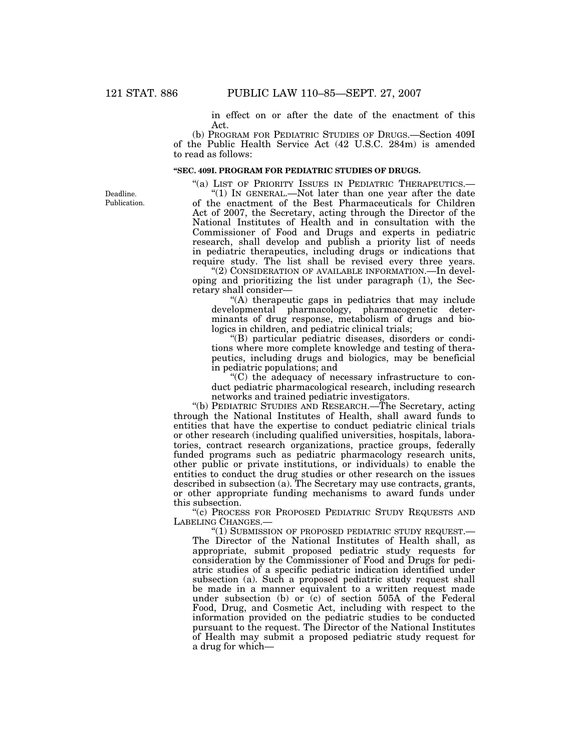in effect on or after the date of the enactment of this Act.

(b) PROGRAM FOR PEDIATRIC STUDIES OF DRUGS.—Section 409I of the Public Health Service Act (42 U.S.C. 284m) is amended to read as follows:

## **''SEC. 409I. PROGRAM FOR PEDIATRIC STUDIES OF DRUGS.**

"(a) LIST OF PRIORITY ISSUES IN PEDIATRIC THERAPEUTICS.-

"(1) IN GENERAL.—Not later than one year after the date of the enactment of the Best Pharmaceuticals for Children Act of 2007, the Secretary, acting through the Director of the National Institutes of Health and in consultation with the Commissioner of Food and Drugs and experts in pediatric research, shall develop and publish a priority list of needs in pediatric therapeutics, including drugs or indications that require study. The list shall be revised every three years.

"(2) CONSIDERATION OF AVAILABLE INFORMATION.—In developing and prioritizing the list under paragraph (1), the Secretary shall consider—

"(A) therapeutic gaps in pediatrics that may include developmental pharmacology, pharmacogenetic determinants of drug response, metabolism of drugs and biologics in children, and pediatric clinical trials;

''(B) particular pediatric diseases, disorders or conditions where more complete knowledge and testing of therapeutics, including drugs and biologics, may be beneficial in pediatric populations; and

''(C) the adequacy of necessary infrastructure to conduct pediatric pharmacological research, including research networks and trained pediatric investigators.

''(b) PEDIATRIC STUDIES AND RESEARCH.—The Secretary, acting through the National Institutes of Health, shall award funds to entities that have the expertise to conduct pediatric clinical trials or other research (including qualified universities, hospitals, laboratories, contract research organizations, practice groups, federally funded programs such as pediatric pharmacology research units, other public or private institutions, or individuals) to enable the entities to conduct the drug studies or other research on the issues described in subsection (a). The Secretary may use contracts, grants, or other appropriate funding mechanisms to award funds under this subsection.

''(c) PROCESS FOR PROPOSED PEDIATRIC STUDY REQUESTS AND LABELING CHANGES.—

''(1) SUBMISSION OF PROPOSED PEDIATRIC STUDY REQUEST.— The Director of the National Institutes of Health shall, as appropriate, submit proposed pediatric study requests for consideration by the Commissioner of Food and Drugs for pediatric studies of a specific pediatric indication identified under subsection (a). Such a proposed pediatric study request shall be made in a manner equivalent to a written request made under subsection (b) or  $(c)$  of section 505A of the Federal Food, Drug, and Cosmetic Act, including with respect to the information provided on the pediatric studies to be conducted pursuant to the request. The Director of the National Institutes of Health may submit a proposed pediatric study request for a drug for which—

Deadline. Publication.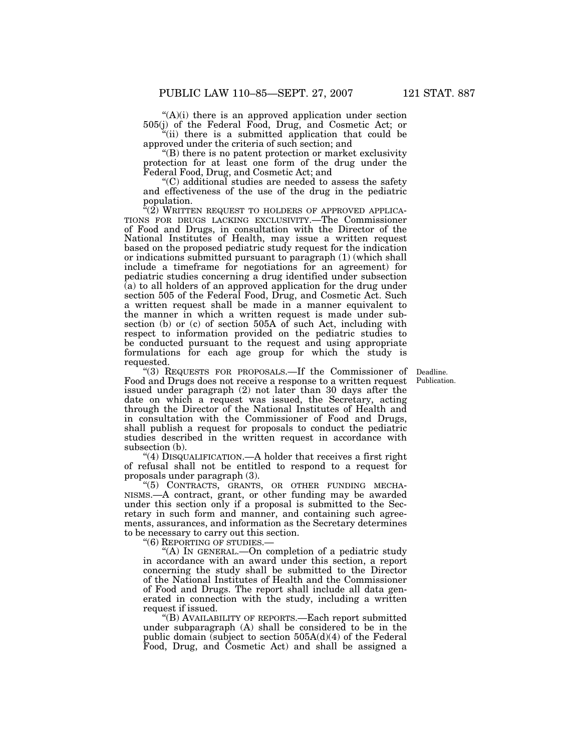" $(A)(i)$  there is an approved application under section 505(j) of the Federal Food, Drug, and Cosmetic Act; or ''(ii) there is a submitted application that could be

approved under the criteria of such section; and

''(B) there is no patent protection or market exclusivity protection for at least one form of the drug under the Federal Food, Drug, and Cosmetic Act; and

''(C) additional studies are needed to assess the safety and effectiveness of the use of the drug in the pediatric population.

''(2) WRITTEN REQUEST TO HOLDERS OF APPROVED APPLICA- TIONS FOR DRUGS LACKING EXCLUSIVITY.—The Commissioner of Food and Drugs, in consultation with the Director of the National Institutes of Health, may issue a written request based on the proposed pediatric study request for the indication or indications submitted pursuant to paragraph (1) (which shall include a timeframe for negotiations for an agreement) for pediatric studies concerning a drug identified under subsection (a) to all holders of an approved application for the drug under section 505 of the Federal Food, Drug, and Cosmetic Act. Such a written request shall be made in a manner equivalent to the manner in which a written request is made under subsection (b) or (c) of section 505A of such Act, including with respect to information provided on the pediatric studies to be conducted pursuant to the request and using appropriate formulations for each age group for which the study is requested.

Publication.

"(3) REQUESTS FOR PROPOSALS.—If the Commissioner of Deadline. Food and Drugs does not receive a response to a written request issued under paragraph (2) not later than 30 days after the date on which a request was issued, the Secretary, acting through the Director of the National Institutes of Health and in consultation with the Commissioner of Food and Drugs, shall publish a request for proposals to conduct the pediatric studies described in the written request in accordance with subsection (b).

"(4) DISQUALIFICATION.—A holder that receives a first right of refusal shall not be entitled to respond to a request for proposals under paragraph (3).

''(5) CONTRACTS, GRANTS, OR OTHER FUNDING MECHA-NISMS.—A contract, grant, or other funding may be awarded under this section only if a proposal is submitted to the Secretary in such form and manner, and containing such agreements, assurances, and information as the Secretary determines to be necessary to carry out this section.

''(6) REPORTING OF STUDIES.—

''(A) IN GENERAL.—On completion of a pediatric study in accordance with an award under this section, a report concerning the study shall be submitted to the Director of the National Institutes of Health and the Commissioner of Food and Drugs. The report shall include all data generated in connection with the study, including a written request if issued.

''(B) AVAILABILITY OF REPORTS.—Each report submitted under subparagraph (A) shall be considered to be in the public domain (subject to section 505A(d)(4) of the Federal Food, Drug, and Cosmetic Act) and shall be assigned a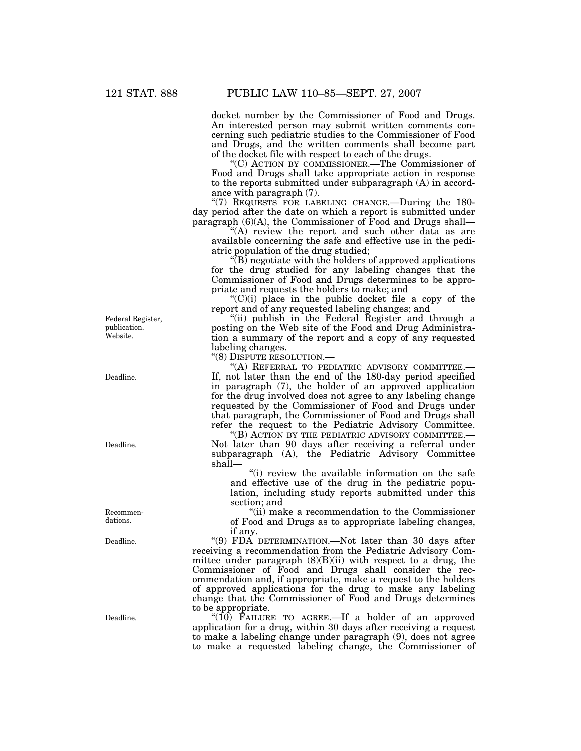docket number by the Commissioner of Food and Drugs. An interested person may submit written comments concerning such pediatric studies to the Commissioner of Food and Drugs, and the written comments shall become part of the docket file with respect to each of the drugs.

''(C) ACTION BY COMMISSIONER.—The Commissioner of Food and Drugs shall take appropriate action in response to the reports submitted under subparagraph (A) in accordance with paragraph (7).

"(7) REQUESTS FOR LABELING CHANGE.—During the 180day period after the date on which a report is submitted under paragraph (6)(A), the Commissioner of Food and Drugs shall—

"(A) review the report and such other data as are available concerning the safe and effective use in the pediatric population of the drug studied;

 $\sqrt{\text{B}}$  negotiate with the holders of approved applications for the drug studied for any labeling changes that the Commissioner of Food and Drugs determines to be appropriate and requests the holders to make; and

" $(C)(i)$  place in the public docket file a copy of the report and of any requested labeling changes; and

"(ii) publish in the Federal Register and through a posting on the Web site of the Food and Drug Administration a summary of the report and a copy of any requested labeling changes.

''(8) DISPUTE RESOLUTION.—

''(A) REFERRAL TO PEDIATRIC ADVISORY COMMITTEE.— If, not later than the end of the 180-day period specified in paragraph (7), the holder of an approved application for the drug involved does not agree to any labeling change requested by the Commissioner of Food and Drugs under that paragraph, the Commissioner of Food and Drugs shall refer the request to the Pediatric Advisory Committee.

''(B) ACTION BY THE PEDIATRIC ADVISORY COMMITTEE.— Not later than 90 days after receiving a referral under subparagraph (A), the Pediatric Advisory Committee shall—

"(i) review the available information on the safe and effective use of the drug in the pediatric population, including study reports submitted under this section; and

''(ii) make a recommendation to the Commissioner of Food and Drugs as to appropriate labeling changes, if any.

''(9) FDA DETERMINATION.—Not later than 30 days after receiving a recommendation from the Pediatric Advisory Committee under paragraph  $(8)(B)(ii)$  with respect to a drug, the Commissioner of Food and Drugs shall consider the recommendation and, if appropriate, make a request to the holders of approved applications for the drug to make any labeling change that the Commissioner of Food and Drugs determines to be appropriate.

" $(10)$  FAILURE TO AGREE.—If a holder of an approved application for a drug, within 30 days after receiving a request to make a labeling change under paragraph (9), does not agree to make a requested labeling change, the Commissioner of

Federal Register, publication. Website.

Deadline.

Deadline.

Recommendations.

Deadline.

Deadline.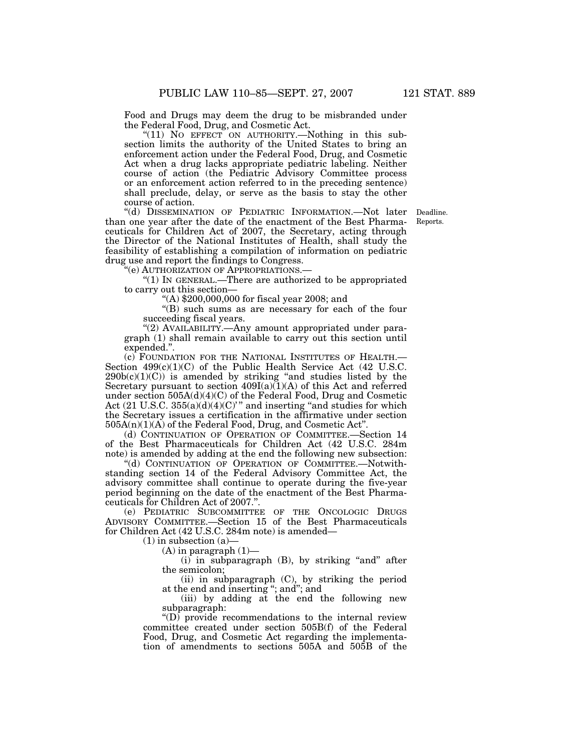Food and Drugs may deem the drug to be misbranded under the Federal Food, Drug, and Cosmetic Act.

"(11) NO EFFECT ON AUTHORITY.—Nothing in this subsection limits the authority of the United States to bring an enforcement action under the Federal Food, Drug, and Cosmetic Act when a drug lacks appropriate pediatric labeling. Neither course of action (the Pediatric Advisory Committee process or an enforcement action referred to in the preceding sentence) shall preclude, delay, or serve as the basis to stay the other course of action.

''(d) DISSEMINATION OF PEDIATRIC INFORMATION.—Not later Deadline. than one year after the date of the enactment of the Best Pharmaceuticals for Children Act of 2007, the Secretary, acting through the Director of the National Institutes of Health, shall study the feasibility of establishing a compilation of information on pediatric drug use and report the findings to Congress.

''(e) AUTHORIZATION OF APPROPRIATIONS.—

''(1) IN GENERAL.—There are authorized to be appropriated to carry out this section—

''(A) \$200,000,000 for fiscal year 2008; and

''(B) such sums as are necessary for each of the four succeeding fiscal years.

"(2) AVAILABILITY.—Any amount appropriated under paragraph (1) shall remain available to carry out this section until expended.''.

(c) FOUNDATION FOR THE NATIONAL INSTITUTES OF HEALTH.— Section  $499(c)(1)(C)$  of the Public Health Service Act (42 U.S.C.  $290b(c)(1)(C)$  is amended by striking "and studies listed by the Secretary pursuant to section  $409I(a)(1)(A)$  of this Act and referred under section 505A(d)(4)(C) of the Federal Food, Drug and Cosmetic Act  $(21 \text{ U.S.C. } 355(a)(d)(4)(C)$ " and inserting "and studies for which the Secretary issues a certification in the affirmative under section 505A(n)(1)(A) of the Federal Food, Drug, and Cosmetic Act''.

(d) CONTINUATION OF OPERATION OF COMMITTEE.—Section 14 of the Best Pharmaceuticals for Children Act (42 U.S.C. 284m note) is amended by adding at the end the following new subsection:

"(d) CONTINUATION OF OPERATION OF COMMITTEE.-Notwithstanding section 14 of the Federal Advisory Committee Act, the advisory committee shall continue to operate during the five-year period beginning on the date of the enactment of the Best Pharmaceuticals for Children Act of 2007.''.

(e) PEDIATRIC SUBCOMMITTEE OF THE ONCOLOGIC DRUGS ADVISORY COMMITTEE.—Section 15 of the Best Pharmaceuticals for Children Act (42 U.S.C. 284m note) is amended—

 $(1)$  in subsection  $(a)$ 

 $(A)$  in paragraph  $(1)$ —

 $(i)$  in subparagraph  $(B)$ , by striking "and" after the semicolon;

(ii) in subparagraph (C), by striking the period at the end and inserting ''; and''; and

(iii) by adding at the end the following new subparagraph:

 $\sqrt{\text{CD}}$  provide recommendations to the internal review committee created under section 505B(f) of the Federal Food, Drug, and Cosmetic Act regarding the implementation of amendments to sections 505A and 505B of the

Reports.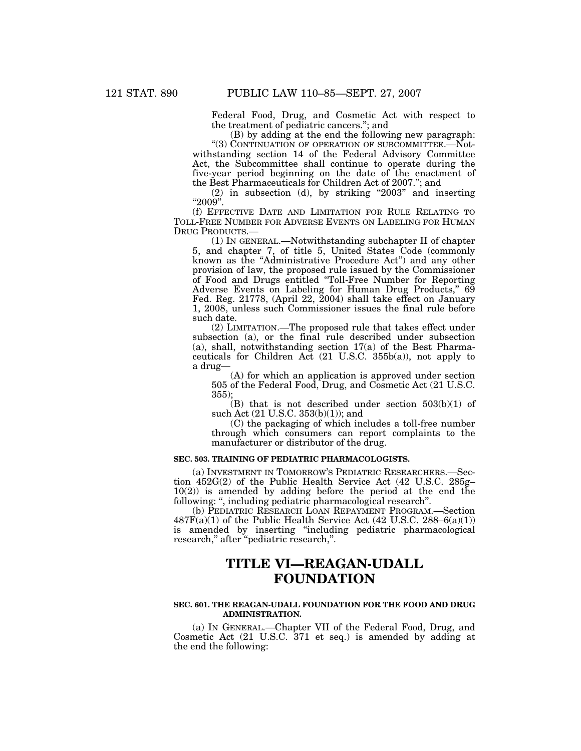Federal Food, Drug, and Cosmetic Act with respect to the treatment of pediatric cancers.''; and

(B) by adding at the end the following new paragraph: "(3) CONTINUATION OF OPERATION OF SUBCOMMITTEE.-Notwithstanding section 14 of the Federal Advisory Committee Act, the Subcommittee shall continue to operate during the five-year period beginning on the date of the enactment of the Best Pharmaceuticals for Children Act of 2007.''; and

(2) in subsection (d), by striking  $"2003"$  and inserting ''2009''.

(f) EFFECTIVE DATE AND LIMITATION FOR RULE RELATING TO TOLL-FREE NUMBER FOR ADVERSE EVENTS ON LABELING FOR HUMAN DRUG PRODUCTS.—

(1) IN GENERAL.—Notwithstanding subchapter II of chapter 5, and chapter 7, of title 5, United States Code (commonly known as the ''Administrative Procedure Act'') and any other provision of law, the proposed rule issued by the Commissioner of Food and Drugs entitled ''Toll-Free Number for Reporting Adverse Events on Labeling for Human Drug Products,'' 69 Fed. Reg. 21778, (April 22, 2004) shall take effect on January 1, 2008, unless such Commissioner issues the final rule before such date.

(2) LIMITATION.—The proposed rule that takes effect under subsection (a), or the final rule described under subsection (a), shall, notwithstanding section 17(a) of the Best Pharmaceuticals for Children Act (21 U.S.C. 355b(a)), not apply to a drug—

(A) for which an application is approved under section 505 of the Federal Food, Drug, and Cosmetic Act (21 U.S.C. 355);

(B) that is not described under section 503(b)(1) of such Act (21 U.S.C. 353(b)(1)); and

(C) the packaging of which includes a toll-free number through which consumers can report complaints to the manufacturer or distributor of the drug.

## **SEC. 503. TRAINING OF PEDIATRIC PHARMACOLOGISTS.**

(a) INVESTMENT IN TOMORROW'S PEDIATRIC RESEARCHERS.—Section 452G(2) of the Public Health Service Act (42 U.S.C. 285g– 10(2)) is amended by adding before the period at the end the following: ", including pediatric pharmacological research".

(b) PEDIATRIC RESEARCH LOAN REPAYMENT PROGRAM.—Section  $487F(a)(1)$  of the Public Health Service Act (42 U.S.C. 288–6(a)(1)) is amended by inserting ''including pediatric pharmacological research," after "pediatric research,".

# **TITLE VI—REAGAN-UDALL FOUNDATION**

## **SEC. 601. THE REAGAN-UDALL FOUNDATION FOR THE FOOD AND DRUG ADMINISTRATION.**

(a) IN GENERAL.—Chapter VII of the Federal Food, Drug, and Cosmetic Act (21 U.S.C. 371 et seq.) is amended by adding at the end the following: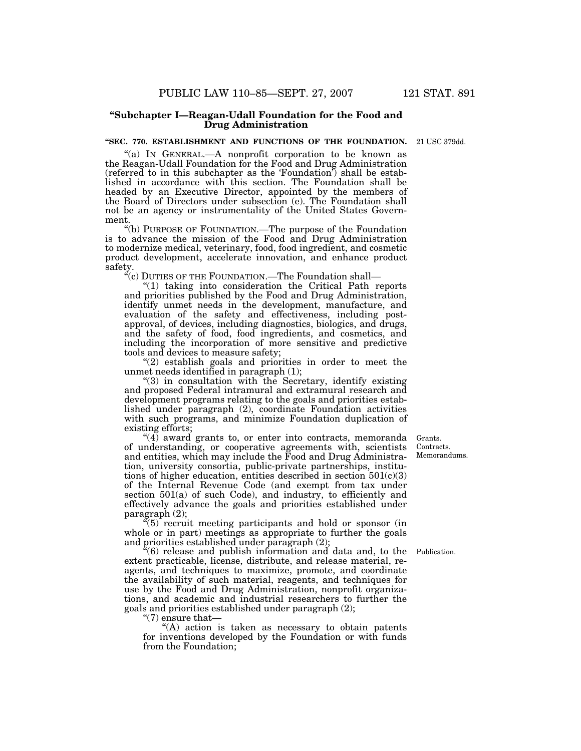## **''Subchapter I—Reagan-Udall Foundation for the Food and Drug Administration**

#### **''SEC. 770. ESTABLISHMENT AND FUNCTIONS OF THE FOUNDATION.**  21 USC 379dd.

 $(a)$  In GENERAL.—A nonprofit corporation to be known as the Reagan-Udall Foundation for the Food and Drug Administration (referred to in this subchapter as the 'Foundation') shall be established in accordance with this section. The Foundation shall be headed by an Executive Director, appointed by the members of the Board of Directors under subsection (e). The Foundation shall not be an agency or instrumentality of the United States Government.

''(b) PURPOSE OF FOUNDATION.—The purpose of the Foundation is to advance the mission of the Food and Drug Administration to modernize medical, veterinary, food, food ingredient, and cosmetic product development, accelerate innovation, and enhance product safety.

 $\mathcal{C}(c)$  DUTIES OF THE FOUNDATION.—The Foundation shall—

"(1) taking into consideration the Critical Path reports and priorities published by the Food and Drug Administration, identify unmet needs in the development, manufacture, and evaluation of the safety and effectiveness, including postapproval, of devices, including diagnostics, biologics, and drugs, and the safety of food, food ingredients, and cosmetics, and including the incorporation of more sensitive and predictive tools and devices to measure safety;

"(2) establish goals and priorities in order to meet the unmet needs identified in paragraph (1);

''(3) in consultation with the Secretary, identify existing and proposed Federal intramural and extramural research and development programs relating to the goals and priorities established under paragraph (2), coordinate Foundation activities with such programs, and minimize Foundation duplication of existing efforts;

 $\mathcal{H}(4)$  award grants to, or enter into contracts, memoranda of understanding, or cooperative agreements with, scientists and entities, which may include the Food and Drug Administration, university consortia, public-private partnerships, institutions of higher education, entities described in section 501(c)(3) of the Internal Revenue Code (and exempt from tax under section 501(a) of such Code), and industry, to efficiently and effectively advance the goals and priorities established under paragraph (2);

 $\sqrt[4]{(5)}$  recruit meeting participants and hold or sponsor (in whole or in part) meetings as appropriate to further the goals and priorities established under paragraph (2);

''(6) release and publish information and data and, to the Publication. extent practicable, license, distribute, and release material, reagents, and techniques to maximize, promote, and coordinate the availability of such material, reagents, and techniques for use by the Food and Drug Administration, nonprofit organizations, and academic and industrial researchers to further the goals and priorities established under paragraph (2);

''(7) ensure that—

''(A) action is taken as necessary to obtain patents for inventions developed by the Foundation or with funds from the Foundation;

Grants. Contracts. Memorandums.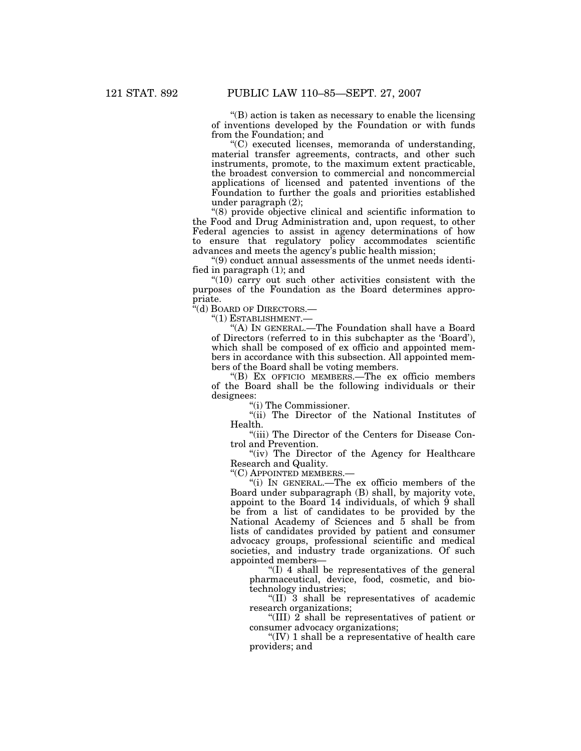''(B) action is taken as necessary to enable the licensing of inventions developed by the Foundation or with funds from the Foundation; and

''(C) executed licenses, memoranda of understanding, material transfer agreements, contracts, and other such instruments, promote, to the maximum extent practicable, the broadest conversion to commercial and noncommercial applications of licensed and patented inventions of the Foundation to further the goals and priorities established under paragraph (2);

''(8) provide objective clinical and scientific information to the Food and Drug Administration and, upon request, to other Federal agencies to assist in agency determinations of how to ensure that regulatory policy accommodates scientific advances and meets the agency's public health mission;

''(9) conduct annual assessments of the unmet needs identified in paragraph (1); and

 $\degree$ (10) carry out such other activities consistent with the purposes of the Foundation as the Board determines appropriate.

"(d) BOARD OF DIRECTORS.—

''(1) ESTABLISHMENT.—

''(A) IN GENERAL.—The Foundation shall have a Board of Directors (referred to in this subchapter as the 'Board'), which shall be composed of ex officio and appointed members in accordance with this subsection. All appointed members of the Board shall be voting members.

''(B) EX OFFICIO MEMBERS.—The ex officio members of the Board shall be the following individuals or their designees:

''(i) The Commissioner.

"(ii) The Director of the National Institutes of Health.

''(iii) The Director of the Centers for Disease Control and Prevention.

"(iv) The Director of the Agency for Healthcare Research and Quality.

''(C) APPOINTED MEMBERS.—

''(i) IN GENERAL.—The ex officio members of the Board under subparagraph (B) shall, by majority vote, appoint to the Board 14 individuals, of which 9 shall be from a list of candidates to be provided by the National Academy of Sciences and 5 shall be from lists of candidates provided by patient and consumer advocacy groups, professional scientific and medical societies, and industry trade organizations. Of such appointed members—

''(I) 4 shall be representatives of the general pharmaceutical, device, food, cosmetic, and biotechnology industries;

 $\text{``(II)}$  3 shall be representatives of academic research organizations;

''(III) 2 shall be representatives of patient or consumer advocacy organizations;

" $(IV)$  1 shall be a representative of health care providers; and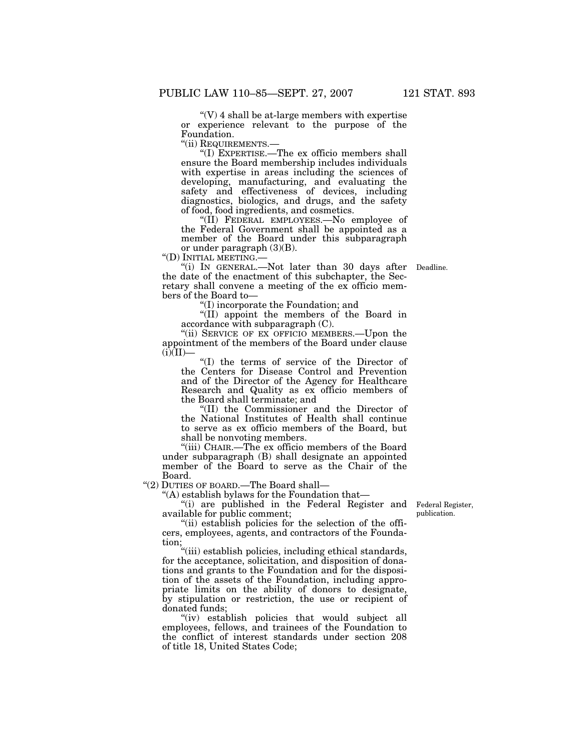$\mathcal{C}(V)$  4 shall be at-large members with expertise or experience relevant to the purpose of the Foundation.<br>"(ii) REQUIREMENTS.-

 $''(I)$  EXPERTISE.—The ex officio members shall ensure the Board membership includes individuals with expertise in areas including the sciences of developing, manufacturing, and evaluating the safety and effectiveness of devices, including diagnostics, biologics, and drugs, and the safety of food, food ingredients, and cosmetics.

''(II) FEDERAL EMPLOYEES.—No employee of the Federal Government shall be appointed as a member of the Board under this subparagraph or under paragraph  $(3)(B)$ .<br>"(D) INITIAL MEETING.—

''(D) INITIAL MEETING.— ''(i) IN GENERAL.—Not later than 30 days after Deadline. the date of the enactment of this subchapter, the Secretary shall convene a meeting of the ex officio members of the Board to—

''(I) incorporate the Foundation; and

''(II) appoint the members of the Board in accordance with subparagraph (C).

"(ii) SERVICE OF EX OFFICIO MEMBERS. - Upon the appointment of the members of the Board under clause  $(i)(II)$ 

''(I) the terms of service of the Director of the Centers for Disease Control and Prevention and of the Director of the Agency for Healthcare Research and Quality as ex officio members of the Board shall terminate; and

''(II) the Commissioner and the Director of the National Institutes of Health shall continue to serve as ex officio members of the Board, but shall be nonvoting members.

''(iii) CHAIR.—The ex officio members of the Board under subparagraph (B) shall designate an appointed member of the Board to serve as the Chair of the Board.

''(2) DUTIES OF BOARD.—The Board shall—

''(A) establish bylaws for the Foundation that—

''(i) are published in the Federal Register and available for public comment;

Federal Register, publication.

''(ii) establish policies for the selection of the officers, employees, agents, and contractors of the Foundation;

''(iii) establish policies, including ethical standards, for the acceptance, solicitation, and disposition of donations and grants to the Foundation and for the disposition of the assets of the Foundation, including appropriate limits on the ability of donors to designate, by stipulation or restriction, the use or recipient of donated funds;

''(iv) establish policies that would subject all employees, fellows, and trainees of the Foundation to the conflict of interest standards under section 208 of title 18, United States Code;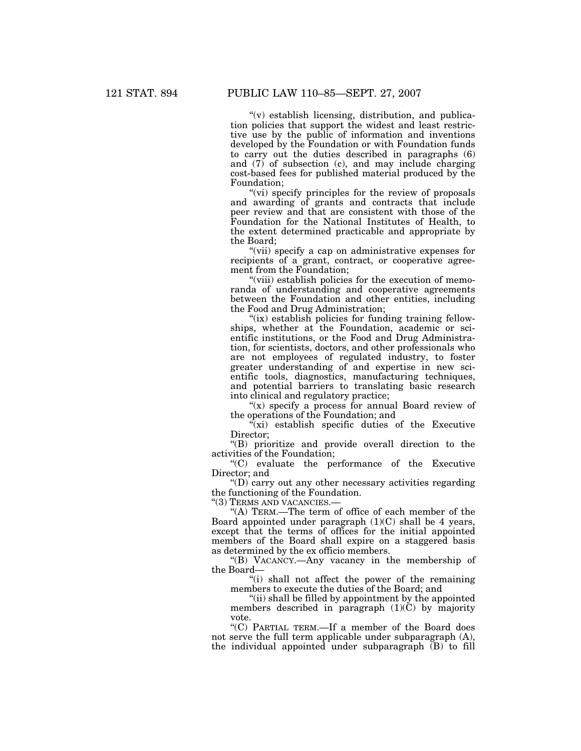"(v) establish licensing, distribution, and publication policies that support the widest and least restrictive use by the public of information and inventions developed by the Foundation or with Foundation funds to carry out the duties described in paragraphs (6) and (7) of subsection (c), and may include charging cost-based fees for published material produced by the Foundation;

''(vi) specify principles for the review of proposals and awarding of grants and contracts that include peer review and that are consistent with those of the Foundation for the National Institutes of Health, to the extent determined practicable and appropriate by the Board;

"(vii) specify a cap on administrative expenses for recipients of a grant, contract, or cooperative agreement from the Foundation;

"(viii) establish policies for the execution of memoranda of understanding and cooperative agreements between the Foundation and other entities, including the Food and Drug Administration;

"(ix) establish policies for funding training fellowships, whether at the Foundation, academic or scientific institutions, or the Food and Drug Administration, for scientists, doctors, and other professionals who are not employees of regulated industry, to foster greater understanding of and expertise in new scientific tools, diagnostics, manufacturing techniques, and potential barriers to translating basic research into clinical and regulatory practice;

"(x) specify a process for annual Board review of the operations of the Foundation; and

 $\sqrt[n]{x}$  establish specific duties of the Executive Director;

''(B) prioritize and provide overall direction to the activities of the Foundation;

''(C) evaluate the performance of the Executive Director; and

''(D) carry out any other necessary activities regarding the functioning of the Foundation.

''(3) TERMS AND VACANCIES.—

''(A) TERM.—The term of office of each member of the Board appointed under paragraph (1)(C) shall be 4 years, except that the terms of offices for the initial appointed members of the Board shall expire on a staggered basis as determined by the ex officio members.

''(B) VACANCY.—Any vacancy in the membership of the Board—

''(i) shall not affect the power of the remaining members to execute the duties of the Board; and

"(ii) shall be filled by appointment by the appointed members described in paragraph  $(1)(C)$  by majority vote.

''(C) PARTIAL TERM.—If a member of the Board does not serve the full term applicable under subparagraph (A), the individual appointed under subparagraph  $(B)$  to fill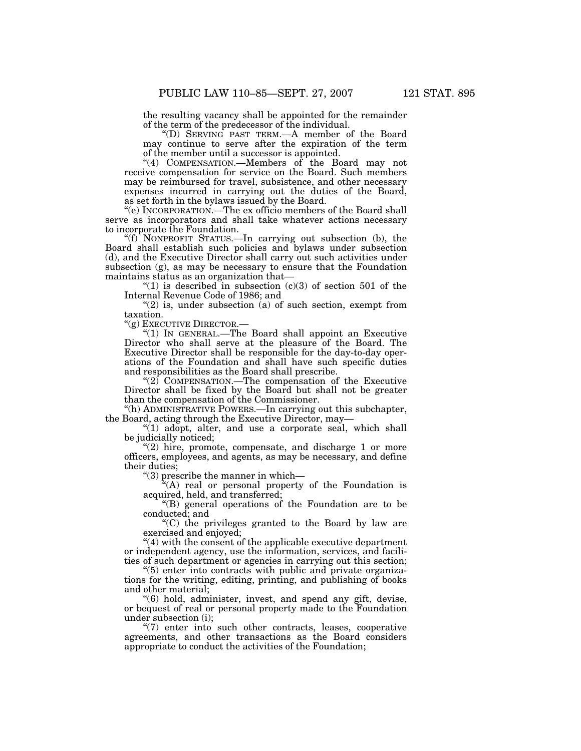the resulting vacancy shall be appointed for the remainder of the term of the predecessor of the individual.

''(D) SERVING PAST TERM.—A member of the Board may continue to serve after the expiration of the term of the member until a successor is appointed.

"(4) COMPENSATION.—Members of the Board may not receive compensation for service on the Board. Such members may be reimbursed for travel, subsistence, and other necessary expenses incurred in carrying out the duties of the Board, as set forth in the bylaws issued by the Board.

''(e) INCORPORATION.—The ex officio members of the Board shall serve as incorporators and shall take whatever actions necessary to incorporate the Foundation.

''(f) NONPROFIT STATUS.—In carrying out subsection (b), the Board shall establish such policies and bylaws under subsection (d), and the Executive Director shall carry out such activities under subsection (g), as may be necessary to ensure that the Foundation maintains status as an organization that—

" $(1)$  is described in subsection  $(c)(3)$  of section 501 of the Internal Revenue Code of 1986; and

" $(2)$  is, under subsection  $(a)$  of such section, exempt from taxation.

''(g) EXECUTIVE DIRECTOR.—

''(1) IN GENERAL.—The Board shall appoint an Executive Director who shall serve at the pleasure of the Board. The Executive Director shall be responsible for the day-to-day operations of the Foundation and shall have such specific duties and responsibilities as the Board shall prescribe.

''(2) COMPENSATION.—The compensation of the Executive Director shall be fixed by the Board but shall not be greater than the compensation of the Commissioner.

''(h) ADMINISTRATIVE POWERS.—In carrying out this subchapter, the Board, acting through the Executive Director, may—

"(1) adopt, alter, and use a corporate seal, which shall be judicially noticed;

 $(2)$  hire, promote, compensate, and discharge 1 or more officers, employees, and agents, as may be necessary, and define their duties;

 $(3)$  prescribe the manner in which—

''(A) real or personal property of the Foundation is acquired, held, and transferred;

" $(B)$  general operations of the Foundation are to be conducted; and

''(C) the privileges granted to the Board by law are exercised and enjoyed;

''(4) with the consent of the applicable executive department or independent agency, use the information, services, and facilities of such department or agencies in carrying out this section;

''(5) enter into contracts with public and private organizations for the writing, editing, printing, and publishing of books and other material;

''(6) hold, administer, invest, and spend any gift, devise, or bequest of real or personal property made to the Foundation under subsection (i);

''(7) enter into such other contracts, leases, cooperative agreements, and other transactions as the Board considers appropriate to conduct the activities of the Foundation;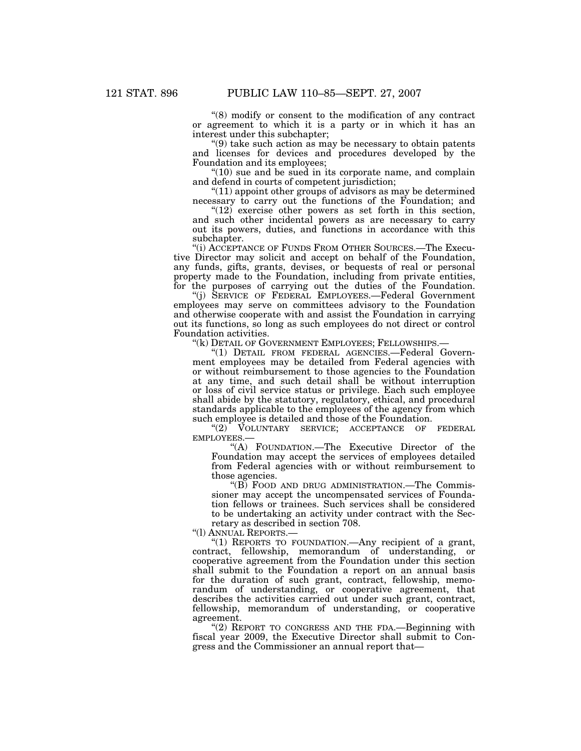''(8) modify or consent to the modification of any contract or agreement to which it is a party or in which it has an interest under this subchapter;

 $(9)$  take such action as may be necessary to obtain patents and licenses for devices and procedures developed by the Foundation and its employees;

 $\degree$ (10) sue and be sued in its corporate name, and complain and defend in courts of competent jurisdiction;

''(11) appoint other groups of advisors as may be determined necessary to carry out the functions of the Foundation; and

" $(12)$  exercise other powers as set forth in this section, and such other incidental powers as are necessary to carry out its powers, duties, and functions in accordance with this subchapter.

''(i) ACCEPTANCE OF FUNDS FROM OTHER SOURCES.—The Executive Director may solicit and accept on behalf of the Foundation, any funds, gifts, grants, devises, or bequests of real or personal property made to the Foundation, including from private entities, for the purposes of carrying out the duties of the Foundation.

''(j) SERVICE OF FEDERAL EMPLOYEES.—Federal Government employees may serve on committees advisory to the Foundation and otherwise cooperate with and assist the Foundation in carrying out its functions, so long as such employees do not direct or control Foundation activities.

"(k) DETAIL OF GOVERNMENT EMPLOYEES; FELLOWSHIPS.-

''(1) DETAIL FROM FEDERAL AGENCIES.—Federal Government employees may be detailed from Federal agencies with or without reimbursement to those agencies to the Foundation at any time, and such detail shall be without interruption or loss of civil service status or privilege. Each such employee shall abide by the statutory, regulatory, ethical, and procedural standards applicable to the employees of the agency from which such employee is detailed and those of the Foundation.

" $(2)$ <sup>"</sup>VOLUNTARY SERVICE; ACCEPTANCE OF FEDERAL EMPLOYEES.—

" $(A)$  FOUNDATION.—The Executive Director of the Foundation may accept the services of employees detailed from Federal agencies with or without reimbursement to those agencies.

''(B) FOOD AND DRUG ADMINISTRATION.—The Commissioner may accept the uncompensated services of Foundation fellows or trainees. Such services shall be considered to be undertaking an activity under contract with the Secretary as described in section 708.

''(l) ANNUAL REPORTS.—

"(1) REPORTS TO FOUNDATION.—Any recipient of a grant, contract, fellowship, memorandum of understanding, or cooperative agreement from the Foundation under this section shall submit to the Foundation a report on an annual basis for the duration of such grant, contract, fellowship, memorandum of understanding, or cooperative agreement, that describes the activities carried out under such grant, contract, fellowship, memorandum of understanding, or cooperative agreement.

"(2) REPORT TO CONGRESS AND THE FDA.—Beginning with fiscal year 2009, the Executive Director shall submit to Congress and the Commissioner an annual report that—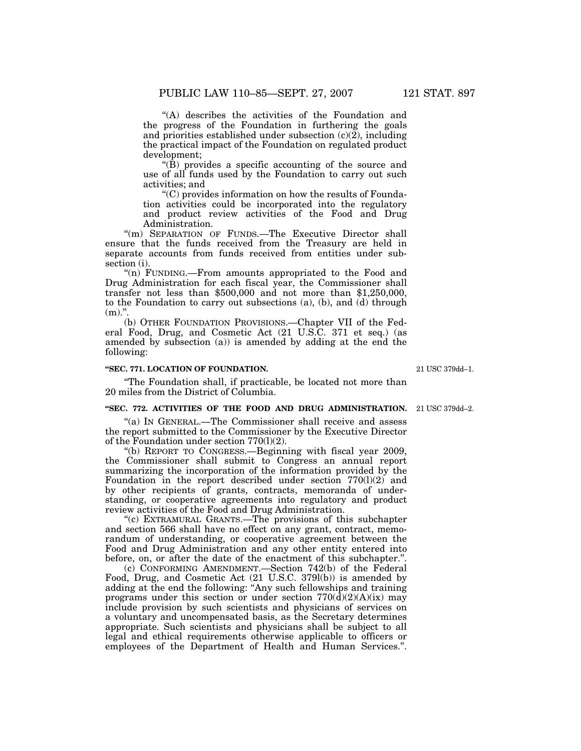''(A) describes the activities of the Foundation and the progress of the Foundation in furthering the goals and priorities established under subsection (c)(2), including the practical impact of the Foundation on regulated product development;

''(B) provides a specific accounting of the source and use of all funds used by the Foundation to carry out such activities; and

''(C) provides information on how the results of Foundation activities could be incorporated into the regulatory and product review activities of the Food and Drug Administration.

"(m) SEPARATION OF FUNDS.—The Executive Director shall ensure that the funds received from the Treasury are held in separate accounts from funds received from entities under subsection (i).

''(n) FUNDING.—From amounts appropriated to the Food and Drug Administration for each fiscal year, the Commissioner shall transfer not less than \$500,000 and not more than \$1,250,000, to the Foundation to carry out subsections (a), (b), and (d) through  $(m)$ .".

(b) OTHER FOUNDATION PROVISIONS.—Chapter VII of the Federal Food, Drug, and Cosmetic Act (21 U.S.C. 371 et seq.) (as amended by subsection (a)) is amended by adding at the end the following:

#### **''SEC. 771. LOCATION OF FOUNDATION.**

''The Foundation shall, if practicable, be located not more than 20 miles from the District of Columbia.

## **''SEC. 772. ACTIVITIES OF THE FOOD AND DRUG ADMINISTRATION.**

''(a) IN GENERAL.—The Commissioner shall receive and assess the report submitted to the Commissioner by the Executive Director of the Foundation under section 770(l)(2).

''(b) REPORT TO CONGRESS.—Beginning with fiscal year 2009, the Commissioner shall submit to Congress an annual report summarizing the incorporation of the information provided by the Foundation in the report described under section  $770(1)(2)$  and by other recipients of grants, contracts, memoranda of understanding, or cooperative agreements into regulatory and product review activities of the Food and Drug Administration.

''(c) EXTRAMURAL GRANTS.—The provisions of this subchapter and section 566 shall have no effect on any grant, contract, memorandum of understanding, or cooperative agreement between the Food and Drug Administration and any other entity entered into before, on, or after the date of the enactment of this subchapter.''.

(c) CONFORMING AMENDMENT.—Section 742(b) of the Federal Food, Drug, and Cosmetic Act (21 U.S.C. 379l(b)) is amended by adding at the end the following: ''Any such fellowships and training programs under this section or under section  $770(\text{d})(2)(\text{A})(\text{ix})$  may include provision by such scientists and physicians of services on a voluntary and uncompensated basis, as the Secretary determines appropriate. Such scientists and physicians shall be subject to all legal and ethical requirements otherwise applicable to officers or employees of the Department of Health and Human Services.''.

21 USC 379dd–1.

21 USC 379dd–2.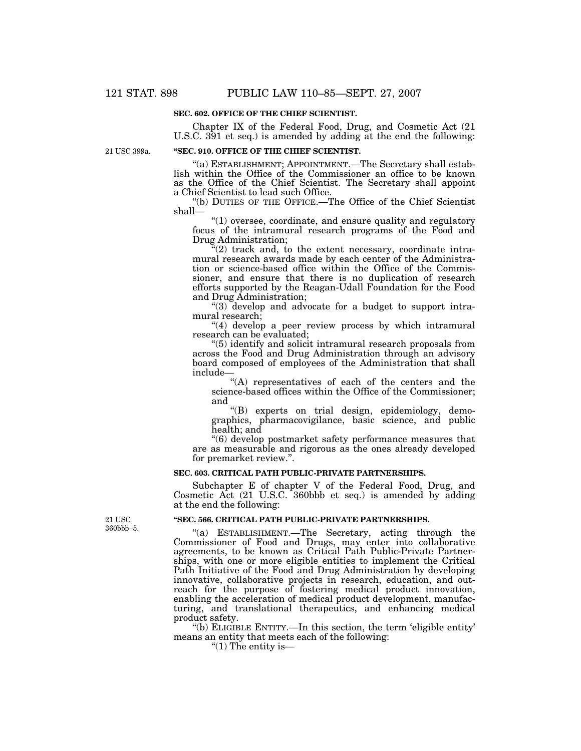### **SEC. 602. OFFICE OF THE CHIEF SCIENTIST.**

Chapter IX of the Federal Food, Drug, and Cosmetic Act (21 U.S.C. 391 et seq.) is amended by adding at the end the following:

21 USC 399a.

## **''SEC. 910. OFFICE OF THE CHIEF SCIENTIST.**

''(a) ESTABLISHMENT; APPOINTMENT.—The Secretary shall establish within the Office of the Commissioner an office to be known as the Office of the Chief Scientist. The Secretary shall appoint a Chief Scientist to lead such Office.

''(b) DUTIES OF THE OFFICE.—The Office of the Chief Scientist shall—

''(1) oversee, coordinate, and ensure quality and regulatory focus of the intramural research programs of the Food and Drug Administration;

 $\tilde{f}'(2)$  track and, to the extent necessary, coordinate intramural research awards made by each center of the Administration or science-based office within the Office of the Commissioner, and ensure that there is no duplication of research efforts supported by the Reagan-Udall Foundation for the Food and Drug Administration;

" $(3)$  develop and advocate for a budget to support intramural research;

"(4) develop a peer review process by which intramural research can be evaluated;

''(5) identify and solicit intramural research proposals from across the Food and Drug Administration through an advisory board composed of employees of the Administration that shall include—

"(A) representatives of each of the centers and the science-based offices within the Office of the Commissioner; and

''(B) experts on trial design, epidemiology, demographics, pharmacovigilance, basic science, and public health; and

''(6) develop postmarket safety performance measures that are as measurable and rigorous as the ones already developed for premarket review.''.

#### **SEC. 603. CRITICAL PATH PUBLIC-PRIVATE PARTNERSHIPS.**

Subchapter E of chapter V of the Federal Food, Drug, and Cosmetic Act (21 U.S.C. 360bbb et seq.) is amended by adding at the end the following:

#### **''SEC. 566. CRITICAL PATH PUBLIC-PRIVATE PARTNERSHIPS.**

''(a) ESTABLISHMENT.—The Secretary, acting through the Commissioner of Food and Drugs, may enter into collaborative agreements, to be known as Critical Path Public-Private Partnerships, with one or more eligible entities to implement the Critical Path Initiative of the Food and Drug Administration by developing innovative, collaborative projects in research, education, and outreach for the purpose of fostering medical product innovation, enabling the acceleration of medical product development, manufacturing, and translational therapeutics, and enhancing medical product safety.

''(b) ELIGIBLE ENTITY.—In this section, the term 'eligible entity' means an entity that meets each of the following:

" $(1)$  The entity is—

21 USC 360bbb–5.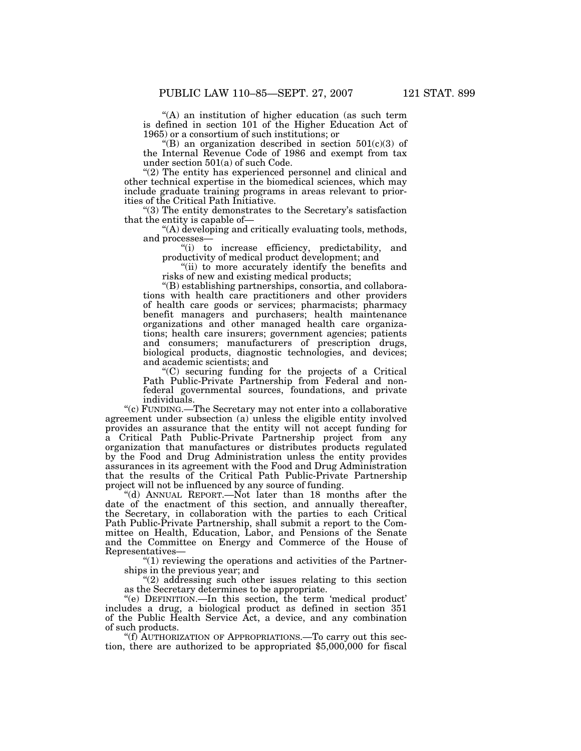''(A) an institution of higher education (as such term is defined in section 101 of the Higher Education Act of 1965) or a consortium of such institutions; or

"(B) an organization described in section  $501(c)(3)$  of the Internal Revenue Code of 1986 and exempt from tax under section 501(a) of such Code.

"(2) The entity has experienced personnel and clinical and other technical expertise in the biomedical sciences, which may include graduate training programs in areas relevant to priorities of the Critical Path Initiative.

(3) The entity demonstrates to the Secretary's satisfaction that the entity is capable of—

''(A) developing and critically evaluating tools, methods, and processes—

''(i) to increase efficiency, predictability, and productivity of medical product development; and

"(ii) to more accurately identify the benefits and risks of new and existing medical products;

''(B) establishing partnerships, consortia, and collaborations with health care practitioners and other providers of health care goods or services; pharmacists; pharmacy benefit managers and purchasers; health maintenance organizations and other managed health care organizations; health care insurers; government agencies; patients and consumers; manufacturers of prescription drugs, biological products, diagnostic technologies, and devices; and academic scientists; and

''(C) securing funding for the projects of a Critical Path Public-Private Partnership from Federal and nonfederal governmental sources, foundations, and private individuals.

''(c) FUNDING.—The Secretary may not enter into a collaborative agreement under subsection (a) unless the eligible entity involved provides an assurance that the entity will not accept funding for a Critical Path Public-Private Partnership project from any organization that manufactures or distributes products regulated by the Food and Drug Administration unless the entity provides assurances in its agreement with the Food and Drug Administration that the results of the Critical Path Public-Private Partnership project will not be influenced by any source of funding.

''(d) ANNUAL REPORT.—Not later than 18 months after the date of the enactment of this section, and annually thereafter, the Secretary, in collaboration with the parties to each Critical Path Public-Private Partnership, shall submit a report to the Committee on Health, Education, Labor, and Pensions of the Senate and the Committee on Energy and Commerce of the House of Representatives—

 $''(1)$  reviewing the operations and activities of the Partnerships in the previous year; and

''(2) addressing such other issues relating to this section as the Secretary determines to be appropriate.

''(e) DEFINITION.—In this section, the term 'medical product' includes a drug, a biological product as defined in section 351 of the Public Health Service Act, a device, and any combination

of such products.<br>"(f) AUTHORIZATION OF APPROPRIATIONS.—To carry out this section, there are authorized to be appropriated  $$5,000,000$  for fiscal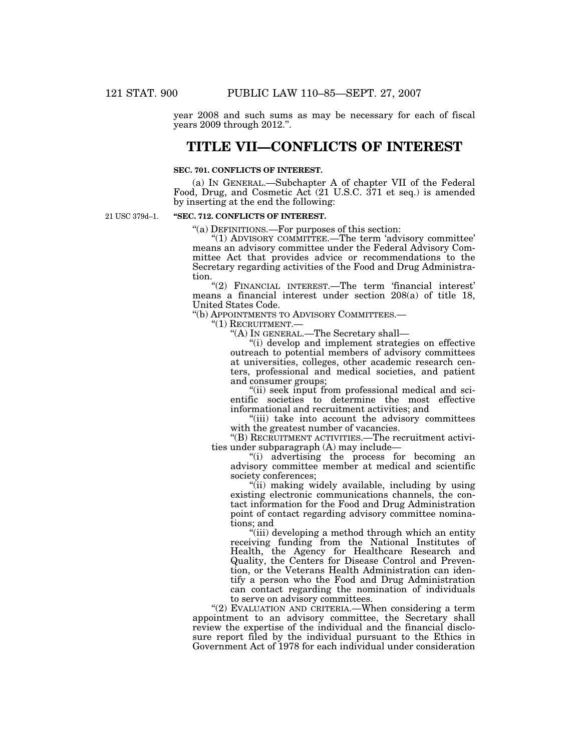year 2008 and such sums as may be necessary for each of fiscal years 2009 through 2012.''.

## **TITLE VII—CONFLICTS OF INTEREST**

#### **SEC. 701. CONFLICTS OF INTEREST.**

(a) IN GENERAL.—Subchapter A of chapter VII of the Federal Food, Drug, and Cosmetic Act (21 U.S.C. 371 et seq.) is amended by inserting at the end the following:

21 USC 379d–1.

## **''SEC. 712. CONFLICTS OF INTEREST.**

''(a) DEFINITIONS.—For purposes of this section:

''(1) ADVISORY COMMITTEE.—The term 'advisory committee' means an advisory committee under the Federal Advisory Committee Act that provides advice or recommendations to the Secretary regarding activities of the Food and Drug Administration.

"(2) FINANCIAL INTEREST.—The term 'financial interest' means a financial interest under section 208(a) of title 18, United States Code.

''(b) APPOINTMENTS TO ADVISORY COMMITTEES.—

''(1) RECRUITMENT.—

''(A) IN GENERAL.—The Secretary shall—

''(i) develop and implement strategies on effective outreach to potential members of advisory committees at universities, colleges, other academic research centers, professional and medical societies, and patient and consumer groups;

"(ii) seek input from professional medical and scientific societies to determine the most effective informational and recruitment activities; and

''(iii) take into account the advisory committees with the greatest number of vacancies.

''(B) RECRUITMENT ACTIVITIES.—The recruitment activities under subparagraph (A) may include—

''(i) advertising the process for becoming an advisory committee member at medical and scientific society conferences;

"(ii) making widely available, including by using existing electronic communications channels, the contact information for the Food and Drug Administration point of contact regarding advisory committee nominations; and

''(iii) developing a method through which an entity receiving funding from the National Institutes of Health, the Agency for Healthcare Research and Quality, the Centers for Disease Control and Prevention, or the Veterans Health Administration can identify a person who the Food and Drug Administration can contact regarding the nomination of individuals to serve on advisory committees.

"(2) EVALUATION AND CRITERIA.—When considering a term appointment to an advisory committee, the Secretary shall review the expertise of the individual and the financial disclosure report filed by the individual pursuant to the Ethics in Government Act of 1978 for each individual under consideration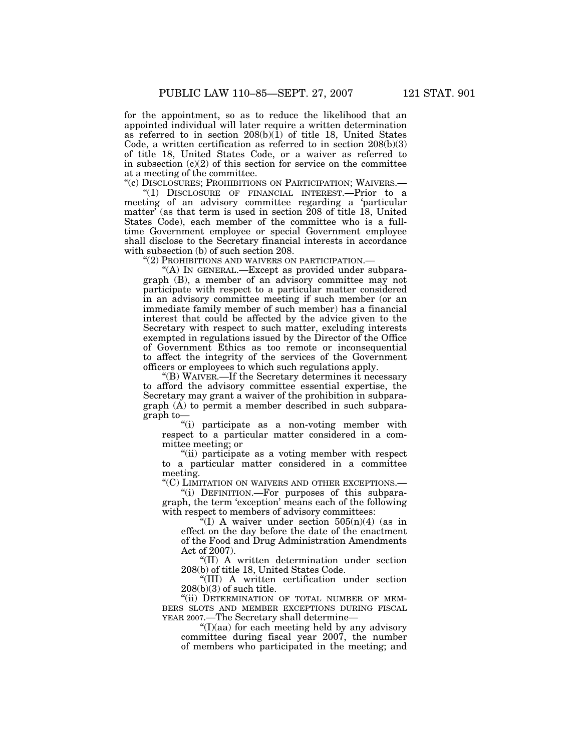for the appointment, so as to reduce the likelihood that an appointed individual will later require a written determination as referred to in section  $208(b)(\overline{1})$  of title 18, United States Code, a written certification as referred to in section 208(b)(3) of title 18, United States Code, or a waiver as referred to in subsection  $(c)(2)$  of this section for service on the committee at a meeting of the committee.

''(c) DISCLOSURES; PROHIBITIONS ON PARTICIPATION; WAIVERS.—

''(1) DISCLOSURE OF FINANCIAL INTEREST.—Prior to a meeting of an advisory committee regarding a 'particular matter' (as that term is used in section 208 of title 18, United States Code), each member of the committee who is a fulltime Government employee or special Government employee shall disclose to the Secretary financial interests in accordance with subsection (b) of such section 208.

''(2) PROHIBITIONS AND WAIVERS ON PARTICIPATION.—

''(A) IN GENERAL.—Except as provided under subparagraph (B), a member of an advisory committee may not participate with respect to a particular matter considered in an advisory committee meeting if such member (or an immediate family member of such member) has a financial interest that could be affected by the advice given to the Secretary with respect to such matter, excluding interests exempted in regulations issued by the Director of the Office of Government Ethics as too remote or inconsequential to affect the integrity of the services of the Government officers or employees to which such regulations apply.

''(B) WAIVER.—If the Secretary determines it necessary to afford the advisory committee essential expertise, the Secretary may grant a waiver of the prohibition in subparagraph (A) to permit a member described in such subparagraph to—

''(i) participate as a non-voting member with respect to a particular matter considered in a committee meeting; or

''(ii) participate as a voting member with respect to a particular matter considered in a committee meeting.

''(C) LIMITATION ON WAIVERS AND OTHER EXCEPTIONS.—

''(i) DEFINITION.—For purposes of this subparagraph, the term 'exception' means each of the following with respect to members of advisory committees:

"(I) A waiver under section  $505(n)(4)$  (as in effect on the day before the date of the enactment of the Food and Drug Administration Amendments Act of 2007).

''(II) A written determination under section 208(b) of title 18, United States Code.

''(III) A written certification under section  $208(b)(3)$  of such title.

"(ii) DETERMINATION OF TOTAL NUMBER OF MEM-BERS SLOTS AND MEMBER EXCEPTIONS DURING FISCAL YEAR 2007.—The Secretary shall determine—

 $\Gamma$ (I)(aa) for each meeting held by any advisory committee during fiscal year 2007, the number of members who participated in the meeting; and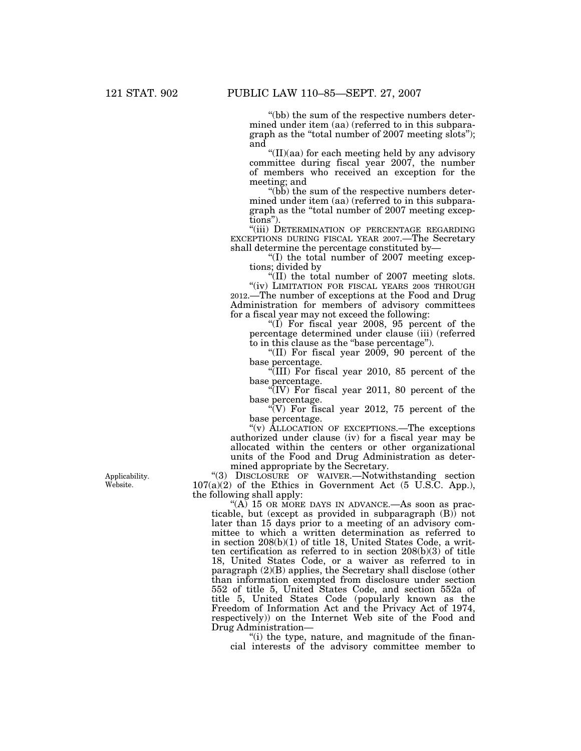''(bb) the sum of the respective numbers determined under item (aa) (referred to in this subparagraph as the ''total number of 2007 meeting slots''); and

 $\frac{1}{11}$ (aa) for each meeting held by any advisory committee during fiscal year 2007, the number of members who received an exception for the meeting; and

"(bb) the sum of the respective numbers determined under item (aa) (referred to in this subparagraph as the ''total number of 2007 meeting exceptions'').

"(iii) DETERMINATION OF PERCENTAGE REGARDING EXCEPTIONS DURING FISCAL YEAR 2007.—The Secretary shall determine the percentage constituted by—

''(I) the total number of 2007 meeting exceptions; divided by

''(II) the total number of 2007 meeting slots. "(iv) LIMITATION FOR FISCAL YEARS 2008 THROUGH

2012.—The number of exceptions at the Food and Drug Administration for members of advisory committees for a fiscal year may not exceed the following:

" $(I)$  For fiscal year 2008, 95 percent of the percentage determined under clause (iii) (referred to in this clause as the ''base percentage'').

''(II) For fiscal year 2009, 90 percent of the base percentage.

''(III) For fiscal year 2010, 85 percent of the base percentage.

 $\sqrt{\rm FUV}$  For fiscal year 2011, 80 percent of the base percentage.

 $\sqrt{v}$  For fiscal year 2012, 75 percent of the base percentage.

''(v) ALLOCATION OF EXCEPTIONS.—The exceptions authorized under clause (iv) for a fiscal year may be allocated within the centers or other organizational units of the Food and Drug Administration as determined appropriate by the Secretary.

''(3) DISCLOSURE OF WAIVER.—Notwithstanding section  $107(a)(2)$  of the Ethics in Government Act (5 U.S.C. App.), the following shall apply:

"(A) 15 OR MORE DAYS IN ADVANCE.—As soon as practicable, but (except as provided in subparagraph (B)) not later than 15 days prior to a meeting of an advisory committee to which a written determination as referred to in section 208(b)(1) of title 18, United States Code, a written certification as referred to in section 208(b)(3) of title 18, United States Code, or a waiver as referred to in paragraph (2)(B) applies, the Secretary shall disclose (other than information exempted from disclosure under section 552 of title 5, United States Code, and section 552a of title 5, United States Code (popularly known as the Freedom of Information Act and the Privacy Act of 1974, respectively)) on the Internet Web site of the Food and Drug Administration—

"(i) the type, nature, and magnitude of the financial interests of the advisory committee member to

Applicability. Website.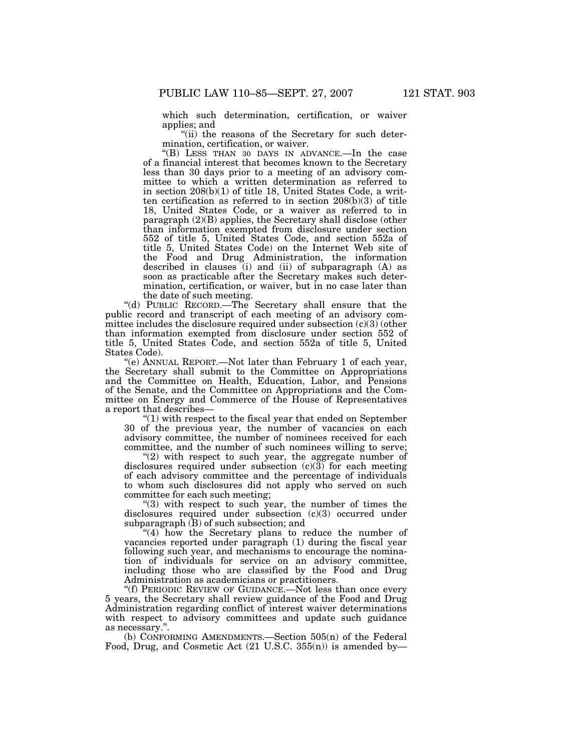which such determination, certification, or waiver applies; and

"(ii) the reasons of the Secretary for such determination, certification, or waiver.

''(B) LESS THAN 30 DAYS IN ADVANCE.—In the case of a financial interest that becomes known to the Secretary less than 30 days prior to a meeting of an advisory committee to which a written determination as referred to in section 208(b)(1) of title 18, United States Code, a written certification as referred to in section 208(b)(3) of title 18, United States Code, or a waiver as referred to in paragraph (2)(B) applies, the Secretary shall disclose (other than information exempted from disclosure under section 552 of title 5, United States Code, and section 552a of title 5, United States Code) on the Internet Web site of the Food and Drug Administration, the information described in clauses (i) and (ii) of subparagraph (A) as soon as practicable after the Secretary makes such determination, certification, or waiver, but in no case later than the date of such meeting.

''(d) PUBLIC RECORD.—The Secretary shall ensure that the public record and transcript of each meeting of an advisory committee includes the disclosure required under subsection (c)(3) (other than information exempted from disclosure under section 552 of title 5, United States Code, and section 552a of title 5, United States Code).

''(e) ANNUAL REPORT.—Not later than February 1 of each year, the Secretary shall submit to the Committee on Appropriations and the Committee on Health, Education, Labor, and Pensions of the Senate, and the Committee on Appropriations and the Committee on Energy and Commerce of the House of Representatives a report that describes—

 $(1)$  with respect to the fiscal year that ended on September 30 of the previous year, the number of vacancies on each advisory committee, the number of nominees received for each committee, and the number of such nominees willing to serve;

"(2) with respect to such year, the aggregate number of disclosures required under subsection  $(c)(3)$  for each meeting of each advisory committee and the percentage of individuals to whom such disclosures did not apply who served on such committee for each such meeting;

"(3) with respect to such year, the number of times the disclosures required under subsection (c)(3) occurred under subparagraph  $(B)$  of such subsection; and

''(4) how the Secretary plans to reduce the number of vacancies reported under paragraph (1) during the fiscal year following such year, and mechanisms to encourage the nomination of individuals for service on an advisory committee, including those who are classified by the Food and Drug Administration as academicians or practitioners.

''(f) PERIODIC REVIEW OF GUIDANCE.—Not less than once every 5 years, the Secretary shall review guidance of the Food and Drug Administration regarding conflict of interest waiver determinations with respect to advisory committees and update such guidance as necessary.''.

(b) CONFORMING AMENDMENTS.—Section 505(n) of the Federal Food, Drug, and Cosmetic Act (21 U.S.C. 355(n)) is amended by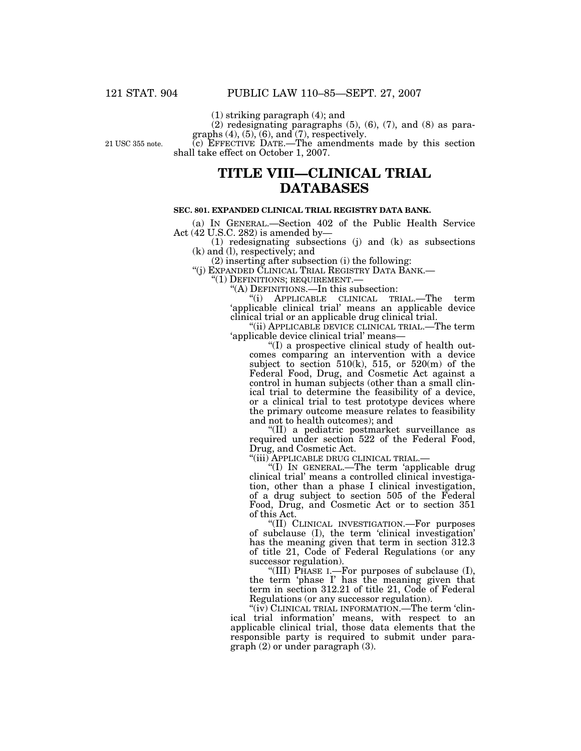(1) striking paragraph (4); and

(2) redesignating paragraphs (5), (6), (7), and (8) as paragraphs  $(4)$ ,  $(5)$ ,  $(6)$ , and  $(7)$ , respectively.

21 USC 355 note.

(c) EFFECTIVE DATE.—The amendments made by this section shall take effect on October 1, 2007.

# **TITLE VIII—CLINICAL TRIAL DATABASES**

## **SEC. 801. EXPANDED CLINICAL TRIAL REGISTRY DATA BANK.**

(a) IN GENERAL.—Section 402 of the Public Health Service Act (42 U.S.C. 282) is amended by—

(1) redesignating subsections (j) and (k) as subsections (k) and (l), respectively; and

(2) inserting after subsection (i) the following:

''(j) EXPANDED CLINICAL TRIAL REGISTRY DATA BANK.— ''(1) DEFINITIONS; REQUIREMENT.— ''(A) DEFINITIONS.—In this subsection:

''(i) APPLICABLE CLINICAL TRIAL.—The term 'applicable clinical trial' means an applicable device clinical trial or an applicable drug clinical trial.

''(ii) APPLICABLE DEVICE CLINICAL TRIAL.—The term 'applicable device clinical trial' means—

''(I) a prospective clinical study of health outcomes comparing an intervention with a device subject to section  $510(k)$ ,  $515$ , or  $520(m)$  of the Federal Food, Drug, and Cosmetic Act against a control in human subjects (other than a small clinical trial to determine the feasibility of a device, or a clinical trial to test prototype devices where the primary outcome measure relates to feasibility and not to health outcomes); and

''(II) a pediatric postmarket surveillance as required under section 522 of the Federal Food, Drug, and Cosmetic Act.<br>"(iii) APPLICABLE DRUG CLINICAL TRIAL.—

"(I) In GENERAL.— The term 'applicable drug clinical trial' means a controlled clinical investigation, other than a phase I clinical investigation, of a drug subject to section 505 of the Federal Food, Drug, and Cosmetic Act or to section 351 of this Act.

''(II) CLINICAL INVESTIGATION.—For purposes of subclause (I), the term 'clinical investigation' has the meaning given that term in section 312.3 of title 21, Code of Federal Regulations (or any successor regulation).

''(III) PHASE I.—For purposes of subclause (I), the term 'phase I' has the meaning given that term in section 312.21 of title 21, Code of Federal Regulations (or any successor regulation).

"(iv) CLINICAL TRIAL INFORMATION.—The term 'clinical trial information' means, with respect to an applicable clinical trial, those data elements that the responsible party is required to submit under paragraph (2) or under paragraph (3).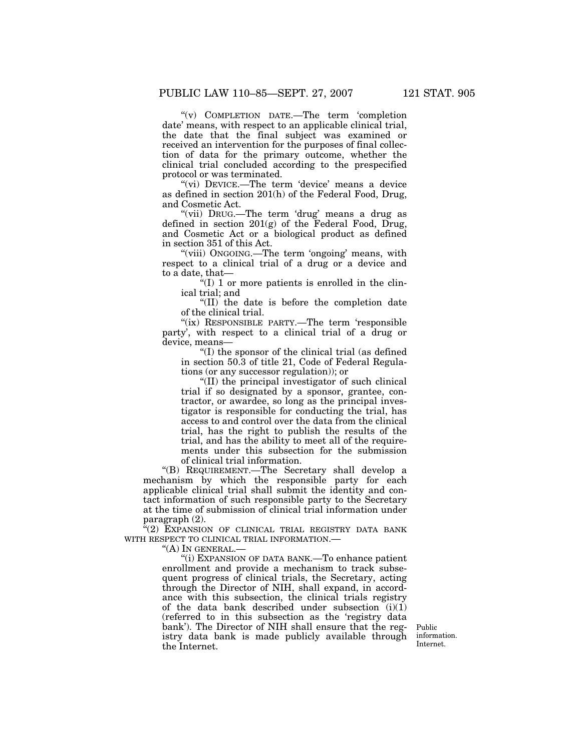''(v) COMPLETION DATE.—The term 'completion date' means, with respect to an applicable clinical trial, the date that the final subject was examined or received an intervention for the purposes of final collection of data for the primary outcome, whether the clinical trial concluded according to the prespecified protocol or was terminated.

"(vi) DEVICE.—The term 'device' means a device as defined in section 201(h) of the Federal Food, Drug, and Cosmetic Act.

"(vii) DRUG.—The term 'drug' means a drug as defined in section  $201(g)$  of the Federal Food, Drug, and Cosmetic Act or a biological product as defined in section 351 of this Act.

"(viii) ONGOING.—The term 'ongoing' means, with respect to a clinical trial of a drug or a device and to a date, that—

 $\degree$ (I) 1 or more patients is enrolled in the clinical trial; and

''(II) the date is before the completion date of the clinical trial.

"(ix) RESPONSIBLE PARTY.—The term 'responsible party', with respect to a clinical trial of a drug or device, means—

''(I) the sponsor of the clinical trial (as defined in section 50.3 of title 21, Code of Federal Regulations (or any successor regulation)); or

''(II) the principal investigator of such clinical trial if so designated by a sponsor, grantee, contractor, or awardee, so long as the principal investigator is responsible for conducting the trial, has access to and control over the data from the clinical trial, has the right to publish the results of the trial, and has the ability to meet all of the requirements under this subsection for the submission of clinical trial information.

''(B) REQUIREMENT.—The Secretary shall develop a mechanism by which the responsible party for each applicable clinical trial shall submit the identity and contact information of such responsible party to the Secretary at the time of submission of clinical trial information under paragraph (2).

 $\cdot^2$ (2) EXPANSION OF CLINICAL TRIAL REGISTRY DATA BANK WITH RESPECT TO CLINICAL TRIAL INFORMATION.-

''(A) IN GENERAL.—

''(i) EXPANSION OF DATA BANK.—To enhance patient enrollment and provide a mechanism to track subsequent progress of clinical trials, the Secretary, acting through the Director of NIH, shall expand, in accordance with this subsection, the clinical trials registry of the data bank described under subsection  $(i)(1)$ (referred to in this subsection as the 'registry data bank'). The Director of NIH shall ensure that the registry data bank is made publicly available through the Internet.

Public information. Internet.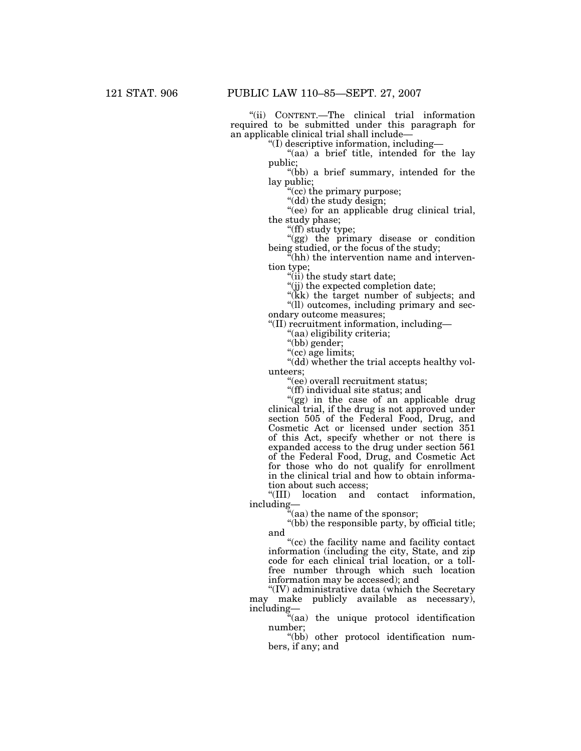''(ii) CONTENT.—The clinical trial information required to be submitted under this paragraph for an applicable clinical trial shall include—

''(I) descriptive information, including—

"(aa) a brief title, intended for the lay public;

''(bb) a brief summary, intended for the lay public;

"(cc) the primary purpose;

"(dd) the study design;

"(ee) for an applicable drug clinical trial, the study phase;

"(ff) study type;

"(gg) the primary disease or condition being studied, or the focus of the study;

''(hh) the intervention name and intervention type;

"(ii) the study start date;

''(jj) the expected completion date;

"(KK) the target number of subjects; and "(ll) outcomes, including primary and sec-

ondary outcome measures;

''(II) recruitment information, including—

''(aa) eligibility criteria;

''(bb) gender;

"(cc) age limits;

''(dd) whether the trial accepts healthy volunteers;

''(ee) overall recruitment status;

"(ff) individual site status; and

''(gg) in the case of an applicable drug clinical trial, if the drug is not approved under section 505 of the Federal Food, Drug, and Cosmetic Act or licensed under section 351 of this Act, specify whether or not there is expanded access to the drug under section 561 of the Federal Food, Drug, and Cosmetic Act for those who do not qualify for enrollment in the clinical trial and how to obtain informa-

tion about such access;<br>"(III) location and location and contact information, including—

 $\tilde{f}$ (aa) the name of the sponsor;

"(bb) the responsible party, by official title; and

''(cc) the facility name and facility contact information (including the city, State, and zip code for each clinical trial location, or a tollfree number through which such location information may be accessed); and

''(IV) administrative data (which the Secretary may make publicly available as necessary), including—

''(aa) the unique protocol identification number;

''(bb) other protocol identification numbers, if any; and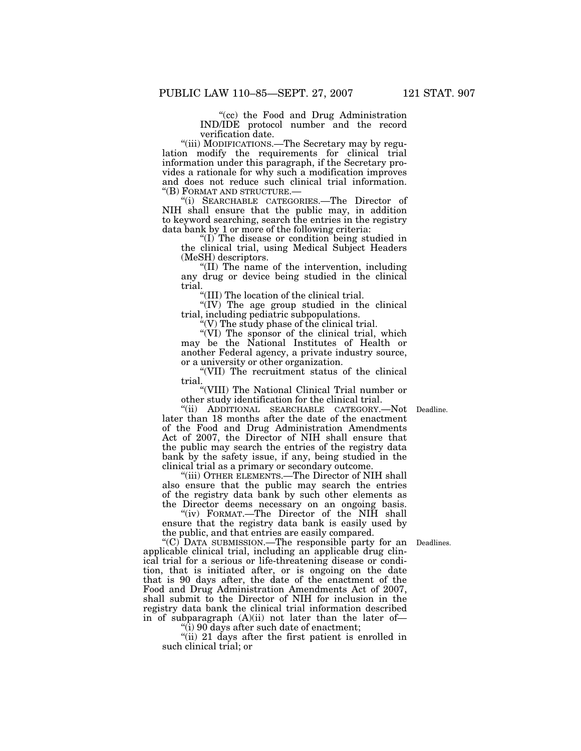"(cc) the Food and Drug Administration IND/IDE protocol number and the record verification date.

''(iii) MODIFICATIONS.—The Secretary may by regulation modify the requirements for clinical trial information under this paragraph, if the Secretary provides a rationale for why such a modification improves and does not reduce such clinical trial information.<br>"(B) FORMAT AND STRUCTURE.—

"(i) SEARCHABLE CATEGORIES.—The Director of NIH shall ensure that the public may, in addition to keyword searching, search the entries in the registry data bank by 1 or more of the following criteria:

''(I) The disease or condition being studied in the clinical trial, using Medical Subject Headers (MeSH) descriptors.

''(II) The name of the intervention, including any drug or device being studied in the clinical trial.

"(III) The location of the clinical trial.

''(IV) The age group studied in the clinical trial, including pediatric subpopulations.

"(V) The study phase of the clinical trial.

"(VI) The sponsor of the clinical trial, which may be the National Institutes of Health or another Federal agency, a private industry source, or a university or other organization.

''(VII) The recruitment status of the clinical trial.

''(VIII) The National Clinical Trial number or other study identification for the clinical trial.

"(ii) ADDITIONAL SEARCHABLE CATEGORY.—Not Deadline. later than 18 months after the date of the enactment of the Food and Drug Administration Amendments Act of 2007, the Director of NIH shall ensure that the public may search the entries of the registry data bank by the safety issue, if any, being studied in the clinical trial as a primary or secondary outcome.

"(iii) OTHER ELEMENTS.—The Director of NIH shall also ensure that the public may search the entries of the registry data bank by such other elements as the Director deems necessary on an ongoing basis.

"(iv) FORMAT. The Director of the NIH shall ensure that the registry data bank is easily used by the public, and that entries are easily compared.

"(C) DATA SUBMISSION.—The responsible party for an Deadlines. applicable clinical trial, including an applicable drug clinical trial for a serious or life-threatening disease or condition, that is initiated after, or is ongoing on the date that is 90 days after, the date of the enactment of the Food and Drug Administration Amendments Act of 2007, shall submit to the Director of NIH for inclusion in the registry data bank the clinical trial information described in of subparagraph (A)(ii) not later than the later of—

''(i) 90 days after such date of enactment;

''(ii) 21 days after the first patient is enrolled in such clinical trial; or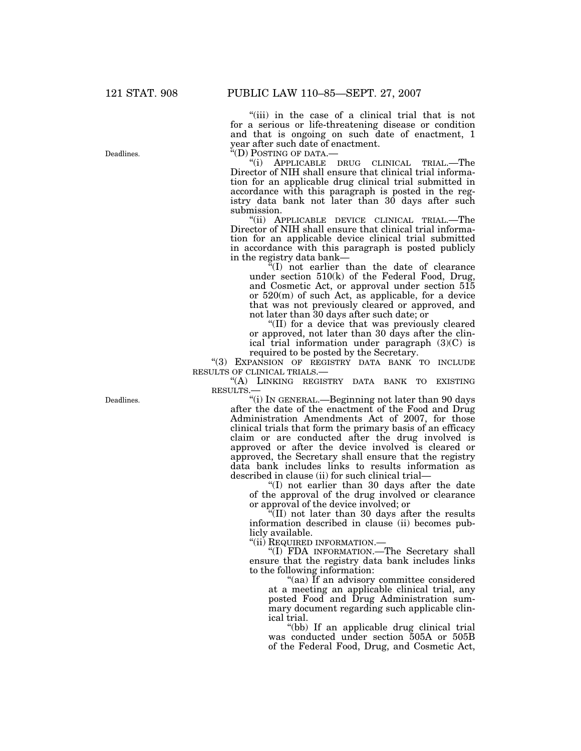"(iii) in the case of a clinical trial that is not for a serious or life-threatening disease or condition and that is ongoing on such date of enactment, 1 year after such date of enactment.<br>"(D) POSTING OF DATA.—

"(i) APPLICABLE DRUG CLINICAL TRIAL.—The Director of NIH shall ensure that clinical trial information for an applicable drug clinical trial submitted in accordance with this paragraph is posted in the registry data bank not later than 30 days after such submission.

"(ii) APPLICABLE DEVICE CLINICAL TRIAL.—The Director of NIH shall ensure that clinical trial information for an applicable device clinical trial submitted in accordance with this paragraph is posted publicly in the registry data bank—

''(I) not earlier than the date of clearance under section 510(k) of the Federal Food, Drug, and Cosmetic Act, or approval under section 515 or 520(m) of such Act, as applicable, for a device that was not previously cleared or approved, and not later than 30 days after such date; or

''(II) for a device that was previously cleared or approved, not later than 30 days after the clinical trial information under paragraph (3)(C) is required to be posted by the Secretary.

''(3) EXPANSION OF REGISTRY DATA BANK TO INCLUDE RESULTS OF CLINICAL TRIALS.—

''(A) LINKING REGISTRY DATA BANK TO EXISTING RESULTS.—

''(i) IN GENERAL.—Beginning not later than 90 days after the date of the enactment of the Food and Drug Administration Amendments Act of 2007, for those clinical trials that form the primary basis of an efficacy claim or are conducted after the drug involved is approved or after the device involved is cleared or approved, the Secretary shall ensure that the registry data bank includes links to results information as described in clause (ii) for such clinical trial—

'(I) not earlier than 30 days after the date of the approval of the drug involved or clearance or approval of the device involved; or

''(II) not later than 30 days after the results information described in clause (ii) becomes publicly available.

''(ii) REQUIRED INFORMATION.—

''(I) FDA INFORMATION.—The Secretary shall ensure that the registry data bank includes links to the following information:

''(aa) If an advisory committee considered at a meeting an applicable clinical trial, any posted Food and Drug Administration summary document regarding such applicable clinical trial.

''(bb) If an applicable drug clinical trial was conducted under section 505A or 505B of the Federal Food, Drug, and Cosmetic Act,

Deadlines.

Deadlines.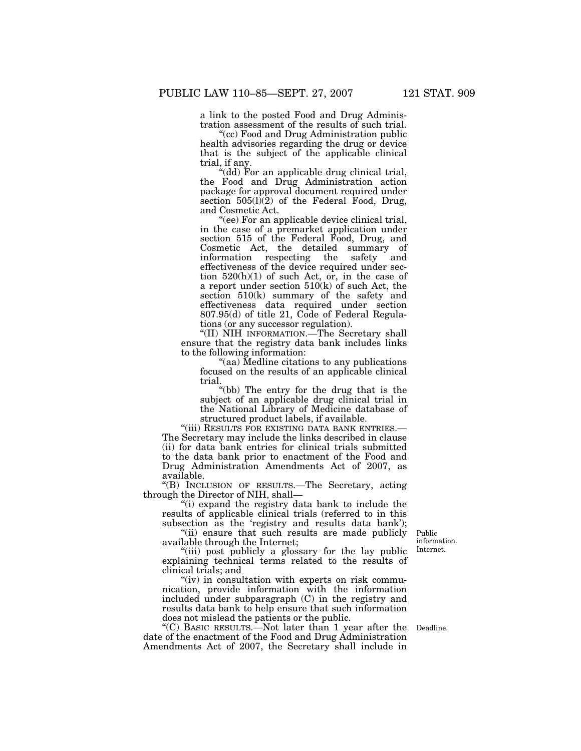a link to the posted Food and Drug Administration assessment of the results of such trial.

''(cc) Food and Drug Administration public health advisories regarding the drug or device that is the subject of the applicable clinical trial, if any.

''(dd) For an applicable drug clinical trial, the Food and Drug Administration action package for approval document required under section  $505(1)(2)$  of the Federal Food, Drug, and Cosmetic Act.

''(ee) For an applicable device clinical trial, in the case of a premarket application under section 515 of the Federal Food, Drug, and Cosmetic Act, the detailed summary of information respecting the safety and effectiveness of the device required under section 520(h)(1) of such Act, or, in the case of a report under section 510(k) of such Act, the section 510(k) summary of the safety and effectiveness data required under section 807.95(d) of title 21, Code of Federal Regulations (or any successor regulation).

''(II) NIH INFORMATION.—The Secretary shall ensure that the registry data bank includes links to the following information:

''(aa) Medline citations to any publications focused on the results of an applicable clinical trial.

"(bb) The entry for the drug that is the subject of an applicable drug clinical trial in the National Library of Medicine database of structured product labels, if available.

''(iii) RESULTS FOR EXISTING DATA BANK ENTRIES.— The Secretary may include the links described in clause (ii) for data bank entries for clinical trials submitted to the data bank prior to enactment of the Food and Drug Administration Amendments Act of 2007, as available.

''(B) INCLUSION OF RESULTS.—The Secretary, acting through the Director of NIH, shall—

''(i) expand the registry data bank to include the results of applicable clinical trials (referred to in this subsection as the 'registry and results data bank');

''(ii) ensure that such results are made publicly available through the Internet;

Public information. Internet.

"(iii) post publicly a glossary for the lay public explaining technical terms related to the results of clinical trials; and

" $(iv)$  in consultation with experts on risk communication, provide information with the information included under subparagraph (C) in the registry and results data bank to help ensure that such information does not mislead the patients or the public.

''(C) BASIC RESULTS.—Not later than 1 year after the Deadline. date of the enactment of the Food and Drug Administration Amendments Act of 2007, the Secretary shall include in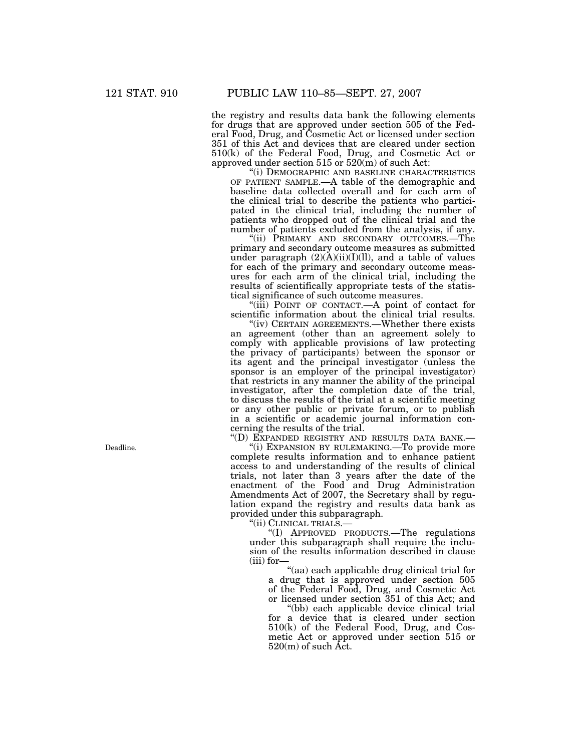the registry and results data bank the following elements for drugs that are approved under section 505 of the Federal Food, Drug, and Cosmetic Act or licensed under section 351 of this Act and devices that are cleared under section 510(k) of the Federal Food, Drug, and Cosmetic Act or approved under section 515 or 520(m) of such Act:

''(i) DEMOGRAPHIC AND BASELINE CHARACTERISTICS OF PATIENT SAMPLE.—A table of the demographic and baseline data collected overall and for each arm of the clinical trial to describe the patients who participated in the clinical trial, including the number of patients who dropped out of the clinical trial and the number of patients excluded from the analysis, if any.

"(ii) PRIMARY AND SECONDARY OUTCOMES.—The primary and secondary outcome measures as submitted under paragraph  $(2)(A)(ii)(I)(II)$ , and a table of values for each of the primary and secondary outcome measures for each arm of the clinical trial, including the results of scientifically appropriate tests of the statistical significance of such outcome measures.

''(iii) POINT OF CONTACT.—A point of contact for scientific information about the clinical trial results.

''(iv) CERTAIN AGREEMENTS.—Whether there exists an agreement (other than an agreement solely to comply with applicable provisions of law protecting the privacy of participants) between the sponsor or its agent and the principal investigator (unless the sponsor is an employer of the principal investigator) that restricts in any manner the ability of the principal investigator, after the completion date of the trial, to discuss the results of the trial at a scientific meeting or any other public or private forum, or to publish in a scientific or academic journal information concerning the results of the trial.<br>"(D) EXPANDED REGISTRY AND RESULTS DATA BANK.—

"(i) EXPANSION BY RULEMAKING.— To provide more complete results information and to enhance patient access to and understanding of the results of clinical trials, not later than 3 years after the date of the enactment of the Food and Drug Administration Amendments Act of 2007, the Secretary shall by regulation expand the registry and results data bank as provided under this subparagraph.

''(ii) CLINICAL TRIALS.—

''(I) APPROVED PRODUCTS.—The regulations under this subparagraph shall require the inclusion of the results information described in clause (iii) for—

''(aa) each applicable drug clinical trial for a drug that is approved under section 505 of the Federal Food, Drug, and Cosmetic Act or licensed under section 351 of this Act; and

"(bb) each applicable device clinical trial for a device that is cleared under section 510(k) of the Federal Food, Drug, and Cosmetic Act or approved under section 515 or  $520(m)$  of such  $\tilde{Act}$ .

Deadline.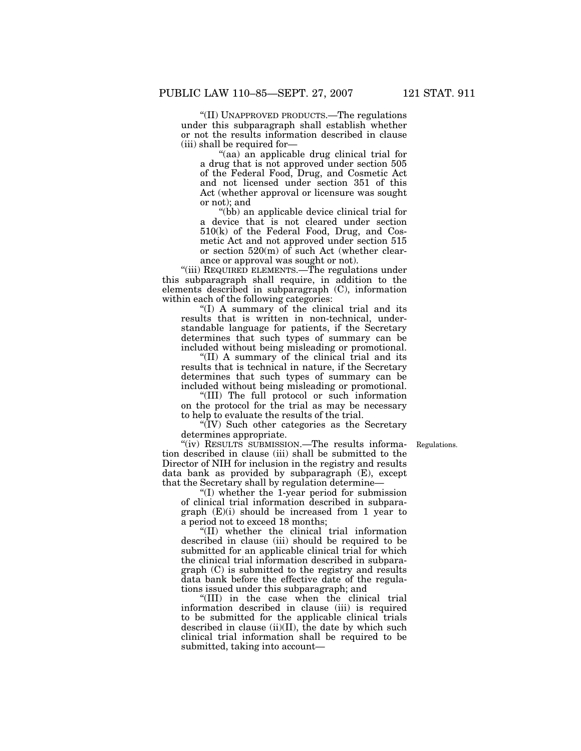''(II) UNAPPROVED PRODUCTS.—The regulations under this subparagraph shall establish whether or not the results information described in clause (iii) shall be required for—

''(aa) an applicable drug clinical trial for a drug that is not approved under section 505 of the Federal Food, Drug, and Cosmetic Act and not licensed under section 351 of this Act (whether approval or licensure was sought or not); and

"(bb) an applicable device clinical trial for a device that is not cleared under section 510(k) of the Federal Food, Drug, and Cosmetic Act and not approved under section 515 or section  $520(m)$  of such Act (whether clearance or approval was sought or not).

''(iii) REQUIRED ELEMENTS.—The regulations under this subparagraph shall require, in addition to the elements described in subparagraph (C), information within each of the following categories:

''(I) A summary of the clinical trial and its results that is written in non-technical, understandable language for patients, if the Secretary determines that such types of summary can be included without being misleading or promotional.

''(II) A summary of the clinical trial and its results that is technical in nature, if the Secretary determines that such types of summary can be included without being misleading or promotional.

''(III) The full protocol or such information on the protocol for the trial as may be necessary to help to evaluate the results of the trial.

''(IV) Such other categories as the Secretary determines appropriate.

"(iv) RESULTS SUBMISSION.—The results informa- Regulations. tion described in clause (iii) shall be submitted to the Director of NIH for inclusion in the registry and results data bank as provided by subparagraph (E), except that the Secretary shall by regulation determine—

''(I) whether the 1-year period for submission of clinical trial information described in subparagraph  $(E)(i)$  should be increased from 1 year to a period not to exceed 18 months;

"(II) whether the clinical trial information described in clause (iii) should be required to be submitted for an applicable clinical trial for which the clinical trial information described in subparagraph (C) is submitted to the registry and results data bank before the effective date of the regulations issued under this subparagraph; and

''(III) in the case when the clinical trial information described in clause (iii) is required to be submitted for the applicable clinical trials described in clause (ii)(II), the date by which such clinical trial information shall be required to be submitted, taking into account—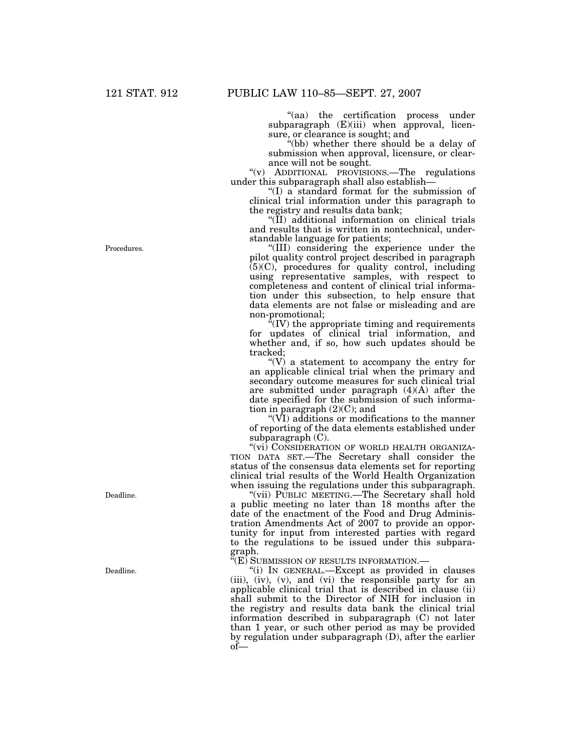''(aa) the certification process under subparagraph (E)(iii) when approval, licensure, or clearance is sought; and

(bb) whether there should be a delay of submission when approval, licensure, or clearance will not be sought.

''(v) ADDITIONAL PROVISIONS.—The regulations under this subparagraph shall also establish—

''(I) a standard format for the submission of clinical trial information under this paragraph to the registry and results data bank;

''(II) additional information on clinical trials and results that is written in nontechnical, understandable language for patients;

''(III) considering the experience under the pilot quality control project described in paragraph (5)(C), procedures for quality control, including using representative samples, with respect to completeness and content of clinical trial information under this subsection, to help ensure that data elements are not false or misleading and are non-promotional;

''(IV) the appropriate timing and requirements for updates of clinical trial information, and whether and, if so, how such updates should be tracked;

" $(V)$  a statement to accompany the entry for an applicable clinical trial when the primary and secondary outcome measures for such clinical trial are submitted under paragraph (4)(A) after the date specified for the submission of such information in paragraph  $(2)(C)$ ; and

''(VI) additions or modifications to the manner of reporting of the data elements established under subparagraph (C).

"(vi) CONSIDERATION OF WORLD HEALTH ORGANIZA-TION DATA SET.—The Secretary shall consider the status of the consensus data elements set for reporting clinical trial results of the World Health Organization when issuing the regulations under this subparagraph.

"(vii) PUBLIC MEETING.—The Secretary shall hold a public meeting no later than 18 months after the date of the enactment of the Food and Drug Administration Amendments Act of 2007 to provide an opportunity for input from interested parties with regard to the regulations to be issued under this subparagraph.

 $\sqrt[\alpha]{E}$  Submission of results information.—

''(i) IN GENERAL.—Except as provided in clauses (iii), (iv), (v), and (vi) the responsible party for an applicable clinical trial that is described in clause (ii) shall submit to the Director of NIH for inclusion in the registry and results data bank the clinical trial information described in subparagraph (C) not later than 1 year, or such other period as may be provided by regulation under subparagraph (D), after the earlier of—

Procedures.

Deadline.

Deadline.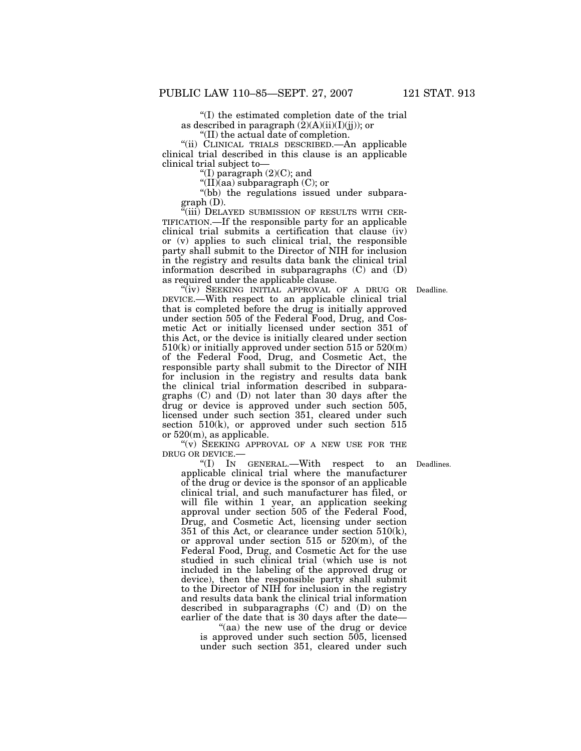''(I) the estimated completion date of the trial as described in paragraph  $(2)(A)(ii)(I)(jj)$ ; or

''(II) the actual date of completion.

''(ii) CLINICAL TRIALS DESCRIBED.—An applicable clinical trial described in this clause is an applicable clinical trial subject to—

"(I) paragraph  $(2)(C)$ ; and

 $\sqrt{\text{III}}$ (aa) subparagraph (C); or

"(bb) the regulations issued under subparagraph (D).

"(iii) DELAYED SUBMISSION OF RESULTS WITH CER-TIFICATION.—If the responsible party for an applicable clinical trial submits a certification that clause (iv) or (v) applies to such clinical trial, the responsible party shall submit to the Director of NIH for inclusion in the registry and results data bank the clinical trial information described in subparagraphs (C) and (D) as required under the applicable clause.

"(iv) SEEKING INITIAL APPROVAL OF A DRUG OR Deadline. DEVICE.—With respect to an applicable clinical trial that is completed before the drug is initially approved under section 505 of the Federal Food, Drug, and Cosmetic Act or initially licensed under section 351 of this Act, or the device is initially cleared under section  $510(k)$  or initially approved under section  $515$  or  $520(m)$ of the Federal Food, Drug, and Cosmetic Act, the responsible party shall submit to the Director of NIH for inclusion in the registry and results data bank the clinical trial information described in subparagraphs (C) and (D) not later than 30 days after the drug or device is approved under such section 505, licensed under such section 351, cleared under such section  $510(k)$ , or approved under such section  $515$ or  $520(m)$ , as applicable.

"(v) SEEKING APPROVAL OF A NEW USE FOR THE DRUG OR DEVICE.—

''(I) IN GENERAL.—With respect to an applicable clinical trial where the manufacturer of the drug or device is the sponsor of an applicable clinical trial, and such manufacturer has filed, or will file within 1 year, an application seeking approval under section 505 of the Federal Food, Drug, and Cosmetic Act, licensing under section 351 of this Act, or clearance under section 510(k), or approval under section 515 or 520(m), of the Federal Food, Drug, and Cosmetic Act for the use studied in such clinical trial (which use is not included in the labeling of the approved drug or device), then the responsible party shall submit to the Director of NIH for inclusion in the registry and results data bank the clinical trial information described in subparagraphs (C) and (D) on the earlier of the date that is 30 days after the date—

''(aa) the new use of the drug or device is approved under such section 505, licensed under such section 351, cleared under such

Deadlines.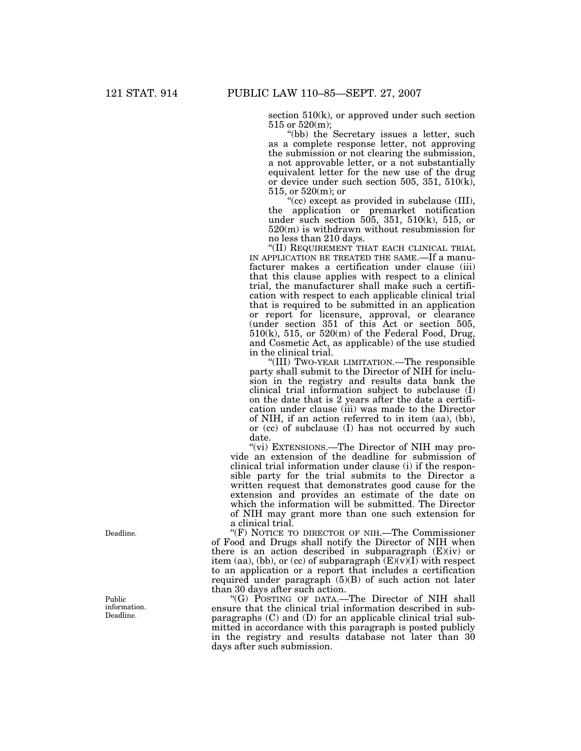section 510(k), or approved under such section 515 or 520(m);

''(bb) the Secretary issues a letter, such as a complete response letter, not approving the submission or not clearing the submission, a not approvable letter, or a not substantially equivalent letter for the new use of the drug or device under such section 505, 351, 510 $(k)$ , 515, or 520(m); or

"(cc) except as provided in subclause (III), the application or premarket notification under such section  $505$ ,  $351$ ,  $510(k)$ ,  $515$ , or 520(m) is withdrawn without resubmission for no less than 210 days.

''(II) REQUIREMENT THAT EACH CLINICAL TRIAL IN APPLICATION BE TREATED THE SAME.—If a manufacturer makes a certification under clause (iii) that this clause applies with respect to a clinical trial, the manufacturer shall make such a certification with respect to each applicable clinical trial that is required to be submitted in an application or report for licensure, approval, or clearance (under section 351 of this Act or section 505,  $510(k)$ ,  $515$ , or  $520(m)$  of the Federal Food, Drug, and Cosmetic Act, as applicable) of the use studied in the clinical trial.

''(III) TWO-YEAR LIMITATION.—The responsible party shall submit to the Director of NIH for inclusion in the registry and results data bank the clinical trial information subject to subclause (I) on the date that is 2 years after the date a certification under clause (iii) was made to the Director of NIH, if an action referred to in item (aa), (bb), or (cc) of subclause (I) has not occurred by such date.

"(vi) EXTENSIONS.—The Director of NIH may provide an extension of the deadline for submission of clinical trial information under clause (i) if the responsible party for the trial submits to the Director a written request that demonstrates good cause for the extension and provides an estimate of the date on which the information will be submitted. The Director of NIH may grant more than one such extension for a clinical trial.

"(F) NOTICE TO DIRECTOR OF NIH.-The Commissioner of Food and Drugs shall notify the Director of NIH when there is an action described in subparagraph  $(E)(iv)$  or item (aa), (bb), or (cc) of subparagraph  $(E)(\bar{v})(I)$  with respect to an application or a report that includes a certification required under paragraph (5)(B) of such action not later than 30 days after such action.

"(G) POSTING OF DATA.—The Director of NIH shall ensure that the clinical trial information described in subparagraphs (C) and (D) for an applicable clinical trial submitted in accordance with this paragraph is posted publicly in the registry and results database not later than 30 days after such submission.

Deadline.

Public information. Deadline.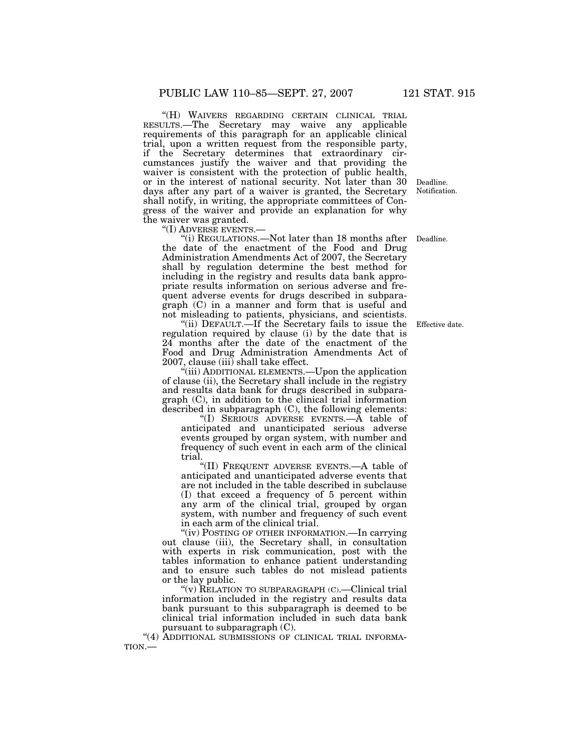''(H) WAIVERS REGARDING CERTAIN CLINICAL TRIAL RESULTS.—The Secretary may waive any applicable requirements of this paragraph for an applicable clinical trial, upon a written request from the responsible party, if the Secretary determines that extraordinary circumstances justify the waiver and that providing the waiver is consistent with the protection of public health, or in the interest of national security. Not later than 30 days after any part of a waiver is granted, the Secretary shall notify, in writing, the appropriate committees of Congress of the waiver and provide an explanation for why the waiver was granted.<br>"(I) ADVERSE EVENTS.-

"(i) REGULATIONS.—Not later than 18 months after the date of the enactment of the Food and Drug Administration Amendments Act of 2007, the Secretary shall by regulation determine the best method for including in the registry and results data bank appropriate results information on serious adverse and frequent adverse events for drugs described in subparagraph (C) in a manner and form that is useful and not misleading to patients, physicians, and scientists.

''(ii) DEFAULT.—If the Secretary fails to issue the regulation required by clause (i) by the date that is 24 months after the date of the enactment of the Food and Drug Administration Amendments Act of 2007, clause (iii) shall take effect.

''(iii) ADDITIONAL ELEMENTS.—Upon the application of clause (ii), the Secretary shall include in the registry and results data bank for drugs described in subparagraph (C), in addition to the clinical trial information described in subparagraph (C), the following elements:

''(I) SERIOUS ADVERSE EVENTS.—A table of anticipated and unanticipated serious adverse events grouped by organ system, with number and frequency of such event in each arm of the clinical trial.

''(II) FREQUENT ADVERSE EVENTS.—A table of anticipated and unanticipated adverse events that are not included in the table described in subclause (I) that exceed a frequency of 5 percent within any arm of the clinical trial, grouped by organ system, with number and frequency of such event in each arm of the clinical trial.

''(iv) POSTING OF OTHER INFORMATION.—In carrying out clause (iii), the Secretary shall, in consultation with experts in risk communication, post with the tables information to enhance patient understanding and to ensure such tables do not mislead patients or the lay public.

"(v) RELATION TO SUBPARAGRAPH (C).—Clinical trial information included in the registry and results data bank pursuant to this subparagraph is deemed to be clinical trial information included in such data bank pursuant to subparagraph (C).

 $"$ (4) ADDITIONAL SUBMISSIONS OF CLINICAL TRIAL INFORMATION.—

Deadline. Notification.

Deadline.

Effective date.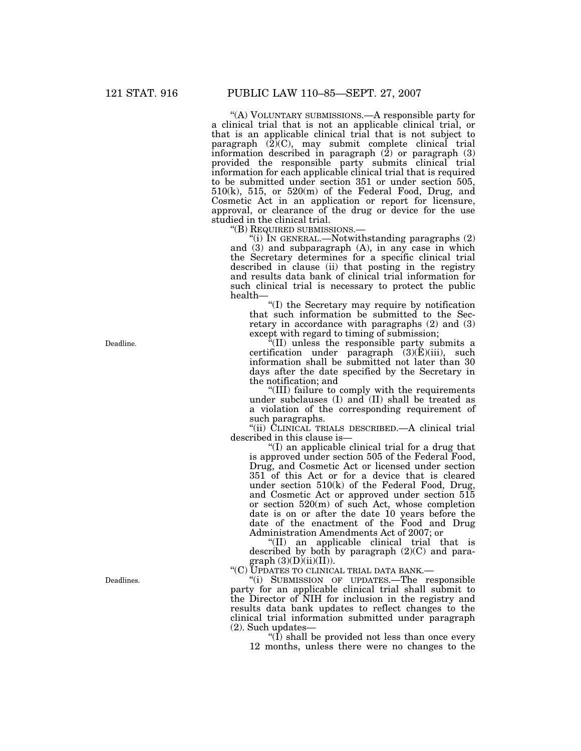''(A) VOLUNTARY SUBMISSIONS.—A responsible party for a clinical trial that is not an applicable clinical trial, or that is an applicable clinical trial that is not subject to paragraph (2)(C), may submit complete clinical trial information described in paragraph (2) or paragraph (3) provided the responsible party submits clinical trial information for each applicable clinical trial that is required to be submitted under section 351 or under section 505,  $510(k)$ ,  $515$ , or  $520(m)$  of the Federal Food, Drug, and Cosmetic Act in an application or report for licensure, approval, or clearance of the drug or device for the use studied in the clinical trial.<br>"(B) REQUIRED SUBMISSIONS.-

"(i) In GENERAL.—Notwithstanding paragraphs  $(2)$ and (3) and subparagraph (A), in any case in which the Secretary determines for a specific clinical trial described in clause (ii) that posting in the registry and results data bank of clinical trial information for such clinical trial is necessary to protect the public health—

''(I) the Secretary may require by notification that such information be submitted to the Secretary in accordance with paragraphs (2) and (3) except with regard to timing of submission;

''(II) unless the responsible party submits a certification under paragraph  $(3)(E)(iii)$ , such information shall be submitted not later than 30 days after the date specified by the Secretary in the notification; and

''(III) failure to comply with the requirements under subclauses (I) and (II) shall be treated as a violation of the corresponding requirement of such paragraphs.

''(ii) CLINICAL TRIALS DESCRIBED.—A clinical trial described in this clause is—

''(I) an applicable clinical trial for a drug that is approved under section 505 of the Federal Food, Drug, and Cosmetic Act or licensed under section 351 of this Act or for a device that is cleared under section 510(k) of the Federal Food, Drug, and Cosmetic Act or approved under section 515 or section 520(m) of such Act, whose completion date is on or after the date 10 years before the date of the enactment of the Food and Drug Administration Amendments Act of 2007; or

''(II) an applicable clinical trial that is described by both by paragraph  $(2)(C)$  and para $graph (3)(D)(ii)(II)).$ 

''(C) UPDATES TO CLINICAL TRIAL DATA BANK.—

''(i) SUBMISSION OF UPDATES.—The responsible party for an applicable clinical trial shall submit to the Director of NIH for inclusion in the registry and results data bank updates to reflect changes to the clinical trial information submitted under paragraph (2). Such updates—

 $f(\bar{I})$  shall be provided not less than once every 12 months, unless there were no changes to the

Deadline.

Deadlines.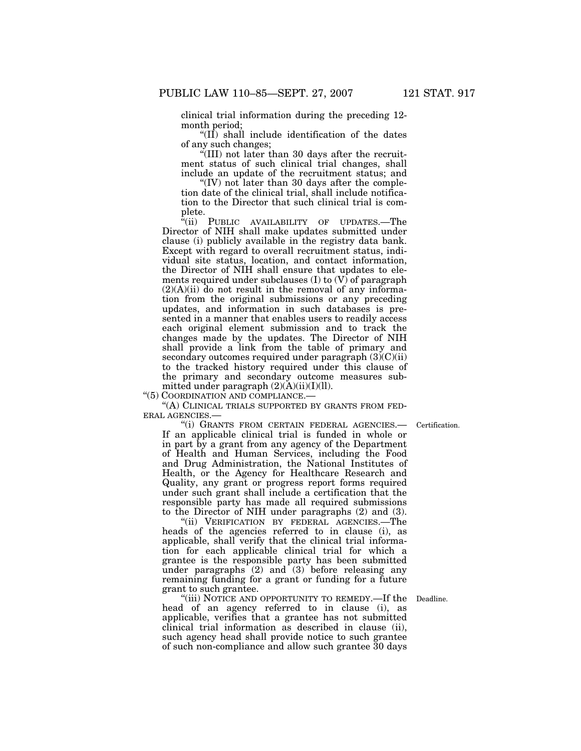clinical trial information during the preceding 12 month period;

" $(II)$  shall include identification of the dates of any such changes;

''(III) not later than 30 days after the recruitment status of such clinical trial changes, shall include an update of the recruitment status; and

" $(IV)$  not later than 30 days after the completion date of the clinical trial, shall include notification to the Director that such clinical trial is complete.

"(ii) PUBLIC AVAILABILITY OF UPDATES.—The Director of NIH shall make updates submitted under clause (i) publicly available in the registry data bank. Except with regard to overall recruitment status, individual site status, location, and contact information, the Director of NIH shall ensure that updates to elements required under subclauses (I) to  $(V)$  of paragraph  $(2)(A)(ii)$  do not result in the removal of any information from the original submissions or any preceding updates, and information in such databases is presented in a manner that enables users to readily access each original element submission and to track the changes made by the updates. The Director of NIH shall provide a link from the table of primary and secondary outcomes required under paragraph  $(3)(C)(ii)$ to the tracked history required under this clause of the primary and secondary outcome measures submitted under paragraph  $(2)(A)(ii)(I)(ll)$ .

''(5) COORDINATION AND COMPLIANCE.—

''(A) CLINICAL TRIALS SUPPORTED BY GRANTS FROM FED-ERAL AGENCIES.—

Certification.

''(i) GRANTS FROM CERTAIN FEDERAL AGENCIES.— If an applicable clinical trial is funded in whole or in part by a grant from any agency of the Department of Health and Human Services, including the Food and Drug Administration, the National Institutes of Health, or the Agency for Healthcare Research and Quality, any grant or progress report forms required under such grant shall include a certification that the responsible party has made all required submissions to the Director of NIH under paragraphs (2) and (3).

''(ii) VERIFICATION BY FEDERAL AGENCIES.—The heads of the agencies referred to in clause (i), as applicable, shall verify that the clinical trial information for each applicable clinical trial for which a grantee is the responsible party has been submitted under paragraphs (2) and (3) before releasing any remaining funding for a grant or funding for a future grant to such grantee.

"(iii) NOTICE AND OPPORTUNITY TO REMEDY.—If the head of an agency referred to in clause (i), as applicable, verifies that a grantee has not submitted clinical trial information as described in clause (ii), such agency head shall provide notice to such grantee of such non-compliance and allow such grantee 30 days

Deadline.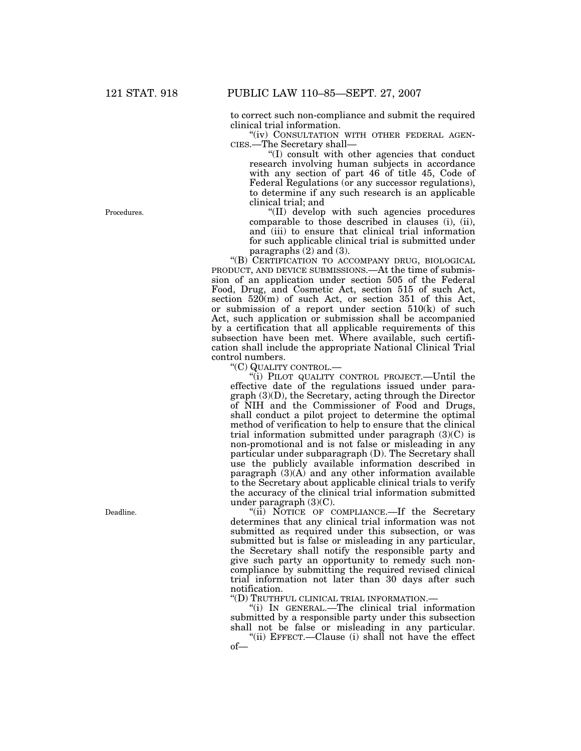to correct such non-compliance and submit the required clinical trial information.

"(iv) CONSULTATION WITH OTHER FEDERAL AGEN-CIES.—The Secretary shall—

''(I) consult with other agencies that conduct research involving human subjects in accordance with any section of part 46 of title 45, Code of Federal Regulations (or any successor regulations), to determine if any such research is an applicable clinical trial; and

''(II) develop with such agencies procedures comparable to those described in clauses (i), (ii), and (iii) to ensure that clinical trial information for such applicable clinical trial is submitted under paragraphs  $(2)$  and  $(3)$ .

"(B) CERTIFICATION TO ACCOMPANY DRUG, BIOLOGICAL PRODUCT, AND DEVICE SUBMISSIONS.—At the time of submission of an application under section 505 of the Federal Food, Drug, and Cosmetic Act, section 515 of such Act, section 520(m) of such Act, or section 351 of this Act, or submission of a report under section 510(k) of such Act, such application or submission shall be accompanied by a certification that all applicable requirements of this subsection have been met. Where available, such certification shall include the appropriate National Clinical Trial control numbers.

''(C) QUALITY CONTROL.—

''(i) PILOT QUALITY CONTROL PROJECT.—Until the effective date of the regulations issued under paragraph (3)(D), the Secretary, acting through the Director of NIH and the Commissioner of Food and Drugs, shall conduct a pilot project to determine the optimal method of verification to help to ensure that the clinical trial information submitted under paragraph  $(3)(C)$  is non-promotional and is not false or misleading in any particular under subparagraph (D). The Secretary shall use the publicly available information described in paragraph  $(3)(A)$  and any other information available to the Secretary about applicable clinical trials to verify the accuracy of the clinical trial information submitted under paragraph (3)(C).

''(ii) NOTICE OF COMPLIANCE.—If the Secretary determines that any clinical trial information was not submitted as required under this subsection, or was submitted but is false or misleading in any particular, the Secretary shall notify the responsible party and give such party an opportunity to remedy such noncompliance by submitting the required revised clinical trial information not later than 30 days after such notification.

''(D) TRUTHFUL CLINICAL TRIAL INFORMATION.—

''(i) IN GENERAL.—The clinical trial information submitted by a responsible party under this subsection shall not be false or misleading in any particular.

''(ii) EFFECT.—Clause (i) shall not have the effect of—

Procedures.

Deadline.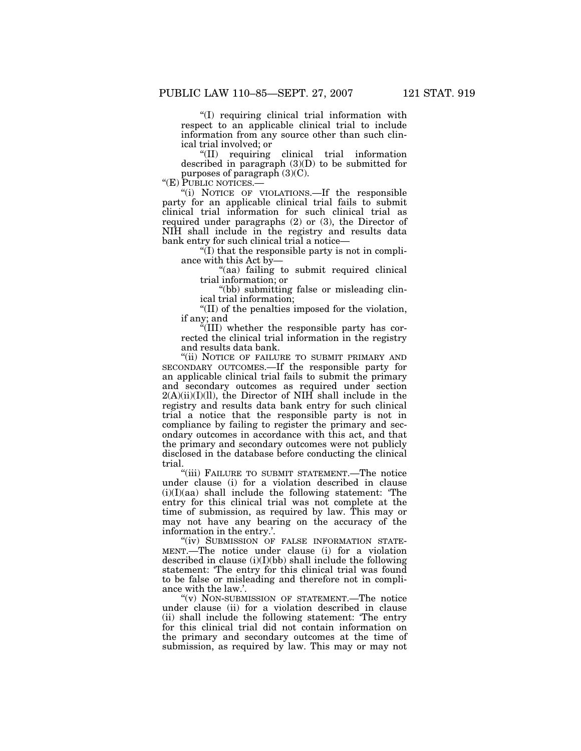''(I) requiring clinical trial information with respect to an applicable clinical trial to include information from any source other than such clinical trial involved; or

''(II) requiring clinical trial information described in paragraph (3)(D) to be submitted for purposes of paragraph  $(3)(C)$ .

''(E) PUBLIC NOTICES.—

''(i) NOTICE OF VIOLATIONS.—If the responsible party for an applicable clinical trial fails to submit clinical trial information for such clinical trial as required under paragraphs (2) or (3), the Director of NIH shall include in the registry and results data bank entry for such clinical trial a notice—

 $\mathcal{L}(I)$  that the responsible party is not in compliance with this Act by—

"(aa) failing to submit required clinical trial information; or

"(bb) submitting false or misleading clinical trial information;

''(II) of the penalties imposed for the violation, if any; and

''(III) whether the responsible party has corrected the clinical trial information in the registry and results data bank.

"(ii) NOTICE OF FAILURE TO SUBMIT PRIMARY AND SECONDARY OUTCOMES.—If the responsible party for an applicable clinical trial fails to submit the primary and secondary outcomes as required under section  $2(A)(ii)(I)(II)$ , the Director of NIH shall include in the registry and results data bank entry for such clinical trial a notice that the responsible party is not in compliance by failing to register the primary and secondary outcomes in accordance with this act, and that the primary and secondary outcomes were not publicly disclosed in the database before conducting the clinical trial.

''(iii) FAILURE TO SUBMIT STATEMENT.—The notice under clause (i) for a violation described in clause  $(i)(I)(aa)$  shall include the following statement: The entry for this clinical trial was not complete at the time of submission, as required by law. This may or may not have any bearing on the accuracy of the information in the entry.'.

"(iv) SUBMISSION OF FALSE INFORMATION STATE-MENT.—The notice under clause (i) for a violation described in clause  $(i)(I)(bb)$  shall include the following statement: 'The entry for this clinical trial was found to be false or misleading and therefore not in compliance with the law.'.

''(v) NON-SUBMISSION OF STATEMENT.—The notice under clause (ii) for a violation described in clause (ii) shall include the following statement: 'The entry for this clinical trial did not contain information on the primary and secondary outcomes at the time of submission, as required by law. This may or may not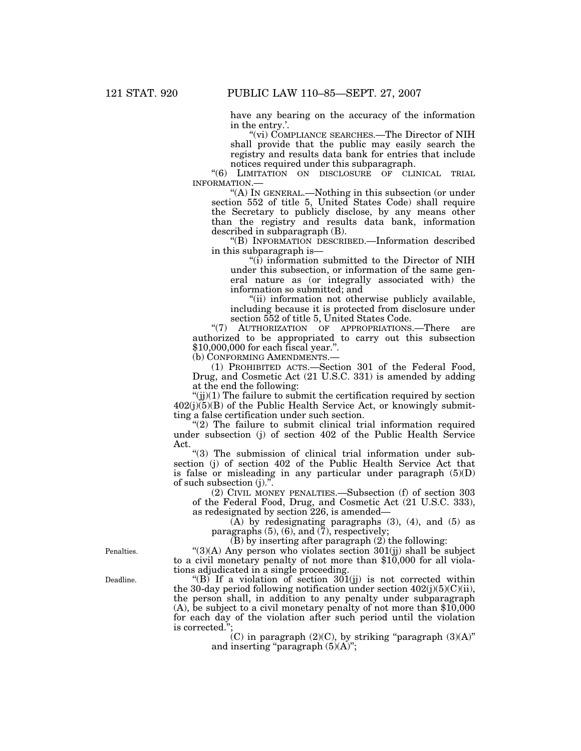have any bearing on the accuracy of the information in the entry.'.

''(vi) COMPLIANCE SEARCHES.—The Director of NIH shall provide that the public may easily search the registry and results data bank for entries that include notices required under this subparagraph.

''(6) LIMITATION ON DISCLOSURE OF CLINICAL TRIAL INFORMATION.—

''(A) IN GENERAL.—Nothing in this subsection (or under section 552 of title 5, United States Code) shall require the Secretary to publicly disclose, by any means other than the registry and results data bank, information described in subparagraph (B).

''(B) INFORMATION DESCRIBED.—Information described in this subparagraph is—

''(i) information submitted to the Director of NIH under this subsection, or information of the same general nature as (or integrally associated with) the information so submitted; and

''(ii) information not otherwise publicly available, including because it is protected from disclosure under section 552 of title 5, United States Code.<br>
"(7) AUTHORIZATION OF APPROPRIATIONS

AUTHORIZATION OF APPROPRIATIONS.—There are authorized to be appropriated to carry out this subsection \$10,000,000 for each fiscal year.''.

(b) CONFORMING AMENDMENTS.—

(1) PROHIBITED ACTS.—Section 301 of the Federal Food, Drug, and Cosmetic Act (21 U.S.C. 331) is amended by adding at the end the following:

 $\lq$ (ij)(1) The failure to submit the certification required by section  $402(j)(5)(B)$  of the Public Health Service Act, or knowingly submitting a false certification under such section.

"(2) The failure to submit clinical trial information required under subsection (j) of section 402 of the Public Health Service Act.

"(3) The submission of clinical trial information under subsection (j) of section 402 of the Public Health Service Act that is false or misleading in any particular under paragraph  $(5)(D)$ of such subsection (j).''.

(2) CIVIL MONEY PENALTIES.—Subsection (f) of section 303 of the Federal Food, Drug, and Cosmetic Act (21 U.S.C. 333), as redesignated by section 226, is amended—

 $(A)$  by redesignating paragraphs  $(3)$ ,  $(4)$ , and  $(5)$  as paragraphs (5), (6), and (7), respectively;

 $(B)$  by inserting after paragraph  $(2)$  the following:

Penalties.

" $(3)(A)$  Any person who violates section  $301(jj)$  shall be subject to a civil monetary penalty of not more than \$10,000 for all violations adjudicated in a single proceeding.

''(B) If a violation of section 301(jj) is not corrected within the 30-day period following notification under section  $402(j)(5)(C)(ii)$ , the person shall, in addition to any penalty under subparagraph (A), be subject to a civil monetary penalty of not more than \$10,000 for each day of the violation after such period until the violation is corrected.'';

 $(C)$  in paragraph  $(2)(C)$ , by striking "paragraph  $(3)(A)$ " and inserting "paragraph  $(5)(A)$ ";

Deadline.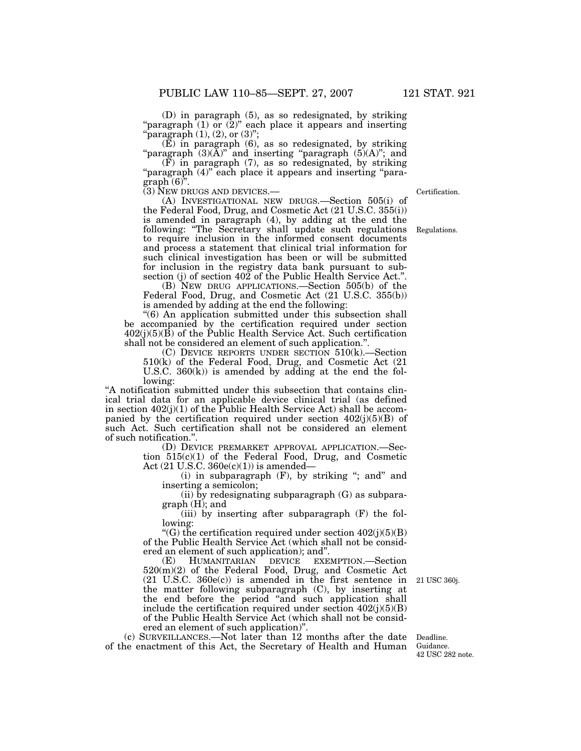(D) in paragraph (5), as so redesignated, by striking "paragraph (1) or (2)" each place it appears and inserting "paragraph  $(1)$ ,  $(2)$ , or  $(3)$ ";

 $(E)$  in paragraph  $(6)$ , as so redesignated, by striking "paragraph  $(3)(A)$ " and inserting "paragraph  $(5)(A)$ "; and

(F) in paragraph (7), as so redesignated, by striking "paragraph (4)" each place it appears and inserting "paragraph (6)".<br>(3) New DRUGS AND DEVICES.—

 $(A)$  INVESTIGATIONAL NEW DRUGS.—Section 505(i) of the Federal Food, Drug, and Cosmetic Act (21 U.S.C. 355(i)) is amended in paragraph (4), by adding at the end the following: "The Secretary shall update such regulations to require inclusion in the informed consent documents and process a statement that clinical trial information for such clinical investigation has been or will be submitted for inclusion in the registry data bank pursuant to subsection (j) of section 402 of the Public Health Service Act.".

(B) NEW DRUG APPLICATIONS.—Section 505(b) of the Federal Food, Drug, and Cosmetic Act (21 U.S.C. 355(b)) is amended by adding at the end the following:

''(6) An application submitted under this subsection shall be accompanied by the certification required under section  $402(j)(5)(\vec{B})$  of the Public Health Service Act. Such certification shall not be considered an element of such application.''.

(C) DEVICE REPORTS UNDER SECTION  $510(k)$ . Section 510(k) of the Federal Food, Drug, and Cosmetic Act (21 U.S.C.  $360(k)$  is amended by adding at the end the following:

''A notification submitted under this subsection that contains clinical trial data for an applicable device clinical trial (as defined in section  $402(j)(1)$  of the Public Health Service Act) shall be accompanied by the certification required under section  $402(j)(5)(B)$  of such Act. Such certification shall not be considered an element of such notification.''.

(D) DEVICE PREMARKET APPROVAL APPLICATION.—Section 515(c)(1) of the Federal Food, Drug, and Cosmetic Act  $(21 \text{ U.S.C. } 360\text{e(c)}(1))$  is amended-

(i) in subparagraph (F), by striking "; and" and inserting a semicolon;

(ii) by redesignating subparagraph (G) as subparagraph (H); and

(iii) by inserting after subparagraph (F) the following:

"(G) the certification required under section  $402(j)(5)(B)$ of the Public Health Service Act (which shall not be considered an element of such application); and''.

(E) HUMANITARIAN DEVICE EXEMPTION.—Section 520(m)(2) of the Federal Food, Drug, and Cosmetic Act (21 U.S.C. 360e(c)) is amended in the first sentence in the matter following subparagraph (C), by inserting at the end before the period "and such application shall include the certification required under section  $402(j)(5)(B)$ of the Public Health Service Act (which shall not be considered an element of such application)''.

(c) SURVEILLANCES.—Not later than 12 months after the date of the enactment of this Act, the Secretary of Health and Human

Deadline. Guidance. 42 USC 282 note.

21 USC 360j.

Regulations.

Certification.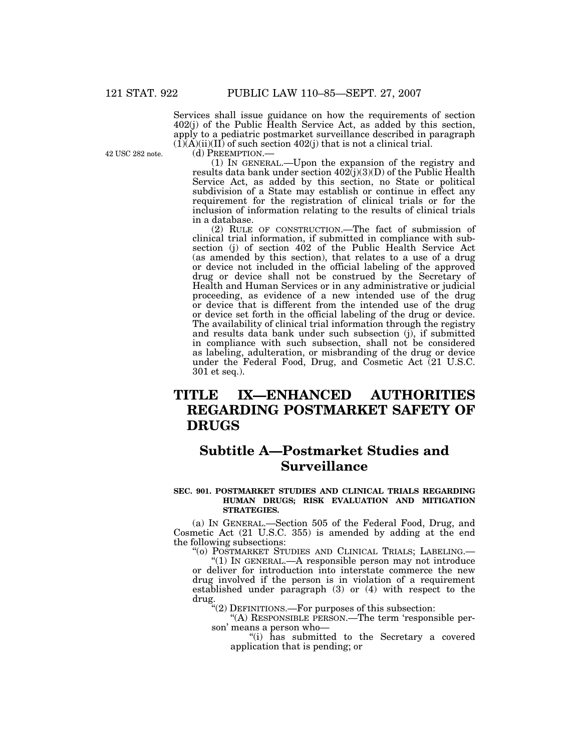Services shall issue guidance on how the requirements of section 402(j) of the Public Health Service Act, as added by this section, apply to a pediatric postmarket surveillance described in paragraph  $(1)(\overline{A})(ii)(II)$  of such section 402(j) that is not a clinical trial.<br>(d) PREEMPTION.—

42 USC 282 note.

 $(1)$  In GENERAL.—Upon the expansion of the registry and results data bank under section  $402(j)(3)(D)$  of the Public Health Service Act, as added by this section, no State or political subdivision of a State may establish or continue in effect any requirement for the registration of clinical trials or for the inclusion of information relating to the results of clinical trials in a database.

(2) RULE OF CONSTRUCTION.—The fact of submission of clinical trial information, if submitted in compliance with subsection (j) of section 402 of the Public Health Service Act (as amended by this section), that relates to a use of a drug or device not included in the official labeling of the approved drug or device shall not be construed by the Secretary of Health and Human Services or in any administrative or judicial proceeding, as evidence of a new intended use of the drug or device that is different from the intended use of the drug or device set forth in the official labeling of the drug or device. The availability of clinical trial information through the registry and results data bank under such subsection (j), if submitted in compliance with such subsection, shall not be considered as labeling, adulteration, or misbranding of the drug or device under the Federal Food, Drug, and Cosmetic Act (21 U.S.C. 301 et seq.).

# **TITLE IX—ENHANCED AUTHORITIES REGARDING POSTMARKET SAFETY OF DRUGS**

## **Subtitle A—Postmarket Studies and Surveillance**

### **SEC. 901. POSTMARKET STUDIES AND CLINICAL TRIALS REGARDING HUMAN DRUGS; RISK EVALUATION AND MITIGATION STRATEGIES.**

(a) IN GENERAL.—Section 505 of the Federal Food, Drug, and Cosmetic Act (21 U.S.C. 355) is amended by adding at the end the following subsections:

''(o) POSTMARKET STUDIES AND CLINICAL TRIALS; LABELING.—

" $(1)$  In GENERAL.—A responsible person may not introduce or deliver for introduction into interstate commerce the new drug involved if the person is in violation of a requirement established under paragraph (3) or (4) with respect to the drug.

''(2) DEFINITIONS.—For purposes of this subsection:

''(A) RESPONSIBLE PERSON.—The term 'responsible person' means a person who—

''(i) has submitted to the Secretary a covered application that is pending; or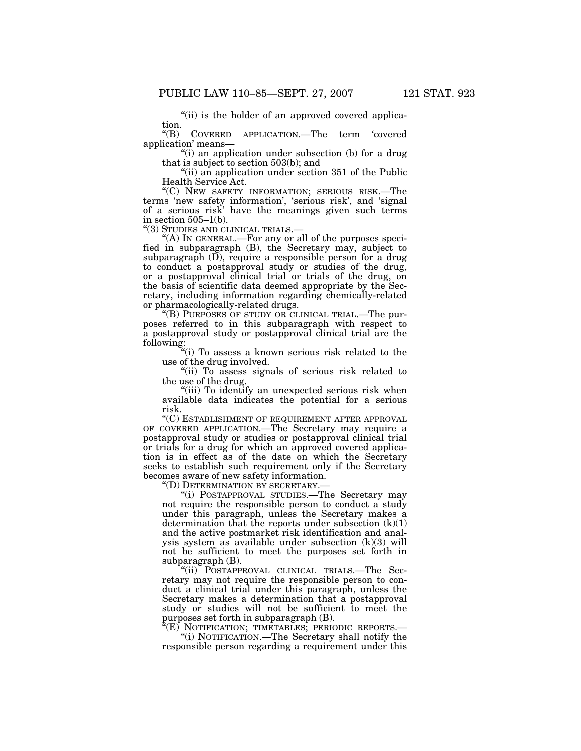"(ii) is the holder of an approved covered applica-

tion.<br>" $(B)$ COVERED APPLICATION.—The term 'covered application' means—

''(i) an application under subsection (b) for a drug that is subject to section 503(b); and

''(ii) an application under section 351 of the Public Health Service Act.

''(C) NEW SAFETY INFORMATION; SERIOUS RISK.—The terms 'new safety information', 'serious risk', and 'signal of a serious risk' have the meanings given such terms in section 505–1(b).<br>"(3) STUDIES AND CLINICAL TRIALS.-

"(A) IN GENERAL.—For any or all of the purposes specified in subparagraph (B), the Secretary may, subject to subparagraph  $(D)$ , require a responsible person for a drug to conduct a postapproval study or studies of the drug, or a postapproval clinical trial or trials of the drug, on the basis of scientific data deemed appropriate by the Secretary, including information regarding chemically-related or pharmacologically-related drugs.

''(B) PURPOSES OF STUDY OR CLINICAL TRIAL.—The purposes referred to in this subparagraph with respect to a postapproval study or postapproval clinical trial are the following:

''(i) To assess a known serious risk related to the use of the drug involved.

''(ii) To assess signals of serious risk related to the use of the drug.

"(iii) To identify an unexpected serious risk when available data indicates the potential for a serious risk.

''(C) ESTABLISHMENT OF REQUIREMENT AFTER APPROVAL OF COVERED APPLICATION.—The Secretary may require a postapproval study or studies or postapproval clinical trial or trials for a drug for which an approved covered application is in effect as of the date on which the Secretary seeks to establish such requirement only if the Secretary becomes aware of new safety information.

''(D) DETERMINATION BY SECRETARY.—

''(i) POSTAPPROVAL STUDIES.—The Secretary may not require the responsible person to conduct a study under this paragraph, unless the Secretary makes a determination that the reports under subsection  $(k)(1)$ and the active postmarket risk identification and analysis system as available under subsection (k)(3) will not be sufficient to meet the purposes set forth in subparagraph (B).

''(ii) POSTAPPROVAL CLINICAL TRIALS.—The Secretary may not require the responsible person to conduct a clinical trial under this paragraph, unless the Secretary makes a determination that a postapproval study or studies will not be sufficient to meet the purposes set forth in subparagraph (B).<br>"(E) NOTIFICATION; TIMETABLES; PERIODIC REPORTS.—

"(i) NOTIFICATION.—The Secretary shall notify the responsible person regarding a requirement under this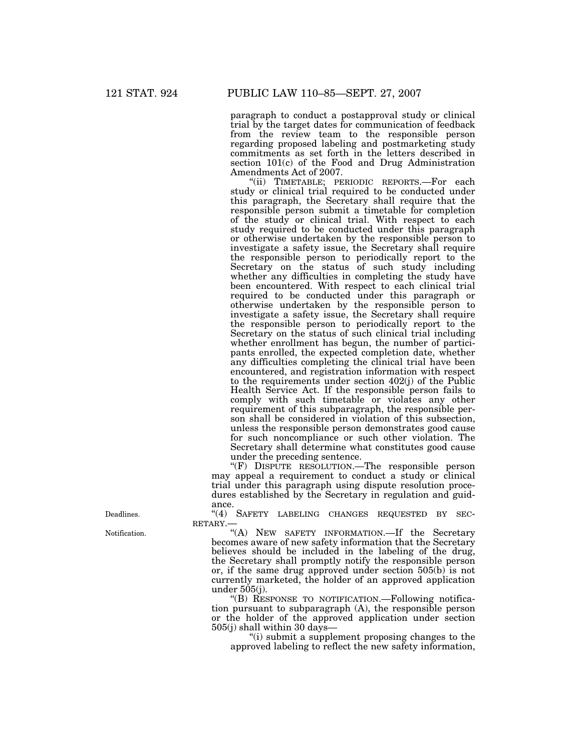paragraph to conduct a postapproval study or clinical trial by the target dates for communication of feedback from the review team to the responsible person regarding proposed labeling and postmarketing study commitments as set forth in the letters described in section 101(c) of the Food and Drug Administration Amendments Act of 2007.

"(ii) TIMETABLE; PERIODIC REPORTS.-For each study or clinical trial required to be conducted under this paragraph, the Secretary shall require that the responsible person submit a timetable for completion of the study or clinical trial. With respect to each study required to be conducted under this paragraph or otherwise undertaken by the responsible person to investigate a safety issue, the Secretary shall require the responsible person to periodically report to the Secretary on the status of such study including whether any difficulties in completing the study have been encountered. With respect to each clinical trial required to be conducted under this paragraph or otherwise undertaken by the responsible person to investigate a safety issue, the Secretary shall require the responsible person to periodically report to the Secretary on the status of such clinical trial including whether enrollment has begun, the number of participants enrolled, the expected completion date, whether any difficulties completing the clinical trial have been encountered, and registration information with respect to the requirements under section 402(j) of the Public Health Service Act. If the responsible person fails to comply with such timetable or violates any other requirement of this subparagraph, the responsible person shall be considered in violation of this subsection, unless the responsible person demonstrates good cause for such noncompliance or such other violation. The Secretary shall determine what constitutes good cause under the preceding sentence.

''(F) DISPUTE RESOLUTION.—The responsible person may appeal a requirement to conduct a study or clinical trial under this paragraph using dispute resolution procedures established by the Secretary in regulation and guidance.

"(4) SAFETY LABELING CHANGES REQUESTED BY SEC-RETARY.—

''(A) NEW SAFETY INFORMATION.—If the Secretary becomes aware of new safety information that the Secretary believes should be included in the labeling of the drug, the Secretary shall promptly notify the responsible person or, if the same drug approved under section 505(b) is not currently marketed, the holder of an approved application under 505(j).

''(B) RESPONSE TO NOTIFICATION.—Following notification pursuant to subparagraph (A), the responsible person or the holder of the approved application under section 505(j) shall within 30 days—

''(i) submit a supplement proposing changes to the approved labeling to reflect the new safety information,

Deadlines.

Notification.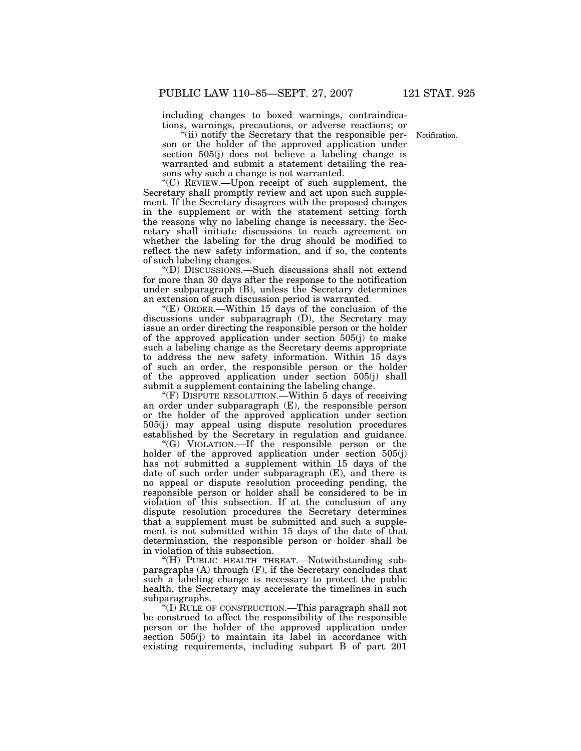including changes to boxed warnings, contraindications, warnings, precautions, or adverse reactions; or

''(ii) notify the Secretary that the responsible person or the holder of the approved application under section 505(j) does not believe a labeling change is warranted and submit a statement detailing the reasons why such a change is not warranted.

''(C) REVIEW.—Upon receipt of such supplement, the Secretary shall promptly review and act upon such supplement. If the Secretary disagrees with the proposed changes in the supplement or with the statement setting forth the reasons why no labeling change is necessary, the Secretary shall initiate discussions to reach agreement on whether the labeling for the drug should be modified to reflect the new safety information, and if so, the contents of such labeling changes.

''(D) DISCUSSIONS.—Such discussions shall not extend for more than 30 days after the response to the notification under subparagraph (B), unless the Secretary determines an extension of such discussion period is warranted.

''(E) ORDER.—Within 15 days of the conclusion of the discussions under subparagraph (D), the Secretary may issue an order directing the responsible person or the holder of the approved application under section 505(j) to make such a labeling change as the Secretary deems appropriate to address the new safety information. Within 15 days of such an order, the responsible person or the holder of the approved application under section 505(j) shall submit a supplement containing the labeling change.

"(F) DISPUTE RESOLUTION.—Within 5 days of receiving an order under subparagraph (E), the responsible person or the holder of the approved application under section 505(j) may appeal using dispute resolution procedures established by the Secretary in regulation and guidance.

''(G) VIOLATION.—If the responsible person or the holder of the approved application under section 505(j) has not submitted a supplement within 15 days of the date of such order under subparagraph (E), and there is no appeal or dispute resolution proceeding pending, the responsible person or holder shall be considered to be in violation of this subsection. If at the conclusion of any dispute resolution procedures the Secretary determines that a supplement must be submitted and such a supplement is not submitted within 15 days of the date of that determination, the responsible person or holder shall be in violation of this subsection.

''(H) PUBLIC HEALTH THREAT.—Notwithstanding subparagraphs (A) through (F), if the Secretary concludes that such a labeling change is necessary to protect the public health, the Secretary may accelerate the timelines in such subparagraphs.

''(I) RULE OF CONSTRUCTION.—This paragraph shall not be construed to affect the responsibility of the responsible person or the holder of the approved application under section 505(j) to maintain its label in accordance with existing requirements, including subpart B of part 201

Notification.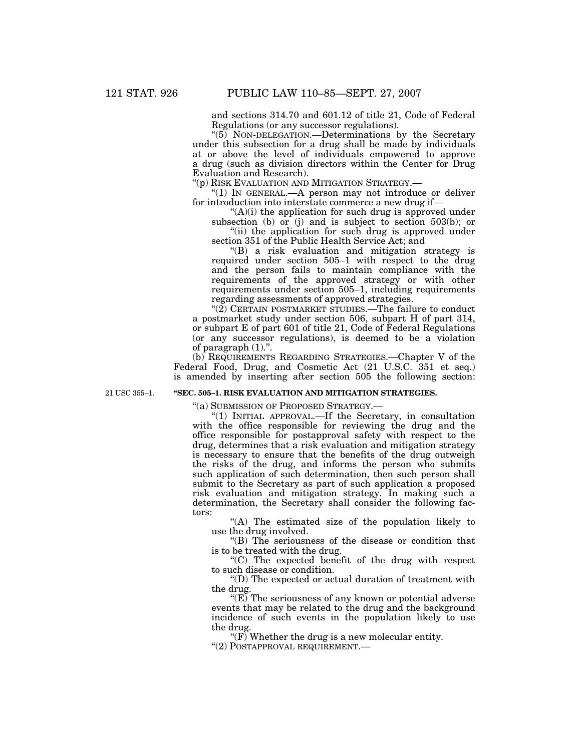and sections 314.70 and 601.12 of title 21, Code of Federal Regulations (or any successor regulations).

"(5) NON-DELEGATION.—Determinations by the Secretary under this subsection for a drug shall be made by individuals at or above the level of individuals empowered to approve a drug (such as division directors within the Center for Drug Evaluation and Research).

''(p) RISK EVALUATION AND MITIGATION STRATEGY.—

" $(1)$  In GENERAL.—A person may not introduce or deliver for introduction into interstate commerce a new drug if—

 $(A)(i)$  the application for such drug is approved under subsection (b) or (j) and is subject to section 503(b); or

"(ii) the application for such drug is approved under section 351 of the Public Health Service Act; and

''(B) a risk evaluation and mitigation strategy is required under section 505–1 with respect to the drug and the person fails to maintain compliance with the requirements of the approved strategy or with other requirements under section 505–1, including requirements regarding assessments of approved strategies.

" $(2)$  CERTAIN POSTMARKET STUDIES.—The failure to conduct a postmarket study under section 506, subpart H of part 314, or subpart E of part 601 of title 21, Code of Federal Regulations (or any successor regulations), is deemed to be a violation of paragraph  $(1)$ .".

(b) REQUIREMENTS REGARDING STRATEGIES.—Chapter V of the Federal Food, Drug, and Cosmetic Act (21 U.S.C. 351 et seq.) is amended by inserting after section 505 the following section:

21 USC 355–1.

## **''SEC. 505–1. RISK EVALUATION AND MITIGATION STRATEGIES.**

''(a) SUBMISSION OF PROPOSED STRATEGY.—

''(1) INITIAL APPROVAL.—If the Secretary, in consultation with the office responsible for reviewing the drug and the office responsible for postapproval safety with respect to the drug, determines that a risk evaluation and mitigation strategy is necessary to ensure that the benefits of the drug outweigh the risks of the drug, and informs the person who submits such application of such determination, then such person shall submit to the Secretary as part of such application a proposed risk evaluation and mitigation strategy. In making such a determination, the Secretary shall consider the following factors:

''(A) The estimated size of the population likely to use the drug involved.

''(B) The seriousness of the disease or condition that is to be treated with the drug.

 $(C)$  The expected benefit of the drug with respect to such disease or condition.

''(D) The expected or actual duration of treatment with the drug.

" $(E)$  The seriousness of any known or potential adverse" events that may be related to the drug and the background incidence of such events in the population likely to use the drug.

" $(F)$  Whether the drug is a new molecular entity.

''(2) POSTAPPROVAL REQUIREMENT.—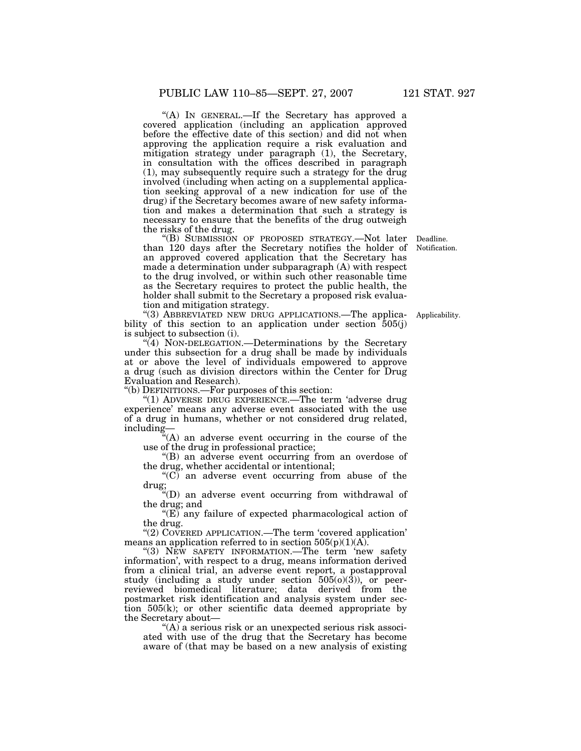''(A) IN GENERAL.—If the Secretary has approved a covered application (including an application approved before the effective date of this section) and did not when approving the application require a risk evaluation and mitigation strategy under paragraph (1), the Secretary, in consultation with the offices described in paragraph (1), may subsequently require such a strategy for the drug involved (including when acting on a supplemental application seeking approval of a new indication for use of the drug) if the Secretary becomes aware of new safety information and makes a determination that such a strategy is necessary to ensure that the benefits of the drug outweigh the risks of the drug.

''(B) SUBMISSION OF PROPOSED STRATEGY.—Not later than 120 days after the Secretary notifies the holder of Notification. an approved covered application that the Secretary has made a determination under subparagraph (A) with respect to the drug involved, or within such other reasonable time as the Secretary requires to protect the public health, the holder shall submit to the Secretary a proposed risk evaluation and mitigation strategy.

"(3) ABBREVIATED NEW DRUG APPLICATIONS.—The applicability of this section to an application under section  $\tilde{5}05(j)$ is subject to subsection (i).

''(4) NON-DELEGATION.—Determinations by the Secretary under this subsection for a drug shall be made by individuals at or above the level of individuals empowered to approve a drug (such as division directors within the Center for Drug Evaluation and Research).

''(b) DEFINITIONS.—For purposes of this section:

''(1) ADVERSE DRUG EXPERIENCE.—The term 'adverse drug experience' means any adverse event associated with the use of a drug in humans, whether or not considered drug related, including—

''(A) an adverse event occurring in the course of the use of the drug in professional practice;

''(B) an adverse event occurring from an overdose of the drug, whether accidental or intentional;

" $(C)$  an adverse event occurring from abuse of the drug;

''(D) an adverse event occurring from withdrawal of the drug; and

" $(E)$  any failure of expected pharmacological action of the drug.

''(2) COVERED APPLICATION.—The term 'covered application' means an application referred to in section  $505(p)(1)(A)$ .

"(3) NEW SAFETY INFORMATION.—The term 'new safety information', with respect to a drug, means information derived from a clinical trial, an adverse event report, a postapproval study (including a study under section  $505(0)(3)$ ), or peerreviewed biomedical literature; data derived from the postmarket risk identification and analysis system under section 505(k); or other scientific data deemed appropriate by the Secretary about—

"(A) a serious risk or an unexpected serious risk associated with use of the drug that the Secretary has become aware of (that may be based on a new analysis of existing

Deadline.

Applicability.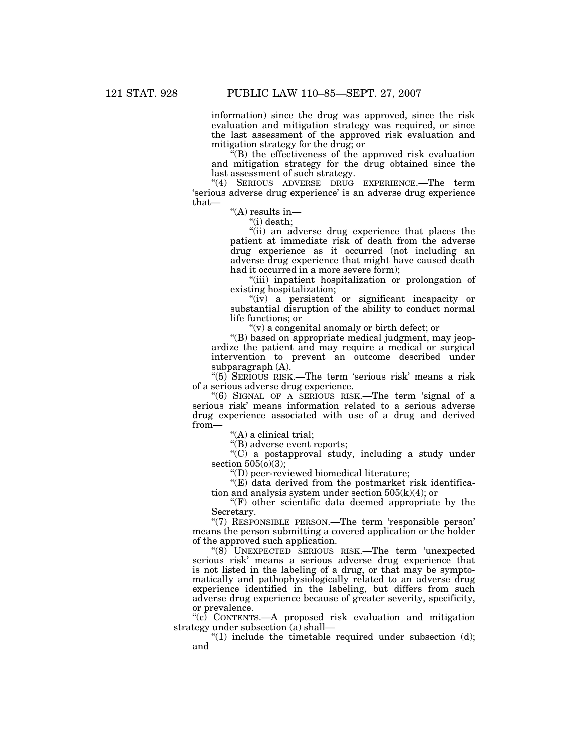information) since the drug was approved, since the risk evaluation and mitigation strategy was required, or since the last assessment of the approved risk evaluation and mitigation strategy for the drug; or

 $\mathbf{H}(\mathbf{B})$  the effectiveness of the approved risk evaluation and mitigation strategy for the drug obtained since the last assessment of such strategy.

''(4) SERIOUS ADVERSE DRUG EXPERIENCE.—The term 'serious adverse drug experience' is an adverse drug experience that—

''(A) results in—

''(i) death;

"(ii) an adverse drug experience that places the patient at immediate risk of death from the adverse drug experience as it occurred (not including an adverse drug experience that might have caused death had it occurred in a more severe form);

''(iii) inpatient hospitalization or prolongation of existing hospitalization;

"(iv) a persistent or significant incapacity or substantial disruption of the ability to conduct normal life functions; or

 $''(v)$  a congenital anomaly or birth defect; or

''(B) based on appropriate medical judgment, may jeopardize the patient and may require a medical or surgical intervention to prevent an outcome described under subparagraph (A).

''(5) SERIOUS RISK.—The term 'serious risk' means a risk of a serious adverse drug experience.

''(6) SIGNAL OF A SERIOUS RISK.—The term 'signal of a serious risk' means information related to a serious adverse drug experience associated with use of a drug and derived from—

''(A) a clinical trial;

''(B) adverse event reports;

''(C) a postapproval study, including a study under section  $505(0)(3)$ ;

''(D) peer-reviewed biomedical literature;

 $"$ (E) data derived from the postmarket risk identification and analysis system under section  $505(k)(4)$ ; or

''(F) other scientific data deemed appropriate by the Secretary.

"(7) RESPONSIBLE PERSON.—The term 'responsible person' means the person submitting a covered application or the holder of the approved such application.

''(8) UNEXPECTED SERIOUS RISK.—The term 'unexpected serious risk' means a serious adverse drug experience that is not listed in the labeling of a drug, or that may be symptomatically and pathophysiologically related to an adverse drug experience identified in the labeling, but differs from such adverse drug experience because of greater severity, specificity, or prevalence.

''(c) CONTENTS.—A proposed risk evaluation and mitigation strategy under subsection (a) shall—

" $(1)$  include the timetable required under subsection  $(d)$ ; and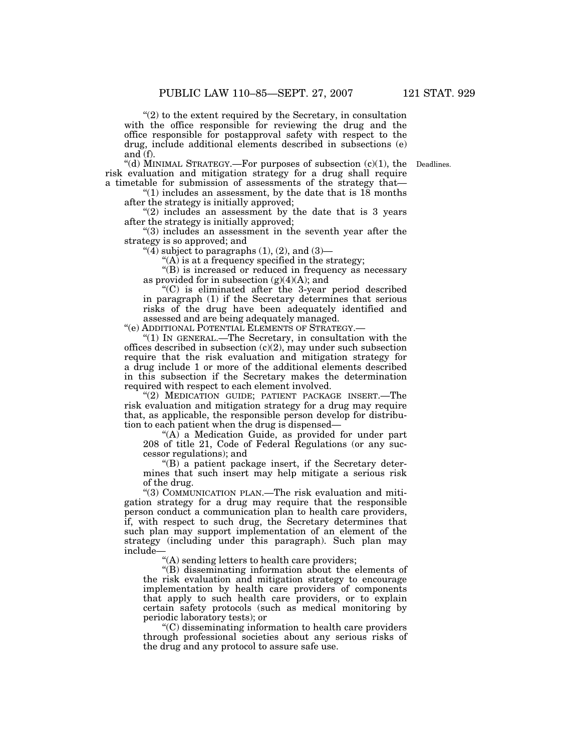" $(2)$  to the extent required by the Secretary, in consultation with the office responsible for reviewing the drug and the office responsible for postapproval safety with respect to the drug, include additional elements described in subsections (e) and (f).

"(d) MINIMAL STRATEGY.—For purposes of subsection  $(c)(1)$ , the Deadlines. risk evaluation and mitigation strategy for a drug shall require a timetable for submission of assessments of the strategy that—

" $(1)$  includes an assessment, by the date that is  $18$  months after the strategy is initially approved;

" $(2)$  includes an assessment by the date that is 3 years after the strategy is initially approved;

''(3) includes an assessment in the seventh year after the strategy is so approved; and

" $(4)$  subject to paragraphs  $(1)$ ,  $(2)$ , and  $(3)$ —

 $(A)$  is at a frequency specified in the strategy;

''(B) is increased or reduced in frequency as necessary as provided for in subsection  $(g)(4)(A)$ ; and

 $(C)$  is eliminated after the 3-year period described in paragraph (1) if the Secretary determines that serious risks of the drug have been adequately identified and assessed and are being adequately managed.

''(e) ADDITIONAL POTENTIAL ELEMENTS OF STRATEGY.—

''(1) IN GENERAL.—The Secretary, in consultation with the offices described in subsection  $(c)(2)$ , may under such subsection require that the risk evaluation and mitigation strategy for a drug include 1 or more of the additional elements described in this subsection if the Secretary makes the determination required with respect to each element involved.

"(2) MEDICATION GUIDE; PATIENT PACKAGE INSERT.—The risk evaluation and mitigation strategy for a drug may require that, as applicable, the responsible person develop for distribution to each patient when the drug is dispensed—

" $(A)$  a Medication Guide, as provided for under part 208 of title 21, Code of Federal Regulations (or any successor regulations); and

 $'(B)$  a patient package insert, if the Secretary determines that such insert may help mitigate a serious risk of the drug.

''(3) COMMUNICATION PLAN.—The risk evaluation and mitigation strategy for a drug may require that the responsible person conduct a communication plan to health care providers, if, with respect to such drug, the Secretary determines that such plan may support implementation of an element of the strategy (including under this paragraph). Such plan may include—

''(A) sending letters to health care providers;

''(B) disseminating information about the elements of the risk evaluation and mitigation strategy to encourage implementation by health care providers of components that apply to such health care providers, or to explain certain safety protocols (such as medical monitoring by periodic laboratory tests); or

''(C) disseminating information to health care providers through professional societies about any serious risks of the drug and any protocol to assure safe use.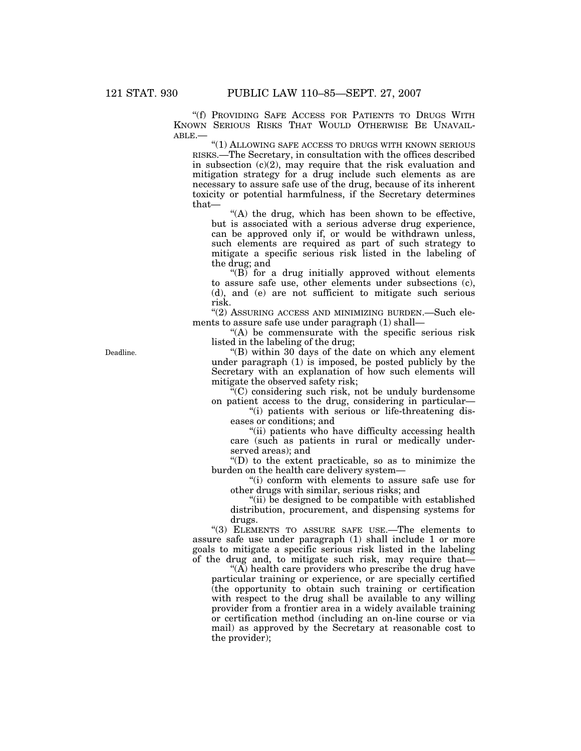''(f) PROVIDING SAFE ACCESS FOR PATIENTS TO DRUGS WITH KNOWN SERIOUS RISKS THAT WOULD OTHERWISE BE UNAVAIL-ABLE.—

''(1) ALLOWING SAFE ACCESS TO DRUGS WITH KNOWN SERIOUS RISKS.—The Secretary, in consultation with the offices described in subsection  $(c)(2)$ , may require that the risk evaluation and mitigation strategy for a drug include such elements as are necessary to assure safe use of the drug, because of its inherent toxicity or potential harmfulness, if the Secretary determines that—

"(A) the drug, which has been shown to be effective, but is associated with a serious adverse drug experience, can be approved only if, or would be withdrawn unless, such elements are required as part of such strategy to mitigate a specific serious risk listed in the labeling of the drug; and

''(B) for a drug initially approved without elements to assure safe use, other elements under subsections (c), (d), and (e) are not sufficient to mitigate such serious risk.

''(2) ASSURING ACCESS AND MINIMIZING BURDEN.—Such elements to assure safe use under paragraph (1) shall—

''(A) be commensurate with the specific serious risk listed in the labeling of the drug;

''(B) within 30 days of the date on which any element under paragraph (1) is imposed, be posted publicly by the Secretary with an explanation of how such elements will mitigate the observed safety risk;

 $\mathbb{F}(C)$  considering such risk, not be unduly burdensome on patient access to the drug, considering in particular—

''(i) patients with serious or life-threatening diseases or conditions; and

''(ii) patients who have difficulty accessing health care (such as patients in rural or medically underserved areas); and

''(D) to the extent practicable, so as to minimize the burden on the health care delivery system—

''(i) conform with elements to assure safe use for other drugs with similar, serious risks; and

"(ii) be designed to be compatible with established distribution, procurement, and dispensing systems for drugs.

''(3) ELEMENTS TO ASSURE SAFE USE.—The elements to assure safe use under paragraph (1) shall include 1 or more goals to mitigate a specific serious risk listed in the labeling of the drug and, to mitigate such risk, may require that—

 $\mathcal{L}(A)$  health care providers who prescribe the drug have particular training or experience, or are specially certified (the opportunity to obtain such training or certification with respect to the drug shall be available to any willing provider from a frontier area in a widely available training or certification method (including an on-line course or via mail) as approved by the Secretary at reasonable cost to the provider);

Deadline.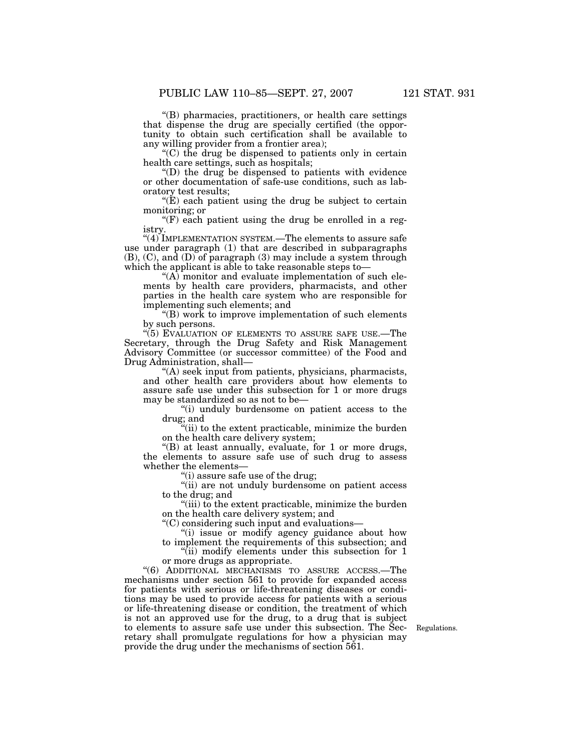''(B) pharmacies, practitioners, or health care settings that dispense the drug are specially certified (the opportunity to obtain such certification shall be available to any willing provider from a frontier area);

''(C) the drug be dispensed to patients only in certain health care settings, such as hospitals;

''(D) the drug be dispensed to patients with evidence or other documentation of safe-use conditions, such as laboratory test results;

 $E(E)$  each patient using the drug be subject to certain monitoring; or

"(F) each patient using the drug be enrolled in a registry.

"(4) IMPLEMENTATION SYSTEM.—The elements to assure safe use under paragraph (1) that are described in subparagraphs (B), (C), and (D) of paragraph (3) may include a system through which the applicant is able to take reasonable steps to—

 $(A)$  monitor and evaluate implementation of such elements by health care providers, pharmacists, and other parties in the health care system who are responsible for implementing such elements; and

''(B) work to improve implementation of such elements by such persons.

''(5) EVALUATION OF ELEMENTS TO ASSURE SAFE USE.—The Secretary, through the Drug Safety and Risk Management Advisory Committee (or successor committee) of the Food and Drug Administration, shall—

''(A) seek input from patients, physicians, pharmacists, and other health care providers about how elements to assure safe use under this subsection for 1 or more drugs may be standardized so as not to be—

''(i) unduly burdensome on patient access to the drug; and

''(ii) to the extent practicable, minimize the burden on the health care delivery system;

''(B) at least annually, evaluate, for 1 or more drugs, the elements to assure safe use of such drug to assess whether the elements—

 $(i)$  assure safe use of the drug;

"(ii) are not unduly burdensome on patient access to the drug; and

"(iii) to the extent practicable, minimize the burden on the health care delivery system; and

''(C) considering such input and evaluations—

''(i) issue or modify agency guidance about how to implement the requirements of this subsection; and

"(ii) modify elements under this subsection for 1 or more drugs as appropriate.

''(6) ADDITIONAL MECHANISMS TO ASSURE ACCESS.—The mechanisms under section 561 to provide for expanded access for patients with serious or life-threatening diseases or conditions may be used to provide access for patients with a serious or life-threatening disease or condition, the treatment of which is not an approved use for the drug, to a drug that is subject to elements to assure safe use under this subsection. The Secretary shall promulgate regulations for how a physician may provide the drug under the mechanisms of section 561.

Regulations.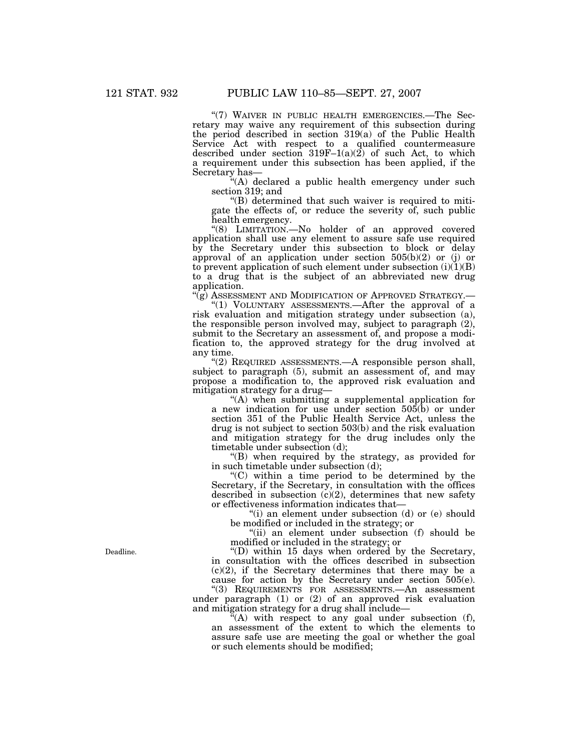"(7) WAIVER IN PUBLIC HEALTH EMERGENCIES.—The Secretary may waive any requirement of this subsection during the period described in section 319(a) of the Public Health Service Act with respect to a qualified countermeasure described under section  $319F-1(a)(2)$  of such Act, to which a requirement under this subsection has been applied, if the Secretary has—

''(A) declared a public health emergency under such section 319; and

''(B) determined that such waiver is required to mitigate the effects of, or reduce the severity of, such public health emergency.

"(8) LIMITATION.-No holder of an approved covered application shall use any element to assure safe use required by the Secretary under this subsection to block or delay approval of an application under section  $505(b)(2)$  or (j) or to prevent application of such element under subsection  $(i)(1)(B)$ to a drug that is the subject of an abbreviated new drug application.

''(g) ASSESSMENT AND MODIFICATION OF APPROVED STRATEGY.—

''(1) VOLUNTARY ASSESSMENTS.—After the approval of a risk evaluation and mitigation strategy under subsection (a), the responsible person involved may, subject to paragraph (2), submit to the Secretary an assessment of, and propose a modification to, the approved strategy for the drug involved at any time.

''(2) REQUIRED ASSESSMENTS.—A responsible person shall, subject to paragraph (5), submit an assessment of, and may propose a modification to, the approved risk evaluation and mitigation strategy for a drug—

''(A) when submitting a supplemental application for a new indication for use under section 505(b) or under section 351 of the Public Health Service Act, unless the drug is not subject to section 503(b) and the risk evaluation and mitigation strategy for the drug includes only the timetable under subsection (d);

''(B) when required by the strategy, as provided for in such timetable under subsection (d);

''(C) within a time period to be determined by the Secretary, if the Secretary, in consultation with the offices described in subsection (c)(2), determines that new safety or effectiveness information indicates that—

"(i) an element under subsection (d) or (e) should be modified or included in the strategy; or

"(ii) an element under subsection (f) should be modified or included in the strategy; or

''(D) within 15 days when ordered by the Secretary, in consultation with the offices described in subsection  $(c)(2)$ , if the Secretary determines that there may be a cause for action by the Secretary under section 505(e). ''(3) REQUIREMENTS FOR ASSESSMENTS.—An assessment

under paragraph (1) or (2) of an approved risk evaluation and mitigation strategy for a drug shall include—

"(A) with respect to any goal under subsection  $(f)$ , an assessment of the extent to which the elements to assure safe use are meeting the goal or whether the goal or such elements should be modified;

Deadline.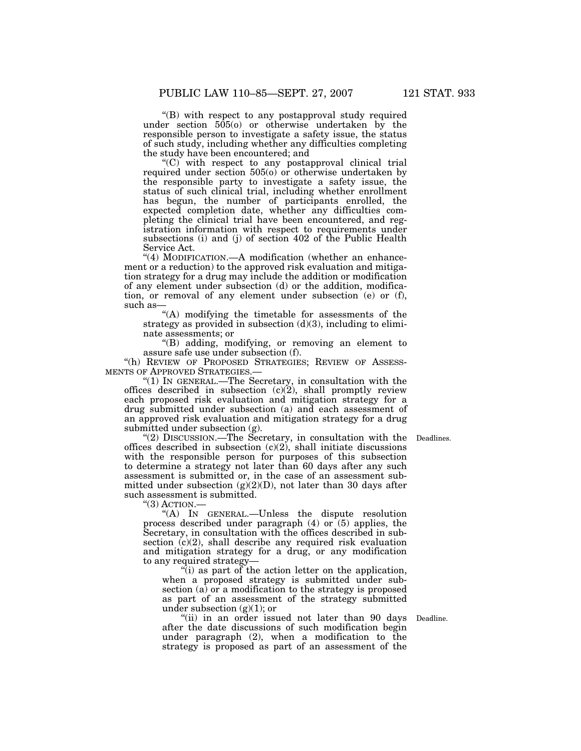''(B) with respect to any postapproval study required under section 505(o) or otherwise undertaken by the responsible person to investigate a safety issue, the status of such study, including whether any difficulties completing the study have been encountered; and

 $(C)$  with respect to any postapproval clinical trial required under section 505(o) or otherwise undertaken by the responsible party to investigate a safety issue, the status of such clinical trial, including whether enrollment has begun, the number of participants enrolled, the expected completion date, whether any difficulties completing the clinical trial have been encountered, and registration information with respect to requirements under subsections (i) and (j) of section 402 of the Public Health Service Act.

"(4) MODIFICATION.—A modification (whether an enhancement or a reduction) to the approved risk evaluation and mitigation strategy for a drug may include the addition or modification of any element under subsection (d) or the addition, modification, or removal of any element under subsection (e) or (f), such as-

"(A) modifying the timetable for assessments of the strategy as provided in subsection (d)(3), including to eliminate assessments; or

''(B) adding, modifying, or removing an element to assure safe use under subsection (f).

''(h) REVIEW OF PROPOSED STRATEGIES; REVIEW OF ASSESS-MENTS OF APPROVED STRATEGIES.—

''(1) IN GENERAL.—The Secretary, in consultation with the offices described in subsection (c)(2), shall promptly review each proposed risk evaluation and mitigation strategy for a drug submitted under subsection (a) and each assessment of an approved risk evaluation and mitigation strategy for a drug submitted under subsection (g).

Deadlines.

''(2) DISCUSSION.—The Secretary, in consultation with the offices described in subsection  $(c)(2)$ , shall initiate discussions with the responsible person for purposes of this subsection to determine a strategy not later than 60 days after any such assessment is submitted or, in the case of an assessment submitted under subsection  $(g)(2)(D)$ , not later than 30 days after such assessment is submitted.

 $"$ (3) ACTION. $-$ 

''(A) IN GENERAL.—Unless the dispute resolution process described under paragraph  $(4)$  or  $(5)$  applies, the Secretary, in consultation with the offices described in subsection  $(c)(2)$ , shall describe any required risk evaluation and mitigation strategy for a drug, or any modification to any required strategy-

''(i) as part of the action letter on the application, when a proposed strategy is submitted under subsection (a) or a modification to the strategy is proposed as part of an assessment of the strategy submitted under subsection  $(g)(1)$ ; or

"(ii) in an order issued not later than 90 days Deadline. after the date discussions of such modification begin under paragraph (2), when a modification to the strategy is proposed as part of an assessment of the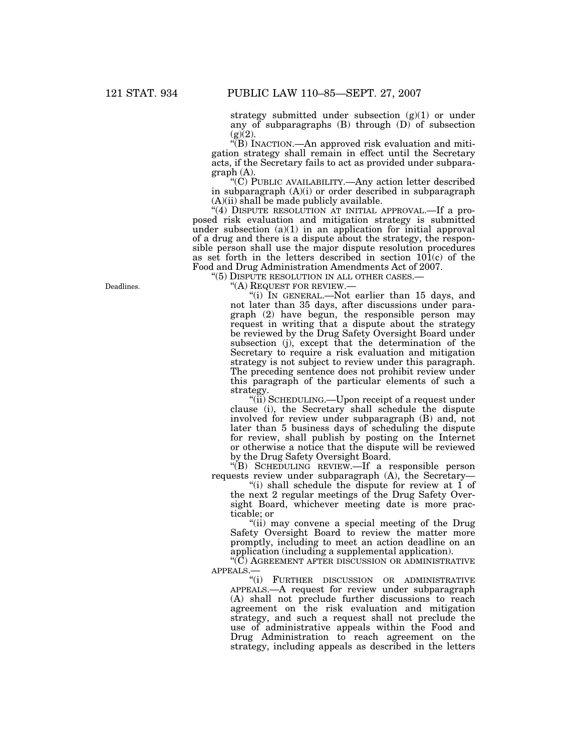strategy submitted under subsection  $(g)(1)$  or under any of subparagraphs (B) through (D) of subsection  $(g)(2)$ .

''(B) INACTION.—An approved risk evaluation and mitigation strategy shall remain in effect until the Secretary acts, if the Secretary fails to act as provided under subparagraph (A).

''(C) PUBLIC AVAILABILITY.—Any action letter described in subparagraph (A)(i) or order described in subparagraph  $(A)(ii)$  shall be made publicly available.

"(4) DISPUTE RESOLUTION AT INITIAL APPROVAL.—If a proposed risk evaluation and mitigation strategy is submitted under subsection  $(a)(1)$  in an application for initial approval of a drug and there is a dispute about the strategy, the responsible person shall use the major dispute resolution procedures as set forth in the letters described in section  $10\dot{1}$ (c) of the Food and Drug Administration Amendments Act of 2007.

''(5) DISPUTE RESOLUTION IN ALL OTHER CASES.—

''(A) REQUEST FOR REVIEW.—

''(i) IN GENERAL.—Not earlier than 15 days, and not later than 35 days, after discussions under paragraph (2) have begun, the responsible person may request in writing that a dispute about the strategy be reviewed by the Drug Safety Oversight Board under subsection (j), except that the determination of the Secretary to require a risk evaluation and mitigation strategy is not subject to review under this paragraph. The preceding sentence does not prohibit review under this paragraph of the particular elements of such a strategy.

"(ii) SCHEDULING.—Upon receipt of a request under clause (i), the Secretary shall schedule the dispute involved for review under subparagraph (B) and, not later than 5 business days of scheduling the dispute for review, shall publish by posting on the Internet or otherwise a notice that the dispute will be reviewed by the Drug Safety Oversight Board.

''(B) SCHEDULING REVIEW.—If a responsible person requests review under subparagraph (A), the Secretary—

''(i) shall schedule the dispute for review at 1 of the next 2 regular meetings of the Drug Safety Oversight Board, whichever meeting date is more practicable; or

"(ii) may convene a special meeting of the Drug Safety Oversight Board to review the matter more promptly, including to meet an action deadline on an application (including a supplemental application).

 $\widetilde{C}$ ) AGREEMENT AFTER DISCUSSION OR ADMINISTRATIVE APPEALS.—

''(i) FURTHER DISCUSSION OR ADMINISTRATIVE APPEALS.—A request for review under subparagraph (A) shall not preclude further discussions to reach agreement on the risk evaluation and mitigation strategy, and such a request shall not preclude the use of administrative appeals within the Food and Drug Administration to reach agreement on the strategy, including appeals as described in the letters

Deadlines.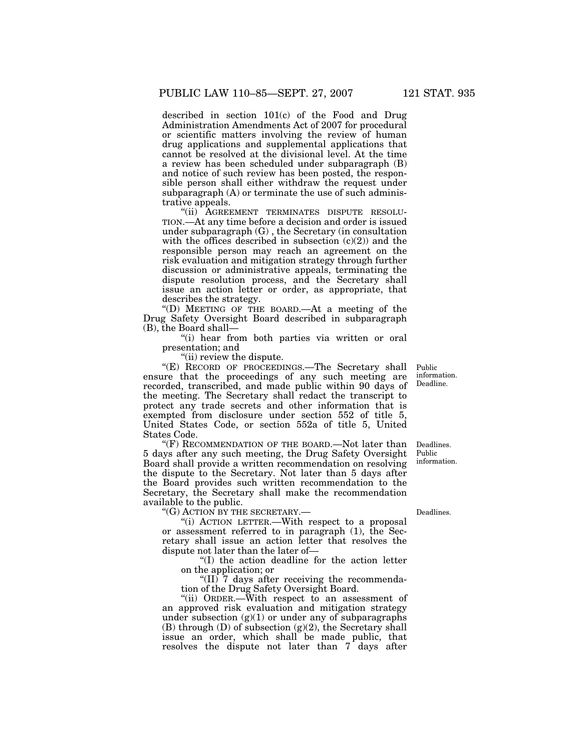described in section 101(c) of the Food and Drug Administration Amendments Act of 2007 for procedural or scientific matters involving the review of human drug applications and supplemental applications that cannot be resolved at the divisional level. At the time a review has been scheduled under subparagraph (B) and notice of such review has been posted, the responsible person shall either withdraw the request under subparagraph (A) or terminate the use of such administrative appeals.

"(ii) AGREEMENT TERMINATES DISPUTE RESOLU-TION.—At any time before a decision and order is issued under subparagraph (G) , the Secretary (in consultation with the offices described in subsection  $(c)(2)$  and the responsible person may reach an agreement on the risk evaluation and mitigation strategy through further discussion or administrative appeals, terminating the dispute resolution process, and the Secretary shall issue an action letter or order, as appropriate, that describes the strategy.

''(D) MEETING OF THE BOARD.—At a meeting of the Drug Safety Oversight Board described in subparagraph (B), the Board shall—

''(i) hear from both parties via written or oral presentation; and

''(ii) review the dispute.

''(E) RECORD OF PROCEEDINGS.—The Secretary shall ensure that the proceedings of any such meeting are recorded, transcribed, and made public within 90 days of the meeting. The Secretary shall redact the transcript to protect any trade secrets and other information that is exempted from disclosure under section 552 of title 5, United States Code, or section 552a of title 5, United States Code.

"(F) RECOMMENDATION OF THE BOARD.—Not later than 5 days after any such meeting, the Drug Safety Oversight Board shall provide a written recommendation on resolving the dispute to the Secretary. Not later than 5 days after the Board provides such written recommendation to the Secretary, the Secretary shall make the recommendation available to the public.

''(G) ACTION BY THE SECRETARY.—

''(i) ACTION LETTER.—With respect to a proposal or assessment referred to in paragraph (1), the Secretary shall issue an action letter that resolves the dispute not later than the later of—

''(I) the action deadline for the action letter on the application; or

"(II)  $\overline{7}$  days after receiving the recommendation of the Drug Safety Oversight Board.

''(ii) ORDER.—With respect to an assessment of an approved risk evaluation and mitigation strategy under subsection  $(g)(1)$  or under any of subparagraphs  $(B)$  through  $(D)$  of subsection  $(g)(2)$ , the Secretary shall issue an order, which shall be made public, that resolves the dispute not later than 7 days after

information. Deadline.

Public

Deadlines. Public information.

Deadlines.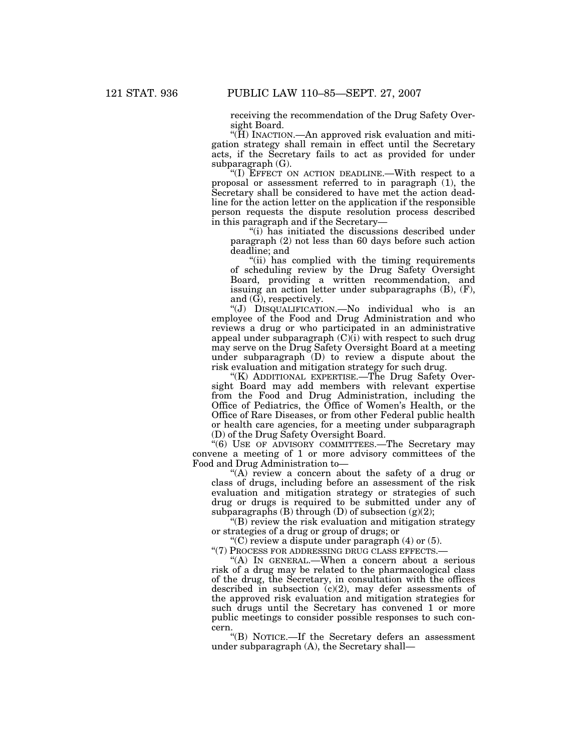receiving the recommendation of the Drug Safety Oversight Board.

"( $\check{H}$ ) INACTION.—An approved risk evaluation and mitigation strategy shall remain in effect until the Secretary acts, if the Secretary fails to act as provided for under subparagraph (G).

''(I) EFFECT ON ACTION DEADLINE.—With respect to a proposal or assessment referred to in paragraph (1), the Secretary shall be considered to have met the action deadline for the action letter on the application if the responsible person requests the dispute resolution process described in this paragraph and if the Secretary—

"(i) has initiated the discussions described under paragraph (2) not less than 60 days before such action deadline; and

''(ii) has complied with the timing requirements of scheduling review by the Drug Safety Oversight Board, providing a written recommendation, and issuing an action letter under subparagraphs  $(B)$ ,  $(F)$ , and (G), respectively.

''(J) DISQUALIFICATION.—No individual who is an employee of the Food and Drug Administration and who reviews a drug or who participated in an administrative appeal under subparagraph  $(C)$ (i) with respect to such drug may serve on the Drug Safety Oversight Board at a meeting under subparagraph (D) to review a dispute about the risk evaluation and mitigation strategy for such drug.

"(K) ADDITIONAL EXPERTISE.—The Drug Safety Oversight Board may add members with relevant expertise from the Food and Drug Administration, including the Office of Pediatrics, the Office of Women's Health, or the Office of Rare Diseases, or from other Federal public health or health care agencies, for a meeting under subparagraph (D) of the Drug Safety Oversight Board.

"(6) USE OF ADVISORY COMMITTEES.—The Secretary may convene a meeting of 1 or more advisory committees of the Food and Drug Administration to—

''(A) review a concern about the safety of a drug or class of drugs, including before an assessment of the risk evaluation and mitigation strategy or strategies of such drug or drugs is required to be submitted under any of subparagraphs (B) through (D) of subsection  $(g)(2)$ ;

''(B) review the risk evaluation and mitigation strategy or strategies of a drug or group of drugs; or

 $C$ <sup>(C)</sup> review a dispute under paragraph  $(4)$  or  $(5)$ .

''(7) PROCESS FOR ADDRESSING DRUG CLASS EFFECTS.—

''(A) IN GENERAL.—When a concern about a serious risk of a drug may be related to the pharmacological class of the drug, the Secretary, in consultation with the offices described in subsection (c)(2), may defer assessments of the approved risk evaluation and mitigation strategies for such drugs until the Secretary has convened 1 or more public meetings to consider possible responses to such concern.

''(B) NOTICE.—If the Secretary defers an assessment under subparagraph (A), the Secretary shall—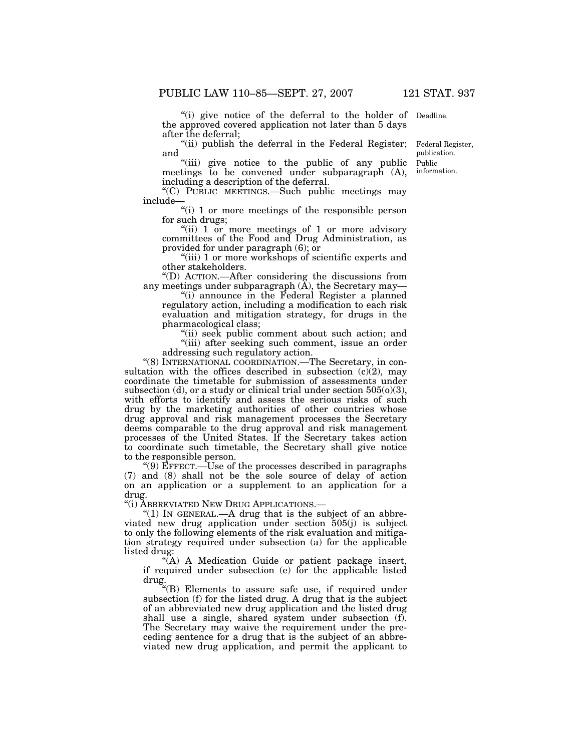"(i) give notice of the deferral to the holder of Deadline. the approved covered application not later than 5 days after the deferral;

"(ii) publish the deferral in the Federal Register; and

''(iii) give notice to the public of any public meetings to be convened under subparagraph (A), including a description of the deferral.

''(C) PUBLIC MEETINGS.—Such public meetings may include—

''(i) 1 or more meetings of the responsible person for such drugs;

"(ii) 1 or more meetings of 1 or more advisory" committees of the Food and Drug Administration, as provided for under paragraph (6); or

''(iii) 1 or more workshops of scientific experts and other stakeholders.

''(D) ACTION.—After considering the discussions from any meetings under subparagraph  $(\tilde{A})$ , the Secretary may—

''(i) announce in the Federal Register a planned regulatory action, including a modification to each risk evaluation and mitigation strategy, for drugs in the pharmacological class;

"(ii) seek public comment about such action; and "(iii) after seeking such comment, issue an order addressing such regulatory action.

''(8) INTERNATIONAL COORDINATION.—The Secretary, in consultation with the offices described in subsection  $(c)(2)$ , may coordinate the timetable for submission of assessments under subsection (d), or a study or clinical trial under section  $505(0)(3)$ , with efforts to identify and assess the serious risks of such drug by the marketing authorities of other countries whose drug approval and risk management processes the Secretary deems comparable to the drug approval and risk management processes of the United States. If the Secretary takes action to coordinate such timetable, the Secretary shall give notice to the responsible person.

''(9) EFFECT.—Use of the processes described in paragraphs (7) and (8) shall not be the sole source of delay of action on an application or a supplement to an application for a drug.

''(i) ABBREVIATED NEW DRUG APPLICATIONS.—

" $(1)$  In GENERAL.—A drug that is the subject of an abbreviated new drug application under section 505(j) is subject to only the following elements of the risk evaluation and mitigation strategy required under subsection (a) for the applicable listed drug:

''(A) A Medication Guide or patient package insert, if required under subsection (e) for the applicable listed drug.

''(B) Elements to assure safe use, if required under subsection (f) for the listed drug. A drug that is the subject of an abbreviated new drug application and the listed drug shall use a single, shared system under subsection (f). The Secretary may waive the requirement under the preceding sentence for a drug that is the subject of an abbreviated new drug application, and permit the applicant to

Public information. Federal Register, publication.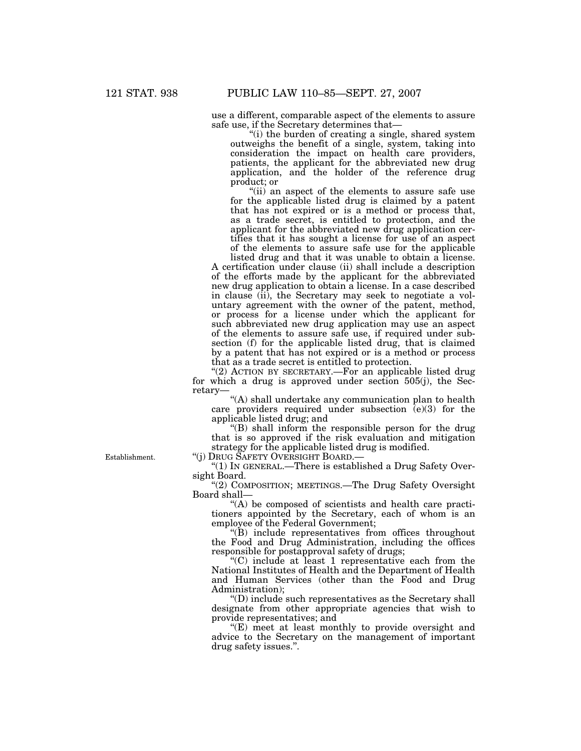use a different, comparable aspect of the elements to assure safe use, if the Secretary determines that—

''(i) the burden of creating a single, shared system outweighs the benefit of a single, system, taking into consideration the impact on health care providers, patients, the applicant for the abbreviated new drug application, and the holder of the reference drug product; or

"(ii) an aspect of the elements to assure safe use for the applicable listed drug is claimed by a patent that has not expired or is a method or process that, as a trade secret, is entitled to protection, and the applicant for the abbreviated new drug application certifies that it has sought a license for use of an aspect of the elements to assure safe use for the applicable

listed drug and that it was unable to obtain a license. A certification under clause (ii) shall include a description of the efforts made by the applicant for the abbreviated new drug application to obtain a license. In a case described in clause (ii), the Secretary may seek to negotiate a voluntary agreement with the owner of the patent, method, or process for a license under which the applicant for such abbreviated new drug application may use an aspect of the elements to assure safe use, if required under subsection (f) for the applicable listed drug, that is claimed by a patent that has not expired or is a method or process that as a trade secret is entitled to protection.

"(2) ACTION BY SECRETARY.—For an applicable listed drug for which a drug is approved under section 505(j), the Secretary—

"(A) shall undertake any communication plan to health care providers required under subsection  $(e)(3)$  for the applicable listed drug; and

"(B) shall inform the responsible person for the drug that is so approved if the risk evaluation and mitigation strategy for the applicable listed drug is modified.

''(j) DRUG SAFETY OVERSIGHT BOARD.—

" $(1)$  In GENERAL.—There is established a Drug Safety Oversight Board.

"(2) COMPOSITION; MEETINGS.—The Drug Safety Oversight Board shall—

''(A) be composed of scientists and health care practitioners appointed by the Secretary, each of whom is an employee of the Federal Government;

''(B) include representatives from offices throughout the Food and Drug Administration, including the offices responsible for postapproval safety of drugs;

''(C) include at least 1 representative each from the National Institutes of Health and the Department of Health and Human Services (other than the Food and Drug Administration);

''(D) include such representatives as the Secretary shall designate from other appropriate agencies that wish to provide representatives; and

 $E(E)$  meet at least monthly to provide oversight and advice to the Secretary on the management of important drug safety issues.''.

Establishment.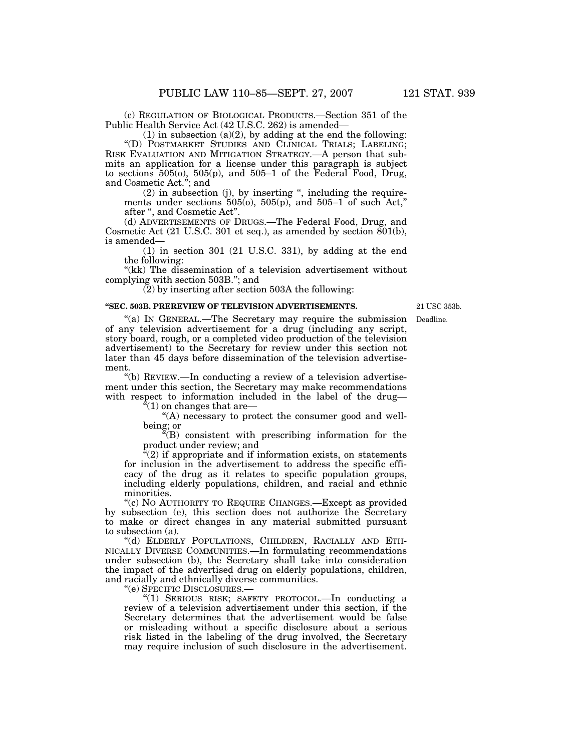(c) REGULATION OF BIOLOGICAL PRODUCTS.—Section 351 of the Public Health Service Act (42 U.S.C. 262) is amended—

 $(1)$  in subsection  $(a)(2)$ , by adding at the end the following: ''(D) POSTMARKET STUDIES AND CLINICAL TRIALS; LABELING; RISK EVALUATION AND MITIGATION STRATEGY.—A person that submits an application for a license under this paragraph is subject to sections  $505(0)$ ,  $505(p)$ , and  $505-1$  of the Federal Food, Drug, and Cosmetic Act.''; and

 $(2)$  in subsection  $(j)$ , by inserting ", including the requirements under sections  $505(0)$ ,  $505(p)$ , and  $505-1$  of such Act," after '', and Cosmetic Act''.

(d) ADVERTISEMENTS OF DRUGS.—The Federal Food, Drug, and Cosmetic Act (21 U.S.C. 301 et seq.), as amended by section 801(b), is amended—

(1) in section 301 (21 U.S.C. 331), by adding at the end the following:

"(kk) The dissemination of a television advertisement without complying with section 503B.''; and

(2) by inserting after section 503A the following:

#### **''SEC. 503B. PREREVIEW OF TELEVISION ADVERTISEMENTS.**

21 USC 353b.

Deadline.

"(a) IN GENERAL.—The Secretary may require the submission of any television advertisement for a drug (including any script, story board, rough, or a completed video production of the television advertisement) to the Secretary for review under this section not later than 45 days before dissemination of the television advertisement.

''(b) REVIEW.—In conducting a review of a television advertisement under this section, the Secretary may make recommendations with respect to information included in the label of the drug—

" $(1)$  on changes that are—

"(A) necessary to protect the consumer good and wellbeing; or

''(B) consistent with prescribing information for the product under review; and

" $(2)$  if appropriate and if information exists, on statements for inclusion in the advertisement to address the specific efficacy of the drug as it relates to specific population groups, including elderly populations, children, and racial and ethnic minorities.

''(c) NO AUTHORITY TO REQUIRE CHANGES.—Except as provided by subsection (e), this section does not authorize the Secretary to make or direct changes in any material submitted pursuant to subsection (a).

''(d) ELDERLY POPULATIONS, CHILDREN, RACIALLY AND ETH-NICALLY DIVERSE COMMUNITIES.—In formulating recommendations under subsection (b), the Secretary shall take into consideration the impact of the advertised drug on elderly populations, children, and racially and ethnically diverse communities.

''(e) SPECIFIC DISCLOSURES.—

''(1) SERIOUS RISK; SAFETY PROTOCOL.—In conducting a review of a television advertisement under this section, if the Secretary determines that the advertisement would be false or misleading without a specific disclosure about a serious risk listed in the labeling of the drug involved, the Secretary may require inclusion of such disclosure in the advertisement.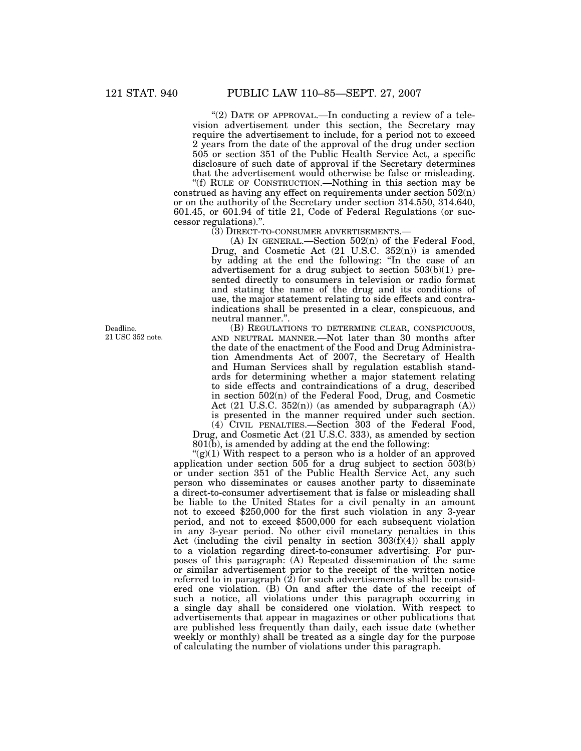"(2) DATE OF APPROVAL.—In conducting a review of a television advertisement under this section, the Secretary may require the advertisement to include, for a period not to exceed 2 years from the date of the approval of the drug under section 505 or section 351 of the Public Health Service Act, a specific disclosure of such date of approval if the Secretary determines that the advertisement would otherwise be false or misleading.

''(f) RULE OF CONSTRUCTION.—Nothing in this section may be construed as having any effect on requirements under section  $502(n)$ or on the authority of the Secretary under section 314.550, 314.640, 601.45, or 601.94 of title 21, Code of Federal Regulations (or successor regulations).''.

(3) DIRECT-TO-CONSUMER ADVERTISEMENTS.—

(A) IN GENERAL.—Section 502(n) of the Federal Food, Drug, and Cosmetic Act (21 U.S.C. 352(n)) is amended by adding at the end the following: ''In the case of an advertisement for a drug subject to section 503(b)(1) presented directly to consumers in television or radio format and stating the name of the drug and its conditions of use, the major statement relating to side effects and contraindications shall be presented in a clear, conspicuous, and neutral manner.''.

(B) REGULATIONS TO DETERMINE CLEAR, CONSPICUOUS, AND NEUTRAL MANNER.—Not later than 30 months after the date of the enactment of the Food and Drug Administration Amendments Act of 2007, the Secretary of Health and Human Services shall by regulation establish standards for determining whether a major statement relating to side effects and contraindications of a drug, described in section 502(n) of the Federal Food, Drug, and Cosmetic Act  $(21 \text{ U.S.C. } 352(n))$  (as amended by subparagraph  $(A)$ ) is presented in the manner required under such section. (4) CIVIL PENALTIES.—Section 303 of the Federal Food,

Drug, and Cosmetic Act (21 U.S.C. 333), as amended by section  $801(b)$ , is amended by adding at the end the following:

" $(g)(1)$  With respect to a person who is a holder of an approved application under section 505 for a drug subject to section 503(b) or under section 351 of the Public Health Service Act, any such person who disseminates or causes another party to disseminate a direct-to-consumer advertisement that is false or misleading shall be liable to the United States for a civil penalty in an amount not to exceed \$250,000 for the first such violation in any 3-year period, and not to exceed \$500,000 for each subsequent violation in any 3-year period. No other civil monetary penalties in this Act (including the civil penalty in section  $303(\bar{f})(4)$ ) shall apply to a violation regarding direct-to-consumer advertising. For purposes of this paragraph: (A) Repeated dissemination of the same or similar advertisement prior to the receipt of the written notice referred to in paragraph (2) for such advertisements shall be considered one violation. (B) On and after the date of the receipt of such a notice, all violations under this paragraph occurring in a single day shall be considered one violation. With respect to advertisements that appear in magazines or other publications that are published less frequently than daily, each issue date (whether weekly or monthly) shall be treated as a single day for the purpose of calculating the number of violations under this paragraph.

Deadline. 21 USC 352 note.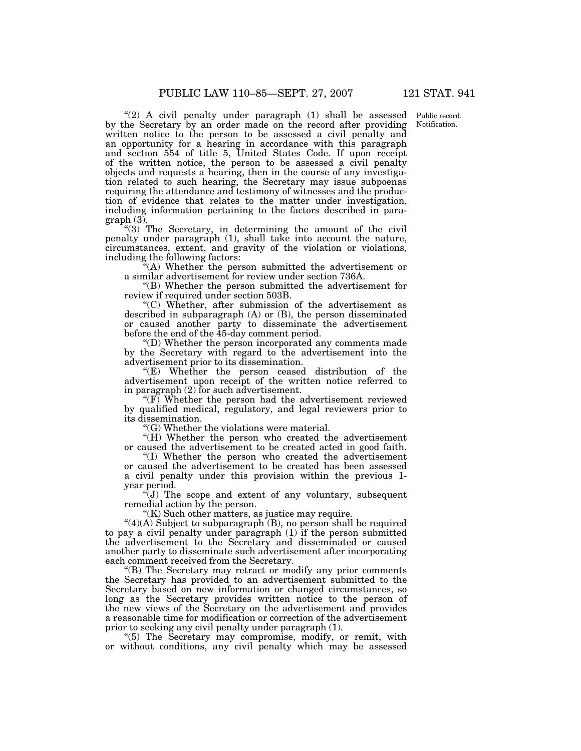"(2) A civil penalty under paragraph (1) shall be assessed Public record. by the Secretary by an order made on the record after providing written notice to the person to be assessed a civil penalty and an opportunity for a hearing in accordance with this paragraph and section 554 of title 5, United States Code. If upon receipt of the written notice, the person to be assessed a civil penalty objects and requests a hearing, then in the course of any investigation related to such hearing, the Secretary may issue subpoenas requiring the attendance and testimony of witnesses and the production of evidence that relates to the matter under investigation, including information pertaining to the factors described in paragraph (3).

" $(3)$  The Secretary, in determining the amount of the civil penalty under paragraph (1), shall take into account the nature, circumstances, extent, and gravity of the violation or violations, including the following factors:

(A) Whether the person submitted the advertisement or a similar advertisement for review under section 736A.

''(B) Whether the person submitted the advertisement for review if required under section 503B.

''(C) Whether, after submission of the advertisement as described in subparagraph (A) or (B), the person disseminated or caused another party to disseminate the advertisement before the end of the 45-day comment period.

''(D) Whether the person incorporated any comments made by the Secretary with regard to the advertisement into the advertisement prior to its dissemination.

''(E) Whether the person ceased distribution of the advertisement upon receipt of the written notice referred to in paragraph (2) for such advertisement.

" $(F)$  Whether the person had the advertisement reviewed by qualified medical, regulatory, and legal reviewers prior to its dissemination.

''(G) Whether the violations were material.

"(H) Whether the person who created the advertisement or caused the advertisement to be created acted in good faith.

''(I) Whether the person who created the advertisement or caused the advertisement to be created has been assessed a civil penalty under this provision within the previous 1 year period.

''(J) The scope and extent of any voluntary, subsequent remedial action by the person.

"(K) Such other matters, as justice may require.

 $\mathcal{L}(4)(A)$  Subject to subparagraph  $(B)$ , no person shall be required to pay a civil penalty under paragraph (1) if the person submitted the advertisement to the Secretary and disseminated or caused another party to disseminate such advertisement after incorporating each comment received from the Secretary.

''(B) The Secretary may retract or modify any prior comments the Secretary has provided to an advertisement submitted to the Secretary based on new information or changed circumstances, so long as the Secretary provides written notice to the person of the new views of the Secretary on the advertisement and provides a reasonable time for modification or correction of the advertisement prior to seeking any civil penalty under paragraph (1).

''(5) The Secretary may compromise, modify, or remit, with or without conditions, any civil penalty which may be assessed

Notification.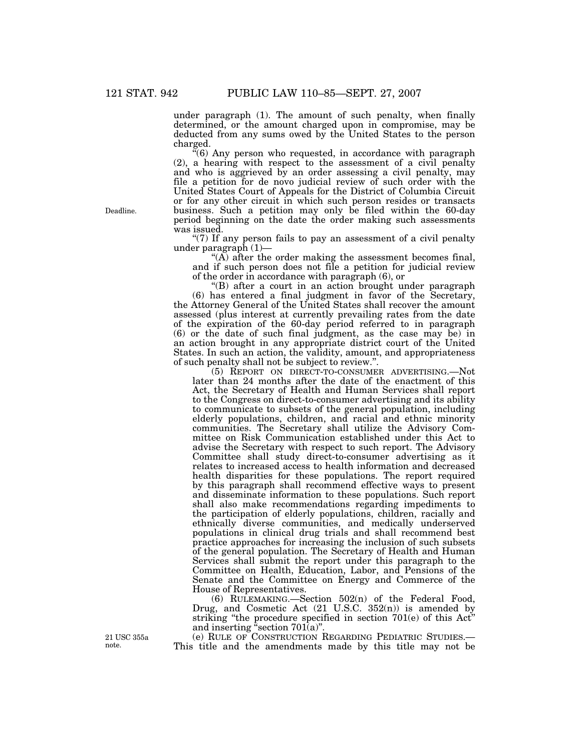under paragraph (1). The amount of such penalty, when finally determined, or the amount charged upon in compromise, may be deducted from any sums owed by the United States to the person charged.

 $\sqrt{6}$  (6) Any person who requested, in accordance with paragraph (2), a hearing with respect to the assessment of a civil penalty and who is aggrieved by an order assessing a civil penalty, may file a petition for de novo judicial review of such order with the United States Court of Appeals for the District of Columbia Circuit or for any other circuit in which such person resides or transacts business. Such a petition may only be filed within the 60-day period beginning on the date the order making such assessments was issued.

" $(7)$  If any person fails to pay an assessment of a civil penalty under paragraph (1)—

''(A) after the order making the assessment becomes final, and if such person does not file a petition for judicial review of the order in accordance with paragraph (6), or

''(B) after a court in an action brought under paragraph (6) has entered a final judgment in favor of the Secretary, the Attorney General of the United States shall recover the amount assessed (plus interest at currently prevailing rates from the date of the expiration of the 60-day period referred to in paragraph (6) or the date of such final judgment, as the case may be) in an action brought in any appropriate district court of the United States. In such an action, the validity, amount, and appropriateness of such penalty shall not be subject to review.''.

(5) REPORT ON DIRECT-TO-CONSUMER ADVERTISING.—Not later than 24 months after the date of the enactment of this Act, the Secretary of Health and Human Services shall report to the Congress on direct-to-consumer advertising and its ability to communicate to subsets of the general population, including elderly populations, children, and racial and ethnic minority communities. The Secretary shall utilize the Advisory Committee on Risk Communication established under this Act to advise the Secretary with respect to such report. The Advisory Committee shall study direct-to-consumer advertising as it relates to increased access to health information and decreased health disparities for these populations. The report required by this paragraph shall recommend effective ways to present and disseminate information to these populations. Such report shall also make recommendations regarding impediments to the participation of elderly populations, children, racially and ethnically diverse communities, and medically underserved populations in clinical drug trials and shall recommend best practice approaches for increasing the inclusion of such subsets of the general population. The Secretary of Health and Human Services shall submit the report under this paragraph to the Committee on Health, Education, Labor, and Pensions of the Senate and the Committee on Energy and Commerce of the House of Representatives.

(6) RULEMAKING.—Section 502(n) of the Federal Food, Drug, and Cosmetic Act (21 U.S.C. 352(n)) is amended by striking "the procedure specified in section  $701(e)$  of this Act"

and inserting "section 701(a)".<br>(e) RULE OF CONSTRUCTION REGARDING PEDIATRIC STUDIES.— This title and the amendments made by this title may not be

Deadline.

21 USC 355a note.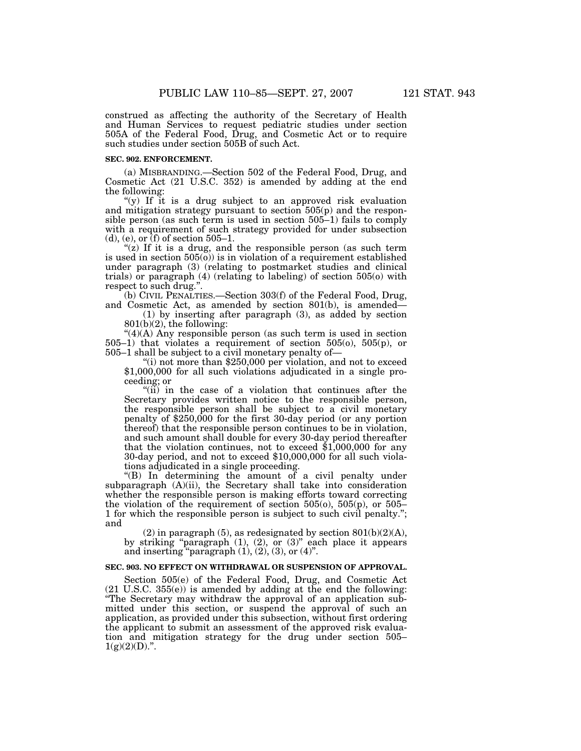construed as affecting the authority of the Secretary of Health and Human Services to request pediatric studies under section 505A of the Federal Food, Drug, and Cosmetic Act or to require such studies under section 505B of such Act.

#### **SEC. 902. ENFORCEMENT.**

(a) MISBRANDING.—Section 502 of the Federal Food, Drug, and Cosmetic Act (21 U.S.C. 352) is amended by adding at the end the following:

"(y) If it is a drug subject to an approved risk evaluation and mitigation strategy pursuant to section 505(p) and the responsible person (as such term is used in section 505–1) fails to comply with a requirement of such strategy provided for under subsection  $(d)$ , (e), or  $\overline{f}$  of section 505–1.

" $(z)$  If it is a drug, and the responsible person (as such term is used in section  $505(0)$  is in violation of a requirement established under paragraph (3) (relating to postmarket studies and clinical trials) or paragraph (4) (relating to labeling) of section 505(o) with respect to such drug.''.

(b) CIVIL PENALTIES.—Section 303(f) of the Federal Food, Drug, and Cosmetic Act, as amended by section 801(b), is amended—

(1) by inserting after paragraph (3), as added by section 801(b)(2), the following:

" $(4)(A)$  Any responsible person (as such term is used in section 505–1) that violates a requirement of section 505(o), 505(p), or 505–1 shall be subject to a civil monetary penalty of—

''(i) not more than \$250,000 per violation, and not to exceed \$1,000,000 for all such violations adjudicated in a single proceeding; or

"(ii) in the case of a violation that continues after the Secretary provides written notice to the responsible person, the responsible person shall be subject to a civil monetary penalty of \$250,000 for the first 30-day period (or any portion thereof) that the responsible person continues to be in violation, and such amount shall double for every 30-day period thereafter that the violation continues, not to exceed \$1,000,000 for any 30-day period, and not to exceed \$10,000,000 for all such violations adjudicated in a single proceeding.

''(B) In determining the amount of a civil penalty under subparagraph (A)(ii), the Secretary shall take into consideration whether the responsible person is making efforts toward correcting the violation of the requirement of section  $505(0)$ ,  $505(p)$ , or  $505-$ 1 for which the responsible person is subject to such civil penalty.''; and

(2) in paragraph (5), as redesignated by section  $801(b)(2)(A)$ , by striking "paragraph  $(1)$ ,  $(2)$ , or  $(3)$ " each place it appears and inserting "paragraph  $(1)$ ,  $(2)$ ,  $(3)$ , or  $(4)$ ".

#### **SEC. 903. NO EFFECT ON WITHDRAWAL OR SUSPENSION OF APPROVAL.**

Section 505(e) of the Federal Food, Drug, and Cosmetic Act  $(21 \text{ U.S.C. } 355(e))$  is amended by adding at the end the following: ''The Secretary may withdraw the approval of an application submitted under this section, or suspend the approval of such an application, as provided under this subsection, without first ordering the applicant to submit an assessment of the approved risk evaluation and mitigation strategy for the drug under section 505–  $1(g)(2)(D)$ .".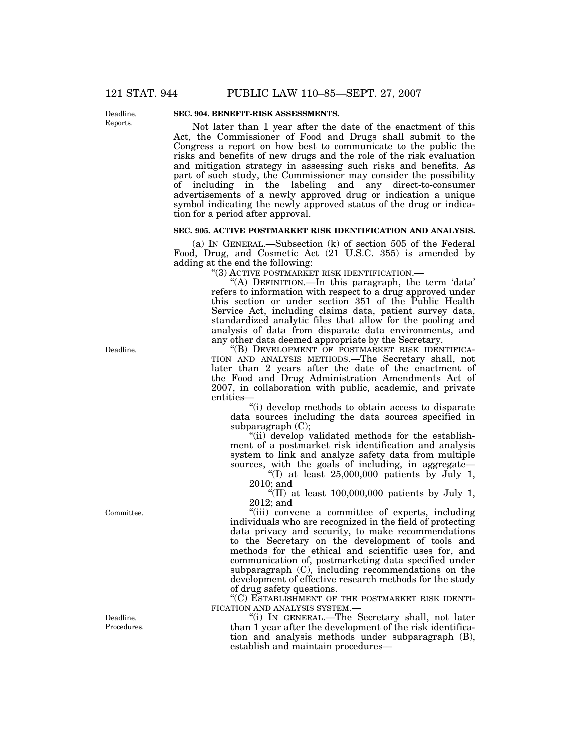Deadline. Reports.

# **SEC. 904. BENEFIT-RISK ASSESSMENTS.**

Not later than 1 year after the date of the enactment of this Act, the Commissioner of Food and Drugs shall submit to the Congress a report on how best to communicate to the public the risks and benefits of new drugs and the role of the risk evaluation and mitigation strategy in assessing such risks and benefits. As part of such study, the Commissioner may consider the possibility of including in the labeling and any direct-to-consumer advertisements of a newly approved drug or indication a unique symbol indicating the newly approved status of the drug or indication for a period after approval.

## **SEC. 905. ACTIVE POSTMARKET RISK IDENTIFICATION AND ANALYSIS.**

(a) IN GENERAL.—Subsection (k) of section 505 of the Federal Food, Drug, and Cosmetic Act (21 U.S.C. 355) is amended by adding at the end the following:

''(3) ACTIVE POSTMARKET RISK IDENTIFICATION.—

''(A) DEFINITION.—In this paragraph, the term 'data' refers to information with respect to a drug approved under this section or under section 351 of the Public Health Service Act, including claims data, patient survey data, standardized analytic files that allow for the pooling and analysis of data from disparate data environments, and any other data deemed appropriate by the Secretary.

"(B) DEVELOPMENT OF POSTMARKET RISK IDENTIFICA-TION AND ANALYSIS METHODS.—The Secretary shall, not later than 2 years after the date of the enactment of the Food and Drug Administration Amendments Act of 2007, in collaboration with public, academic, and private entities—

''(i) develop methods to obtain access to disparate data sources including the data sources specified in subparagraph (C);

''(ii) develop validated methods for the establishment of a postmarket risk identification and analysis system to link and analyze safety data from multiple sources, with the goals of including, in aggregate—

"(I) at least  $25,000,000$  patients by July 1, 2010; and

"(II) at least  $100,000,000$  patients by July 1, 2012; and

"(iii) convene a committee of experts, including individuals who are recognized in the field of protecting data privacy and security, to make recommendations to the Secretary on the development of tools and methods for the ethical and scientific uses for, and communication of, postmarketing data specified under subparagraph (C), including recommendations on the development of effective research methods for the study of drug safety questions.

''(C) ESTABLISHMENT OF THE POSTMARKET RISK IDENTI-FICATION AND ANALYSIS SYSTEM.—

''(i) IN GENERAL.—The Secretary shall, not later than 1 year after the development of the risk identification and analysis methods under subparagraph (B), establish and maintain procedures—

Deadline.

Committee.

Deadline. Procedures.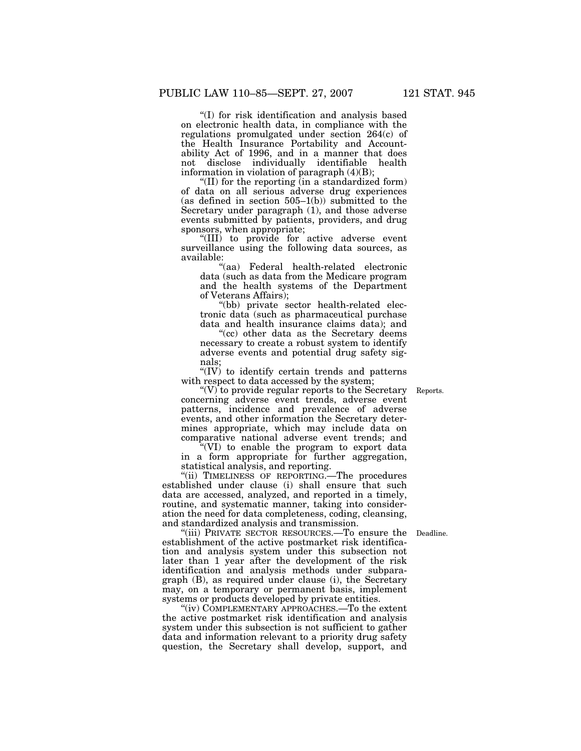''(I) for risk identification and analysis based on electronic health data, in compliance with the regulations promulgated under section 264(c) of the Health Insurance Portability and Accountability Act of 1996, and in a manner that does not disclose individually identifiable health information in violation of paragraph (4)(B);

"(II) for the reporting  $\overline{(}$  in a standardized form) of data on all serious adverse drug experiences (as defined in section  $505-1(b)$ ) submitted to the Secretary under paragraph (1), and those adverse events submitted by patients, providers, and drug sponsors, when appropriate;

''(III) to provide for active adverse event surveillance using the following data sources, as available:

''(aa) Federal health-related electronic data (such as data from the Medicare program and the health systems of the Department of Veterans Affairs);

''(bb) private sector health-related electronic data (such as pharmaceutical purchase data and health insurance claims data); and

"(cc) other data as the Secretary deems necessary to create a robust system to identify adverse events and potential drug safety signals;

"(IV) to identify certain trends and patterns with respect to data accessed by the system;

Reports.

 $(v)$  to provide regular reports to the Secretary concerning adverse event trends, adverse event patterns, incidence and prevalence of adverse events, and other information the Secretary determines appropriate, which may include data on comparative national adverse event trends; and

''(VI) to enable the program to export data in a form appropriate for further aggregation, statistical analysis, and reporting.

''(ii) TIMELINESS OF REPORTING.—The procedures established under clause (i) shall ensure that such data are accessed, analyzed, and reported in a timely, routine, and systematic manner, taking into consideration the need for data completeness, coding, cleansing, and standardized analysis and transmission.

"(iii) PRIVATE SECTOR RESOURCES.—To ensure the Deadline. establishment of the active postmarket risk identification and analysis system under this subsection not later than 1 year after the development of the risk identification and analysis methods under subparagraph (B), as required under clause (i), the Secretary may, on a temporary or permanent basis, implement systems or products developed by private entities.

"(iv) COMPLEMENTARY APPROACHES.—To the extent the active postmarket risk identification and analysis system under this subsection is not sufficient to gather data and information relevant to a priority drug safety question, the Secretary shall develop, support, and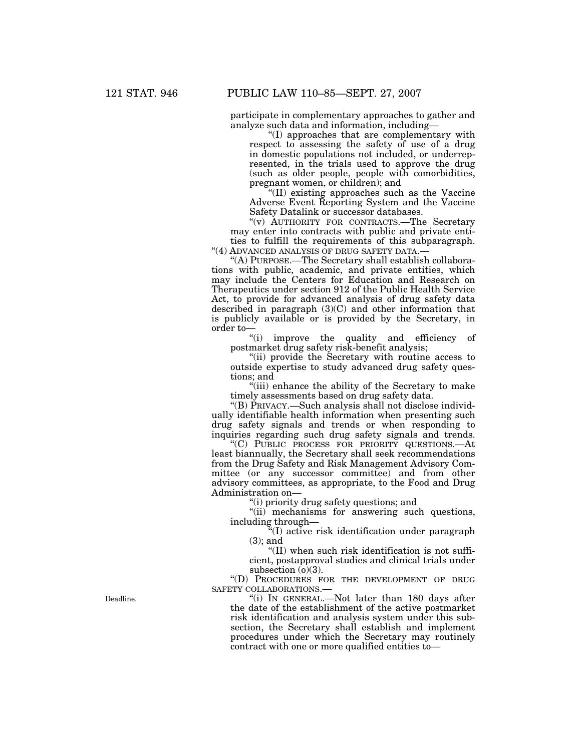participate in complementary approaches to gather and analyze such data and information, including—

''(I) approaches that are complementary with respect to assessing the safety of use of a drug in domestic populations not included, or underrepresented, in the trials used to approve the drug (such as older people, people with comorbidities, pregnant women, or children); and

''(II) existing approaches such as the Vaccine Adverse Event Reporting System and the Vaccine Safety Datalink or successor databases.

"(v) AUTHORITY FOR CONTRACTS.—The Secretary may enter into contracts with public and private entities to fulfill the requirements of this subparagraph. "(4) ADVANCED ANALYSIS OF DRUG SAFETY DATA.-

''(A) PURPOSE.—The Secretary shall establish collaborations with public, academic, and private entities, which may include the Centers for Education and Research on Therapeutics under section 912 of the Public Health Service Act, to provide for advanced analysis of drug safety data described in paragraph (3)(C) and other information that is publicly available or is provided by the Secretary, in order to—

''(i) improve the quality and efficiency of postmarket drug safety risk-benefit analysis;

''(ii) provide the Secretary with routine access to outside expertise to study advanced drug safety questions; and

''(iii) enhance the ability of the Secretary to make timely assessments based on drug safety data.

''(B) PRIVACY.—Such analysis shall not disclose individually identifiable health information when presenting such drug safety signals and trends or when responding to inquiries regarding such drug safety signals and trends.

''(C) PUBLIC PROCESS FOR PRIORITY QUESTIONS.—At least biannually, the Secretary shall seek recommendations from the Drug Safety and Risk Management Advisory Committee (or any successor committee) and from other advisory committees, as appropriate, to the Food and Drug Administration on—

''(i) priority drug safety questions; and

"(ii) mechanisms for answering such questions, including through—

''(I) active risk identification under paragraph (3); and

''(II) when such risk identification is not sufficient, postapproval studies and clinical trials under subsection  $(0)(3)$ .

''(D) PROCEDURES FOR THE DEVELOPMENT OF DRUG SAFETY COLLABORATIONS.—

''(i) IN GENERAL.—Not later than 180 days after the date of the establishment of the active postmarket risk identification and analysis system under this subsection, the Secretary shall establish and implement procedures under which the Secretary may routinely contract with one or more qualified entities to—

Deadline.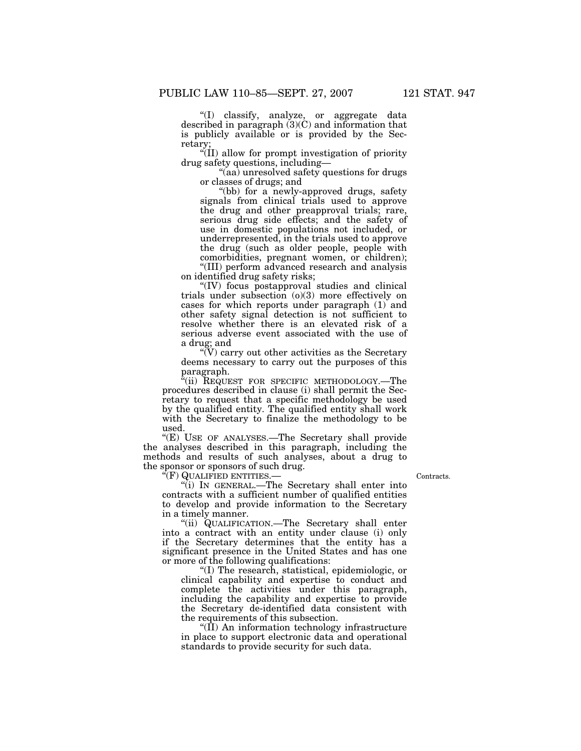''(I) classify, analyze, or aggregate data described in paragraph (3)(C) and information that is publicly available or is provided by the Secretary;

''(II) allow for prompt investigation of priority drug safety questions, including—

''(aa) unresolved safety questions for drugs or classes of drugs; and

"(bb) for a newly-approved drugs, safety signals from clinical trials used to approve the drug and other preapproval trials; rare, serious drug side effects; and the safety of use in domestic populations not included, or underrepresented, in the trials used to approve the drug (such as older people, people with comorbidities, pregnant women, or children); ''(III) perform advanced research and analysis

on identified drug safety risks;

''(IV) focus postapproval studies and clinical trials under subsection (o)(3) more effectively on cases for which reports under paragraph (1) and other safety signal detection is not sufficient to resolve whether there is an elevated risk of a serious adverse event associated with the use of a drug; and

 $\degree$ (V) carry out other activities as the Secretary deems necessary to carry out the purposes of this paragraph.

(ii) REQUEST FOR SPECIFIC METHODOLOGY.—The procedures described in clause (i) shall permit the Secretary to request that a specific methodology be used by the qualified entity. The qualified entity shall work with the Secretary to finalize the methodology to be used.

"(E) USE OF ANALYSES.—The Secretary shall provide the analyses described in this paragraph, including the methods and results of such analyses, about a drug to the sponsor or sponsors of such drug.

''(F) QUALIFIED ENTITIES.—

Contracts.

''(i) IN GENERAL.—The Secretary shall enter into contracts with a sufficient number of qualified entities to develop and provide information to the Secretary in a timely manner.

''(ii) QUALIFICATION.—The Secretary shall enter into a contract with an entity under clause (i) only if the Secretary determines that the entity has a significant presence in the United States and has one or more of the following qualifications:

''(I) The research, statistical, epidemiologic, or clinical capability and expertise to conduct and complete the activities under this paragraph, including the capability and expertise to provide the Secretary de-identified data consistent with the requirements of this subsection.

''(II) An information technology infrastructure in place to support electronic data and operational standards to provide security for such data.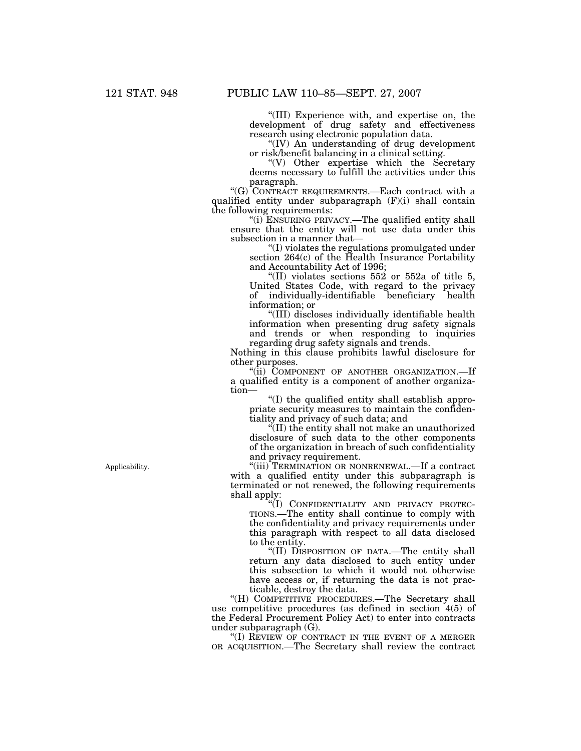''(III) Experience with, and expertise on, the development of drug safety and effectiveness research using electronic population data.

''(IV) An understanding of drug development or risk/benefit balancing in a clinical setting.

''(V) Other expertise which the Secretary deems necessary to fulfill the activities under this paragraph.

''(G) CONTRACT REQUIREMENTS.—Each contract with a qualified entity under subparagraph (F)(i) shall contain the following requirements:

''(i) ENSURING PRIVACY.—The qualified entity shall ensure that the entity will not use data under this subsection in a manner that-

''(I) violates the regulations promulgated under section 264(c) of the Health Insurance Portability and Accountability Act of 1996;

''(II) violates sections 552 or 552a of title 5, United States Code, with regard to the privacy of individually-identifiable beneficiary health information; or

''(III) discloses individually identifiable health information when presenting drug safety signals and trends or when responding to inquiries regarding drug safety signals and trends.

Nothing in this clause prohibits lawful disclosure for other purposes.

"(ii) COMPONENT OF ANOTHER ORGANIZATION.—If a qualified entity is a component of another organization—

''(I) the qualified entity shall establish appropriate security measures to maintain the confidentiality and privacy of such data; and

''(II) the entity shall not make an unauthorized disclosure of such data to the other components of the organization in breach of such confidentiality and privacy requirement.

''(iii) TERMINATION OR NONRENEWAL.—If a contract with a qualified entity under this subparagraph is terminated or not renewed, the following requirements shall apply:

''(I) CONFIDENTIALITY AND PRIVACY PROTEC-TIONS.—The entity shall continue to comply with the confidentiality and privacy requirements under this paragraph with respect to all data disclosed to the entity.

''(II) DISPOSITION OF DATA.—The entity shall return any data disclosed to such entity under this subsection to which it would not otherwise have access or, if returning the data is not practicable, destroy the data.

"(H) COMPETITIVE PROCEDURES.—The Secretary shall use competitive procedures (as defined in section 4(5) of the Federal Procurement Policy Act) to enter into contracts under subparagraph (G).

''(I) REVIEW OF CONTRACT IN THE EVENT OF A MERGER OR ACQUISITION.—The Secretary shall review the contract

Applicability.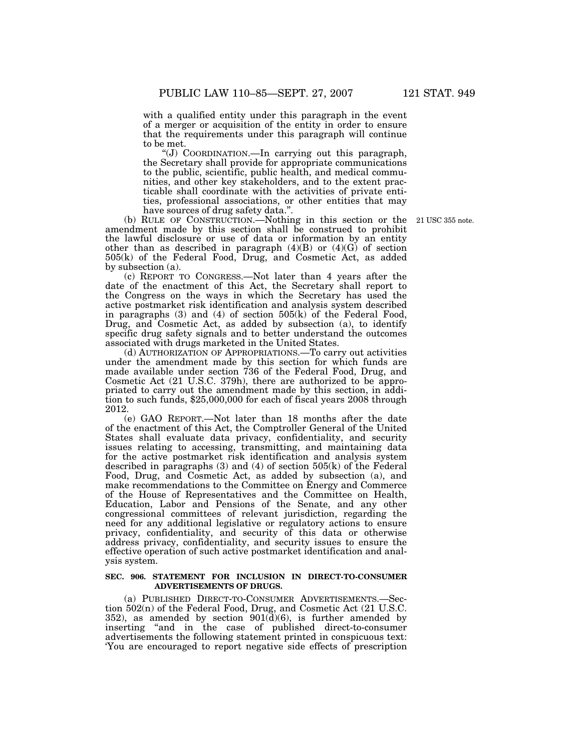with a qualified entity under this paragraph in the event of a merger or acquisition of the entity in order to ensure that the requirements under this paragraph will continue to be met.

''(J) COORDINATION.—In carrying out this paragraph, the Secretary shall provide for appropriate communications to the public, scientific, public health, and medical communities, and other key stakeholders, and to the extent practicable shall coordinate with the activities of private entities, professional associations, or other entities that may have sources of drug safety data.''.

21 USC 355 note.

(b) RULE OF CONSTRUCTION.—Nothing in this section or the amendment made by this section shall be construed to prohibit the lawful disclosure or use of data or information by an entity other than as described in paragraph  $(4)(B)$  or  $(4)(G)$  of section 505(k) of the Federal Food, Drug, and Cosmetic Act, as added by subsection (a).

(c) REPORT TO CONGRESS.—Not later than 4 years after the date of the enactment of this Act, the Secretary shall report to the Congress on the ways in which the Secretary has used the active postmarket risk identification and analysis system described in paragraphs (3) and (4) of section 505(k) of the Federal Food, Drug, and Cosmetic Act, as added by subsection (a), to identify specific drug safety signals and to better understand the outcomes associated with drugs marketed in the United States.

(d) AUTHORIZATION OF APPROPRIATIONS.—To carry out activities under the amendment made by this section for which funds are made available under section 736 of the Federal Food, Drug, and Cosmetic Act (21 U.S.C. 379h), there are authorized to be appropriated to carry out the amendment made by this section, in addition to such funds, \$25,000,000 for each of fiscal years 2008 through 2012.

(e) GAO REPORT.—Not later than 18 months after the date of the enactment of this Act, the Comptroller General of the United States shall evaluate data privacy, confidentiality, and security issues relating to accessing, transmitting, and maintaining data for the active postmarket risk identification and analysis system described in paragraphs (3) and (4) of section 505(k) of the Federal Food, Drug, and Cosmetic Act, as added by subsection (a), and make recommendations to the Committee on Energy and Commerce of the House of Representatives and the Committee on Health, Education, Labor and Pensions of the Senate, and any other congressional committees of relevant jurisdiction, regarding the need for any additional legislative or regulatory actions to ensure privacy, confidentiality, and security of this data or otherwise address privacy, confidentiality, and security issues to ensure the effective operation of such active postmarket identification and analysis system.

## **SEC. 906. STATEMENT FOR INCLUSION IN DIRECT-TO-CONSUMER ADVERTISEMENTS OF DRUGS.**

(a) PUBLISHED DIRECT-TO-CONSUMER ADVERTISEMENTS.—Section 502(n) of the Federal Food, Drug, and Cosmetic Act (21 U.S.C. 352), as amended by section  $901(d)(6)$ , is further amended by inserting ''and in the case of published direct-to-consumer advertisements the following statement printed in conspicuous text: 'You are encouraged to report negative side effects of prescription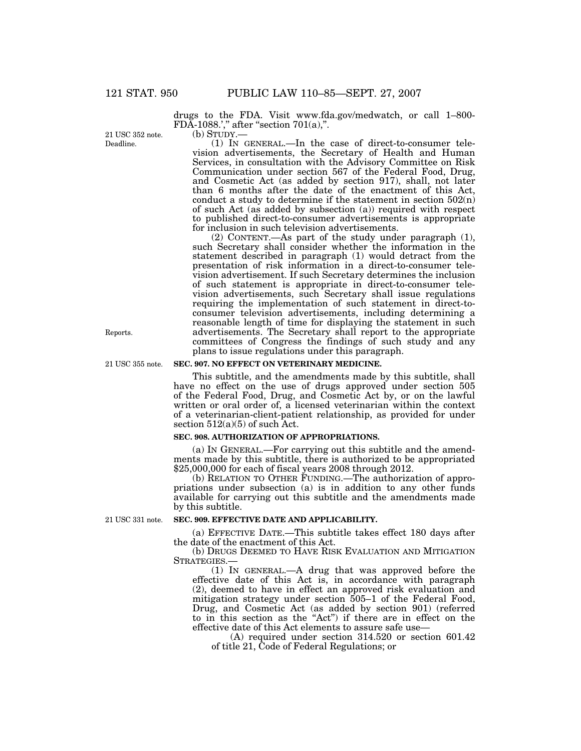drugs to the FDA. Visit www.fda.gov/medwatch, or call 1–800- FDA-1088.'," after "section  $701(a)$ ,".

Deadline. 21 USC 352 note.

(b) STUDY.— (1) IN GENERAL.—In the case of direct-to-consumer television advertisements, the Secretary of Health and Human Services, in consultation with the Advisory Committee on Risk Communication under section 567 of the Federal Food, Drug, and Cosmetic Act (as added by section 917), shall, not later than 6 months after the date of the enactment of this Act, conduct a study to determine if the statement in section  $502(n)$ of such Act (as added by subsection (a)) required with respect to published direct-to-consumer advertisements is appropriate for inclusion in such television advertisements.

(2) CONTENT.—As part of the study under paragraph (1), such Secretary shall consider whether the information in the statement described in paragraph (1) would detract from the presentation of risk information in a direct-to-consumer television advertisement. If such Secretary determines the inclusion of such statement is appropriate in direct-to-consumer television advertisements, such Secretary shall issue regulations requiring the implementation of such statement in direct-toconsumer television advertisements, including determining a reasonable length of time for displaying the statement in such advertisements. The Secretary shall report to the appropriate committees of Congress the findings of such study and any plans to issue regulations under this paragraph.

## **SEC. 907. NO EFFECT ON VETERINARY MEDICINE.**

This subtitle, and the amendments made by this subtitle, shall have no effect on the use of drugs approved under section 505 of the Federal Food, Drug, and Cosmetic Act by, or on the lawful written or oral order of, a licensed veterinarian within the context of a veterinarian-client-patient relationship, as provided for under section  $512(a)(5)$  of such Act.

# **SEC. 908. AUTHORIZATION OF APPROPRIATIONS.**

(a) IN GENERAL.—For carrying out this subtitle and the amendments made by this subtitle, there is authorized to be appropriated \$25,000,000 for each of fiscal years 2008 through 2012.

(b) RELATION TO OTHER FUNDING.—The authorization of appropriations under subsection (a) is in addition to any other funds available for carrying out this subtitle and the amendments made by this subtitle.

21 USC 331 note.

#### **SEC. 909. EFFECTIVE DATE AND APPLICABILITY.**

(a) EFFECTIVE DATE.—This subtitle takes effect 180 days after the date of the enactment of this Act.

(b) DRUGS DEEMED TO HAVE RISK EVALUATION AND MITIGATION STRATEGIES.—

(1) IN GENERAL.—A drug that was approved before the effective date of this Act is, in accordance with paragraph (2), deemed to have in effect an approved risk evaluation and mitigation strategy under section 505–1 of the Federal Food, Drug, and Cosmetic Act (as added by section 901) (referred to in this section as the ''Act'') if there are in effect on the effective date of this Act elements to assure safe use—

(A) required under section 314.520 or section 601.42 of title 21, Code of Federal Regulations; or

Reports.

21 USC 355 note.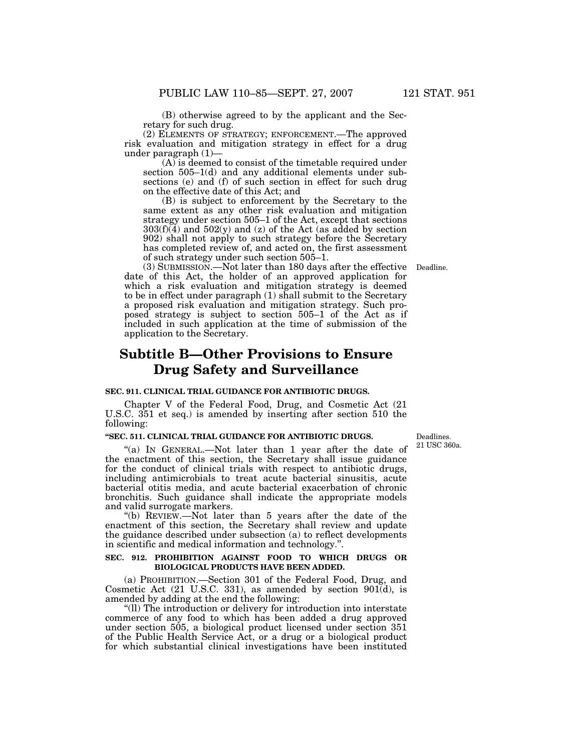(B) otherwise agreed to by the applicant and the Secretary for such drug.

(2) ELEMENTS OF STRATEGY; ENFORCEMENT.—The approved risk evaluation and mitigation strategy in effect for a drug under paragraph (1)—

 $(A)$  is deemed to consist of the timetable required under section 505–1(d) and any additional elements under subsections (e) and (f) of such section in effect for such drug on the effective date of this Act; and

(B) is subject to enforcement by the Secretary to the same extent as any other risk evaluation and mitigation strategy under section 505–1 of the Act, except that sections  $303(f)(4)$  and  $502(y)$  and (z) of the Act (as added by section 902) shall not apply to such strategy before the Secretary has completed review of, and acted on, the first assessment of such strategy under such section 505–1.

(3) SUBMISSION.—Not later than 180 days after the effective Deadline. date of this Act, the holder of an approved application for which a risk evaluation and mitigation strategy is deemed to be in effect under paragraph (1) shall submit to the Secretary a proposed risk evaluation and mitigation strategy. Such proposed strategy is subject to section 505–1 of the Act as if included in such application at the time of submission of the application to the Secretary.

# **Subtitle B—Other Provisions to Ensure Drug Safety and Surveillance**

## **SEC. 911. CLINICAL TRIAL GUIDANCE FOR ANTIBIOTIC DRUGS.**

Chapter V of the Federal Food, Drug, and Cosmetic Act (21 U.S.C. 351 et seq.) is amended by inserting after section 510 the following:

## **''SEC. 511. CLINICAL TRIAL GUIDANCE FOR ANTIBIOTIC DRUGS.**

"(a) IN GENERAL.—Not later than 1 year after the date of the enactment of this section, the Secretary shall issue guidance for the conduct of clinical trials with respect to antibiotic drugs, including antimicrobials to treat acute bacterial sinusitis, acute bacterial otitis media, and acute bacterial exacerbation of chronic bronchitis. Such guidance shall indicate the appropriate models and valid surrogate markers.

''(b) REVIEW.—Not later than 5 years after the date of the enactment of this section, the Secretary shall review and update the guidance described under subsection (a) to reflect developments in scientific and medical information and technology.''.

# **SEC. 912. PROHIBITION AGAINST FOOD TO WHICH DRUGS OR BIOLOGICAL PRODUCTS HAVE BEEN ADDED.**

(a) PROHIBITION.—Section 301 of the Federal Food, Drug, and Cosmetic Act (21 U.S.C. 331), as amended by section 901(d), is amended by adding at the end the following:

''(ll) The introduction or delivery for introduction into interstate commerce of any food to which has been added a drug approved under section 505, a biological product licensed under section 351 of the Public Health Service Act, or a drug or a biological product for which substantial clinical investigations have been instituted

Deadlines. 21 USC 360a.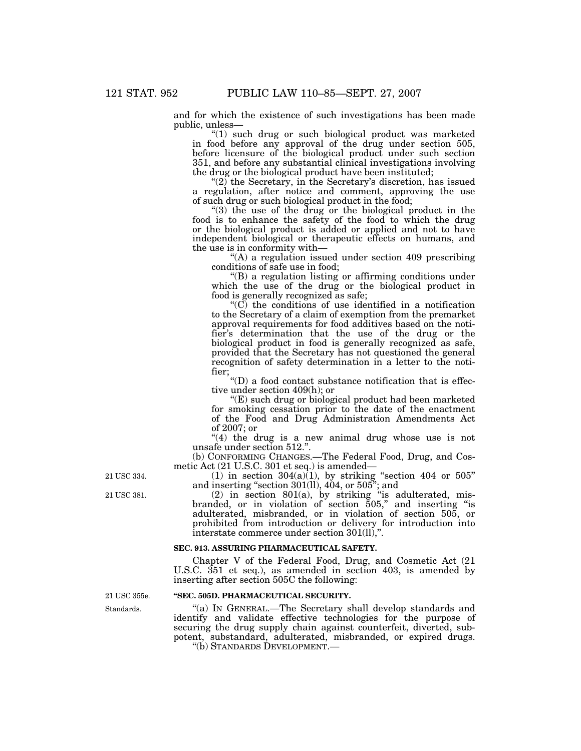and for which the existence of such investigations has been made public, unless—

 $f(1)$  such drug or such biological product was marketed in food before any approval of the drug under section 505, before licensure of the biological product under such section 351, and before any substantial clinical investigations involving the drug or the biological product have been instituted;

" $(2)$  the Secretary, in the Secretary's discretion, has issued a regulation, after notice and comment, approving the use of such drug or such biological product in the food;

''(3) the use of the drug or the biological product in the food is to enhance the safety of the food to which the drug or the biological product is added or applied and not to have independent biological or therapeutic effects on humans, and the use is in conformity with—

 $(A)$  a regulation issued under section 409 prescribing conditions of safe use in food;

''(B) a regulation listing or affirming conditions under which the use of the drug or the biological product in food is generally recognized as safe;

 $(C)$  the conditions of use identified in a notification to the Secretary of a claim of exemption from the premarket approval requirements for food additives based on the notifier's determination that the use of the drug or the biological product in food is generally recognized as safe, provided that the Secretary has not questioned the general recognition of safety determination in a letter to the notifier;

''(D) a food contact substance notification that is effective under section 409(h); or

''(E) such drug or biological product had been marketed for smoking cessation prior to the date of the enactment of the Food and Drug Administration Amendments Act of 2007; or

"(4) the drug is a new animal drug whose use is not unsafe under section 512.''.

(b) CONFORMING CHANGES.—The Federal Food, Drug, and Cosmetic Act (21 U.S.C. 301 et seq.) is amended—

(1) in section  $304(a)$ (1), by striking "section 404 or 505" and inserting ''section 301(ll), 404, or 505''; and

 $(2)$  in section  $801(a)$ , by striking "is adulterated, misbranded, or in violation of section 505,'' and inserting ''is adulterated, misbranded, or in violation of section 505, or prohibited from introduction or delivery for introduction into interstate commerce under section 301(ll),''.

#### **SEC. 913. ASSURING PHARMACEUTICAL SAFETY.**

Chapter V of the Federal Food, Drug, and Cosmetic Act (21 U.S.C. 351 et seq.), as amended in section 403, is amended by inserting after section 505C the following:

# **''SEC. 505D. PHARMACEUTICAL SECURITY.**

''(a) IN GENERAL.—The Secretary shall develop standards and identify and validate effective technologies for the purpose of securing the drug supply chain against counterfeit, diverted, subpotent, substandard, adulterated, misbranded, or expired drugs. "(b) STANDARDS DEVELOPMENT.—

21 USC 334.

21 USC 381.

Standards. 21 USC 355e.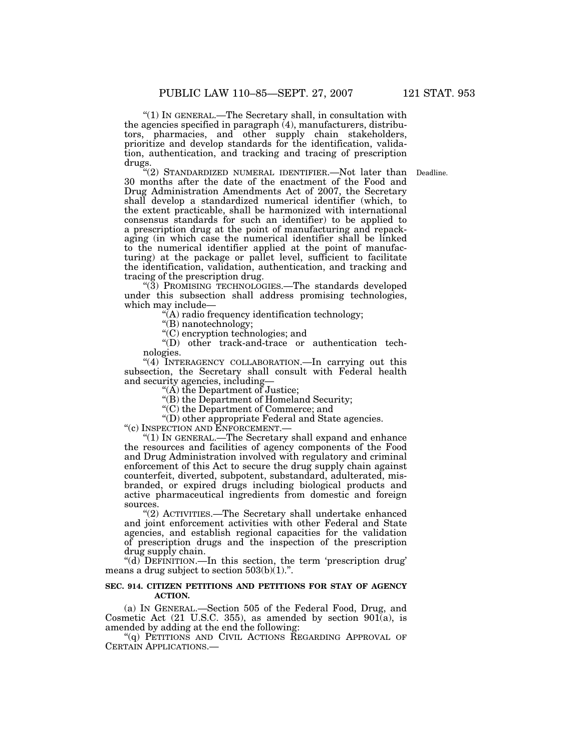''(1) IN GENERAL.—The Secretary shall, in consultation with the agencies specified in paragraph (4), manufacturers, distributors, pharmacies, and other supply chain stakeholders, prioritize and develop standards for the identification, validation, authentication, and tracking and tracing of prescription drugs.

"(2) STANDARDIZED NUMERAL IDENTIFIER.—Not later than Deadline. 30 months after the date of the enactment of the Food and Drug Administration Amendments Act of 2007, the Secretary shall develop a standardized numerical identifier (which, to the extent practicable, shall be harmonized with international consensus standards for such an identifier) to be applied to a prescription drug at the point of manufacturing and repackaging (in which case the numerical identifier shall be linked to the numerical identifier applied at the point of manufacturing) at the package or pallet level, sufficient to facilitate the identification, validation, authentication, and tracking and tracing of the prescription drug.

"(3) PROMISING TECHNOLOGIES.—The standards developed under this subsection shall address promising technologies, which may include—

''(A) radio frequency identification technology;

"(B) nanotechnology;

''(C) encryption technologies; and

''(D) other track-and-trace or authentication technologies.

"(4) INTERAGENCY COLLABORATION.—In carrying out this subsection, the Secretary shall consult with Federal health and security agencies, including—

''(A) the Department of Justice;

''(B) the Department of Homeland Security;

''(C) the Department of Commerce; and

''(D) other appropriate Federal and State agencies.

''(c) INSPECTION AND ENFORCEMENT.—

''(1) IN GENERAL.—The Secretary shall expand and enhance the resources and facilities of agency components of the Food and Drug Administration involved with regulatory and criminal enforcement of this Act to secure the drug supply chain against counterfeit, diverted, subpotent, substandard, adulterated, misbranded, or expired drugs including biological products and active pharmaceutical ingredients from domestic and foreign sources.

"(2) ACTIVITIES.—The Secretary shall undertake enhanced and joint enforcement activities with other Federal and State agencies, and establish regional capacities for the validation of prescription drugs and the inspection of the prescription drug supply chain.

''(d) DEFINITION.—In this section, the term 'prescription drug' means a drug subject to section  $503(b)(1)$ .".

## **SEC. 914. CITIZEN PETITIONS AND PETITIONS FOR STAY OF AGENCY ACTION.**

(a) IN GENERAL.—Section 505 of the Federal Food, Drug, and Cosmetic Act (21 U.S.C. 355), as amended by section  $901(a)$ , is amended by adding at the end the following:

''(q) PETITIONS AND CIVIL ACTIONS REGARDING APPROVAL OF CERTAIN APPLICATIONS.—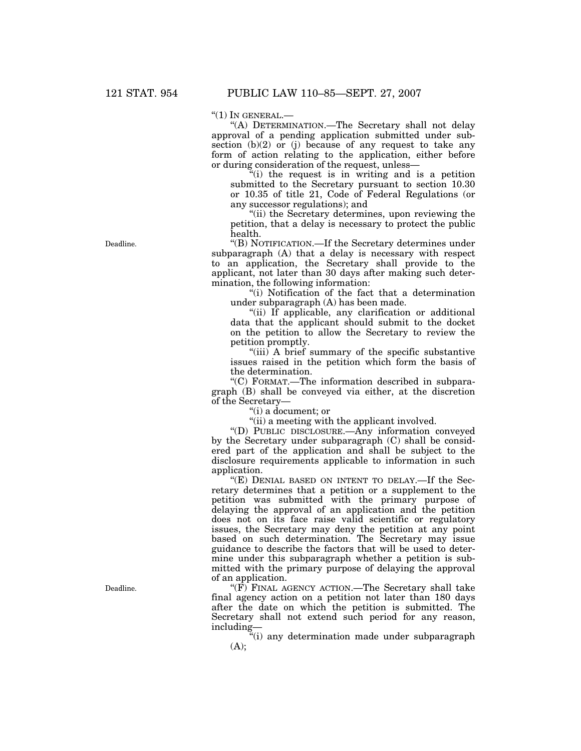$"(1)$  In GENERAL.—

''(A) DETERMINATION.—The Secretary shall not delay approval of a pending application submitted under subsection  $(b)(2)$  or (j) because of any request to take any form of action relating to the application, either before or during consideration of the request, unless—

"(i) the request is in writing and is a petition submitted to the Secretary pursuant to section 10.30 or 10.35 of title 21, Code of Federal Regulations (or any successor regulations); and

"(ii) the Secretary determines, upon reviewing the petition, that a delay is necessary to protect the public health.

''(B) NOTIFICATION.—If the Secretary determines under subparagraph (A) that a delay is necessary with respect to an application, the Secretary shall provide to the applicant, not later than 30 days after making such determination, the following information:

''(i) Notification of the fact that a determination under subparagraph (A) has been made.

"(ii) If applicable, any clarification or additional data that the applicant should submit to the docket on the petition to allow the Secretary to review the petition promptly.

"(iii) A brief summary of the specific substantive issues raised in the petition which form the basis of the determination.

''(C) FORMAT.—The information described in subparagraph (B) shall be conveyed via either, at the discretion of the Secretary—

''(i) a document; or

''(ii) a meeting with the applicant involved.

''(D) PUBLIC DISCLOSURE.—Any information conveyed by the Secretary under subparagraph (C) shall be considered part of the application and shall be subject to the disclosure requirements applicable to information in such application.

" $(E)$  DENIAL BASED ON INTENT TO DELAY.—If the Secretary determines that a petition or a supplement to the petition was submitted with the primary purpose of delaying the approval of an application and the petition does not on its face raise valid scientific or regulatory issues, the Secretary may deny the petition at any point based on such determination. The Secretary may issue guidance to describe the factors that will be used to determine under this subparagraph whether a petition is submitted with the primary purpose of delaying the approval of an application.

''(F) FINAL AGENCY ACTION.—The Secretary shall take final agency action on a petition not later than 180 days after the date on which the petition is submitted. The Secretary shall not extend such period for any reason, including—

''(i) any determination made under subparagraph  $(A)$ :

Deadline.

Deadline.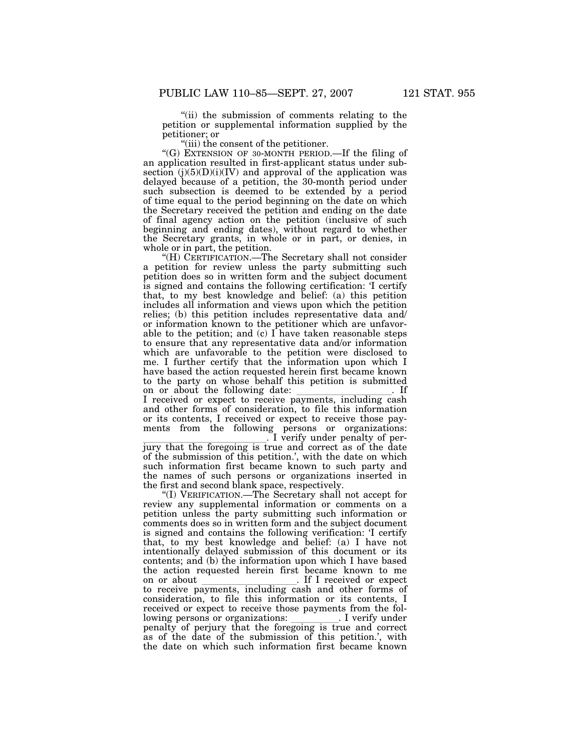"(ii) the submission of comments relating to the petition or supplemental information supplied by the petitioner; or

(iii) the consent of the petitioner.

''(G) EXTENSION OF 30-MONTH PERIOD.—If the filing of an application resulted in first-applicant status under subsection  $(j)(5)(D)(i)(IV)$  and approval of the application was delayed because of a petition, the 30-month period under such subsection is deemed to be extended by a period of time equal to the period beginning on the date on which the Secretary received the petition and ending on the date of final agency action on the petition (inclusive of such beginning and ending dates), without regard to whether the Secretary grants, in whole or in part, or denies, in whole or in part, the petition.

''(H) CERTIFICATION.—The Secretary shall not consider a petition for review unless the party submitting such petition does so in written form and the subject document is signed and contains the following certification: 'I certify that, to my best knowledge and belief: (a) this petition includes all information and views upon which the petition relies; (b) this petition includes representative data and/ or information known to the petitioner which are unfavorable to the petition; and (c)  $\overrightarrow{\Gamma}$  have taken reasonable steps to ensure that any representative data and/or information which are unfavorable to the petition were disclosed to me. I further certify that the information upon which I have based the action requested herein first became known to the party on whose behalf this petition is submitted on or about the following date: llllllllll. If I received or expect to receive payments, including cash

and other forms of consideration, to file this information or its contents, I received or expect to receive those payments from the following persons or organizations:

 $\frac{1}{\text{li}}$  I verify under penalty of per-<br>iury that the foregoing is true and correct as of the date jury that the foregoing is true and correct as of the date of the submission of this petition.', with the date on which such information first became known to such party and the names of such persons or organizations inserted in the first and second blank space, respectively.

''(I) VERIFICATION.—The Secretary shall not accept for review any supplemental information or comments on a petition unless the party submitting such information or comments does so in written form and the subject document is signed and contains the following verification: 'I certify that, to my best knowledge and belief: (a) I have not intentionally delayed submission of this document or its contents; and (b) the information upon which I have based the action requested herein first became known to me on or about llllllllll. If I received or expect to receive payments, including cash and other forms of consideration, to file this information or its contents, I received or expect to receive those payments from the following persons or organizations: let under the indepenalty of perjury that the foregoing is true and correct as of the date of the submission of this petition.', with the date on which such information first became known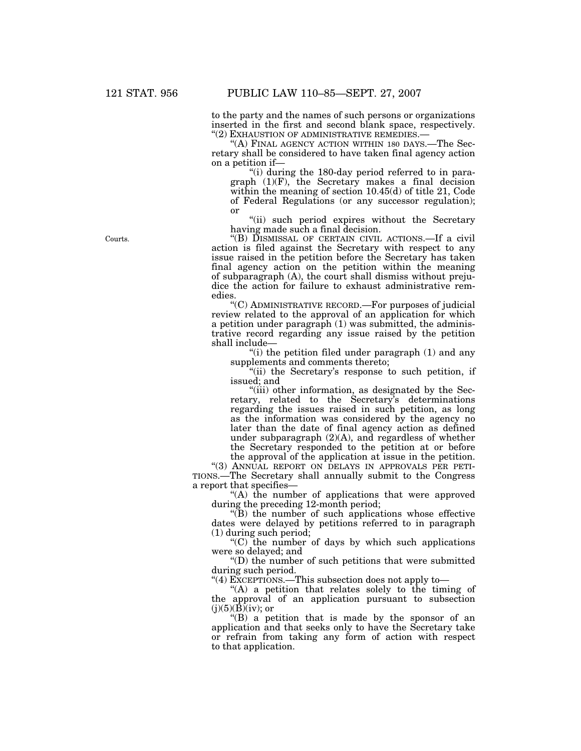to the party and the names of such persons or organizations inserted in the first and second blank space, respectively. "(2) EXHAUSTION OF ADMINISTRATIVE REMEDIES.-

''(A) FINAL AGENCY ACTION WITHIN 180 DAYS.—The Secretary shall be considered to have taken final agency action on a petition if—

"(i) during the 180-day period referred to in paragraph  $(1)(F)$ , the Secretary makes a final decision within the meaning of section 10.45(d) of title 21, Code of Federal Regulations (or any successor regulation); or

"(ii) such period expires without the Secretary having made such a final decision.

''(B) DISMISSAL OF CERTAIN CIVIL ACTIONS.—If a civil action is filed against the Secretary with respect to any issue raised in the petition before the Secretary has taken final agency action on the petition within the meaning of subparagraph (A), the court shall dismiss without prejudice the action for failure to exhaust administrative remedies.

''(C) ADMINISTRATIVE RECORD.—For purposes of judicial review related to the approval of an application for which a petition under paragraph (1) was submitted, the administrative record regarding any issue raised by the petition shall include—

"(i) the petition filed under paragraph  $(1)$  and any supplements and comments thereto;

''(ii) the Secretary's response to such petition, if issued; and

"(iii) other information, as designated by the Secretary, related to the Secretary's determinations regarding the issues raised in such petition, as long as the information was considered by the agency no later than the date of final agency action as defined under subparagraph (2)(A), and regardless of whether the Secretary responded to the petition at or before the approval of the application at issue in the petition.

''(3) ANNUAL REPORT ON DELAYS IN APPROVALS PER PETI-TIONS.—The Secretary shall annually submit to the Congress a report that specifies—

"(A) the number of applications that were approved during the preceding 12-month period;

''(B) the number of such applications whose effective dates were delayed by petitions referred to in paragraph (1) during such period;

''(C) the number of days by which such applications were so delayed; and

''(D) the number of such petitions that were submitted during such period.

''(4) EXCEPTIONS.—This subsection does not apply to—

''(A) a petition that relates solely to the timing of the approval of an application pursuant to subsection  $(j)(5)(B)(iv)$ ; or

''(B) a petition that is made by the sponsor of an application and that seeks only to have the Secretary take or refrain from taking any form of action with respect to that application.

Courts.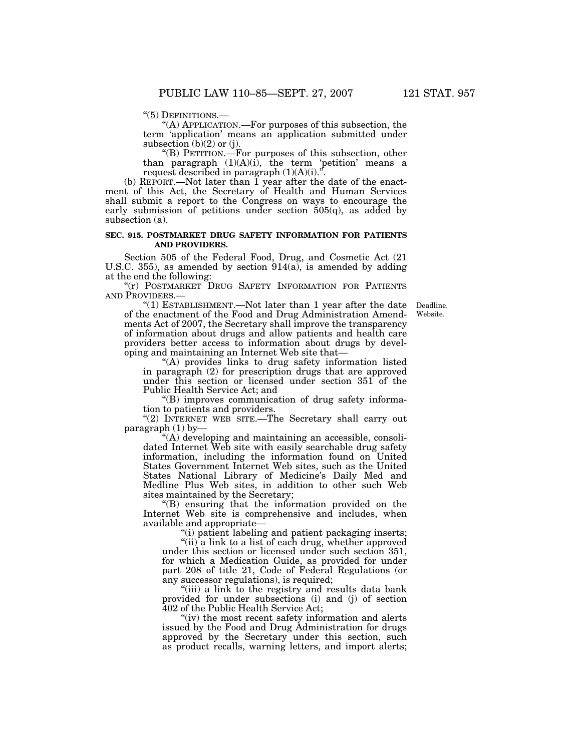''(5) DEFINITIONS.— ''(A) APPLICATION.—For purposes of this subsection, the term 'application' means an application submitted under subsection  $(b)(2)$  or  $(j)$ .

''(B) PETITION.—For purposes of this subsection, other than paragraph  $(1)(A)(i)$ , the term 'petition' means a request described in paragraph  $(1)(A)(i)$ .".

(b) REPORT.—Not later than 1 year after the date of the enactment of this Act, the Secretary of Health and Human Services shall submit a report to the Congress on ways to encourage the early submission of petitions under section  $505(q)$ , as added by subsection (a).

## **SEC. 915. POSTMARKET DRUG SAFETY INFORMATION FOR PATIENTS AND PROVIDERS.**

Section 505 of the Federal Food, Drug, and Cosmetic Act (21 U.S.C. 355), as amended by section 914(a), is amended by adding at the end the following:

"(r) POSTMARKET DRUG SAFETY INFORMATION FOR PATIENTS AND PROVIDERS.—

> Deadline. Website.

''(1) ESTABLISHMENT.—Not later than 1 year after the date of the enactment of the Food and Drug Administration Amendments Act of 2007, the Secretary shall improve the transparency of information about drugs and allow patients and health care providers better access to information about drugs by developing and maintaining an Internet Web site that—

''(A) provides links to drug safety information listed in paragraph (2) for prescription drugs that are approved under this section or licensed under section 351 of the Public Health Service Act; and

''(B) improves communication of drug safety information to patients and providers.

"(2) INTERNET WEB SITE.—The Secretary shall carry out paragraph (1) by—

''(A) developing and maintaining an accessible, consolidated Internet Web site with easily searchable drug safety information, including the information found on United States Government Internet Web sites, such as the United States National Library of Medicine's Daily Med and Medline Plus Web sites, in addition to other such Web sites maintained by the Secretary;

''(B) ensuring that the information provided on the Internet Web site is comprehensive and includes, when available and appropriate—

''(i) patient labeling and patient packaging inserts;

"(ii) a link to a list of each drug, whether approved under this section or licensed under such section 351, for which a Medication Guide, as provided for under part 208 of title 21, Code of Federal Regulations (or any successor regulations), is required;

"(iii) a link to the registry and results data bank provided for under subsections (i) and (j) of section 402 of the Public Health Service Act;

"(iv) the most recent safety information and alerts" issued by the Food and Drug Administration for drugs approved by the Secretary under this section, such as product recalls, warning letters, and import alerts;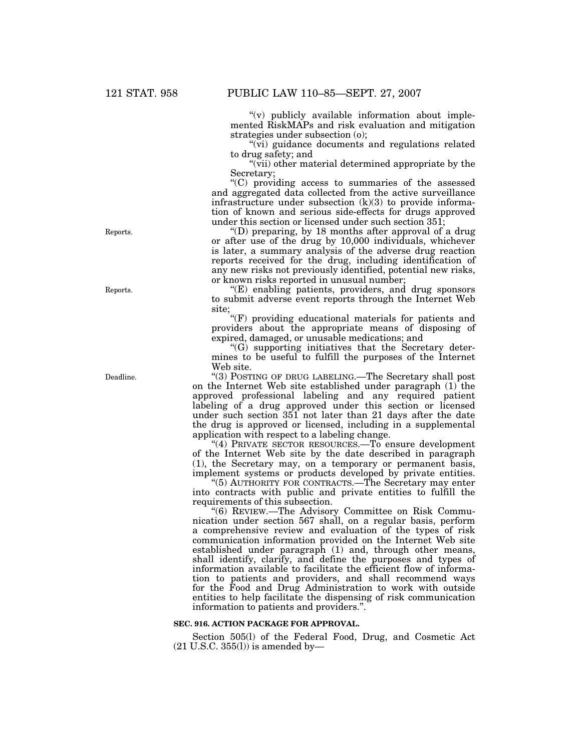''(v) publicly available information about implemented RiskMAPs and risk evaluation and mitigation strategies under subsection (o);

"(vi) guidance documents and regulations related to drug safety; and

''(vii) other material determined appropriate by the Secretary;

''(C) providing access to summaries of the assessed and aggregated data collected from the active surveillance infrastructure under subsection  $(k)(3)$  to provide information of known and serious side-effects for drugs approved under this section or licensed under such section 351;

"(D) preparing, by 18 months after approval of a drug or after use of the drug by 10,000 individuals, whichever is later, a summary analysis of the adverse drug reaction reports received for the drug, including identification of any new risks not previously identified, potential new risks, or known risks reported in unusual number;

''(E) enabling patients, providers, and drug sponsors to submit adverse event reports through the Internet Web site;

''(F) providing educational materials for patients and providers about the appropriate means of disposing of expired, damaged, or unusable medications; and

''(G) supporting initiatives that the Secretary determines to be useful to fulfill the purposes of the Internet Web site.

''(3) POSTING OF DRUG LABELING.—The Secretary shall post on the Internet Web site established under paragraph (1) the approved professional labeling and any required patient labeling of a drug approved under this section or licensed under such section 351 not later than 21 days after the date the drug is approved or licensed, including in a supplemental application with respect to a labeling change.

''(4) PRIVATE SECTOR RESOURCES.—To ensure development of the Internet Web site by the date described in paragraph (1), the Secretary may, on a temporary or permanent basis, implement systems or products developed by private entities.

''(5) AUTHORITY FOR CONTRACTS.—The Secretary may enter into contracts with public and private entities to fulfill the requirements of this subsection.

''(6) REVIEW.—The Advisory Committee on Risk Communication under section 567 shall, on a regular basis, perform a comprehensive review and evaluation of the types of risk communication information provided on the Internet Web site established under paragraph (1) and, through other means, shall identify, clarify, and define the purposes and types of information available to facilitate the efficient flow of information to patients and providers, and shall recommend ways for the Food and Drug Administration to work with outside entities to help facilitate the dispensing of risk communication information to patients and providers.''.

#### **SEC. 916. ACTION PACKAGE FOR APPROVAL.**

Section 505(l) of the Federal Food, Drug, and Cosmetic Act (21 U.S.C. 355(l)) is amended by—

Reports.

Reports.

Deadline.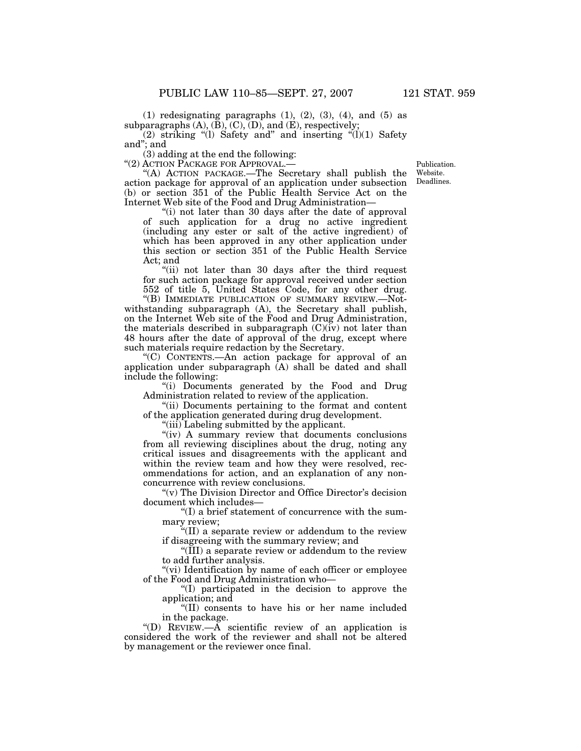(1) redesignating paragraphs  $(1)$ ,  $(2)$ ,  $(3)$ ,  $(4)$ , and  $(5)$  as subparagraphs  $(A)$ ,  $(B)$ ,  $(C)$ ,  $(D)$ , and  $(E)$ , respectively;

 $(2)$  striking "(1) Safety and" and inserting " $(1)(1)$  Safety and''; and

(3) adding at the end the following:

''(2) ACTION PACKAGE FOR APPROVAL.—

"(A) ACTION PACKAGE.—The Secretary shall publish the action package for approval of an application under subsection (b) or section 351 of the Public Health Service Act on the Internet Web site of the Food and Drug Administration—

"(i) not later than 30 days after the date of approval of such application for a drug no active ingredient (including any ester or salt of the active ingredient) of which has been approved in any other application under this section or section 351 of the Public Health Service Act; and

"(ii) not later than 30 days after the third request for such action package for approval received under section 552 of title 5, United States Code, for any other drug.

''(B) IMMEDIATE PUBLICATION OF SUMMARY REVIEW.—Notwithstanding subparagraph (A), the Secretary shall publish, on the Internet Web site of the Food and Drug Administration, the materials described in subparagraph  $(C)(iv)$  not later than 48 hours after the date of approval of the drug, except where such materials require redaction by the Secretary.

''(C) CONTENTS.—An action package for approval of an application under subparagraph  $(A)$  shall be dated and shall include the following:

''(i) Documents generated by the Food and Drug Administration related to review of the application.

"(ii) Documents pertaining to the format and content of the application generated during drug development.

''(iii) Labeling submitted by the applicant.

"(iv) A summary review that documents conclusions from all reviewing disciplines about the drug, noting any critical issues and disagreements with the applicant and within the review team and how they were resolved, recommendations for action, and an explanation of any nonconcurrence with review conclusions.

"(v) The Division Director and Office Director's decision document which includes—

''(I) a brief statement of concurrence with the summary review;

''(II) a separate review or addendum to the review if disagreeing with the summary review; and

''(III) a separate review or addendum to the review to add further analysis.

"(vi) Identification by name of each officer or employee of the Food and Drug Administration who—

''(I) participated in the decision to approve the application; and

''(II) consents to have his or her name included in the package.

"(D) REVIEW. $-\tilde{A}$  scientific review of an application is considered the work of the reviewer and shall not be altered by management or the reviewer once final.

Publication. Website. Deadlines.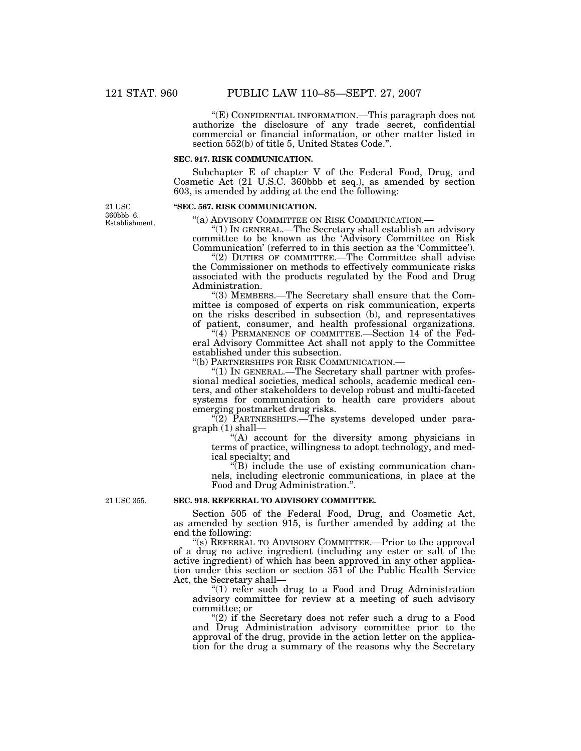''(E) CONFIDENTIAL INFORMATION.—This paragraph does not authorize the disclosure of any trade secret, confidential commercial or financial information, or other matter listed in section 552(b) of title 5, United States Code.''.

#### **SEC. 917. RISK COMMUNICATION.**

Subchapter E of chapter V of the Federal Food, Drug, and Cosmetic Act (21 U.S.C. 360bbb et seq.), as amended by section 603, is amended by adding at the end the following:

Establishment. 21 USC 360bbb–6.

#### **''SEC. 567. RISK COMMUNICATION.**

''(a) ADVISORY COMMITTEE ON RISK COMMUNICATION.— ''(1) IN GENERAL.—The Secretary shall establish an advisory committee to be known as the 'Advisory Committee on Risk Communication' (referred to in this section as the 'Committee').

''(2) DUTIES OF COMMITTEE.—The Committee shall advise the Commissioner on methods to effectively communicate risks associated with the products regulated by the Food and Drug Administration.

''(3) MEMBERS.—The Secretary shall ensure that the Committee is composed of experts on risk communication, experts on the risks described in subsection (b), and representatives of patient, consumer, and health professional organizations.

''(4) PERMANENCE OF COMMITTEE.—Section 14 of the Federal Advisory Committee Act shall not apply to the Committee established under this subsection.

''(b) PARTNERSHIPS FOR RISK COMMUNICATION.—

"(1) In GENERAL.—The Secretary shall partner with professional medical societies, medical schools, academic medical centers, and other stakeholders to develop robust and multi-faceted systems for communication to health care providers about emerging postmarket drug risks.

 $\sqrt{\frac{2}{2}}$  PARTNERSHIPS.—The systems developed under paragraph (1) shall—

''(A) account for the diversity among physicians in terms of practice, willingness to adopt technology, and medical specialty; and

 $\langle B \rangle$  include the use of existing communication channels, including electronic communications, in place at the Food and Drug Administration.''.

#### 21 USC 355.

Section 505 of the Federal Food, Drug, and Cosmetic Act, as amended by section 915, is further amended by adding at the end the following:

**SEC. 918. REFERRAL TO ADVISORY COMMITTEE.** 

''(s) REFERRAL TO ADVISORY COMMITTEE.—Prior to the approval of a drug no active ingredient (including any ester or salt of the active ingredient) of which has been approved in any other application under this section or section 351 of the Public Health Service Act, the Secretary shall—

''(1) refer such drug to a Food and Drug Administration advisory committee for review at a meeting of such advisory committee; or

"(2) if the Secretary does not refer such a drug to a Food and Drug Administration advisory committee prior to the approval of the drug, provide in the action letter on the application for the drug a summary of the reasons why the Secretary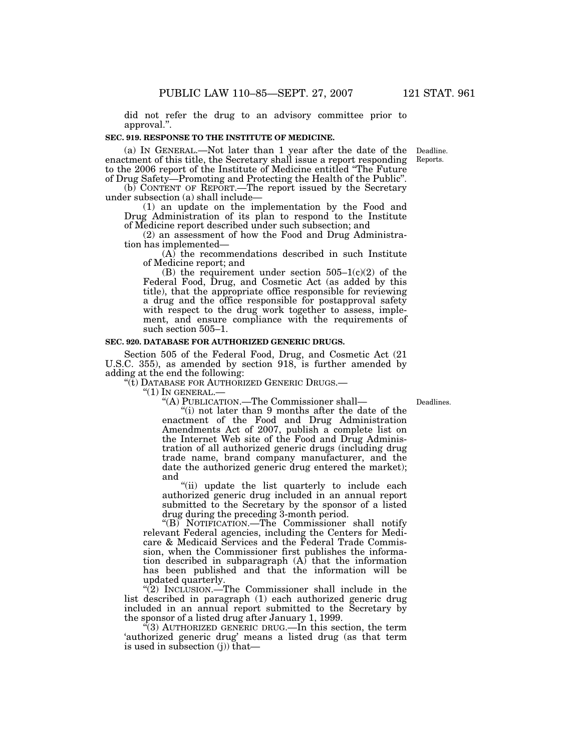did not refer the drug to an advisory committee prior to approval.''.

#### **SEC. 919. RESPONSE TO THE INSTITUTE OF MEDICINE.**

(a) IN GENERAL.—Not later than 1 year after the date of the enactment of this title, the Secretary shall issue a report responding to the 2006 report of the Institute of Medicine entitled ''The Future of Drug Safety—Promoting and Protecting the Health of the Public''.

(b) CONTENT OF REPORT.—The report issued by the Secretary under subsection (a) shall include—

(1) an update on the implementation by the Food and Drug Administration of its plan to respond to the Institute of Medicine report described under such subsection; and

(2) an assessment of how the Food and Drug Administration has implemented—

(A) the recommendations described in such Institute of Medicine report; and

(B) the requirement under section  $505-1(c)(2)$  of the Federal Food, Drug, and Cosmetic Act (as added by this title), that the appropriate office responsible for reviewing a drug and the office responsible for postapproval safety with respect to the drug work together to assess, implement, and ensure compliance with the requirements of such section 505–1.

#### **SEC. 920. DATABASE FOR AUTHORIZED GENERIC DRUGS.**

Section 505 of the Federal Food, Drug, and Cosmetic Act (21 U.S.C. 355), as amended by section 918, is further amended by adding at the end the following:<br>"(t) DATABASE FOR AUTHORIZED GENERIC DRUGS.—

"(1) In GENERAL.—<br>"(A) PUBLICATION.—The Commissioner shall—

''(i) not later than 9 months after the date of the enactment of the Food and Drug Administration Amendments Act of 2007, publish a complete list on the Internet Web site of the Food and Drug Administration of all authorized generic drugs (including drug trade name, brand company manufacturer, and the date the authorized generic drug entered the market); and

"(ii) update the list quarterly to include each authorized generic drug included in an annual report submitted to the Secretary by the sponsor of a listed drug during the preceding 3-month period.

''(B) NOTIFICATION.—The Commissioner shall notify relevant Federal agencies, including the Centers for Medicare & Medicaid Services and the Federal Trade Commission, when the Commissioner first publishes the information described in subparagraph  $(A)$  that the information has been published and that the information will be updated quarterly.

''(2) INCLUSION.—The Commissioner shall include in the list described in paragraph (1) each authorized generic drug included in an annual report submitted to the Secretary by the sponsor of a listed drug after January 1, 1999.

''(3) AUTHORIZED GENERIC DRUG.—In this section, the term 'authorized generic drug' means a listed drug (as that term is used in subsection  $(j)$  that—

Deadlines.

Deadline. Reports.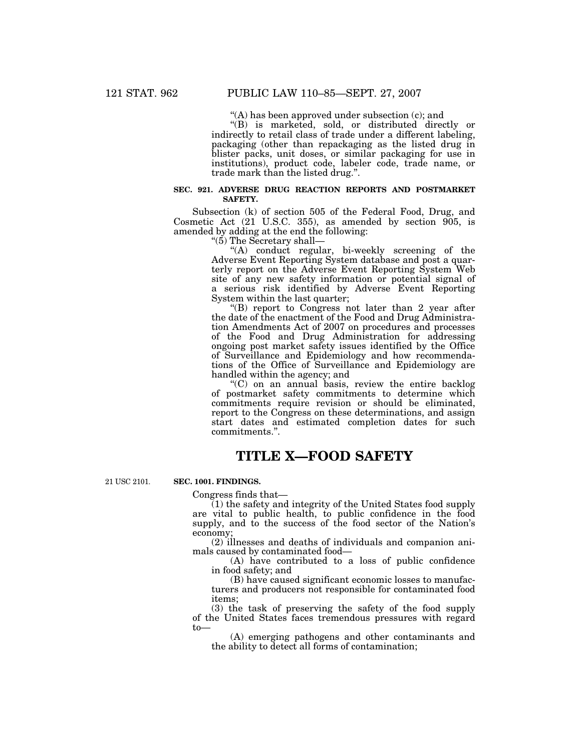"(A) has been approved under subsection (c); and

''(B) is marketed, sold, or distributed directly or indirectly to retail class of trade under a different labeling, packaging (other than repackaging as the listed drug in blister packs, unit doses, or similar packaging for use in institutions), product code, labeler code, trade name, or trade mark than the listed drug.''.

## **SEC. 921. ADVERSE DRUG REACTION REPORTS AND POSTMARKET SAFETY.**

Subsection (k) of section 505 of the Federal Food, Drug, and Cosmetic Act (21 U.S.C. 355), as amended by section 905, is amended by adding at the end the following:

''(5) The Secretary shall—

"(A) conduct regular, bi-weekly screening of the Adverse Event Reporting System database and post a quarterly report on the Adverse Event Reporting System Web site of any new safety information or potential signal of a serious risk identified by Adverse Event Reporting System within the last quarter;

''(B) report to Congress not later than 2 year after the date of the enactment of the Food and Drug Administration Amendments Act of 2007 on procedures and processes of the Food and Drug Administration for addressing ongoing post market safety issues identified by the Office of Surveillance and Epidemiology and how recommendations of the Office of Surveillance and Epidemiology are handled within the agency; and

''(C) on an annual basis, review the entire backlog of postmarket safety commitments to determine which commitments require revision or should be eliminated, report to the Congress on these determinations, and assign start dates and estimated completion dates for such commitments.''.

# **TITLE X—FOOD SAFETY**

21 USC 2101.

# **SEC. 1001. FINDINGS.**

Congress finds that—

 $(1)$  the safety and integrity of the United States food supply are vital to public health, to public confidence in the food supply, and to the success of the food sector of the Nation's economy;

(2) illnesses and deaths of individuals and companion animals caused by contaminated food—

(A) have contributed to a loss of public confidence in food safety; and

(B) have caused significant economic losses to manufacturers and producers not responsible for contaminated food items;

(3) the task of preserving the safety of the food supply of the United States faces tremendous pressures with regard to—

(A) emerging pathogens and other contaminants and the ability to detect all forms of contamination;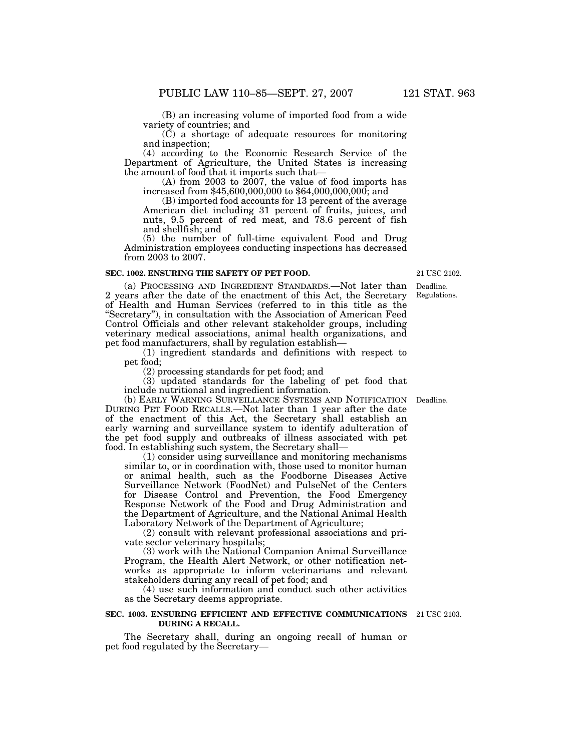(B) an increasing volume of imported food from a wide variety of countries; and

 $(\tilde{C})$  a shortage of adequate resources for monitoring and inspection;

(4) according to the Economic Research Service of the Department of Agriculture, the United States is increasing the amount of food that it imports such that—

 $(A)$  from 2003 to 2007, the value of food imports has increased from \$45,600,000,000 to \$64,000,000,000; and

(B) imported food accounts for 13 percent of the average American diet including 31 percent of fruits, juices, and nuts, 9.5 percent of red meat, and 78.6 percent of fish and shellfish; and

(5) the number of full-time equivalent Food and Drug Administration employees conducting inspections has decreased from 2003 to 2007.

#### **SEC. 1002. ENSURING THE SAFETY OF PET FOOD.**

(a) PROCESSING AND INGREDIENT STANDARDS.—Not later than 2 years after the date of the enactment of this Act, the Secretary of Health and Human Services (referred to in this title as the ''Secretary''), in consultation with the Association of American Feed Control Officials and other relevant stakeholder groups, including veterinary medical associations, animal health organizations, and pet food manufacturers, shall by regulation establish—

(1) ingredient standards and definitions with respect to pet food;

(2) processing standards for pet food; and

(3) updated standards for the labeling of pet food that include nutritional and ingredient information.

(b) EARLY WARNING SURVEILLANCE SYSTEMS AND NOTIFICATION DURING PET FOOD RECALLS.—Not later than 1 year after the date of the enactment of this Act, the Secretary shall establish an early warning and surveillance system to identify adulteration of the pet food supply and outbreaks of illness associated with pet food. In establishing such system, the Secretary shall—

(1) consider using surveillance and monitoring mechanisms similar to, or in coordination with, those used to monitor human or animal health, such as the Foodborne Diseases Active Surveillance Network (FoodNet) and PulseNet of the Centers for Disease Control and Prevention, the Food Emergency Response Network of the Food and Drug Administration and the Department of Agriculture, and the National Animal Health Laboratory Network of the Department of Agriculture;

(2) consult with relevant professional associations and private sector veterinary hospitals;

(3) work with the National Companion Animal Surveillance Program, the Health Alert Network, or other notification networks as appropriate to inform veterinarians and relevant stakeholders during any recall of pet food; and

(4) use such information and conduct such other activities as the Secretary deems appropriate.

#### **SEC. 1003. ENSURING EFFICIENT AND EFFECTIVE COMMUNICATIONS** 21 USC 2103. **DURING A RECALL.**

The Secretary shall, during an ongoing recall of human or pet food regulated by the Secretary—

Deadline.

Regulations.

Deadline. 21 USC 2102.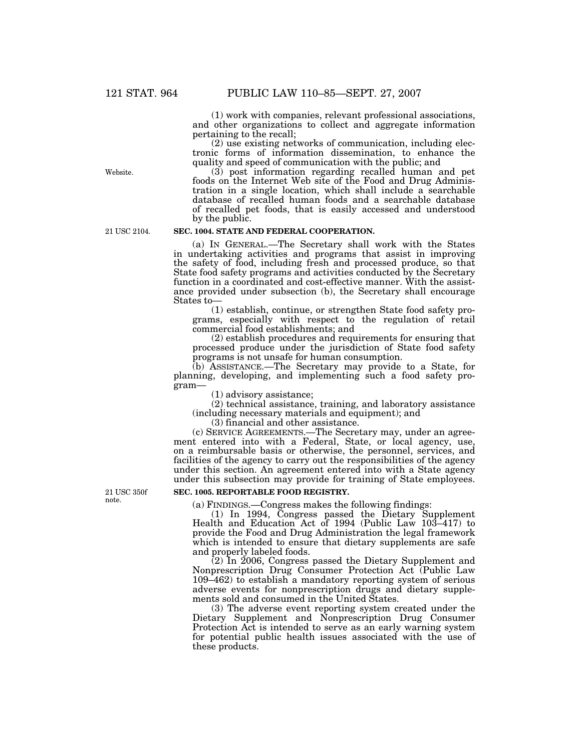(1) work with companies, relevant professional associations, and other organizations to collect and aggregate information pertaining to the recall;

(2) use existing networks of communication, including electronic forms of information dissemination, to enhance the quality and speed of communication with the public; and

(3) post information regarding recalled human and pet foods on the Internet Web site of the Food and Drug Administration in a single location, which shall include a searchable database of recalled human foods and a searchable database of recalled pet foods, that is easily accessed and understood by the public.

## **SEC. 1004. STATE AND FEDERAL COOPERATION.**

(a) IN GENERAL.—The Secretary shall work with the States in undertaking activities and programs that assist in improving the safety of food, including fresh and processed produce, so that State food safety programs and activities conducted by the Secretary function in a coordinated and cost-effective manner. With the assistance provided under subsection (b), the Secretary shall encourage States to—

(1) establish, continue, or strengthen State food safety programs, especially with respect to the regulation of retail commercial food establishments; and

(2) establish procedures and requirements for ensuring that processed produce under the jurisdiction of State food safety programs is not unsafe for human consumption.

(b) ASSISTANCE.—The Secretary may provide to a State, for planning, developing, and implementing such a food safety program—

(1) advisory assistance;

(2) technical assistance, training, and laboratory assistance (including necessary materials and equipment); and

(3) financial and other assistance.

(c) SERVICE AGREEMENTS.—The Secretary may, under an agreement entered into with a Federal, State, or local agency, use, on a reimbursable basis or otherwise, the personnel, services, and facilities of the agency to carry out the responsibilities of the agency under this section. An agreement entered into with a State agency under this subsection may provide for training of State employees.

# **SEC. 1005. REPORTABLE FOOD REGISTRY.**

(a) FINDINGS.—Congress makes the following findings:

(1) In 1994, Congress passed the Dietary Supplement Health and Education Act of 1994 (Public Law 103–417) to provide the Food and Drug Administration the legal framework which is intended to ensure that dietary supplements are safe and properly labeled foods.

(2) In 2006, Congress passed the Dietary Supplement and Nonprescription Drug Consumer Protection Act (Public Law 109–462) to establish a mandatory reporting system of serious adverse events for nonprescription drugs and dietary supplements sold and consumed in the United States.

(3) The adverse event reporting system created under the Dietary Supplement and Nonprescription Drug Consumer Protection Act is intended to serve as an early warning system for potential public health issues associated with the use of these products.

21 USC 350f note.

Website.

21 USC 2104.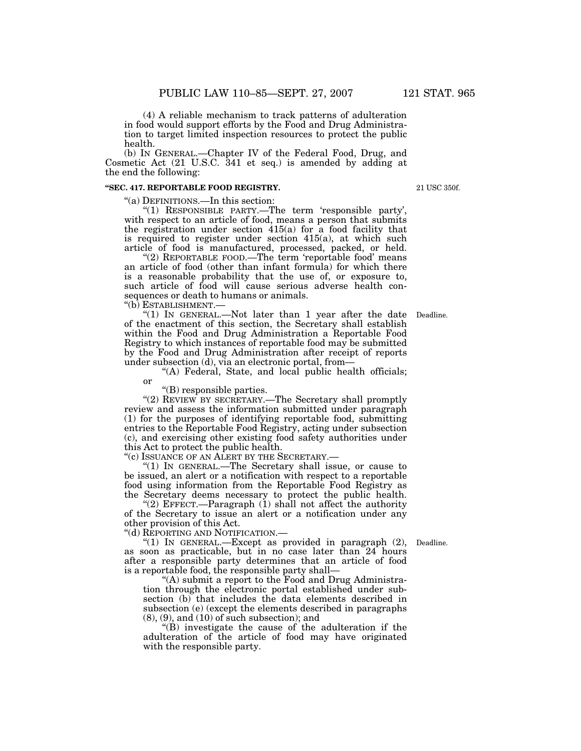(4) A reliable mechanism to track patterns of adulteration in food would support efforts by the Food and Drug Administration to target limited inspection resources to protect the public health.

(b) IN GENERAL.—Chapter IV of the Federal Food, Drug, and Cosmetic Act (21 U.S.C. 341 et seq.) is amended by adding at the end the following:

# **''SEC. 417. REPORTABLE FOOD REGISTRY.**

''(a) DEFINITIONS.—In this section:

"(1) RESPONSIBLE PARTY.—The term 'responsible party', with respect to an article of food, means a person that submits the registration under section  $415(a)$  for a food facility that is required to register under section 415(a), at which such article of food is manufactured, processed, packed, or held.

"(2) REPORTABLE FOOD.—The term 'reportable food' means an article of food (other than infant formula) for which there is a reasonable probability that the use of, or exposure to, such article of food will cause serious adverse health consequences or death to humans or animals.

''(b) ESTABLISHMENT.—

" $(1)$  In GENERAL.—Not later than 1 year after the date Deadline. of the enactment of this section, the Secretary shall establish within the Food and Drug Administration a Reportable Food Registry to which instances of reportable food may be submitted by the Food and Drug Administration after receipt of reports under subsection (d), via an electronic portal, from—

''(A) Federal, State, and local public health officials; or

''(B) responsible parties.

"(2) REVIEW BY SECRETARY.—The Secretary shall promptly review and assess the information submitted under paragraph (1) for the purposes of identifying reportable food, submitting entries to the Reportable Food Registry, acting under subsection (c), and exercising other existing food safety authorities under this Act to protect the public health.

''(c) ISSUANCE OF AN ALERT BY THE SECRETARY.—

''(1) IN GENERAL.—The Secretary shall issue, or cause to be issued, an alert or a notification with respect to a reportable food using information from the Reportable Food Registry as the Secretary deems necessary to protect the public health.

''(2) EFFECT.—Paragraph (1) shall not affect the authority of the Secretary to issue an alert or a notification under any other provision of this Act.

''(d) REPORTING AND NOTIFICATION.—

"(1) In GENERAL.—Except as provided in paragraph (2), as soon as practicable, but in no case later than 24 hours after a responsible party determines that an article of food is a reportable food, the responsible party shall—

"(A) submit a report to the Food and Drug Administration through the electronic portal established under subsection (b) that includes the data elements described in subsection (e) (except the elements described in paragraphs  $(8)$ ,  $(9)$ , and  $(10)$  of such subsection); and

 $\mathcal{L}(\mathbf{B})$  investigate the cause of the adulteration if the adulteration of the article of food may have originated with the responsible party.

Deadline.

21 USC 350f.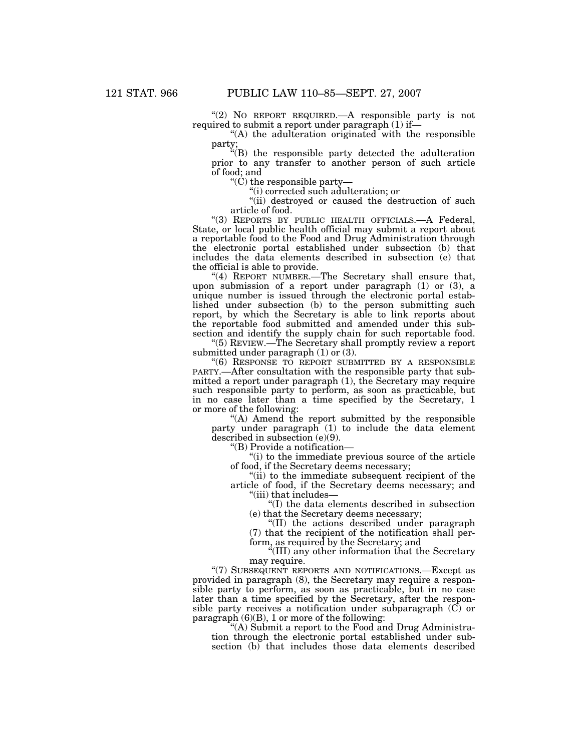" $(2)$  No REPORT REQUIRED.—A responsible party is not required to submit a report under paragraph (1) if—

 $(A)$  the adulteration originated with the responsible party;

''(B) the responsible party detected the adulteration prior to any transfer to another person of such article of food; and

''(C) the responsible party—

''(i) corrected such adulteration; or

"(ii) destroyed or caused the destruction of such article of food.

''(3) REPORTS BY PUBLIC HEALTH OFFICIALS.—A Federal, State, or local public health official may submit a report about a reportable food to the Food and Drug Administration through the electronic portal established under subsection (b) that includes the data elements described in subsection (e) that the official is able to provide.

"(4) REPORT NUMBER.—The Secretary shall ensure that, upon submission of a report under paragraph (1) or (3), a unique number is issued through the electronic portal established under subsection (b) to the person submitting such report, by which the Secretary is able to link reports about the reportable food submitted and amended under this subsection and identify the supply chain for such reportable food.

''(5) REVIEW.—The Secretary shall promptly review a report submitted under paragraph (1) or (3).

''(6) RESPONSE TO REPORT SUBMITTED BY A RESPONSIBLE PARTY.—After consultation with the responsible party that submitted a report under paragraph (1), the Secretary may require such responsible party to perform, as soon as practicable, but in no case later than a time specified by the Secretary, 1 or more of the following:

"(A) Amend the report submitted by the responsible party under paragraph (1) to include the data element described in subsection (e)(9).

''(B) Provide a notification—

''(i) to the immediate previous source of the article of food, if the Secretary deems necessary;

"(ii) to the immediate subsequent recipient of the article of food, if the Secretary deems necessary; and "(iii) that includes-

''(I) the data elements described in subsection (e) that the Secretary deems necessary;

''(II) the actions described under paragraph (7) that the recipient of the notification shall perform, as required by the Secretary; and

''(III) any other information that the Secretary may require.

"(7) SUBSEQUENT REPORTS AND NOTIFICATIONS.—Except as provided in paragraph (8), the Secretary may require a responsible party to perform, as soon as practicable, but in no case later than a time specified by the Secretary, after the responsible party receives a notification under subparagraph  $(C)$  or paragraph  $(6)(B)$ , 1 or more of the following:

''(A) Submit a report to the Food and Drug Administration through the electronic portal established under subsection (b) that includes those data elements described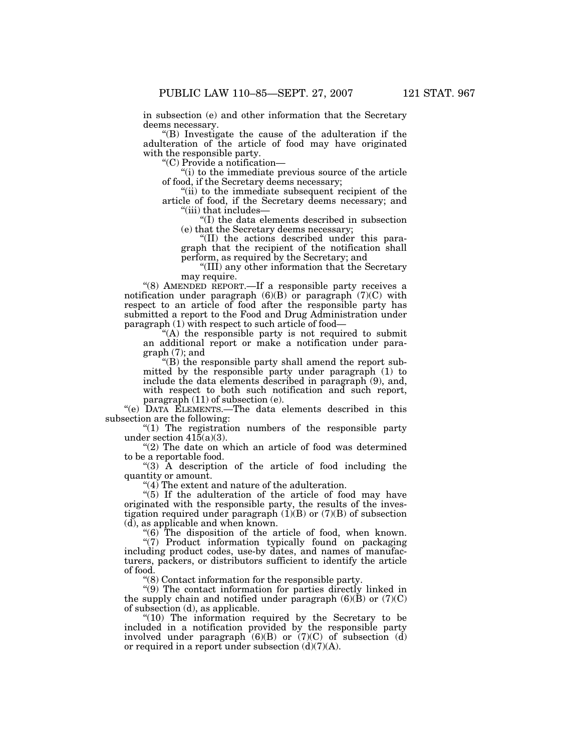in subsection (e) and other information that the Secretary deems necessary.

''(B) Investigate the cause of the adulteration if the adulteration of the article of food may have originated with the responsible party.

''(C) Provide a notification—

''(i) to the immediate previous source of the article of food, if the Secretary deems necessary;

"(ii) to the immediate subsequent recipient of the article of food, if the Secretary deems necessary; and ''(iii) that includes—

''(I) the data elements described in subsection (e) that the Secretary deems necessary;

''(II) the actions described under this paragraph that the recipient of the notification shall perform, as required by the Secretary; and

''(III) any other information that the Secretary may require.

"(8) AMENDED REPORT.—If a responsible party receives a notification under paragraph (6)(B) or paragraph (7)(C) with respect to an article of food after the responsible party has submitted a report to the Food and Drug Administration under paragraph (1) with respect to such article of food—

"(A) the responsible party is not required to submit an additional report or make a notification under paragraph (7); and

''(B) the responsible party shall amend the report submitted by the responsible party under paragraph (1) to include the data elements described in paragraph (9), and, with respect to both such notification and such report, paragraph (11) of subsection (e).

''(e) DATA ELEMENTS.—The data elements described in this subsection are the following:

" $(1)$  The registration numbers of the responsible party under section  $415(a)(3)$ .

 $(2)$  The date on which an article of food was determined to be a reportable food.

" $(3)$  A description of the article of food including the quantity or amount.

"(4) The extent and nature of the adulteration.

"(5) If the adulteration of the article of food may have originated with the responsible party, the results of the investigation required under paragraph  $(1)(B)$  or  $(7)(B)$  of subsection (d), as applicable and when known.

" $(6)$  The disposition of the article of food, when known.

 $\sqrt{\gamma}$  Product information typically found on packaging including product codes, use-by dates, and names of manufacturers, packers, or distributors sufficient to identify the article of food.

''(8) Contact information for the responsible party.

''(9) The contact information for parties directly linked in the supply chain and notified under paragraph  $(6)(\dot{B})$  or  $(7)(C)$ of subsection (d), as applicable.

 $\degree$ (10) The information required by the Secretary to be included in a notification provided by the responsible party involved under paragraph  $(6)(B)$  or  $(7)(C)$  of subsection  $(d)$ or required in a report under subsection  $(d)(7)(A)$ .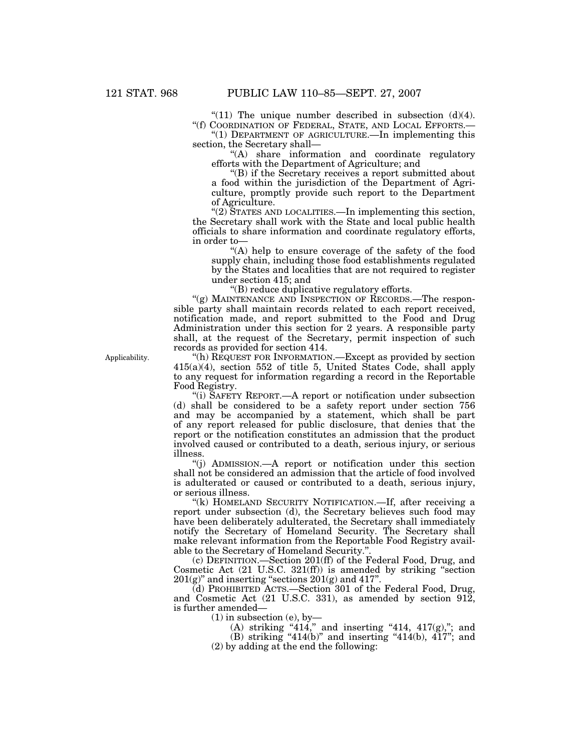"(11) The unique number described in subsection  $(d)(4)$ . ''(f) COORDINATION OF FEDERAL, STATE, AND LOCAL EFFORTS.—

''(1) DEPARTMENT OF AGRICULTURE.—In implementing this section, the Secretary shall—

"(A) share information and coordinate regulatory efforts with the Department of Agriculture; and

''(B) if the Secretary receives a report submitted about a food within the jurisdiction of the Department of Agriculture, promptly provide such report to the Department of Agriculture.

''(2) STATES AND LOCALITIES.—In implementing this section, the Secretary shall work with the State and local public health officials to share information and coordinate regulatory efforts, in order to—

''(A) help to ensure coverage of the safety of the food supply chain, including those food establishments regulated by the States and localities that are not required to register under section 415; and

''(B) reduce duplicative regulatory efforts.

" $(g)$  MAINTENANCE AND INSPECTION OF RECORDS.—The responsible party shall maintain records related to each report received, notification made, and report submitted to the Food and Drug Administration under this section for 2 years. A responsible party shall, at the request of the Secretary, permit inspection of such records as provided for section 414.

Applicability.

''(h) REQUEST FOR INFORMATION.—Except as provided by section  $415(a)(4)$ , section 552 of title 5, United States Code, shall apply to any request for information regarding a record in the Reportable Food Registry.

''(i) SAFETY REPORT.—A report or notification under subsection (d) shall be considered to be a safety report under section 756 and may be accompanied by a statement, which shall be part of any report released for public disclosure, that denies that the report or the notification constitutes an admission that the product involved caused or contributed to a death, serious injury, or serious illness.

''(j) ADMISSION.—A report or notification under this section shall not be considered an admission that the article of food involved is adulterated or caused or contributed to a death, serious injury, or serious illness.

"(k) HOMELAND SECURITY NOTIFICATION.—If, after receiving a report under subsection (d), the Secretary believes such food may have been deliberately adulterated, the Secretary shall immediately notify the Secretary of Homeland Security. The Secretary shall make relevant information from the Reportable Food Registry available to the Secretary of Homeland Security.''.

(c) DEFINITION.—Section 201(ff) of the Federal Food, Drug, and Cosmetic Act  $(21 \text{ U.S.C. } 321(\text{ff}))$  is amended by striking "section  $201(g)$ " and inserting "sections  $201(g)$  and  $417"$ .

(d) PROHIBITED ACTS.—Section 301 of the Federal Food, Drug, and Cosmetic Act (21 U.S.C. 331), as amended by section 912, is further amended—

(1) in subsection (e), by—

(A) striking "414," and inserting "414, 417 $(g)$ ,"; and (B) striking "414(b)" and inserting "414(b),  $417$ "; and

(2) by adding at the end the following: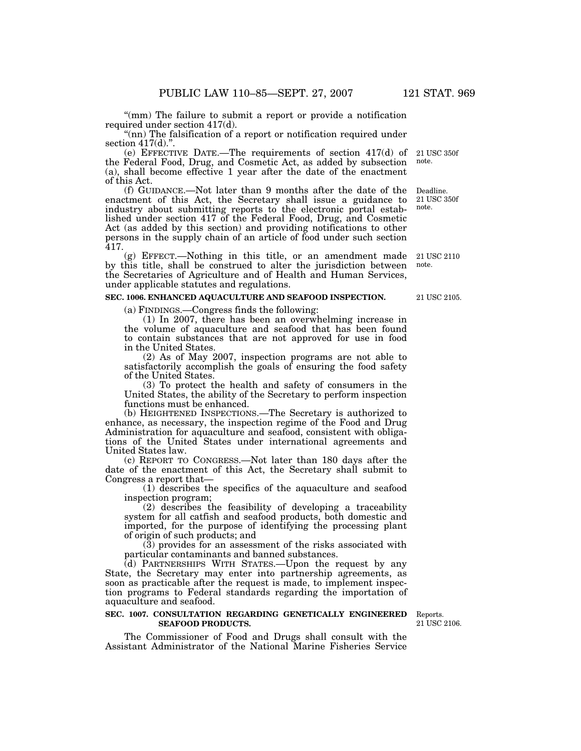"(mm) The failure to submit a report or provide a notification required under section 417(d).

"(nn) The falsification of a report or notification required under section 417(d).".

(e) EFFECTIVE DATE.—The requirements of section  $417(d)$  of 21 USC 350f the Federal Food, Drug, and Cosmetic Act, as added by subsection (a), shall become effective 1 year after the date of the enactment of this Act. note.

(f) GUIDANCE.—Not later than 9 months after the date of the enactment of this Act, the Secretary shall issue a guidance to industry about submitting reports to the electronic portal established under section 417 of the Federal Food, Drug, and Cosmetic Act (as added by this section) and providing notifications to other persons in the supply chain of an article of food under such section 417. 21 USC 350f note.

(g) EFFECT.—Nothing in this title, or an amendment made by this title, shall be construed to alter the jurisdiction between the Secretaries of Agriculture and of Health and Human Services, under applicable statutes and regulations.

# **SEC. 1006. ENHANCED AQUACULTURE AND SEAFOOD INSPECTION.**

(a) FINDINGS.—Congress finds the following:

(1) In 2007, there has been an overwhelming increase in the volume of aquaculture and seafood that has been found to contain substances that are not approved for use in food in the United States.

(2) As of May 2007, inspection programs are not able to satisfactorily accomplish the goals of ensuring the food safety of the United States.

(3) To protect the health and safety of consumers in the United States, the ability of the Secretary to perform inspection functions must be enhanced.

(b) HEIGHTENED INSPECTIONS.—The Secretary is authorized to enhance, as necessary, the inspection regime of the Food and Drug Administration for aquaculture and seafood, consistent with obligations of the United States under international agreements and United States law.

(c) REPORT TO CONGRESS.—Not later than 180 days after the date of the enactment of this Act, the Secretary shall submit to Congress a report that—

(1) describes the specifics of the aquaculture and seafood inspection program;

(2) describes the feasibility of developing a traceability system for all catfish and seafood products, both domestic and imported, for the purpose of identifying the processing plant of origin of such products; and

(3) provides for an assessment of the risks associated with particular contaminants and banned substances.

(d) PARTNERSHIPS WITH STATES.—Upon the request by any State, the Secretary may enter into partnership agreements, as soon as practicable after the request is made, to implement inspection programs to Federal standards regarding the importation of aquaculture and seafood.

#### **SEC. 1007. CONSULTATION REGARDING GENETICALLY ENGINEERED**  Reports. **SEAFOOD PRODUCTS.**

The Commissioner of Food and Drugs shall consult with the Assistant Administrator of the National Marine Fisheries Service

21 USC 2106.

21 USC 2105.

21 USC 2110 note.

Deadline.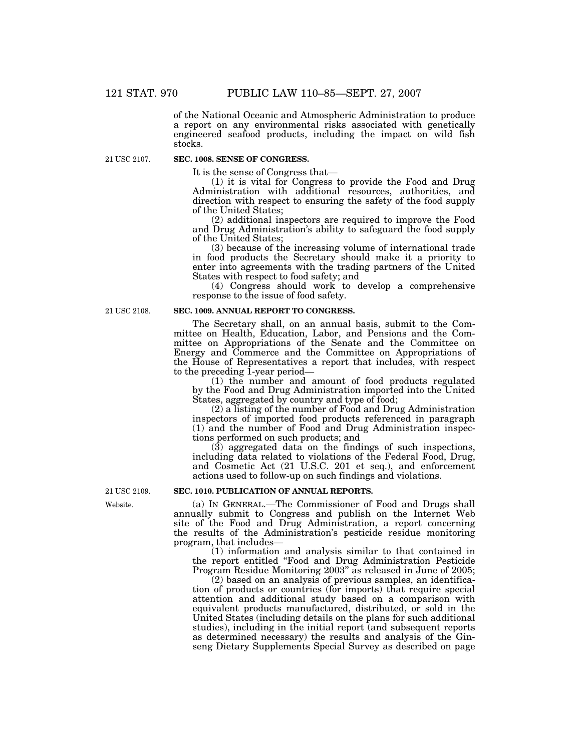of the National Oceanic and Atmospheric Administration to produce a report on any environmental risks associated with genetically engineered seafood products, including the impact on wild fish stocks.

21 USC 2107.

# **SEC. 1008. SENSE OF CONGRESS.**

It is the sense of Congress that—

(1) it is vital for Congress to provide the Food and Drug Administration with additional resources, authorities, and direction with respect to ensuring the safety of the food supply of the United States;

(2) additional inspectors are required to improve the Food and Drug Administration's ability to safeguard the food supply of the United States;

(3) because of the increasing volume of international trade in food products the Secretary should make it a priority to enter into agreements with the trading partners of the United States with respect to food safety; and

(4) Congress should work to develop a comprehensive response to the issue of food safety.

#### **SEC. 1009. ANNUAL REPORT TO CONGRESS.**  21 USC 2108.

The Secretary shall, on an annual basis, submit to the Committee on Health, Education, Labor, and Pensions and the Committee on Appropriations of the Senate and the Committee on Energy and Commerce and the Committee on Appropriations of the House of Representatives a report that includes, with respect to the preceding 1-year period—

(1) the number and amount of food products regulated by the Food and Drug Administration imported into the United States, aggregated by country and type of food;

(2) a listing of the number of Food and Drug Administration inspectors of imported food products referenced in paragraph (1) and the number of Food and Drug Administration inspections performed on such products; and

 $(3)$  aggregated data on the findings of such inspections, including data related to violations of the Federal Food, Drug, and Cosmetic Act (21 U.S.C. 201 et seq.), and enforcement actions used to follow-up on such findings and violations.

# **SEC. 1010. PUBLICATION OF ANNUAL REPORTS.**

(a) IN GENERAL.—The Commissioner of Food and Drugs shall annually submit to Congress and publish on the Internet Web site of the Food and Drug Administration, a report concerning the results of the Administration's pesticide residue monitoring program, that includes—

(1) information and analysis similar to that contained in the report entitled ''Food and Drug Administration Pesticide Program Residue Monitoring 2003'' as released in June of 2005;

(2) based on an analysis of previous samples, an identification of products or countries (for imports) that require special attention and additional study based on a comparison with equivalent products manufactured, distributed, or sold in the United States (including details on the plans for such additional studies), including in the initial report (and subsequent reports as determined necessary) the results and analysis of the Ginseng Dietary Supplements Special Survey as described on page

Website. 21 USC 2109.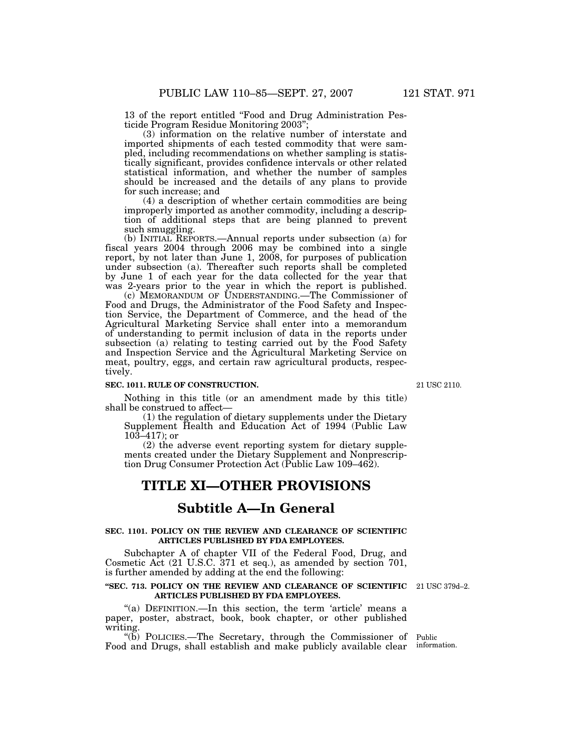13 of the report entitled ''Food and Drug Administration Pesticide Program Residue Monitoring 2003'';

(3) information on the relative number of interstate and imported shipments of each tested commodity that were sampled, including recommendations on whether sampling is statistically significant, provides confidence intervals or other related statistical information, and whether the number of samples should be increased and the details of any plans to provide for such increase; and

(4) a description of whether certain commodities are being improperly imported as another commodity, including a description of additional steps that are being planned to prevent such smuggling.

(b) INITIAL REPORTS.—Annual reports under subsection (a) for fiscal years 2004 through 2006 may be combined into a single report, by not later than June 1, 2008, for purposes of publication under subsection (a). Thereafter such reports shall be completed by June 1 of each year for the data collected for the year that was 2-years prior to the year in which the report is published.

(c) MEMORANDUM OF UNDERSTANDING.—The Commissioner of Food and Drugs, the Administrator of the Food Safety and Inspection Service, the Department of Commerce, and the head of the Agricultural Marketing Service shall enter into a memorandum of understanding to permit inclusion of data in the reports under subsection (a) relating to testing carried out by the Food Safety and Inspection Service and the Agricultural Marketing Service on meat, poultry, eggs, and certain raw agricultural products, respectively.

# **SEC. 1011. RULE OF CONSTRUCTION.**

Nothing in this title (or an amendment made by this title) shall be construed to affect—

(1) the regulation of dietary supplements under the Dietary Supplement Health and Education Act of 1994 (Public Law  $10\overline{3} - 417$ ; or

(2) the adverse event reporting system for dietary supplements created under the Dietary Supplement and Nonprescription Drug Consumer Protection Act (Public Law 109–462).

# **TITLE XI—OTHER PROVISIONS**

# **Subtitle A—In General**

# **SEC. 1101. POLICY ON THE REVIEW AND CLEARANCE OF SCIENTIFIC ARTICLES PUBLISHED BY FDA EMPLOYEES.**

Subchapter A of chapter VII of the Federal Food, Drug, and Cosmetic Act (21 U.S.C. 371 et seq.), as amended by section 701, is further amended by adding at the end the following:

#### **''SEC. 713. POLICY ON THE REVIEW AND CLEARANCE OF SCIENTIFIC**  21 USC 379d–2. **ARTICLES PUBLISHED BY FDA EMPLOYEES.**

"(a) DEFINITION.—In this section, the term 'article' means a paper, poster, abstract, book, book chapter, or other published writing.

''(b) POLICIES.—The Secretary, through the Commissioner of Public Food and Drugs, shall establish and make publicly available clear

21 USC 2110.

information.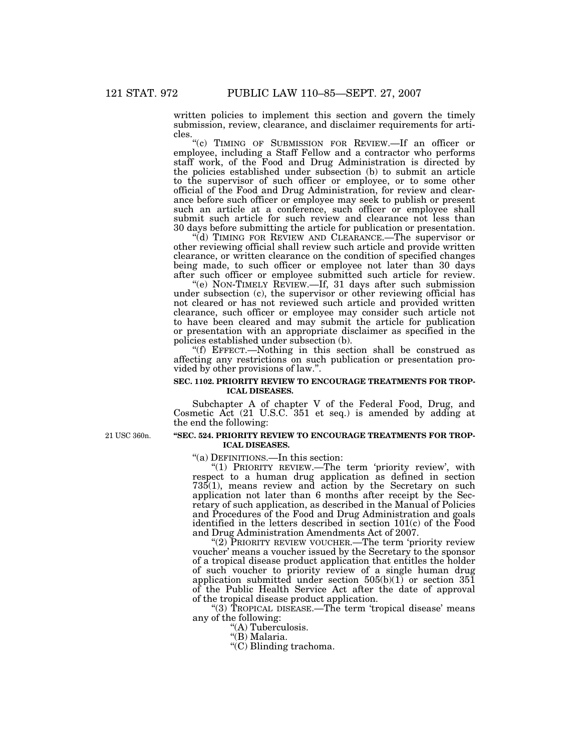written policies to implement this section and govern the timely submission, review, clearance, and disclaimer requirements for articles.

''(c) TIMING OF SUBMISSION FOR REVIEW.—If an officer or employee, including a Staff Fellow and a contractor who performs staff work, of the Food and Drug Administration is directed by the policies established under subsection (b) to submit an article to the supervisor of such officer or employee, or to some other official of the Food and Drug Administration, for review and clearance before such officer or employee may seek to publish or present such an article at a conference, such officer or employee shall submit such article for such review and clearance not less than 30 days before submitting the article for publication or presentation.

''(d) TIMING FOR REVIEW AND CLEARANCE.—The supervisor or other reviewing official shall review such article and provide written clearance, or written clearance on the condition of specified changes being made, to such officer or employee not later than 30 days after such officer or employee submitted such article for review.

''(e) NON-TIMELY REVIEW.—If, 31 days after such submission under subsection (c), the supervisor or other reviewing official has not cleared or has not reviewed such article and provided written clearance, such officer or employee may consider such article not to have been cleared and may submit the article for publication or presentation with an appropriate disclaimer as specified in the policies established under subsection (b).

''(f) EFFECT.—Nothing in this section shall be construed as affecting any restrictions on such publication or presentation provided by other provisions of law.''.

# **SEC. 1102. PRIORITY REVIEW TO ENCOURAGE TREATMENTS FOR TROP-ICAL DISEASES.**

Subchapter A of chapter V of the Federal Food, Drug, and Cosmetic Act (21 U.S.C. 351 et seq.) is amended by adding at the end the following:

21 USC 360n.

# **''SEC. 524. PRIORITY REVIEW TO ENCOURAGE TREATMENTS FOR TROP-ICAL DISEASES.**

''(a) DEFINITIONS.—In this section:

"(1) PRIORITY REVIEW.—The term 'priority review', with respect to a human drug application as defined in section 735(1), means review and action by the Secretary on such application not later than 6 months after receipt by the Secretary of such application, as described in the Manual of Policies and Procedures of the Food and Drug Administration and goals identified in the letters described in section 101(c) of the Food and Drug Administration Amendments Act of 2007.

"(2) PRIORITY REVIEW VOUCHER.—The term 'priority review voucher' means a voucher issued by the Secretary to the sponsor of a tropical disease product application that entitles the holder of such voucher to priority review of a single human drug application submitted under section 505(b)(1) or section 351 of the Public Health Service Act after the date of approval of the tropical disease product application.

''(3) TROPICAL DISEASE.—The term 'tropical disease' means any of the following:

"(A) Tuberculosis.

''(B) Malaria.

"(C) Blinding trachoma.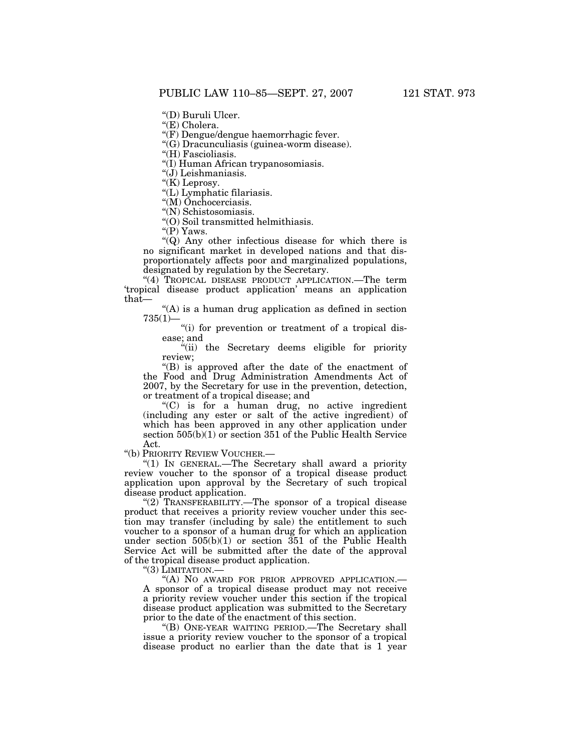''(D) Buruli Ulcer.

"(E) Cholera.

''(F) Dengue/dengue haemorrhagic fever.

''(G) Dracunculiasis (guinea-worm disease).

"(H) Fascioliasis.

''(I) Human African trypanosomiasis.

''(J) Leishmaniasis.

"(K) Leprosy.

"(L) Lymphatic filariasis.

''(M) Onchocerciasis.

''(N) Schistosomiasis.

''(O) Soil transmitted helmithiasis.

"(P) Yaws.

''(Q) Any other infectious disease for which there is no significant market in developed nations and that disproportionately affects poor and marginalized populations, designated by regulation by the Secretary.

"(4) TROPICAL DISEASE PRODUCT APPLICATION.—The term 'tropical disease product application' means an application that—

"(A) is a human drug application as defined in section 735(1)—

"(i) for prevention or treatment of a tropical disease; and

''(ii) the Secretary deems eligible for priority review;

''(B) is approved after the date of the enactment of the Food and Drug Administration Amendments Act of 2007, by the Secretary for use in the prevention, detection, or treatment of a tropical disease; and

''(C) is for a human drug, no active ingredient (including any ester or salt of the active ingredient) of which has been approved in any other application under section 505(b)(1) or section 351 of the Public Health Service Act.

''(b) PRIORITY REVIEW VOUCHER.—

''(1) IN GENERAL.—The Secretary shall award a priority review voucher to the sponsor of a tropical disease product application upon approval by the Secretary of such tropical disease product application.

" $(2)$  TRANSFERABILITY.—The sponsor of a tropical disease product that receives a priority review voucher under this section may transfer (including by sale) the entitlement to such voucher to a sponsor of a human drug for which an application under section 505(b)(1) or section 351 of the Public Health Service Act will be submitted after the date of the approval of the tropical disease product application.

"(3) LIMITATION.-

''(A) NO AWARD FOR PRIOR APPROVED APPLICATION.— A sponsor of a tropical disease product may not receive a priority review voucher under this section if the tropical disease product application was submitted to the Secretary prior to the date of the enactment of this section.

''(B) ONE-YEAR WAITING PERIOD.—The Secretary shall issue a priority review voucher to the sponsor of a tropical disease product no earlier than the date that is 1 year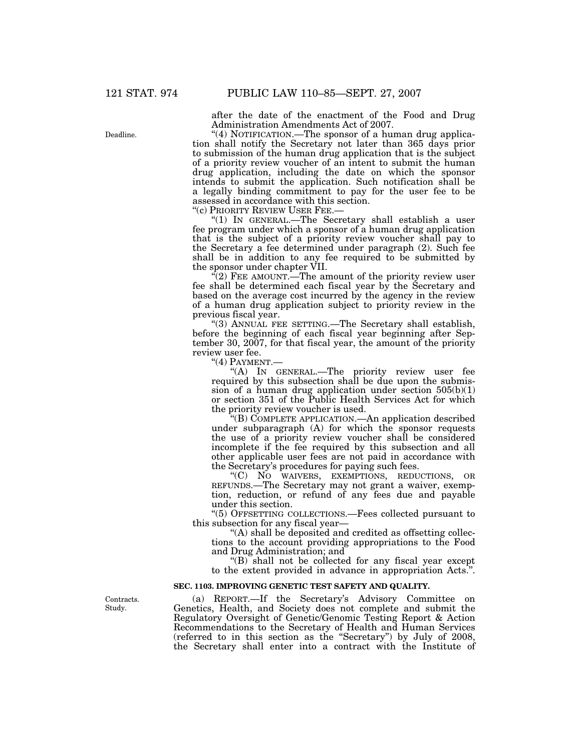after the date of the enactment of the Food and Drug Administration Amendments Act of 2007.

"(4) NOTIFICATION.—The sponsor of a human drug application shall notify the Secretary not later than 365 days prior to submission of the human drug application that is the subject of a priority review voucher of an intent to submit the human drug application, including the date on which the sponsor intends to submit the application. Such notification shall be a legally binding commitment to pay for the user fee to be assessed in accordance with this section.<br>"(c) PRIORITY REVIEW USER FEE.—

"(1) IN GENERAL.—The Secretary shall establish a user fee program under which a sponsor of a human drug application that is the subject of a priority review voucher shall pay to the Secretary a fee determined under paragraph (2). Such fee shall be in addition to any fee required to be submitted by the sponsor under chapter VII.

 $\hat{f}(2)$  FEE AMOUNT. The amount of the priority review user fee shall be determined each fiscal year by the Secretary and based on the average cost incurred by the agency in the review of a human drug application subject to priority review in the previous fiscal year.

''(3) ANNUAL FEE SETTING.—The Secretary shall establish, before the beginning of each fiscal year beginning after September 30, 2007, for that fiscal year, the amount of the priority review user fee.

 $"$ (4) PAYMENT. $-$ 

''(A) IN GENERAL.—The priority review user fee required by this subsection shall be due upon the submission of a human drug application under section  $505(b)(1)$ or section 351 of the Public Health Services Act for which the priority review voucher is used.

''(B) COMPLETE APPLICATION.—An application described under subparagraph (A) for which the sponsor requests the use of a priority review voucher shall be considered incomplete if the fee required by this subsection and all other applicable user fees are not paid in accordance with the Secretary's procedures for paying such fees.

''(C) NO WAIVERS, EXEMPTIONS, REDUCTIONS, OR REFUNDS.—The Secretary may not grant a waiver, exemption, reduction, or refund of any fees due and payable under this section.

''(5) OFFSETTING COLLECTIONS.—Fees collected pursuant to this subsection for any fiscal year—

''(A) shall be deposited and credited as offsetting collections to the account providing appropriations to the Food and Drug Administration; and

"(B) shall not be collected for any fiscal year except" to the extent provided in advance in appropriation Acts.''.

# **SEC. 1103. IMPROVING GENETIC TEST SAFETY AND QUALITY.**

(a) REPORT.—If the Secretary's Advisory Committee on Genetics, Health, and Society does not complete and submit the Regulatory Oversight of Genetic/Genomic Testing Report & Action Recommendations to the Secretary of Health and Human Services (referred to in this section as the ''Secretary'') by July of 2008, the Secretary shall enter into a contract with the Institute of

Contracts. Study.

Deadline.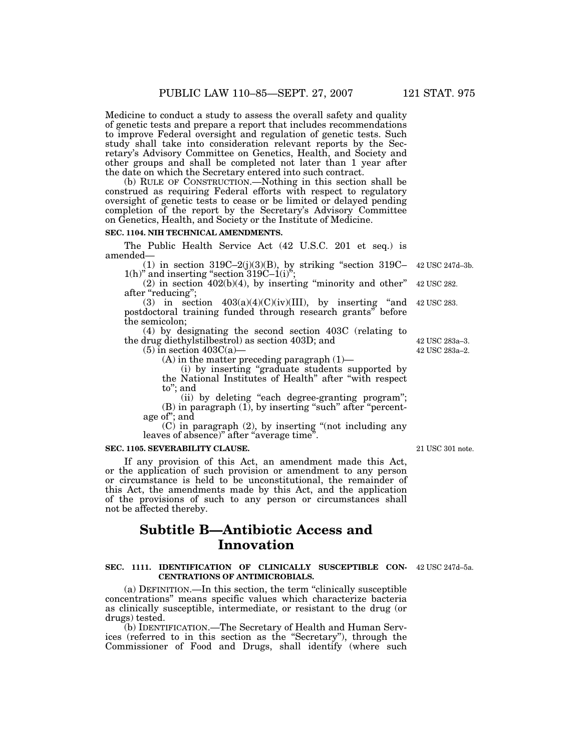Medicine to conduct a study to assess the overall safety and quality of genetic tests and prepare a report that includes recommendations to improve Federal oversight and regulation of genetic tests. Such study shall take into consideration relevant reports by the Secretary's Advisory Committee on Genetics, Health, and Society and other groups and shall be completed not later than 1 year after the date on which the Secretary entered into such contract.

(b) RULE OF CONSTRUCTION.—Nothing in this section shall be construed as requiring Federal efforts with respect to regulatory oversight of genetic tests to cease or be limited or delayed pending completion of the report by the Secretary's Advisory Committee on Genetics, Health, and Society or the Institute of Medicine.

#### **SEC. 1104. NIH TECHNICAL AMENDMENTS.**

The Public Health Service Act (42 U.S.C. 201 et seq.) is amended—

(1) in section  $319C-2(j)(3)(B)$ , by striking "section  $319C 1(h)$ " and inserting "section 319C– $1(i)$ ";

 $(2)$  in section  $402(b)(4)$ , by inserting "minority and other" after "reducing";

(3) in section  $403(a)(4)(C)(iv)(III)$ , by inserting "and postdoctoral training funded through research grants'' before the semicolon;

(4) by designating the second section 403C (relating to the drug diethylstilbestrol) as section 403D; and

 $(5)$  in section 403C(a)–

(A) in the matter preceding paragraph (1)—

(i) by inserting ''graduate students supported by the National Institutes of Health'' after ''with respect to''; and

(ii) by deleting "each degree-granting program"; (B) in paragraph (1), by inserting "such" after "percent-

age of''; and

 $(C)$  in paragraph  $(2)$ , by inserting "(not including any leaves of absence)" after "average time".

### **SEC. 1105. SEVERABILITY CLAUSE.**

If any provision of this Act, an amendment made this Act, or the application of such provision or amendment to any person or circumstance is held to be unconstitutional, the remainder of this Act, the amendments made by this Act, and the application of the provisions of such to any person or circumstances shall not be affected thereby.

# **Subtitle B—Antibiotic Access and Innovation**

#### **SEC. 1111. IDENTIFICATION OF CLINICALLY SUSCEPTIBLE CON-**42 USC 247d–5a. **CENTRATIONS OF ANTIMICROBIALS.**

(a) DEFINITION.—In this section, the term ''clinically susceptible concentrations'' means specific values which characterize bacteria as clinically susceptible, intermediate, or resistant to the drug (or drugs) tested.

(b) IDENTIFICATION.—The Secretary of Health and Human Services (referred to in this section as the ''Secretary''), through the Commissioner of Food and Drugs, shall identify (where such

21 USC 301 note.

42 USC 247d–3b.

42 USC 282.

42 USC 283.

42 USC 283a–2. 42 USC 283a–3.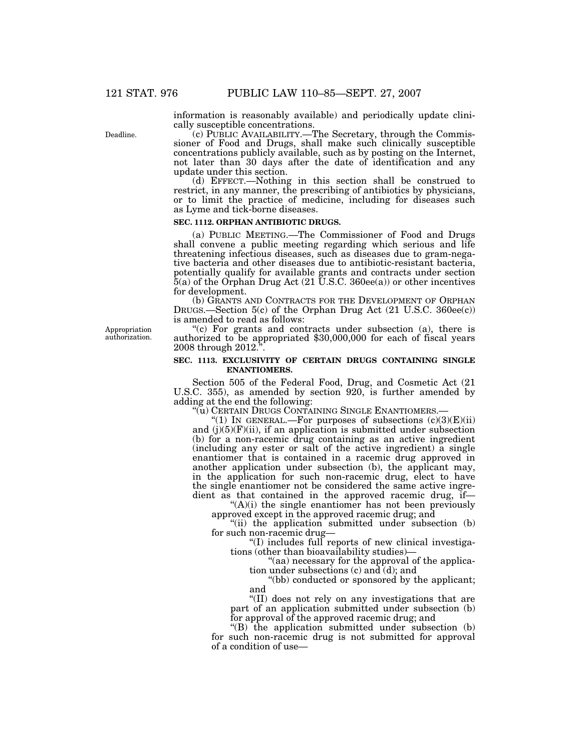information is reasonably available) and periodically update clinically susceptible concentrations.

(c) PUBLIC AVAILABILITY.—The Secretary, through the Commissioner of Food and Drugs, shall make such clinically susceptible concentrations publicly available, such as by posting on the Internet, not later than 30 days after the date of identification and any update under this section.

(d) EFFECT.—Nothing in this section shall be construed to restrict, in any manner, the prescribing of antibiotics by physicians, or to limit the practice of medicine, including for diseases such as Lyme and tick-borne diseases.

### **SEC. 1112. ORPHAN ANTIBIOTIC DRUGS.**

(a) PUBLIC MEETING.—The Commissioner of Food and Drugs shall convene a public meeting regarding which serious and life threatening infectious diseases, such as diseases due to gram-negative bacteria and other diseases due to antibiotic-resistant bacteria, potentially qualify for available grants and contracts under section  $5(a)$  of the Orphan Drug Act (21 U.S.C. 360ee(a)) or other incentives for development.

(b) GRANTS AND CONTRACTS FOR THE DEVELOPMENT OF ORPHAN DRUGS.—Section 5(c) of the Orphan Drug Act (21 U.S.C. 360ee(c))

is amended to read as follows:<br>"(c) For grants and contracts under subsection (a), there is authorized to be appropriated \$30,000,000 for each of fiscal years 2008 through 2012.''

### **SEC. 1113. EXCLUSIVITY OF CERTAIN DRUGS CONTAINING SINGLE ENANTIOMERS.**

Section 505 of the Federal Food, Drug, and Cosmetic Act (21 U.S.C. 355), as amended by section 920, is further amended by adding at the end the following:<br>"(u) CERTAIN DRUGS CONTAINING SINGLE ENANTIOMERS.-

"(1) IN GENERAL.—For purposes of subsections  $(c)(3)(E)(ii)$ and  $(j)(5)(F)(ii)$ , if an application is submitted under subsection (b) for a non-racemic drug containing as an active ingredient (including any ester or salt of the active ingredient) a single enantiomer that is contained in a racemic drug approved in another application under subsection (b), the applicant may, in the application for such non-racemic drug, elect to have the single enantiomer not be considered the same active ingredient as that contained in the approved racemic drug, if—

"(A)(i) the single enantiomer has not been previously approved except in the approved racemic drug; and

"(ii) the application submitted under subsection  $(b)$ for such non-racemic drug—

''(I) includes full reports of new clinical investigations (other than bioavailability studies)—

"(aa) necessary for the approval of the application under subsections  $(c)$  and  $(d)$ ; and

''(bb) conducted or sponsored by the applicant; and

''(II) does not rely on any investigations that are part of an application submitted under subsection (b) for approval of the approved racemic drug; and

 $\mathrm{``(B)}$  the application submitted under subsection (b) for such non-racemic drug is not submitted for approval of a condition of use—

Appropriation authorization

Deadline.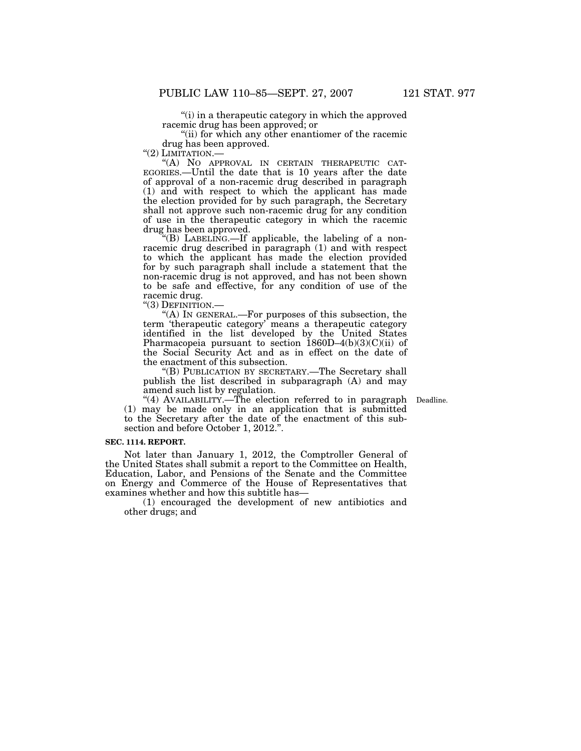"(i) in a therapeutic category in which the approved racemic drug has been approved; or

"(ii) for which any other enantiomer of the racemic drug has been approved.<br>" $(2)$  LIMITATION.—

"(A) NO APPROVAL IN CERTAIN THERAPEUTIC CATEGORIES.—Until the date that is 10 years after the date of approval of a non-racemic drug described in paragraph (1) and with respect to which the applicant has made the election provided for by such paragraph, the Secretary shall not approve such non-racemic drug for any condition of use in the therapeutic category in which the racemic drug has been approved.

''(B) LABELING.—If applicable, the labeling of a nonracemic drug described in paragraph (1) and with respect to which the applicant has made the election provided for by such paragraph shall include a statement that the non-racemic drug is not approved, and has not been shown to be safe and effective, for any condition of use of the racemic drug.

"(3) DEFINITION.-

''(A) IN GENERAL.—For purposes of this subsection, the term 'therapeutic category' means a therapeutic category identified in the list developed by the United States Pharmacopeia pursuant to section  $1860D-4(b)(3)(C)(ii)$  of the Social Security Act and as in effect on the date of the enactment of this subsection.

''(B) PUBLICATION BY SECRETARY.—The Secretary shall publish the list described in subparagraph (A) and may amend such list by regulation.

"(4) AVAILABILITY.—The election referred to in paragraph Deadline. (1) may be made only in an application that is submitted to the Secretary after the date of the enactment of this subsection and before October 1, 2012.''.

#### **SEC. 1114. REPORT.**

Not later than January 1, 2012, the Comptroller General of the United States shall submit a report to the Committee on Health, Education, Labor, and Pensions of the Senate and the Committee on Energy and Commerce of the House of Representatives that examines whether and how this subtitle has—

(1) encouraged the development of new antibiotics and other drugs; and